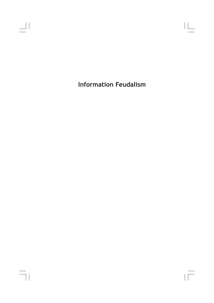**Information Feudalism** 

 $\begin{array}{c|c} \hline \quad \quad & \quad \quad & \quad \quad \\ \hline \quad \quad & \quad \quad & \quad \quad \\ \hline \end{array}$ 

 $\frac{1}{\sqrt{2}}$ 

 $\begin{tabular}{c} \hline \rule{0pt}{2ex} \rule{0pt}{2ex} \rule{0pt}{2ex} \rule{0pt}{2ex} \rule{0pt}{2ex} \rule{0pt}{2ex} \rule{0pt}{2ex} \rule{0pt}{2ex} \rule{0pt}{2ex} \rule{0pt}{2ex} \rule{0pt}{2ex} \rule{0pt}{2ex} \rule{0pt}{2ex} \rule{0pt}{2ex} \rule{0pt}{2ex} \rule{0pt}{2ex} \rule{0pt}{2ex} \rule{0pt}{2ex} \rule{0pt}{2ex} \rule{0pt}{2ex} \rule{0pt}{2ex} \rule{0pt}{2ex} \rule{0pt}{2ex} \rule$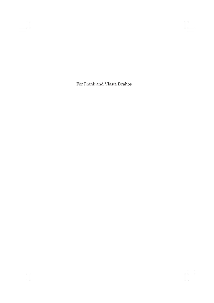For Frank and Vlasta Drahos

 $\begin{array}{c} \rule{2mm}{2mm} \rule{2mm}{2mm} \rule{2mm}{2mm} \rule{2mm}{2mm} \rule{2mm}{2mm} \rule{2mm}{2mm} \rule{2mm}{2mm} \rule{2mm}{2mm} \rule{2mm}{2mm} \rule{2mm}{2mm} \rule{2mm}{2mm} \rule{2mm}{2mm} \rule{2mm}{2mm} \rule{2mm}{2mm} \rule{2mm}{2mm} \rule{2mm}{2mm} \rule{2mm}{2mm} \rule{2mm}{2mm} \rule{2mm}{2mm} \rule{2mm}{2mm} \rule{2mm}{2mm} \rule{2mm}{2mm} \rule{2mm}{2mm} \rule{2mm}{$ 

 $\begin{array}{c} \hline \hline \hline \hline \hline \hline \end{array}$ 

 $\begin{array}{c} \hline \hline \end{array}$ 

 $\frac{1}{\sqrt{2}}$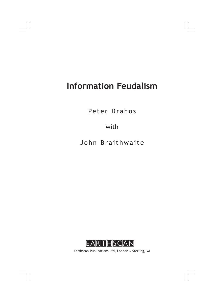## **Information Feudalism**

 $\Box$ 

 $\begin{array}{c|c} \hline \quad \quad & \quad \quad & \quad \quad \\ \hline \quad \quad & \quad \quad & \quad \quad \\ \hline \end{array}$ 

 $\frac{1}{\sqrt{1-\frac{1}{2}}}$ 

Peter Drahos

with

John Braithwaite



Earthscan Publications Ltd, London . Sterling, VA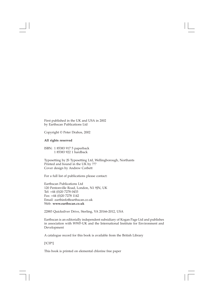First published in the UK and USA in 2002 by Earthscan Publications Ltd

Copyright © Peter Drahos, 2002

**All rights reserved**

ISBN: 1 85383 917 5 paperback 1 85383 922 1 hardback

Typesetting by JS Typesetting Ltd, Wellingborough, Northants Printed and bound in the UK by ??? Cover design by Andrew Corbett

For a full list of publications please contact:

Earthscan Publications Ltd 120 Pentonville Road, London, N1 9JN, UK Tel: +44 (0)20 7278 0433 Fax: +44 (0)20 7278 1142 Email: earthinfo@earthscan.co.uk Web: **www.earthscan.co.uk**

22883 Quicksilver Drive, Sterling, VA 20166-2012, USA

Earthscan is an editorially independent subsidiary of Kogan Page Ltd and publishes in association with WWF-UK and the International Institute for Environment and Development

A catalogue record for this book is available from the British Library

[!CIP!]

This book is printed on elemental chlorine free paper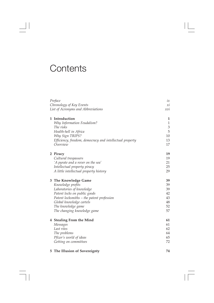## **Contents**

 $\begin{array}{c|c} \hline \hline \end{array}$ 

 $\overline{\neg}$ 

| Preface<br>Chronology of Key Events                      | ix<br>хi                    |
|----------------------------------------------------------|-----------------------------|
| List of Acronyms and Abbreviations                       |                             |
|                                                          | xvi                         |
| 1 Introduction                                           | 1                           |
| Why Information Feudalism?                               | $\mathbf{1}$                |
| The risks                                                | $\ensuremath{\mathfrak{Z}}$ |
| Health-hell in Africa                                    | 5                           |
| Why Sign TRIPS?                                          | 10                          |
| Efficiency, freedom, democracy and intellectual property | 13                          |
| Overview                                                 | 17                          |
|                                                          |                             |
| 2 Piracy                                                 | 19                          |
| Cultural trespassers                                     | 19                          |
| 'A pyrate and a rover on the sea'                        | 21                          |
| Intellectual property piracy                             | 25                          |
| A little intellectual property history                   | 29                          |
|                                                          |                             |
| 3 The Knowledge Game                                     | 39                          |
| Knowledge profits                                        | 39                          |
| Laboratories of knowledge                                | 39                          |
| Patent locks on public goods                             | 42                          |
| Patent locksmiths – the patent profession                | 43                          |
| Global knowledge cartels                                 | 48                          |
| The knowledge game                                       | 52                          |
| The changing knowledge game                              | 57                          |
|                                                          |                             |
| 4 Stealing From the Mind                                 | 61                          |
| Messages                                                 | 61                          |
| Last rites                                               | 62                          |
| The problems                                             | 64                          |
| Pfizer's world of ideas                                  | 65                          |
| Getting on committees                                    | 72                          |
|                                                          |                             |
| 5 The Illusion of Sovereignty                            | 74                          |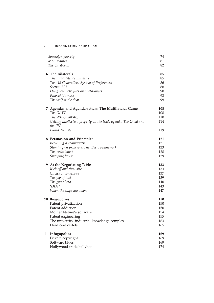$\begin{array}{c|c} \hline \hline \end{array}$ 

 $\frac{1}{\sqrt{2}}$ 

| Sovereign poverty                                               | 74  |
|-----------------------------------------------------------------|-----|
| Most wanted                                                     | 81  |
| The Caribbean                                                   | 82  |
|                                                                 |     |
| 6 The Bilaterals                                                | 85  |
| The trade defence initiative                                    | 85  |
| The US Generalized System of Preferences                        | 86  |
| Section 301                                                     | 88  |
| Designers, lobbyists and petitioners                            | 90  |
| Pinocchio's nose                                                | 93  |
| The wolf at the door                                            | 99  |
|                                                                 |     |
| 7 Agendas and Agenda-setters: The Multilateral Game             | 108 |
| The GATT                                                        | 108 |
| The WIPO talkshop                                               | 110 |
| Getting intellectual property on the trade agenda: The Quad and | 114 |
| the IPC                                                         |     |
| Punta del Este                                                  | 119 |
|                                                                 |     |
| 8 Persuasion and Principles                                     | 121 |
| Becoming a community                                            | 121 |
| Standing on principle: The 'Basic Framework'                    | 123 |
| The coalitionist                                                | 128 |
| Sweeping house                                                  | 129 |
|                                                                 |     |
| 9 At the Negotiating Table                                      | 133 |
| Kick-off and final siren                                        | 133 |
| Circles of consensus                                            | 137 |
| The joy of text                                                 | 139 |
| The great hero                                                  | 140 |
| 'DDT'                                                           | 143 |
| When the chips are down                                         | 147 |
|                                                                 |     |
| 10 Biogopolies                                                  | 150 |
| Patent privatization                                            | 150 |
| Patent addiction                                                | 150 |
| Mother Nature's software                                        | 154 |
| Patent engineering                                              | 155 |
| The university-industrial knowledge complex                     | 163 |
| Hard core cartels                                               | 165 |
|                                                                 |     |
| 11 Infogopolies                                                 | 169 |
| Private copyright                                               | 169 |
| Software blues                                                  | 169 |
| Hollywood trade ballyhoo                                        | 174 |
|                                                                 |     |

 $\sqrt{2}$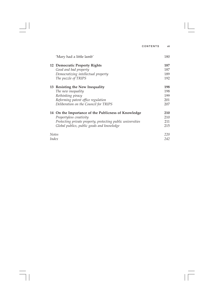|              | 'Mary had a little lamb'                                    | 180 |
|--------------|-------------------------------------------------------------|-----|
|              | 12 Democratic Property Rights                               | 187 |
|              | Good and bad property                                       | 187 |
|              | Democratizing intellectual property                         | 189 |
|              | The puzzle of TRIPS                                         | 192 |
| 13           | <b>Resisting the New Inequality</b>                         | 198 |
|              | The new inequality                                          | 198 |
|              | Rethinking piracy                                           | 199 |
|              | Reforming patent office regulation                          | 201 |
|              | Deliberation on the Council for TRIPS                       | 207 |
|              | 14 On the Importance of the Publicness of Knowledge         | 210 |
|              | Propertyless creativity                                     | 210 |
|              | Protecting private property, protecting public universities | 211 |
|              | Global publics, public goods and knowledge                  | 215 |
| <b>Notes</b> |                                                             | 220 |
| Index        |                                                             | 242 |

 $\begin{array}{c|c} \hline \hline \end{array}$ 

 $\frac{\partial \mathbf{u}}{\partial \mathbf{u}}$ 

**C O N T E N T S vii**

 $\sqrt{\overline{\phantom{a}}\phantom{a}}$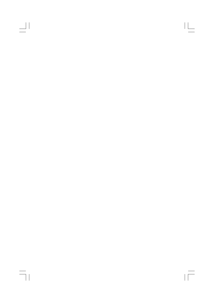$\begin{array}{c|c} \hline \hline \hline \end{array}$ 

 $\begin{tabular}{|c|c|c|c|c|} \hline & & & & & \\ \hline \hline \quad \quad & \quad \quad & \quad \quad \\ \hline \quad \quad & \quad \quad & \quad \quad \\ \hline \end{tabular}$ 

 $\overline{\overline{\eta}}_{\parallel}$ 

 $\frac{1}{\sqrt{1-\frac{1}{2}}}$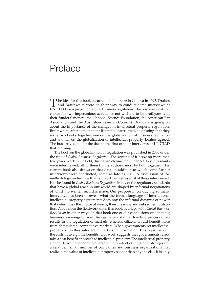## Preface

The idea for this book occurred at a bus stop in Geneva in 1993. Drahos and Braithwaite were on their way to conduct some interviews at UNCTAD for a project on global business regulation. The bus was a natural choice for two impecunious academics not wishing to be profligate with their funders' money (the National Science Foundation, the American Bar Association and the Australian Research Council). Drahos was going on about the importance of the changes in intellectual property regulation. Braithwaite, after some patient listening, interrupted, suggesting that they write two books together, one on the globalization of business regulation and another on the globalization of intellectual property. Drahos agreed. The bus arrived taking the duo to the first of their interviews at UNCTAD that morning.

The book on the globalization of regulation was published in 2000 under the title of *Global Business Regulation*. The writing of it drew on more than five years' work in the field, during which time more than 500 key informants were interviewed, all of them by the authors, most by both together. This current book also draws on that data, in addition to which some further interviews were conducted, some as late as 2001. A discussion of the methodology underlying this fieldwork, as well as a list of those interviewed, is to be found in *Global Business Regulation*. Many of the regulatory standards that have a global reach in our world are shaped by informal negotiations of which no written record is made. Our purpose in conducting so many interviews has been to reveal what the formal language of international intellectual property agreements does not: the informal dynamic of power that determines the choice of words, their meaning and subsequent utilization. Aside from the fieldwork data, this book overlaps with *Global Business Regulation* in other ways. In that book one of our conclusions was that big business sovereignty over the regulatory standard-setting process often results in the regulation of markets, whereas citizens would benefit more from deregulated, competitive markets. When governments set intellectual property rules they interfere in markets in information. This is justifiable if the costs outweigh the benefits. Our work suggests that governments rarely take a cost-benefit approach to intellectual property. The intellectual property standards we have today are largely the product of the global strategies of a relatively small number of companies and business organizations that realized the value of intellectual property sooner than anyone else. It is only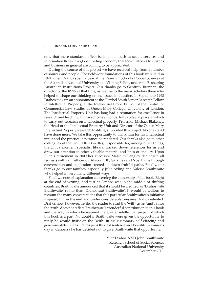now that these standards affect basic goods such as seeds, services and information flows in a global trading economy that their full costs to citizens and business in general are coming to be appreciated.

During the course of this project we have received help from a number of sources and people. The fieldwork foundations of this book were laid in 1994 when Drahos spent a year at the Research School of Social Sciences at the Australian National University as a Visiting Fellow under the Reshaping Australian Institutions Project. Our thanks go to Geoffrey Brennan, the director of the RSSS at that time, as well as to the many scholars there who helped to shape our thinking on the issues in question. In September 1998 Drahos took up an appointment as the Herchel Smith Senior Research Fellow in Intellectual Property, at the Intellectual Property Unit of the Centre for Commercial Law Studies at Queen Mary College, University of London. The Intellectual Property Unit has long had a reputation for excellence in research and teaching. It proved to be a wonderfully collegial place in which to carry out research on intellectual property. Professor Michael Blakeney, the Head of the Intellectual Property Unit and Director of the Queen Mary Intellectual Property Research Institute, supported this project. No one could have done more. We take this opportunity to thank him for his intellectual input and the practical assistance he rendered. Our thanks also go to other colleagues at the Unit. Ellen Gredley, responsible for, among other things, the Unit's excellent specialist library, tracked down references for us and drew our attention to other valuable material and lines of enquiry. Upon Ellen's retirement in 2000 her successor Malcolm Langley dealt with all requests with calm efficiency. Alison Firth, Gary Lea and Noel Byrne through conversation and suggestion steered us down fruitful paths. Finally, our thanks go to our families, especially Julie Ayling and Valerie Braithwaite who helped in very many different ways.

Finally, a note of explanation concerning the authorship of this book. Right at the end of writing, and just as Drahos was in the middle of shifting countries, Braithwaite announced that it should be credited as 'Drahos *with* Braithwaite' rather than 'Drahos *and* Braithwaite'. It would be tedious to recount the many conversations that this particular Braithwaitean initiative inspired, but in the end and under considerable pressure Drahos relented. Drahos now, however, invites the reader to read the 'with' as an 'and', since the 'with' does not reflect Braithwaite's wonderful contribution to this book and the way in which he inspired the greater intellectual project of which this book is a part. No doubt if Braithwaite were given the opportunity to reply he would insist on the 'with' in his customary self-effacing and generous style. But as Drahos pens this last sentence on a beautiful summer's day in Canberra he has decided not to give Braithwaite that opportunity.

> Peter Drahos AND John Braithwaite Research School of Social Sciences Australian National University December 2001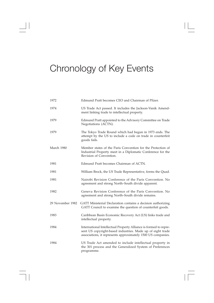# Chronology of Key Events

 $\sqrt{2}$ 

 $\begin{array}{c|c} \hline \hline \end{array}$ 

 $\overline{\overline{\overline{1}}}$ 

| 1972             | Edmund Pratt becomes CEO and Chairman of Pfizer.                                                                                                                                               |
|------------------|------------------------------------------------------------------------------------------------------------------------------------------------------------------------------------------------|
| 1974             | US Trade Act passed. It includes the Jackson-Vanik Amend-<br>ment linking trade to intellectual property.                                                                                      |
| 1979             | Edmund Pratt appointed to the Advisory Committee on Trade<br>Negotiations (ACTN).                                                                                                              |
| 1979             | The Tokyo Trade Round which had begun in 1973 ends. The<br>attempt by the US to include a code on trade in counterfeit<br>goods fails.                                                         |
| March 1980       | Member states of the Paris Convention for the Protection of<br>Industrial Property meet in a Diplomatic Conference for the<br>Revision of Convention.                                          |
| 1981             | Edmund Pratt becomes Chairman of ACTN.                                                                                                                                                         |
| 1981             | William Brock, the US Trade Representative, forms the Quad.                                                                                                                                    |
| 1981             | Nairobi Revision Conference of the Paris Convention. No<br>agreement and strong North-South divide apparent.                                                                                   |
| 1982             | Geneva Revision Conference of the Paris Convention. No<br>agreement and strong North-South divide remains.                                                                                     |
| 29 November 1982 | GATT Ministerial Declaration contains a decision authorizing<br>GATT Council to examine the question of counterfeit goods.                                                                     |
| 1983             | Caribbean Basin Economic Recovery Act (US) links trade and<br>intellectual property.                                                                                                           |
| 1984             | International Intellectual Property Alliance is formed to repre-<br>sent US copyright-based industries. Made up of eight trade<br>associations, it represents approximately 1500 US companies. |
| 1984             | US Trade Act amended to include intellectual property in<br>the 301 process and the Generalized System of Preferences<br>programme.                                                            |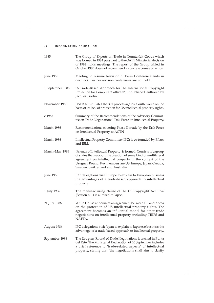$\begin{array}{c|c} \hline \quad \quad & \quad \quad & \quad \quad \\ \hline \quad \quad & \quad \quad & \quad \quad \\ \hline \quad \quad & \quad \quad & \quad \quad \\ \hline \end{array}$ 

 $\frac{\pi}{\sqrt{2\pi}}\int_{0}^{\pi}\frac{1}{\sqrt{2\pi}}\left( \frac{1}{\sqrt{2\pi}}\right) \frac{d\mathbf{x}}{d\mathbf{x}}$ 

| 1985             | The Group of Experts on Trade in Counterfeit Goods which<br>was formed in 1984 pursuant to the GATT Ministerial decision<br>of 1982 holds meetings. The report of the Group tabled in<br>October 1985 does not recommend a concrete course of action.                                                |
|------------------|------------------------------------------------------------------------------------------------------------------------------------------------------------------------------------------------------------------------------------------------------------------------------------------------------|
| June 1985        | Meeting to resume Revision of Paris Conference ends in<br>deadlock. Further revision conferences are not held.                                                                                                                                                                                       |
| 1 September 1985 | 'A Trade-Based Approach for the International Copyright<br>Protection for Computer Software', unpublished, authored by<br>Jacques Gorlin.                                                                                                                                                            |
| November 1985    | USTR self-initiates the 301 process against South Korea on the<br>basis of its lack of protection for US intellectual property rights.                                                                                                                                                               |
| c 1985           | Summary of the Recommendations of the Advisory Commit-<br>tee on Trade Negotiations' Task Force on Intellectual Property.                                                                                                                                                                            |
| March 1986       | Recommendations covering Phase II made by the Task Force<br>on Intellectual Property to ACTN                                                                                                                                                                                                         |
| March 1986       | Intellectual Property Committee (IPC) is co-founded by Pfizer<br>and IBM.                                                                                                                                                                                                                            |
| March-May 1986   | 'Friends of Intellectual Property' is formed. Consists of a group<br>of states that support the creation of some kind of multilateral<br>agreement on intellectual property in the context of the<br>Uruguay Round. Key members are US, Europe, Japan, Canada,<br>Sweden, Switzerland and Australia. |
| June 1986        | IPC delegations visit Europe to explain to European business<br>the advantages of a trade-based approach to intellectual<br>property.                                                                                                                                                                |
| 1 July 1986      | The manufacturing clause of the US Copyright Act 1976<br>(Section 601) is allowed to lapse.                                                                                                                                                                                                          |
| 21 July 1986     | White House announces an agreement between US and Korea<br>on the protection of US intellectual property rights. The<br>agreement becomes an influential model for other trade<br>negotiations on intellectual property including TRIPS and<br>NAFTA.                                                |
| August 1986      | IPC delegations visit Japan to explain to Japanese business the<br>advantage of a trade-based approach to intellectual property.                                                                                                                                                                     |
| September 1986   | The Uruguay Round of Trade Negotiations launched in Punta<br>del Este. The Ministerial Declaration of 20 September includes<br>a brief reference to 'trade-related aspects' of intellectual<br>property, stating that 'the negotiations shall aim to clarify                                         |

 $\mathbb{I}_{\square}$ 

 $\sqrt{1}$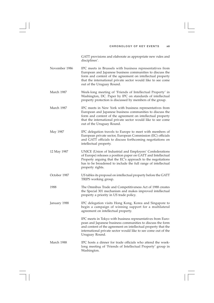#### **CHRONOLOGY OF KEY EVENTS xiii**

GATT provisions and elaborate as appropriate new rules and disciplines'. November 1986 IPC meets in Brussels with business representatives from European and Japanese business communities to discuss the form and content of the agreement on intellectual property that the international private sector would like to see come out of the Uruguay Round. March 1987 Week-long meeting of 'Friends of Intellectual Property' in Washington, DC. Paper by IPC on standards of intellectual property protection is discussed by members of the group. March 1987 IPC meets in New York with business representatives from European and Japanese business communities to discuss the form and content of the agreement on intellectual property that the international private sector would like to see come out of the Uruguay Round. May 1987 IPC delegation travels to Europe to meet with members of European private sector, European Commission (EC) officials and GATT officials to discuss forthcoming negotiations on intellectual property. 12 May 1987 UNICE (Union of Industrial and Employers' Confederations of Europe) releases a position paper on GATT and Intellectual Property arguing that the EC's approach to the negotiations has to be broadened to include the full range of intellectual property rights. October 1987 US tables its proposal on intellectual property before the GATT TRIPS working group. 1988 The Omnibus Trade and Competitiveness Act of 1988 creates the Special 301 mechanism and makes improved intellectual property a priority in US trade policy. January 1988 IPC delegation visits Hong Kong, Korea and Singapore to begin a campaign of winning support for a multilateral agreement on intellectual property. IPC meets in Tokyo with business representatives from European and Japanese business communities to discuss the form and content of the agreement on intellectual property that the international private sector would like to see come out of the Uruguay Round. March 1988 IPC hosts a dinner for trade officials who attend the weeklong meeting of 'Friends of Intellectual Property' group in Washington.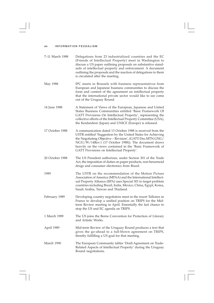$\begin{array}{c|c} \hline \quad \quad & \quad \quad & \quad \quad \\ \hline \quad \quad & \quad \quad & \quad \quad \\ \hline \end{array}$ 

 $\frac{1}{\sqrt{2}}$ 

| 7-11 March 1988 | Delegations from 23 industrialized countries and the EC<br>(Friends of Intellectual Property) meet in Washington to<br>discuss a US paper outlining proposals on substantive stand-<br>ards of intellectual property and enforcement. A document<br>outlining the proposals and the reaction of delegations to them<br>is circulated after the meeting.     |
|-----------------|-------------------------------------------------------------------------------------------------------------------------------------------------------------------------------------------------------------------------------------------------------------------------------------------------------------------------------------------------------------|
| May 1988        | IPC meets in Brussels with business representatives from<br>European and Japanese business communities to discuss the<br>form and content of the agreement on intellectual property<br>that the international private sector would like to see come<br>out of the Uruguay Round.                                                                            |
| 14 June 1988    | A Statement of Views of the European, Japanese and United<br>States Business Communities entitled 'Basic Framework Of<br>GATT Provisions On Intellectual Property', representing the<br>collective efforts of the Intellectual Property Committee (USA),<br>the Keidandren (Japan) and UNICE (Europe) is released.                                          |
| 17 October 1988 | A communication dated 13 October 1988 is received from the<br>USTR entitled 'Suggestion by the United States for Achieving<br>the Negotiating Objective - Revision', (GATT-Doc.MTN.GNG/<br>NG11/W/14Rev.1 (17 October 1988)). The document draws<br>heavily on the views contained in the 'Basic Framework of<br>GATT Provisions on Intellectual Property'. |
| 20 October 1988 | The US President authorizes, under Section 301 of the Trade<br>Act, the imposition of duties on paper products, non-benzenoid<br>drugs and consumer electronics from Brazil.                                                                                                                                                                                |
| 1989            | The USTR on the recommendation of the Motion Picture<br>Association of America (MPAA) and the International Intellect-<br>ual Property Alliance (IIPA) uses Special 301 to target problem<br>countries including Brazil, India, Mexico, China, Egypt, Korea,<br>Saudi Arabia, Taiwan and Thailand.                                                          |
| February 1989   | Developing country negotiators meet in the resort Talloires in<br>France to develop a unified position on TRIPS for the Mid-<br>term Review meeting in April. Essentially the last chance to<br>stop the US and EC agenda on TRIPS.                                                                                                                         |
| 1 March 1989    | The US joins the Berne Convention for Protection of Literary<br>and Artistic Works.                                                                                                                                                                                                                                                                         |
| April 1989      | Mid-term Review of the Uruguay Round produces a text that<br>gives the go-ahead to a full-blown agreement on TRIPS,<br>thereby fulfilling a US goal for that meeting.                                                                                                                                                                                       |
| March 1990      | The European Community tables 'Draft Agreement on Trade-<br>Related Aspects of Intellectual Property' during the Uruguay<br>Round negotiations.                                                                                                                                                                                                             |

 $\sqrt{\overline{\phantom{a}}\phantom{a}}$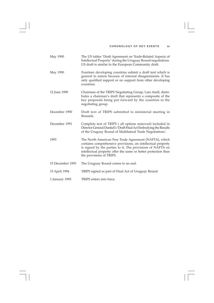### CHRONOLOGY OF KEY EVENTS xv

 $\overline{\Gamma}$ 

| May 1990         | The US tables 'Draft Agreement on Trade-Related Aspects of<br>Intellectual Property' during the Uruguay Round negotiations.<br>US draft is similar to the European Community draft.                                                                                               |
|------------------|-----------------------------------------------------------------------------------------------------------------------------------------------------------------------------------------------------------------------------------------------------------------------------------|
| May 1990         | Fourteen developing countries submit a draft text which is<br>general in nature because of internal disagreements. It has<br>only qualified support or no support from other developing<br>countries.                                                                             |
| 12 June 1990     | Chairman of the TRIPS Negotiating Group, Lars Anell, distri-<br>butes a chairman's draft that represents a composite of the<br>key proposals being put forward by the countries in the<br>negotiating group.                                                                      |
| December 1990    | Draft text of TRIPS submitted to ministerial meeting in<br>Brussels.                                                                                                                                                                                                              |
| December 1991    | Complete text of TRIPS (all options removed) included in<br>Director General Dunkel's 'Draft Final Act Embodying the Results<br>of the Uruguay Round of Multilateral Trade Negotiations'.                                                                                         |
| 1993             | The North American Free Trade Agreement (NAFTA), which<br>contains comprehensive provisions, on intellectual property<br>is signed by the parties to it. The provisions of NAFTA on<br>intellectual property offer the same or better protection than<br>the provisions of TRIPS. |
| 15 December 1993 | The Uruguay Round comes to an end.                                                                                                                                                                                                                                                |
| 15 April 1994    | TRIPS signed as part of Final Act of Uruguay Round.                                                                                                                                                                                                                               |
| 1 January 1995   | TRIPS enters into force.                                                                                                                                                                                                                                                          |

 $\mathrel{\underline{\sqcup}}$ 

 $\overline{\overline{\eta}}_1$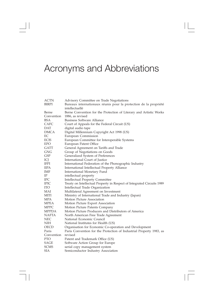# Acronyms and Abbreviations

 $\sqrt{1}$ 

 $\mathbf{r}$ 

 $\overline{\neg}$ 

| ACTN         | Advisory Committee on Trade Negotiations                               |
|--------------|------------------------------------------------------------------------|
| <b>BIRPI</b> | Bureaux internationaux réunis pour la protection de la propriété       |
|              | intellectuellé                                                         |
| Berne        | Berne Convention for the Protection of Literary and Artistic Works     |
| Convention   | 1886, as revised                                                       |
| BSA          | Business Software Alliance                                             |
| CAFC         | Court of Appeals for the Federal Circuit (US)                          |
| DAT          | digital audio tape                                                     |
| DMCA         | Digital Millennium Copyright Act 1998 (US)                             |
| EС           | European Commission                                                    |
| ECIS         | European Committee for Interoperable Systems                           |
| EPO          | European Patent Office                                                 |
| GATT         | General Agreement on Tariffs and Trade                                 |
| GNG          | Group of Negotiations on Goods                                         |
| GSP          | Generalized System of Preferences                                      |
| ICJ          | International Court of Justice                                         |
| IFPI         | International Federation of the Phonographic Industry                  |
| IIPA         | International Intellectual Property Alliance                           |
| IMF          | International Monetary Fund                                            |
| ΙP           | intellectual property                                                  |
| IPC          | Intellectual Property Committee                                        |
| IPIC         | Treaty on Intellectual Property in Respect of Integrated Circuits 1989 |
| ITO          | Intellectual Trade Organization                                        |
| MAI          | Multilateral Agreement on Investment                                   |
| MITI         | Ministry of International Trade and Industry (Japan)                   |
| MPA          | Motion Picture Association                                             |
| MPEA         | Motion Picture Export Association                                      |
| MPPC         | Motion Picture Patents Company                                         |
| MPPDA        | Motion Picture Producers and Distributors of America                   |
| NAFTA        | North American Free Trade Agreement                                    |
| NEC          | National Economic Council                                              |
| NIH          | National Institutes for Health (US)                                    |
| OECD         | Organisation for Economic Co-operation and Development                 |
| Paris        | Paris Convention for the Protection of Industrial Property 1983, as    |
| Convention   | revised                                                                |
| PTO          | Patent and Trademark Office (US)                                       |
| SAGE         | Software Action Group for Europe                                       |
| SCMS         | serial copy management system                                          |
| SIA          | Semiconductor Industry Association                                     |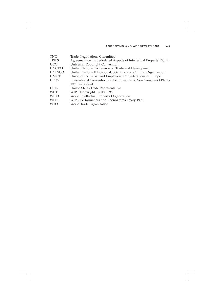#### **ACRONYMS AND ABBREVIATIONS xvii**

| <b>TNC</b>    | <b>Trade Negotiations Committee</b>                                    |
|---------------|------------------------------------------------------------------------|
| <b>TRIPS</b>  | Agreement on Trade-Related Aspects of Intellectual Property Rights     |
| UCC.          | Universal Copyright Convention                                         |
| <b>UNCTAD</b> | United Nations Conference on Trade and Development                     |
| <b>UNESCO</b> | United Nations Educational, Scientific and Cultural Organization       |
| <b>UNICE</b>  | Union of Industrial and Employers' Confederations of Europe            |
| <b>UPOV</b>   | International Convention for the Protection of New Varieties of Plants |
|               | 1961, as revised                                                       |
| <b>USTR</b>   | United States Trade Representative                                     |
| WCT           | WIPO Copyright Treaty 1996                                             |
| WIPO          | World Intellectual Property Organization                               |
| WPPT          | WIPO Performances and Phonograms Treaty 1996                           |
| WTO           | World Trade Organization                                               |
|               |                                                                        |

 $\overline{\overline{\phantom{m}}}_{\phantom{m}l}$ 

 $\begin{array}{c} \rule{0pt}{2ex} \rule{0pt}{2ex} \rule{0pt}{2ex} \rule{0pt}{2ex} \rule{0pt}{2ex} \rule{0pt}{2ex} \rule{0pt}{2ex} \rule{0pt}{2ex} \rule{0pt}{2ex} \rule{0pt}{2ex} \rule{0pt}{2ex} \rule{0pt}{2ex} \rule{0pt}{2ex} \rule{0pt}{2ex} \rule{0pt}{2ex} \rule{0pt}{2ex} \rule{0pt}{2ex} \rule{0pt}{2ex} \rule{0pt}{2ex} \rule{0pt}{2ex} \rule{0pt}{2ex} \rule{0pt}{2ex} \rule{0pt}{2ex} \rule{0pt}{$ 

 $\begin{array}{c} \boxed{-} \\ \boxed{-} \end{array}$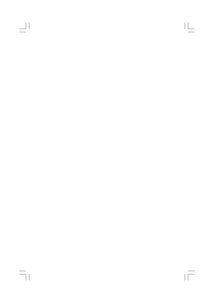$\begin{array}{c|c} \hline \hline \hline \end{array}$ 

 $\begin{tabular}{|c|c|c|c|c|} \hline & & & & & \\ \hline \hline \quad \quad & \quad \quad & \quad \quad \\ \hline \quad \quad & \quad \quad & \quad \quad \\ \hline \end{tabular}$ 

 $\overline{\overline{\eta}}_{\parallel}$ 

 $\frac{1}{\sqrt{1-\frac{1}{2}}}$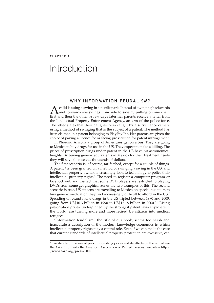#### CHAPTER 1

## Introduction

#### WHY INFORMATION FEUDALISM?

A child is using a swing in a public park. Instead of swinging backwards<br>and forwards she swings from side to side by pulling on one chain<br>first and then the other A few days later her parents receive a letter from and forwards she swings from side to side by pulling on one chain first and then the other. A few days later her parents receive a letter from the Intellectual Property Enforcement Agency, an arm of the police force. The letter states that their daughter was caught by a surveillance camera using a method of swinging that is the subject of a patent. The method has been claimed in a patent belonging to PlayPay Inc. Her parents are given the choice of paying a licence fee or facing prosecution for patent infringement.

In Phoenix, Arizona a group of Americans get on a bus. They are going to Mexico to buy drugs for use in the US. They expect to make a killing. The prices of prescription drugs under patent in the US have hit astronomical heights. By buying generic equivalents in Mexico for their treatment needs they will save themselves thousands of dollars.

The first scenario is, of course, far-fetched, except for a couple of things. A patent *has* been granted on a method of swinging a swing in the US, and intellectual property owners increasingly look to technology to police their intellectual property rights.<sup>1</sup> The need to register a computer program or face lock out, and the fact that some DVD players are restricted to playing DVDs from some geographical zones are two examples of this. The second scenario is true. US citizens are travelling to Mexico on special bus tours to buy generic medication they find increasingly difficult to afford in the US.<sup>2</sup> Spending on brand name drugs in the US tripled between 1990 and 2000, going from US\$40.3 billion in 1990 to US\$121.8 billion in  $2000^{3}$ <sup>+</sup> Rising prescription prices, underpinned by the strongest patent laws anywhere in the world, are turning more and more retired US citizens into medical refugees.

'Information feudalism', the title of our book, seems too harsh and inaccurate a description of the modern knowledge economies in which intellectual property rights play a central role. Even if we can make the case that current standards of intellectual property protection are excessive, can

<sup>†</sup> For details of the rise of prescription drug prices and its effects on the retired see the AARP (formerly the American Association of Retired Persons) website – http:/ /www.aarp.org/press/2002.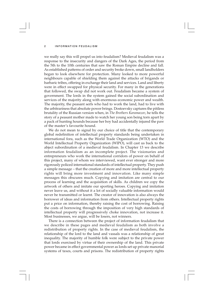we really say this will propel us into feudalism? Medieval feudalism was a response to the insecurity and dangers of the Dark Ages, the period from the 5th to the 10th centuries that saw the Roman Empire decline and fall. As established patterns of order and security broke down, small landholders began to look elsewhere for protection. Many looked to more powerful neighbours capable of shielding them against the attacks of brigands or barbaric tribes, offering in exchange their land and services. Land and liberty were in effect swapped for physical security. For many in the generations that followed, the swap did not work out. Feudalism became a system of government. The lords in the system gained the social subordination and services of the majority along with enormous economic power and wealth. The majority, the peasant serfs who had to work the land, had to live with the arbitrariness that absolute power brings. Dostoevsky captures the pitiless brutality of the Russian version when, in *The Brothers Karamazov*, he tells the story of a peasant mother made to watch her young son being torn apart by a pack of hunting hounds because her boy had accidentally injured the paw of the master's favourite hound.

We do not mean to signal by our choice of title that the contemporary global redefinition of intellectual property standards being undertaken in international fora, such as the World Trade Organization (WTO) and the World Intellectual Property Organization (WIPO), will cast us back to the abject subordination of a medieval feudalism. In Chapter 13 we describe information feudalism as an incomplete project. The visionaries and entrepreneurs who work the international corridors of power on behalf of this project, many of whom we interviewed, want ever stronger and more rigorously policed international standards of intellectual property. They push a simple message – that the creation of more and more intellectual property rights will bring more investment and innovation. Like many simple messages this obscures much. Copying and imitation are central to our process of learning and the acquisition of skills. As children we copy the artwork of others and imitate our sporting heroes. Copying and imitation never leave us, and without it a lot of socially valuable information would never be transmitted or learnt. The creator of innovation is also always the borrower of ideas and information from others. Intellectual property rights put a price on information, thereby raising the cost of borrowing. Raising the costs of borrowing through the imposition of very high standards of intellectual property will progressively choke innovation, not increase it. Most businesses, we argue, will be losers, not winners.

There is a connection between the project of information feudalism that we describe in these pages and medieval feudalism as both involve a redistribution of property rights. In the case of medieval feudalism, the relationship of the lord to the land and vassals was a relationship of great inequality. The majority of humble folk were subject to the private power that lords exercised by virtue of their ownership of the land. This private power became in effect governmental power as lords set up private manorial systems of taxes, courts and prisons. The redistribution of property rights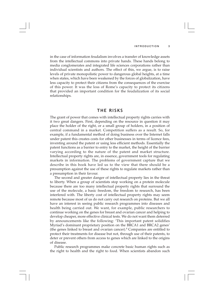#### **INTRODUCTION 3**

in the case of information feudalism involves a transfer of knowledge assets from the intellectual commons into private hands. These hands belong to media conglomerates and integrated life sciences corporations rather than individual scientists and authors. The effect of this, we argue, is to raise levels of private monopolistic power to dangerous global heights, at a time when states, which have been weakened by the forces of globalization, have less capacity to protect their citizens from the consequences of the exercise of this power. It was the loss of Rome's capacity to protect its citizens that provided an important condition for the feudalization of its social relationships.

#### THE RISKS

The grant of power that comes with intellectual property rights carries with it two great dangers. First, depending on the resource in question it may place the holder of the right, or a small group of holders, in a position of central command in a market. Competition suffers as a result. So, for example, if a fundamental method of doing business over the Internet falls under patent this creates costs for other businesses in terms of licence fees, inventing around the patent or using less efficient methods. Essentially the patent functions as a barrier to entry to the market, the height of the barrier varying according to the nature of the patent and market structure. Intellectual property rights are, in essence, government tools for regulating markets in information. The problems of government capture that we describe in this book have led us to the view that there should be a presumption against the use of these rights to regulate markets rather than a presumption in their favour.

The second and greater danger of intellectual property lies in the threat to liberty. When a group of scientists stop working on a protein molecule because there are too many intellectual property rights that surround the use of the molecule, a basic freedom, the freedom to research, has been interfered with. The liberty cost of intellectual property rights may seem remote because most of us do not carry out research on proteins. But we all have an interest in seeing public research programmes into diseases and health being carried out. We want, for example, public researchers to continue working on the genes for breast and ovarian cancer and helping to develop cheaper, more effective clinical tests. We do not want them deterred by announcements like the following: 'This important patent solidifies Myriad's dominant proprietary position on the BRCA1 and BRCA2 genes' (the genes linked to breast and ovarian cancer).4 Companies are entitled to protect their treatments for disease but not, through use of their patents, to deter or prevent others from access to genes which are linked to the origins of disease.

Public research programmes make concrete basic human rights such as the right to health and the right to food. When scientists abandon such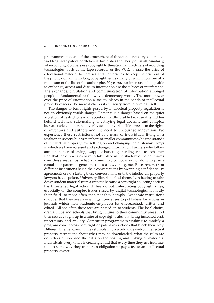programmes because of the atmosphere of threat generated by companies wielding large patent portfolios it diminishes the liberty of us all. Similarly, when copyright owners use copyright to threaten manufacturers of recording technologies, such as the tape recorder or the VCR, to raise the price of educational material to libraries and universities, to keep material out of the public domain with long copyright terms (many of which now run at a minimum of the life of the author plus 70 years), our interests in being able to exchange, access and discuss information are the subject of interference. The exchange, circulation and communication of information amongst people is fundamental to the way a democracy works. The more power over the price of information a society places in the hands of intellectual property owners, the more it checks its citizenry from informing itself.

The danger to basic rights posed by intellectual property regulation is not an obviously visible danger. Rather it is a danger based on the quiet accretion of restrictions – an accretion hardly visible because it is hidden behind technical rule-making, mystifying legal doctrine and complex bureaucracies, all papered over by seemingly plausible appeals to the rights of inventors and authors and the need to encourage innovation. We experience these restrictions not as a mass of individuals living in a totalitarian society, but as members of smaller communities who find strands of intellectual property law settling on and changing the customary ways in which we have accessed and exchanged information. Farmers who follow ancient practices of saving, swapping, bartering or selling seeds to each other find that these practices have to take place in the shadow of patent claims over those seeds. Just what a farmer may or not may not do with plants containing patented genes becomes a lawyers' game. Researchers from different institutions begin their conversations by swapping confidentiality agreements or not starting those conversations until the intellectual property lawyers have spoken. University librarians find themselves having to take down student material from a website because a copyright collecting society has threatened legal action if they do not. Interpreting copyright rules, especially on the complex issues raised by digital technologies, is hardly their field, so more often than not they comply. Academic institutions discover that they are paying huge licence fees to publishers for articles in journals which their academic employees have researched, written and edited. All too often these fees are passed on to students. The local choirs, drama clubs and schools that bring culture to their community areas find themselves caught up in a mire of copyright rules that bring increased cost, uncertainty and anxiety. Computer programmers wishing to modify a program come across copyright or patent restrictions that block their way. Different Internet communities stumble into a worldwide web of intellectual property restrictions about what may be downloaded, what the rules are on redistribution, and the rules on the posting and linking of materials. Individuals everywhere increasingly find that every time they use information in some way they trigger an obligation to pay a fee to an intellectual property owner.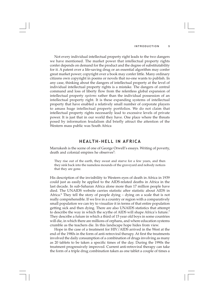#### **INTRODUCTION 5**

Not every individual intellectual property right leads to the two dangers we have mentioned. The market power that intellectual property rights confer depends on demand for the product and the degree of substitutability for it. A patent over a life-saving drug or an essential algorithm may confer great market power; copyright over a book may confer little. Many ordinary citizens own copyright in poems or novels that no-one wants to publish. In any case, thinking about the dangers of intellectual property at the level of individual intellectual property rights is a mistake. The dangers of central command and loss of liberty flow from the relentless global expansion of intellectual property *systems* rather than the individual possession of an intellectual property right. It is these expanding systems of intellectual property that have enabled a relatively small number of corporate players to amass huge intellectual property portfolios. We do not claim that intellectual property rights necessarily lead to excessive levels of private power. It is just that in our world they have. One place where the threats posed by information feudalism did briefly attract the attention of the Western mass public was South Africa

#### HEALTH-HELL IN AFRICA

Marrakesh is the scene of one of George Orwell's essays. Writing of poverty, death and colonial empires he observes<sup>5</sup>:

They rise out of the earth, they sweat and starve for a few years, and then they sink back into the nameless mounds of the graveyard and nobody notices that they are gone.

His description of the invisibility to Western eyes of death in Africa in 1939 could just as easily be applied to the AIDS-related deaths in Africa in the last decade. In sub-Saharan Africa alone more than 17 million people have died. The UNAIDS website carries statistic after statistic about AIDS in Africa.<sup>6</sup> They tell the story of people dying - dying on a scale that is not really comprehensible. If we live in a country or region with a comparatively small population we can try to visualize it in terms of that entire population getting sick and then dying. There are also UNAIDS statistics that attempt to describe the way in which the scythe of AIDS will shape Africa's future.7 They describe a future in which a third of 15 year old boys in some countries will die, in which there are millions of orphans, and where education systems crumble as the teachers die. In this landscape hope hides from view.

Hope in the case of a treatment for HIV/AIDS arrived in the West at the end of the 1980s in the form of anti-retroviral therapy. At first the treatments involved the daily consumption of a combination of drugs involving as many as 20 tablets to be taken a specific times of the day. During the 1990s the treatment progressively improved. Current anti-retroviral therapy can take the form of a triple drug combination taken as one tablet a couple of times a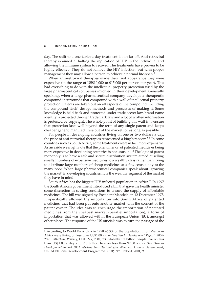day. The shift to a one-tablet-a-day treatment is not far off. Anti-retroviral therapy is aimed at halting the replication of HIV in the individual and allowing the immune system to recover. The treatments have proven to be highly effective. They do not remove the HIV infection, but with proper management they may allow a person to achieve a normal life-span.<sup>8</sup>

When anti-retroviral therapies made their first appearance they were expensive (in the range of US\$10,000 to \$15,000 per person per year). This had everything to do with the intellectual property protection used by the large pharmaceutical companies involved in their development. Generally speaking, when a large pharmaceutical company develops a therapeutic compound it surrounds that compound with a wall of intellectual property protection. Patents are taken out on all aspects of the compound, including the compound itself, dosage methods and processes of making it. Some knowledge is held back and protected under trade-secret law, brand name identity is protected through trademark law and a lot of written information is protected by copyright. The whole point of building this wall is to ensure that protection lasts well beyond the term of any single patent and keeps cheaper generic manufacturers out of the market for as long as possible.

For people in developing countries living on one or two dollars a day, the price of anti-retroviral therapies represented a king's ransom.<sup>9‡</sup> In some countries such as South Africa, some treatments were in fact more expensive. As an aside we might note that the phenomenon of patented medicines being more expensive in developing countries is not unusual.<sup>10</sup> The logic of patent monopoly is to have a safe and secure distribution system aimed at selling smaller numbers of expensive medicines to a wealthy class rather than trying to distribute large numbers of cheap medicines at a few cents a day to the many poor. When large pharmaceutical companies speak about 'growing the market' in developing countries, it is the wealthy segment of the market they have in mind.

South Africa has the biggest HIV-infected population in Africa.<sup>11</sup> In 1997 the South African government introduced a bill that gave the health minister some discretion in setting conditions to ensure the supply of affordable medicines. The bill was signed by President Mandela on 12 December 1997. It specifically allowed the importation into South Africa of patented medicines that had been put onto another market with the consent of the patent owner. The idea was to encourage the importation of patented medicines from the cheapest market (parallel importation), a form of importation that was allowed within the European Union (EU), amongst other places. The response of the US officials was to turn the passage of the

<sup>‡</sup> According to World Bank data in 1998 46.3% of the population in Sub-Saharan Africa were living on less than US\$1.00 a day. See *World Development Report, 2000/ 2001: Attacking Poverty*, OUP, NY, 2001, 23. Globally 1.2 billion people live on less than US\$1.00 a day and 2.8 billion live on less than \$2.00 a day. See *Human Development Report 2001: Making New Technologies Work For Human Development*, United Nations Development Programme, OUP, NY, Oxford, 2001, 9.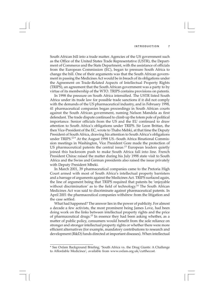#### **INTRODUCTION 7**

South African bill into a trade matter. Agencies of the US government such as the Office of the United States Trade Representative (USTR), the Department of Commerce and the State Department, with the assistance of officials from the European Commission (EC), began to pressure South Africa to change the bill. One of their arguments was that the South African government in passing the Medicines Act would be in breach of its obligations under the Agreement on Trade-Related Aspects of Intellectual Property Rights (TRIPS), an agreement that the South African government was a party to by virtue of its membership of the WTO. TRIPS contains provisions on patents.

In 1998 the pressure on South Africa intensified. The USTR listed South Africa under its trade law for possible trade sanctions if it did not comply with the demands of the US pharmaceutical industry, and in February 1998, 41 pharmaceutical companies began proceedings in South African courts against the South African government, naming Nelson Mandela as first defendant. The trade dispute continued to climb up the totem pole of political importance. Senior officials from the US and the EU continued to draw attention to South Africa's obligations under TRIPS. Sir Leon Brittan, the then Vice-President of the EC, wrote to Thabo Mebki, at that time the Deputy President of South Africa, drawing his attention to South Africa's obligations under TRIPS.<sup>12\*</sup> At the August 1998 US.-South Africa Binational Commission meetings in Washington, Vice President Gore made the protection of US pharmaceutical patents the central issue.<sup>13</sup> European leaders quietly joined this backroom push to make South Africa fall into line. French President Chirac raised the matter during his July 1998 state visit to South Africa and the Swiss and German presidents also raised the issue privately with Deputy President Mbeki.

In March 2001, 39 pharmaceutical companies came to the Pretoria High Court armed with most of South Africa's intellectual property barristers and a barrage of arguments against the Medicines Act. TRIPS surfaced again, the line of argument being that TRIPS required that patents be 'enjoyable without discrimination' as to the field of technology.<sup>14</sup> The South African Medicines Act was said to discriminate against pharmaceutical patents. In April 2001 the pharmaceutical companies withdrew from the litigation and the case settled.

What had happened? The answer lies in the power of publicity. For almost a decade a few activists, the most prominent being James Love, had been doing work on the links between intellectual property rights and the price of pharmaceutical drugs.15 In essence they had been asking whether, as a matter of public policy, consumers would benefit from the sole reliance on stronger and stronger intellectual property rights or whether there were more efficient alternatives (for example, mandatory contributions to research and development (R&D) funds directed at important diseases). When intellectual

<sup>\*</sup> See Oxfam Background Briefing, 'South Africa vs. the Drug Giants: A Challenge to Affordable Medicines', available from www.oxfam.org.uk/cutthecost.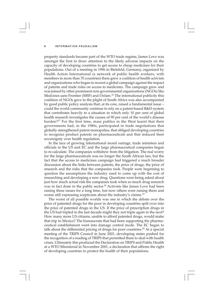property standards became part of the WTO trade regime, James Love was amongst the first to draw attention to the likely adverse impacts on the capacity of developing countries to get access to cheap medicines for their populations. Out of a meeting in 1996 in Bielefeld, Germany, organized by Health Action International (a network of public health workers, with members in more than 70 countries) there grew a coalition of health activists and organizations who began to mount a global campaign against the impact of patents and trade rules on access to medicines. The campaign grew and was joined by other prominent non-governmental organizations (NGOs) like Medcines sans Frontier (MSF) and Oxfam.<sup>16</sup> The international publicity this coalition of NGOs gave to the plight of South Africa was also accompanied by good public policy analysis that, at its core, raised a fundamental issue – could the world community continue to rely on a patent-based R&D system that contributes heavily to a situation in which only 10 per cent of global health research investigates the causes of 90 per cent of the world's disease burden?17 For the first time, mass publics in the West learnt that their governments had, in the 1980s, participated in trade negotiations that globally strengthened patent monopolies, that obliged developing countries to recognize product patents on pharmaceuticals and that reduced their sovereignty over health regulation.

In the face of growing international moral outrage, trade ministers and officials in the US and EC and the large pharmaceutical companies began to re-calculate. The companies withdrew from the litigation. The real worry for the large pharmaceuticals was no longer the South African law, but the fact that the access to medicines campaign had triggered a much broader discussion about the links between patents, the price of drugs, the price of research and the risks that the companies took. People were beginning to question the assumptions the industry used to come up with the cost of researching and developing a new drug. Questions were being asked about just how much actual risk the companies took when so much drug research was in fact done in the public sector.<sup>18</sup> Activists like James Love had been raising these issues for a long time, but now others were raising them and worse still expressing scepticism about the industry's claims.19

The worst of all possible worlds was one in which the debate over the price of patented drugs for the poor in developing countries spilt over into the price of patented drugs in the US. If the price of prescription drugs in the US had tripled in the last decade might they not triple again in the next? How many more US citizens, unable to afford patented drugs, would make that trip to Mexico? The bureaucrats that had been supporting the pharmaceutical establishment went into damage control mode. The EC began to talk about the differential pricing of drugs for poor countries.<sup>20</sup> At a special meeting of the TRIPS Council in June 2001, developing states pushed for the recognition of a reading of TRIPS that permitted them to deal with health crises. Ultimately this produced the Declaration on TRIPS and Public Health at a WTO Ministerial in November 2001, a declaration that affirms the right of developing countries to protect the health of their populations.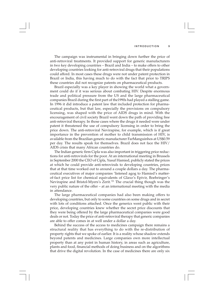#### **INTRODUCTION 9**

The campaign was instrumental in bringing down further the price of anti-retroviral treatments. It provided support for generic manufacturers in two key developing countries – Brazil and India – to make offers to other developing countries looking for anti-retroviral drugs that their populations could afford. In most cases these drugs were not under patent protection in Brazil or India, this having much to do with the fact that prior to TRIPS these countries did not recognize patents on pharmaceutical products.

Brazil especially was a key player in showing the world what a government could do if it was serious about combating HIV. Despite enormous trade and political pressure from the US and the large pharmaceutical companies Brazil during the first part of the1990s had played a stalling game. In 1996 it did introduce a patent law that included protection for pharmaceutical products, but that law, especially the provisions on compulsory licensing, was shaped with the price of AIDS drugs in mind. With the encouragement of civil society Brazil went down the path of providing free anti-retroviral therapy. In those cases where the drugs it needed were under patent it threatened the use of compulsory licensing in order to bring the price down. The anti-retroviral Nevirapine, for example, which is if great importance in the prevention of mother to child transmission of HIV, is available from the Brazilian generic manufacturer FarManguinhos at US\$0.59 per day. The results speak for themselves. Brazil does not face the HIV/ AIDS crisis that many African countries do.

The Indian generic firm Cipla was also important in triggering price reductions for anti-retrovirals for the poor. At an international meeting in Brussels in September 2000 the CEO of Cipla, Yusuf Hamied, publicly stated the prices at which he could provide anti-retrovirals to developing countries, prices that at that time worked out to around a couple dollars a day. The pharmaceutical executives of major companies 'listened agog to Hamied's matterof-fact price list for chemical equivalents of Glaxo's Epivir, Boehringer's Nevirapine and Bristol-Myers's Zerit.' 21 The crucial thing though was the very public nature of the offer – at an international meeting with the media in attendance.

The large pharmaceutical companies had also been making offers to developing countries, but only to some countries on some drugs and in secret with lots of conditions attached. Once the generics went public with their price, developing countries knew whether the secret price discounts that they were being offered by the large pharmaceutical companies were good deals or not. Today the price of anti-retroviral therapy that generic companies are able to offer comes in at well under a dollar a day.

Behind the success of the access to medicines campaign there remains a structural reality that has everything to do with the re-distribution of property rights that we spoke of earlier. It is a reality whose shadow extends beyond patents and medicines. Large companies own more intellectual property than at any point in human history, in areas such as agriculture, plants and food, financial methods of doing business and on the algorithms that drive the digital revolution. In the case of medicines there are only six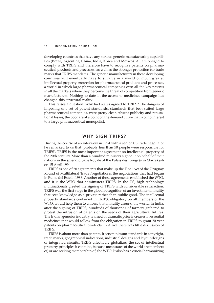developing countries that have any serious generic manufacturing capabilities (Brazil, Argentina, China, India, Korea and Mexico). All are obliged to comply with TRIPS and therefore have to recognize patents on pharmaceutical products and processes, as well as the stronger protection for trade marks that TRIPS mandates. The generic manufacturers in these developing countries will eventually have to survive in a world of much greater intellectual property protection for pharmaceutical products and processes, a world in which large pharmaceutical companies own all the key patents in all the markets where they perceive the threat of competition from generic manufacturers. Nothing to date in the access to medicines campaign has changed this structural reality.

This raises a question: Why had states agreed to TRIPS? The dangers of imposing one set of patent standards, standards that best suited large pharmaceutical companies, were pretty clear. Absent publicity and reputational losses, the poor are at a point on the demand curve that is of no interest to a large pharmaceutical monopolist.

#### WHY SIGN TRIPS?

During the course of an interview in 1994 with a senior US trade negotiator he remarked to us that 'probably less than 50 people were responsible for TRIPS'. TRIPS is the most important agreement on intellectual property of the 20th century. More than a hundred ministers signed it on behalf of their nations in the splendid Salle Royale of the Palais des Congrès in Marrakesh on 15 April 1994.

TRIPS is one of 28 agreements that make up the Final Act of the Uruguay Round of Multilateral Trade Negotiations, the negotiations that had begun in Punte del Este in 1986. Another of those agreements established the WTO, and it is the WTO that administers TRIPS. In the US, high technology multinationals greeted the signing of TRIPS with considerable satisfaction. TRIPS was the first stage in the global recognition of an investment morality that sees knowledge as a private rather than public good. The intellectual property standards contained in TRIPS, obligatory on all members of the WTO, would help them to enforce that morality around the world. In India, after the signing of TRIPS, hundreds of thousands of farmers gathered to protest the intrusion of patents on the seeds of their agricultural futures. The Indian generics industry warned of dramatic price increases in essential medicines that would follow from the obligation in TRIPS to grant 20-year patents on pharmaceutical products. In Africa there was little discussion of TRIPS.

TRIPS is about more than patents. It sets minimum standards in copyright, trade marks, geographical indications, industrial designs and layout-designs of integrated circuits. TRIPS effectively globalizes the set of intellectual property principles it contains, because most states of the world are members of, or are seeking membership of, the WTO. It also has a crucial harmonizing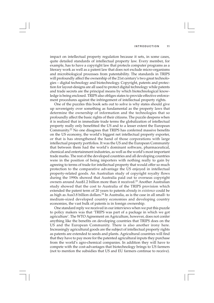#### **INTRODUCTION** 11

impact on intellectual property regulation because it sets, in some cases, quite detailed standards of intellectual property law. Every member, for example, has to have a copyright law that protects computer programs as a literary work as well as a patent law that does not exclude micro-organisms and microbiological processes from patentability. The standards in TRIPS will profoundly affect the ownership of the 21st century's two great technologies – digital technology and biotechnology. Copyright, patents and protection for layout-designs are all used to protect digital technology while patents and trade secrets are the principal means by which biotechnological knowledge is being enclosed. TRIPS also obliges states to provide effective enforcement procedures against the infringement of intellectual property rights.

One of the puzzles this book sets out to solve is why states should give up sovereignty over something as fundamental as the property laws that determine the ownership of information and the technologies that so profoundly affect the basic rights of their citizens. The puzzle deepens when it is realized that in immediate trade terms the globalization of intellectual property really only benefitted the US and to a lesser extent the European Community.22 No one disagrees that TRIPS has conferred massive benefits on the US economy, the world's biggest net intellectual property exporter, or that is has strengthened the hand of those corporations with large intellectual property portfolios. It was the US and the European Community that between them had the world's dominant software, pharmaceutical, chemical and entertainment industries, as well as the world's most important trade marks. The rest of the developed countries and all developing countries were in the position of being importers with nothing really to gain by agreeing to terms of trade for intellectual property that would offer so much protection to the comparative advantage the US enjoyed in intellectual property-related goods. An Australian study of copyright royalty flows during the 1990s showed that Australia paid out to overseas copyright owners around Aus\$1.2 billion more than it received.<sup>23</sup> Another Australian study showed that the cost to Australia of the TRIPS provision which extended the patent term of 20 years to patents *already in existence* could be as high as Aus3.8 billion dollars.24 In Australia, as is the case in all small- to medium-sized developed country economies and developing country economies, the vast bulk of patents is in foreign ownership.

One standard reply we received in our interviews when we put this puzzle to policy makers was that 'TRIPS was part of a package in which we got agriculture'. The WTO Agreement on Agriculture, however, does not confer anything like the benefits on developing countries that TRIPS does on the US and the European Community. There is also another irony here. Increasingly agricultural goods are the subject of intellectual property rights as patents are extended to seeds and plants. Agricultural countries will find that they have to pay more for the patented agricultural inputs they purchase from the world's agro-chemical companies. In addition they will have to compete with the cost-advantages that biotechnology brings to US farmers (not to mention the subsidies that US and EU farmers continue to receive).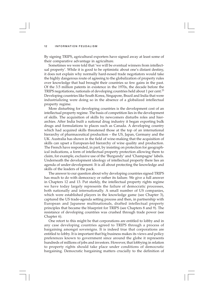By signing TRIPS, agricultural exporters have signed away at least some of their comparative advantage in agriculture.

Sometimes we were told that 'we will be eventual winners from intellectual property'. While it is good to be optimistic about one's distant destiny, it does not explain why normally hard-nosed trade negotiators would take the highly dangerous route of agreeing to the globalization of property rules over knowledge that had brought their countries so few gains in the past. Of the 3.5 million patents in existence in the 1970s, the decade before the TRIPS negotiations, nationals of developing countries held about 1 per cent.<sup>25</sup> Developing countries like South Korea, Singapore, Brazil and India that were industrializing were doing so in the absence of a globalized intellectual property regime.

More disturbing for developing countries is the development cost of an intellectual property regime. The basis of competition lies in the development of skills. The acquisition of skills by newcomers disturbs roles and hierarchies. After India built a national drug industry it began exporting bulk drugs and formulations to places such as Canada. A developing country which had acquired skills threatened those at the top of an international hierarchy of pharmaceutical production – the US, Japan, Germany and the UK. Australia has shown in the field of wine-making that the acquisition of skills can upset a European-led hierarchy of wine quality and production. The French have responded, in part, by insisting on protection for geographical indications, a form of intellectual property protection allowing them to claim, for example, exclusive use of the 'Burgundy' and 'Champagne' labels. Underneath the development ideology of intellectual property there lies an agenda of under-development. It is all about protecting the knowledge and skills of the leaders of the pack.

The answer to our question about why developing countries signed TRIPS has much to do with democracy or rather its failure. We give a full answer in Chapters 12 and 13. Put starkly, the intellectual property rights regime we have today largely represents the failure of democratic processes, both nationally and internationally. A small number of US companies, which were established players in the knowledge game (see Chapter 3), captured the US trade-agenda setting process and then, in partnership with European and Japanese multinationals, drafted intellectual property principles that became the blueprint for TRIPS (see Chapters 8 and 9). The resistance of developing countries was crushed through trade power (see Chapter 6).

One retort to this might be that corporations are entitled to lobby and in any case developing countries agreed to TRIPS through a process of bargaining amongst sovereigns. It is indeed true that corporations are entitled to lobby. It is important that big business makes its views and policy preferences known to government since around the globe it represents hundreds of millions of jobs and investors. However, that lobbying in relation to property rights should take place under conditions of democratic bargaining. Democratic bargaining matters crucially to the definition of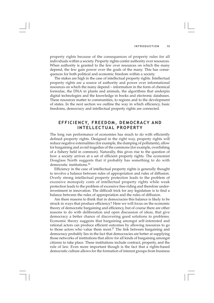property rights because of the consequences of property rules for all individuals within a society. Property rights confer authority over resources. When authority is granted to the few over resources on which the many depend, the few gain power over the goals of the many. This has consequences for both political and economic freedom within a society.

The stakes are high in the case of intellectual property rights. Intellectual property rights are a source of authority and power over informational resources on which the many depend – information in the form of chemical formulae, the DNA in plants and animals, the algorithms that underpin digital technologies and the knowledge in books and electronic databases. These resources matter to communities, to regions and to the development of states. In the next section we outline the way in which efficiency, basic freedoms, democracy and intellectual property rights are connected.

### EFFICIENCY, FREEDOM, DEMOCRACY AND INTELLECTUAL PROPERTY

The long run performance of economies has much to do with efficiently defined property rights. Designed in the right way, property rights will reduce negative externalities (for example, the dumping of pollutants), allow for bargaining and avoid tragedies of the commons (for example, overfishing of a fishery held in common). Naturally, this gives rise to the question of how a society arrives at a set of efficient property rights. The economist Douglass North suggests that it probably has something to do with democratic institutions.26

Efficiency in the case of intellectual property rights is generally thought to involve a balance between rules of appropriation and rules of diffusion. Overly strong intellectual property protection leads to the problem of excessive monopoly costs of intellectual property rights while weak protection leads to the problem of excessive free-riding and therefore underinvestment in innovation. The difficult trick for any legislature is to find a balance between the rules of appropriation and the rules of diffusion.

Are there reasons to think that in democracies this balance is likely to be struck in ways that produce efficiency? Here we will focus on the economic theory of democratic bargaining and efficiency, but of course there are other reasons to do with deliberation and open discussion of ideas, that give democracy a better chance of discovering good solutions to problems. Economic theory suggests that bargaining amongst self-interested and rational actors can produce efficient outcomes by allowing resources to go to those actors who value them most.<sup>27</sup> The link between bargaining and democracy probably lies in the fact that democracies are better at supplying those networks of institutions that allow for all kinds of bargaining amongst citizens to take place. These institutions include contract, property, and the rule of law. Even more important though is the fact that a rights-based democratic culture allows for the formation of interest groups from business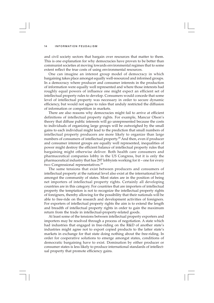and civil society sectors that bargain over resources that matter to them. This is one explanation for why democracies have proven to be better than communist societies at moving towards environmental regimes that to some extent reflect the true costs of using environmental resources.

One can imagine an interest group model of democracy in which bargaining takes place amongst equally well-resourced and informed groups. In a democracy where producer and consumer interests in the production of information were equally well represented and where those interests had roughly equal powers of influence one might expect an efficient set of intellectual property rules to develop. Consumers would concede that some level of intellectual property was necessary in order to secure dynamic efficiency, but would not agree to rules that unduly restricted the diffusion of information or competition in markets.

There are also reasons why democracies might fail to arrive at efficient definitions of intellectual property rights. For example, Mancur Olson's theory that diffuse public interests will go unrepresented because the costs to individuals of organizing large groups will be outweighed by the small gains to each individual might lead to the prediction that small numbers of intellectual property producers are more likely to organize than large numbers of consumers of intellectual property.<sup>28</sup> And then, even if producer and consumer interest groups are equally well represented, inequalities of power might destroy the efficient balance of intellectual property rules that bargaining might otherwise deliver. Both health care consumers and pharmaceutical companies lobby in the US Congress, but it is only the pharmaceutical industry that has 297 lobbyists working for it – one for every two Congressional representatives.29

The same tensions that exist between producers and consumers of intellectual property at the national level also exist at the international level amongst the community of states. Most states are in the position of being net importers of intellectual property rights. Certainly all developing countries are in this category. For countries that are importers of intellectual property the temptation is not to recognize the intellectual property rights of foreigners, thereby allowing for the possibility that their nationals will be able to free-ride on the research and development activities of foreigners. For exporters of intellectual property rights the aim is to extend the length and breadth of intellectual property rights in order to gain the maximum return from the trade in intellectual-property-related goods.

At least some of the tensions between intellectual property exporters and importers may be resolved through a process of negotiation. A state which had industries that engaged in free-riding on the R&D of another state's industries might agree not to export copied products to the latter state's markets in exchange for that state doing nothing about the free-riding. In order for cooperative solutions to emerge amongst states, conditions of democratic bargaining have to exist. Domination by either producer or consumer states is less likely to produce international standards of intellectual property that promote efficiency gains.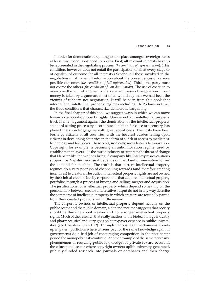#### **INTRODUCTION** 15

In order for democratic bargaining to take place amongst sovereign states at least three conditions need to obtain. First, all relevant interests have to be represented in the negotiating process (*the condition of representation*). (This condition, however, does not entail the participation of all at every stage or of equality of outcome for all interests.) Second, all those involved in the negotiation must have full information about the consequences of various possible outcomes (*the condition of full information*). Third, one party must not coerce the others (*the condition of non-domination*). The use of coercion to overcome the will of another is the very antithesis of negotiation. If our money is taken by a gunman, most of us would say that we had been the victims of robbery, not negotiation. It will be seen from this book that international intellectual property regimes including TRIPS have not met the three conditions that characterize democratic bargaining.

In the final chapter of this book we suggest ways in which we can move towards democratic property rights. Ours is not anti-intellectual property tract. It is an argument against the domination of the intellectual property standard-setting process by a corporate elite that, for close to a century, has played the knowledge game with great social costs. The costs have been borne by citizens of all countries, with the heaviest burden falling upon citizens in developing countries in the form of a lack of access to medicines, technology and textbooks. These costs, ironically, include costs to innovation. Copyright, for example, is becoming an anti-innovation regime, used by establishment players like the music industry to suppress the threat of change that Napster-like innovations bring. A company like Intel expresses cautious support for Napster because it depends on that kind of innovation to fuel the demand for its chips. The truth is that current intellectual property regimes do a very poor job of channelling rewards (and therefore creating incentives) to creators. The bulk of intellectual property rights are not owned by their initial creators but by corporations that acquire intellectual property portfolios through a process of buying and selling, merger and acquisition. The justifications for intellectual property which depend so heavily on the personal link between creator and creative output do not in any way describe the commerce of intellectual property in which creators are routinely parted from their created products with little reward.

The corporate owners of intellectual property depend heavily on the public sector and the public domain, a dependence that suggests that society should be thinking about weaker and not stronger intellectual property rights. Much of the research that really matters to the biotechnology industry and pharmaceutical industry goes on at taxpayer expense in public universities (see Chapters 10 and 12). Through various legal mechanisms it ends up in patent portfolios where citizens pay for the same knowledge again. If governments do a bad job of encouraging competition in the post-patent period the monopoly costs continue. Another example of the same pervasive phenomenon of recycling public knowledge for private reward occurs in the educational sector where copyright owners uplift university-generated, publicly-funded research into journals or databases and then charge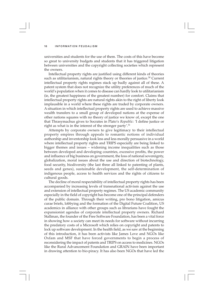universities and students for the use of them. The costs of this have become so great to university budgets and students that it has triggered litigation between universities and the copyright collecting societies which represent the owners.

Intellectual property rights are justified using different kinds of theories such as utilitarianism, natural rights theory or theories of justice.<sup>30</sup> Current intellectual property rights regimes stack up badly against all of these. A patent system that does not recognize the utility preferences of much of the world's population when it comes to disease can hardly look to utilitarianism (ie, the greatest happiness of the greatest number) for comfort. Claims that intellectual property rights are natural rights akin to the right of liberty look implausible in a world where these rights are traded by corporate owners. A situation in which intellectual property rights are used to achieve massive wealth transfers to a small group of developed nations at the expense of other nations squares with no theory of justice we know of, except the one that Thrasymachus gives to Socrates in Plato's *Republic*: 'I define justice or right as what is in the interest of the stronger party'. 31

Attempts by corporate owners to give legitimacy to their intellectual property empires through appeals to romantic notions of individual authorship and inventorship look less and less morally persuasive in a world where intellectual property rights and TRIPS especially are being linked to bigger themes and issues – widening income inequalities such as those between developed and developing countries, excessive profits, the power and influence of big business on government, the loss of national sovereignty, globalization, moral issues about the use and direction of biotechnology, food security, biodiversity (the last three all linked to patenting of plants, seeds and genes), sustainable development, the self-determination of indigenous people, access to health services and the rights of citizens to cultural goods.

The decline of moral respectability of intellectual property rights has been accompanied by increasing levels of transnational activism against the use and extension of intellectual property regimes. The US academic community especially in the field of copyright has become one of the principal defenders of the public domain. Through their writing, pro bono litigation, amicus curae briefs, lobbying and the formation of the Digital Future Coalition, US academics in alliance with other groups such as librarians have fought the expansionist agendas of corporate intellectual property owners. Richard Stallman, the founder of the Free Software Foundation, has been a vital force in showing how a society can meet its needs for software without incurring the predatory costs of a Microsoft which relies on copyright and patents to lock up software development. In the health field, as we saw at the beginning of this introduction, it has been activists like James Love and NGOs like Oxfam and MSF that have forced governments to begin a process of reconsidering the impact of patents and TRIPS on access to medicines. NGOs like the Rural Advancement Foundation and GRAIN have been important in drawing attention to bio-piracy. It has also been NGOs that have led the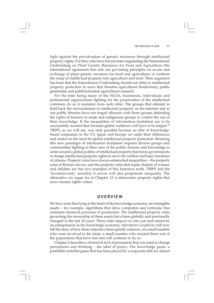#### **INTRODUCTION** 17

fight against the privatization of genetic resources through intellectual property rights. It is they who have forced states negotiating the International Undertaking on Plant Genetic Resources for Food and Agriculture (the international agreement that sets out governing principles on access and exchange of plant genetic resources for food and agriculture) to confront the creep of intellectual property into agriculture and food. Their argument has been that the International Undertaking should not defer to intellectual property protection in ways that threaten agricultural biodiversity, public genebanks and publiclyfunded agricultural research.

For the time being many of the NGOs, businesses, individuals and professional organizations fighting for the preservation of the intellectual commons do so in isolation from each other. The groups that attempt to hold back the encroachment of intellectual property on the internet and in our public libraries have not forged alliances with those groups defending the rights of farmers to seeds and indigenous groups to control the use of their knowledge. If the inequalities of information feudalism are to be successfully resisted then broader global coalitions will have to be forged. $32$ TRIPS, as we will see, was only possible because an elite of knowledgebased companies in the US, Japan and Europe set aside their differences and united on the need for global intellectual property protection. Resisting this new paradigm of information feudalism requires diverse groups and communities fighting in their area of the public domain and knowledge to unite around a global politics of intellectual property that forces governments to design intellectual property rights to serve the welfare and basic freedoms of citizens. Property rules have always entrenched inequalities – the property rules of Roman slavery and the property rules that made chattels of women and children are but two examples of this historical truth. TRIPS and the 'investors-only' morality it serves will also perpetuate inequality. The alternative we argue for in Chapter 12 is democratic property rights that serve human rights values.

### **OVERVIEW**

We have seen that lying at the heart of the knowledge economy are intangible assets – for example, algorithms that drive computers and formulae that underpin chemical processes of production. The intellectual property rules governing the ownership of these assets have been globally and profoundly changed in the last 20 years. These rules impact on who can and cannot be an entrepreneur in the knowledge economy. *Information Feudalism* will now tell the story of how these rules have been quietly redrawn, of a small number who were involved in the deals, a small number who resisted them and of the populations that have lost and will continue to do so.

Chapter 2 describes a rhetorical tool of persuasion that was used to change perceptions and thinking – the label of piracy. The knowledge game, a profitable cartellist game that has been played by a corporate elite for almost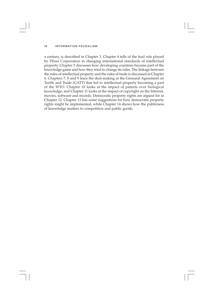a century, is described in Chapter 3. Chapter 4 tells of the lead role played by Pfizer Corporation in changing international standards of intellectual property. Chapter 5 discusses how developing countries became part of the knowledge game and how they tried to change its rules. The linkage between the rules of intellectual property and the rules of trade is discussed in Chapter 6. Chapters 7, 8 and 9 trace the deal-making at the Genearal Agreement on Tariffs and Trade (GATT) that led to intellectual property becoming a part of the WTO. Chapter 10 looks at the impact of patents over biological knowledge, and Chapter 11 looks at the impact of copyright on the Internet, movies, software and records. Democratic property rights are argued for in Chapter 12. Chapter 13 has some suggestions for how democratic property rights might be implemented, while Chapter 14 shows how the publicness of knowledge matters to competition and public goods.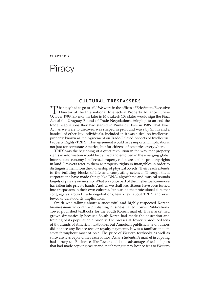## CHAPTER 2

## **Piracy**

## CULTURAL TRESPASSERS

' That guy had to go to jail.' We were in the offices of Eric Smith, Executive<br>Director of the International Intellectual Property Alliance. It was<br>October 1993 Six months later in Marrakesh 108 states would sign the Final Director of the International Intellectual Property Alliance. It was October 1993. Six months later in Marrakesh 108 states would sign the Final Act of the Uruguay Round of Trade Negotiations, bringing to an end the trade negotiations they had started in Punta del Este in 1986. That Final Act, as we were to discover, was shaped in profound ways by Smith and a handful of other key individuals. Included in it was a deal on intellectual property known as the Agreement on Trade-Related Aspects of Intellectual Property Rights (TRIPS). This agreement would have important implications, not just for corporate America, but for citizens of countries everywhere.

TRIPS was the beginning of a quiet revolution in the way that property rights in information would be defined and enforced in the emerging global information economy. Intellectual property rights are not like property rights in land. Lawyers refer to them as property rights in intangibles in order to distinguish them from the ownership of physical objects. Their reach extends to the building blocks of life and computing science. Through them corporations have made things like DNA, algorithms and musical sounds targets of private ownership. What was once part of the intellectual commons has fallen into private hands. And, as we shall see, citizens have been turned into trespassers in their own cultures. Yet outside the professional elite that congregates around trade negotiations, few knew about TRIPS and even fewer understood its implications.

Smith was talking about a successful and highly respected Korean businessman who ran a publishing business called Tower Publications. Tower published textbooks for the South Korean market. This market had grown dramatically because South Korea had made the education and training of its population a priority. The presses at Tower reproduced tens of thousands of American textbooks, but American publishers and authors did not see any licence fees or royalty payments. It was a familiar enough story throughout most of Asia. The price of Western textbooks as well as software was beyond the reach of most Asian students. A market in copying had sprung up. Businesses like Tower could take advantage of technologies that had made copying easier and, not having to pay licence fees to Western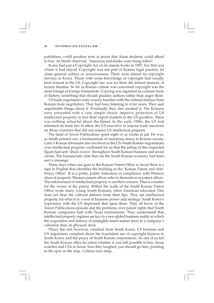publishers, could produce texts at prices that Asian students could afford to buy. As Smith observed: 'American text-books were being killed'.

Korea had put a Copyright Act on its statute books in 1987, but that was where it had stayed. Copyright was not part of Korean legal practice, let alone general culture or consciousness. There were almost no copyright lawyers in Korea. Those with some knowledge of copyright had usually been trained in the US. Copyright law was for them the distant memory of lecture theatres. So far as Korean culture was concerned copyright was the most foreign of foreign transplants. Copying was regarded as a sincere form of flattery, something that should gladden authors rather than anger them.

US trade negotiators were wearily familiar with the cultural defence from Korean trade negotiators. They had been listening to it for years. They said unprintable things about it. Eventually they also crushed it. The Koreans were presented with a very simple choice: improve protection of US intellectual property or kiss their export markets in the US goodbye. There was nothing unlawful about the threat. In the early 1980s, the US had reformed its trade law to allow the US executive to impose trade sanctions on those countries that did not respect US intellectual property.

The head of Tower Publications spent eight or so weeks in jail. He was, as Smith pointed out, a businessman of enormous status in Korean society. Later a Korean informant also involved in the US–South Korean negotiations over intellectual property confirmed for us that the jailing of this respected figure had sent 'shock waves' throughout South Korean business and social circles. The bureaucratic elite that ran the South Korean economy had been sent a message.

These days when one goes to the Korean Patent Office in Seoul there is a sign in English that identifies the building as the 'Korean Patent and Anti-Piracy Office'. It is a polite, public indication of compliance with Western ideas of property. Western patent offices refer to themselves as patent offices. The enforcement of intellectual property is not their concern. That is a matter for the owner of the patent. Within the walls of the South Korean Patent Office work many young South Koreans, often American educated. One does not hear the cultural defence from their lips. They see intellectual property for what it is: a tool of business power and strategy. South Korea's experience with the US impressed that upon them. They all know of the Tower Publications episode and the problems over patent rights that South Korean companies had with Texas Instruments. They understand that intellectual property regimes are key to a new global business reality in which the acquisition and defence of intangible assets matter more to a company's valuation than its physical stock.

Piracy has not, however, vanished from South Korea. US business and US negotiators complain about the fraudulent use of copyright licences in South Korea, and the piracy of South Korean corporations. As one of us left the South Korean office he asked whether it was still possible to buy cheap watches and CDs in Seoul. Sure they laughed, you should go here, pointing to the spot on the map. Culture runs deep.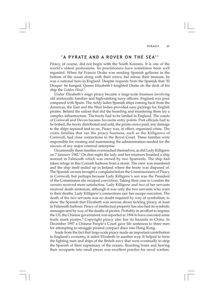**P I R A C Y 21**

## 'A PYRATE AND A ROVER ON THE SEA'<sup>1</sup>

Piracy, of course, did not begin with the South Koreans. It is one of the world's oldest professions. Its practitioners have sometimes been well regarded. When Sir Francis Drake was sending Spanish galleons to the bottom of the ocean along with their crews, but minus their treasure, he was a national hero in England. Despite requests from the Spanish that 'El Draque' be hanged, Queen Elizabeth I knighted Drake on the deck of his ship the *Golden Hind*. 2

Under Elizabeth's reign piracy became a large-scale business involving old aristocratic families and high-ranking navy officers. England was poor compared with Spain. The richly laden Spanish ships coming back from the Americas, the East and the West Indies provided easy pickings for English pirates. Behind the sailors that did the boarding and murdering there lay a complex infrastructure. The booty had to be landed in England. The coasts of Cornwall and Devon became favourite entry points. Port officials had to be bribed, the booty distributed and sold, the pirate crews paid, any damage to the ships repaired and so on. Piracy was, in effect, organized crime. The crime families that ran the piracy business, such as the Killigrews of Cornwall, had close connections to the Royal Court. These families were responsible for creating and maintaining the administration needed for the success of any major criminal enterprise.

Occasionally these families overreached themselves, as did Lady Killigrew on 7 January 1582.<sup>3</sup> On that night the lady and her retainers boarded a ship moored in Falmouth which was owned by two Spaniards. The ship had taken refuge in this Cornish harbour from a storm. The crew was murdered and the ship itself ended up in Ireland where the booty was disposed of. The Spanish owners brought a complaint before the Commissioners of Piracy in Cornwall, but perhaps because Lady Killigrew's son was the President of the Commission she escaped conviction. Taking their case to London the owners received more satisfaction. Lady Killigrew and two of her servants received death sentences, although it was only the two servants who went to their deaths. Lady Killigrew's connections saw her escape execution. The death of the two servants was no doubt required by way of symbolism, to show the Spanish that Elizabeth was serious about tackling piracy, at least in Falmouth harbour. Piracy of intellectual property has also had its symbolic messages sent by way of the deaths of pirates. Probably in an effort to impress the US, the Chinese government was reported in 1994 to have executed some trade mark pirates.4 Copyright piracy also has its hazards in China. In December 1997 a Chinese People's Court gave life sentences to three men for attempting to smuggle pirated compact discs into Hong Kong.

Aside from the fact that large-scale piracy made an important contribution to England's economy, it aided Elizabeth in another way. It helped to form the fighting men and ships of the British navy that were eventually to strip the Spanish of their supremacy of the oceans. Boarding boats and hewing their occupants into small pieces was excellent practice for naval warfare.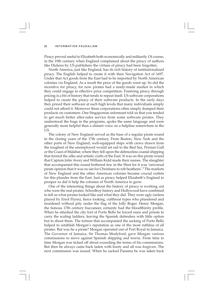Piracy proved useful to Elizabeth both economically and militarily. Of course, in the 19th century when England complained about the piracy of authors like Dickens by US publishers the virtues of piracy had been forgotten.

North America, just like England, has its rich history of institutionalized piracy. The English helped to create it with their Navigation Act of 1697. Under that Act goods from the East had to be imported by North American colonies via England. As a result the price of the goods went up. So did the incentive for piracy, for now pirates had a ready-made market in which they could engage in effective price competition. Fostering piracy through pricing is a bit of history that tends to repeat itself. US software corporations helped to create the piracy of their software products. In the early days they priced their software at such high levels that many individuals simply could not afford it. Moreover these corporations often simply dumped their products on customers. One Singaporean informant told us that you tended to get much better after-sales service from some software pirates. They understood the bugs in the programs, spoke the same language and were generally more helpful than a distant voice on a helpline somewhere in the US.

The colony of New England served as the base of a regular pirate round in the closing years of the 17th century. From Boston, New York and the other ports of New England, well-equipped ships with crews drawn from the toughest of the unemployed would set sail to the Red Sea, Persian Gulf or the Coast of Malabar, where they fell upon the defenceless coastal shipping that ferried the silks and artistic crafts of the East. It was on this pirate round that Captain John Avery and William Kidd made their names. The slaughter that accompanied this round bothered few in the West for it was 'universal pirate opinion that it was no sin for Christians to rob heathens'. 5 The markets of New England and the other American colonies became crucial outlets for this plunder from the East. Just as piracy helped Elizabeth's England to prosper so did it help the colonies of North America to grow.

One of the interesting things about the history of piracy is working out who were the real pirates. Schoolboy history and Hollywood have combined to tell us what pirates looked like and what they did. They were ugly (unless played by Errol Flynn), fierce looking, cutthroat types who plundered and murdered without pity under the flag of the Jolly Roger. Henry Morgan, the famous 17th century buccaneer, certainly had the bloodthirsty profile. When he attacked the city fort of Porto Bello he forced nuns and priests to carry the scaling ladders, leaving the Spanish defenders with little option but to shoot them. The torture that accompanied the sacking of Porto Bello helped to establish Morgan's reputation as one of the most ruthless of all pirates. But was he a pirate? Morgan operated out of Port Royal in Jamaica. The Governor of Jamaica, Sir Thomas Modyford, gave Morgan various commissions to move against Spanish shipping and towns. From time to time Morgan was ticked off about exceeding the terms of his commissions. But then he always came back laden with booty and all was forgiven. The next commission was issued. When he sacked Panama he was taken back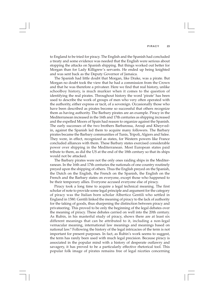to England to be tried for piracy. The English and the Spanish had concluded a treaty and some evidence was needed that the English were serious about stopping the attacks on Spanish shipping. But things worked out better for Morgan than for Lady Killigrew's servants. He ended up being knighted and was sent back as the Deputy Governor of Jamaica.

The Spanish had little doubt that Morgan, like Drake, was a pirate. But Morgan no doubt took the view that he had a commission from the Crown and that he was therefore a privateer. Here we find that real history, unlike schoolboy history, is much murkier when it comes to the question of identifying the real pirates. Throughout history the word 'pirate' has been used to describe the work of groups of men who very often operated with the authority, either express or tacit, of a sovereign. Occasionally those who have been described as pirates become so successful that others recognize them as having authority. The Barbary pirates are an example. Piracy in the Mediterranean increased in the 16th and 17th centuries as shipping increased and the expelled Moors of Spain had reason to organize against the Spanish. The early successes of the two brothers Barbarossa, Arouji and Kheyr-edin, against the Spanish led them to acquire many followers. The Barbary pirates became the Barbary communities of Tunis, Tripoli, Algiers and Salee. They were, in effect, recognized as states, for Western powers like France concluded alliances with them. These Barbary states exercised considerable power over shipping in the Mediterranean. Most European states paid tribute to them, as did the US at the end of the 18th century so that its ships would not be attacked.

The Barbary pirates were not the only ones raiding ships in the Mediterranean. In the 16th and 17th centuries the nationals of one country routinely preyed upon the shipping of others. Thus the English preyed on the Spanish, the Dutch on the English, the French on the Spanish, the English on the French and the Barbary states on everyone, except those who happened to be their temporary allies. Everyone accused everyone else of piracy.

Piracy took a long time to acquire a legal technical meaning. The first scholar of note to provide some legal principle and argument for the category of piracy was the Italian born scholar Albertico Gentili who settled in England in 1580. Gentili linked the meaning of piracy to the lack of authority for the taking of goods, thus sharpening the distinction between piracy and privateering. This proved to be only the beginning of the legal debates over the meaning of piracy. These debates carried on well into the 20th century. As Rubin, in his masterful study of piracy, shows there are at least six different meanings that can be attributed to it, including a non-legal vernacular meaning, international law meanings and meanings based on national law.6 Following the history of the legal intricacies of the term is not important for present purposes. In fact, as Rubin's work seems to suggest, the term has rarely been used with much legal precision. Because piracy is associated in the popular mind with a history of desperate outlawry and savagery, it has proved to be a particularly effective rhetorical tool. This popular folk image of pirates remains free of legal niceties concerning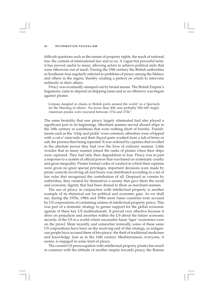difficult questions such as the nature of property rights, the reach of national law, the content of international law and so on. A vague but powerful term, it has proved useful to many, allowing actors to achieve political ends that were otherwise out of reach. During the 19th century the British authorities in Southeast Asia regularly referred to problems of piracy among the Malays and others in the region, thereby creating a pretext on which to intervene militarily in their affairs.

Piracy was eventually stamped out by brutal means. The British Empire's hegemony came to depend on shipping lanes and so an offensive was begun against pirates:

Corpses dangled in chains in British ports around the world 'as a Spectacle for the Warning of others'. No fewer than 400, and probably 500–600 Anglo-American pirates were executed between 1716 and 1726.7

The same brutality that saw piracy largely eliminated had also played a significant part in its beginnings. Merchant seamen served aboard ships in the 18th century in conditions that were nothing short of horrific. Punishments such as the 'whip and pickle' were common: offenders were whipped with a cat-o'-nine-tails and their flayed parts washed from a tub of brine or salt, the process then being repeated. It was ordered by captains that revelled in the absolute power they had over the lives of ordinary seaman. Little wonder that so many seamen joined the ranks of pirates when their ships were captured. They had only their degradation to lose. Piracy was in part a response to a system of official power that was based on systematic cruelty and gross inequality. Pirates formed codes of conduct in which their captains were given no great special privileges, important decisions were made by pirate councils involving all and booty was distributed according to a set of fair rules that recognized the contribution of all. Despised as vermin by authorities, they created for themselves a society that gave them the social and economic dignity that had been denied to them as merchant seamen.

The use of piracy in conjunction with intellectual property is another example of its rhetorical use for political and economic gain. As we shall see, during the 1970s, 1980s and 1990s most Asian countries were accused by US corporations of containing centres of intellectual property piracy. This was part of a domestic strategy to garner support for the global economic agenda of these key US multinationals. It proved very effective because it drew on prejudices and anxieties within the US about the future economic security of the US in a world where successful Asian 'tiger' economies were on the prowl. More recently, and somewhat ironically, some of these same US corporations have been on the receiving end of this strategy, as indigenous people have accused them of bio-piracy: the theft of traditional medicines and knowledge. Just as in the 16th century Mediterranean, everyone, it seems, is engaged in some kind of piracy.

The current US preoccupation with intellectual property pirates has much in common with the attitude of another empire towards piracy, the Roman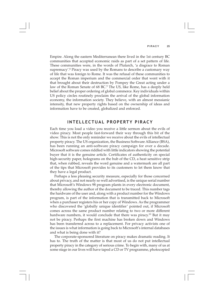Empire. Along the eastern Mediterranean there lived in the 1st century BC communities that accepted economic raids as part of a set pattern of life. These communities were, in the words of Plutarch, 'a disgrace to Roman supremacy'. 8 Piracy was used by the Romans to describe a customary way of life that was foreign to Rome. It was the refusal of these communities to accept the Roman imperium and the commercial order that went with it that brought about their destruction by Pompey the Great acting under a law of the Roman Senate of 68 BC.<sup>9</sup> The US, like Rome, has a deeply held belief about the proper ordering of global commerce. Key individuals within US policy circles routinely proclaim the arrival of the global information economy, the information society. They believe, with an almost messianic intensity, that new property rights based on the ownership of ideas and information have to be created, globalized and enforced.

## INTELLECTUAL PROPERTY PIRACY

Each time you load a video you receive a little sermon about the evils of video piracy. Most people fast-forward their way through this bit of the show. This is not the only reminder we receive about the evils of intellectual property piracy. The US organization, the Business Software Alliance (BSA), has been running an anti-software piracy campaign for over a decade. Microsoft software comes riddled with little indicators showing the potential buyer that it is the genuine article. Certificates of authenticity on special high-security paper, holograms on the hub of the CD, a heat sensitive strip that, when rubbed, reveals the word genuine and a watermark are all part of the tips that Microsoft provides to its customers to let them know that they have a legal product.

Perhaps a less pleasing security measure, especially for those concerned about privacy, and not nearly so well advertised, is the unique serial number that Microsoft's Windows 98 program plants in every electronic document, thereby allowing the author of the document to be traced. This number tags the hardware of the user and, along with a product number for the Windows program, is part of the information that is transmitted back to Microsoft when a purchaser registers his or her copy of Windows. As the programmer who discovered the 'globally unique identifier' pointed out, if Microsoft comes across the same product number relating to two or more different hardware numbers, it would conclude that there was piracy.<sup>10</sup> But it may not be piracy. Perhaps the first machine has broken down and Windows has been transferred across to a replacement. For privacy activists one of the issues is what information is going back to Microsoft's internal databases and what is being done with it?

The corporate-sponsored literature on piracy makes dramatic reading. It has to. The truth of the matter is that most of us do not put intellectual property piracy in the category of serious crime. To begin with, many of us at some stage in our lives will have taped a CD or TV programme, photocopied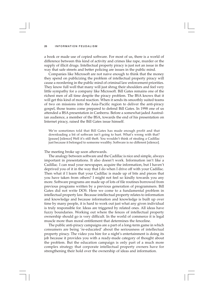a book or made use of copied software. For most of us, there is a world of difference between this kind of activity and crimes like rape, murder or the supply of illicit drugs. Intellectual property piracy is just not an issue in the way that safe streets and better policing are issues in the public mind.

Companies like Microsoft are not naive enough to think that the money they spend on publicizing the problem of intellectual property piracy will cause a reordering in the public mind of criminal law enforcement priorities. They know full well that many will just shrug their shoulders and feel very little sympathy for a company like Microsoft. Bill Gates remains one of the richest men of all time despite the piracy problem. The BSA knows that it will get this kind of moral reaction. When it sends its smoothly suited teams of two on missions into the Asia-Pacific region to deliver the anti-piracy gospel, those teams come prepared to defend Bill Gates. In 1998 one of us attended a BSA presentation in Canberra. Before a somewhat jaded Australian audience, a member of the BSA, towards the end of his presentation on Internet piracy, raised the Bill Gates issue himself.

We're sometimes told that Bill Gates has made enough profit and that downloading a bit of software isn't going to hurt. What's wrong with that? [pause] [silence] Well it's still theft. You wouldn't think of stealing a Cadillac just because it belonged to someone wealthy. Software is no different [silence].

## The meeting broke up soon afterwards.

The analogy between software and the Cadillac is nice and simple, always important in presentations. It also doesn't work. Information isn't like a Cadillac. I can read your newspaper, acquire the information, but I haven't deprived you of it in the way that I do when I drive off with your Cadillac. Then what if I learn that your Cadillac is made up of bits and pieces that you have taken from others? I might not feel so kindly towards you any more. Software programs are made up of lots of file routines borrowed from previous programs written by a previous generation of programmers. Bill Gates did not write DOS. Here we come to a fundamental problem in intellectual property law. Because intellectual property relates to information and knowledge and because information and knowledge is built up over time by many people, it is hard to work out just what any given individual is truly responsible for. Ideas are triggered by related ones. All ideas have fuzzy boundaries. Working out where the fences of intellectual property ownership should go is very difficult. In the world of commerce it is legal muscle more than moral entitlement that determines the fenceline.

The public anti-piracy campaigns are a part of a long-term game in which consumers are being 're-educated' about the seriousness of intellectual property piracy. The video you hire for a night's entertainment is doing its job because it provides you with a ready-made category of thought about the problem. But the education campaign is only part of a much more complex strategy that corporate intellectual property owners have for strengthening their hold over the ownership of ideas and information.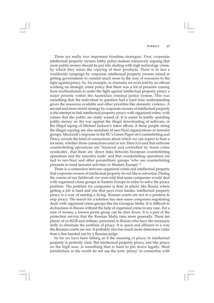## **PIRACY** 27

There are really two important frontline strategies. First, corporate intellectual property owners lobby policy-makers intensively arguing that more public money should be put into dealing with high technology crime, by which they mean the copying of their products. There is in fact a worldwide campaign by corporate intellectual property owners aimed at getting governments to commit much more in the way of resources to the fight against piracy. So, for example, in Australia we were told by an official working on strategic crime policy that there was a lot of pressure coming from multinationals to make the fight against intellectual property piracy a major priority within the Australian criminal justice system. This was something that the individual in question had a hard time understanding given the resources available and other priorities like domestic violence. A second and more recent strategy by corporate owners of intellectual property is the attempt to link intellectual property piracy with organized crime, with crimes that the public are really scared of. It is easier to justify spending public money on the war against the illegal downloading of software, or the illegal taping of Michael Jackson's latest album, if those people doing the illegal copying are also members of neo-Nazi organizations or terrorist groups. Microsoft's response to the EC's Green Paper on Counterfeiting and Piracy reveals the kind of connections about which we can expect to hear a lot more, whether these connections exist or not. Here it is said that software counterfeiting operations are 'financed and controlled by Asian crime syndicates', that there are 'direct links between European counterfeiting operations and the narcotics trade' and that counterfeiting operations are tied to neo-Nazi and other paramilitary groups 'who use counterfeiting proceeds to fund terrorist activities in Western Europe'. 11

There is a connection between organized crime and intellectual property that corporate owners of intellectual property do not like to advertise. During the course of our fieldwork we were told that some companies would deal with organized crime groups in Eastern Europe in order to solve the piracy problem. The problem for companies is that, in places like Russia where getting a job is hard and one that pays even harder, intellectual property piracy is a way of earning a living. Russian courts are not in a position to stop piracy. The search for a solution has seen some companies negotiating deals with organized crime groups like the Georgian Mafia. It is difficult to do business in Russia without the help of organized crime in any case. For a sum of money, a known pirate group can be shut down. It is a part of the protection service that the Russian Mafia runs more generally. There are plenty of ex-KGB and military personnel in Russia who have the necessary skills to eliminate the problem of piracy. It is quick and efficient in a way the Russian courts are not. It probably also has much more deterrence value than a fine handed out by a Russian judge.

So far we have been talking as if the meaning of piracy in intellectual property is perfectly clear. But intellectual property piracy, just like piracy on the high seas, is something that is hard to pin down legally. Most jurisdictions in the world do not use the term 'piracy' in connection with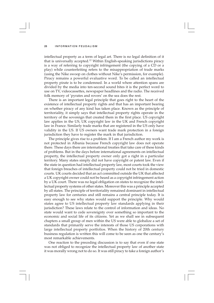intellectual property as a term of legal art. There is no legal definition of it that is universally accepted.12 Within English-speaking jurisdictions piracy is a way of referring to copyright infringement (the copying of a CD or a play) while counterfeiting refers to the misappropriation of trade marks (using the Nike swoop on clothes without Nike's permission, for example). Piracy remains a powerful evaluative word. To be called an intellectual property pirate is to be condemned. In a world where attention spans are divided by the media into ten-second sound bites it is the perfect word to use on TV, videocassettes, newspaper headlines and the radio. The received folk memory of 'pyrates and rovers' on the sea does the rest.

There is an important legal principle that goes right to the heart of the existence of intellectual property rights and that has an important bearing on whether piracy of any kind has taken place. Known as the principle of territoriality, it simply says that intellectual property rights operate in the territory of the sovereign that created them in the first place. US copyright law applies in the US, UK copyright law in the UK and French copyright law in France. Similarly trade marks that are registered in the US only have validity in the US. If US owners want trade mark protection in a foreign jurisdiction they have to register the mark in that jurisdiction.

The principle gives rise to a problem. If I am a French author my work is not protected in Albania because French copyright law does not operate there. These days there are international treaties that take care of these kinds of problems. But in the days before international agreements on intellectual property, the intellectual property owner only got a right in a particular territory. Many states simply did not have copyright or patent law. Even if the state in question had intellectual property law, most courts took the view that foreign breaches of intellectual property could not be tried in domestic courts. UK courts decided that an act committed outside the UK that affected a UK copyright owner could not be heard as a copyright infringement action by a UK court. There was no legal obligation on states to recognize the intellectual property systems of other states. Moreover this was a principle accepted by all states. The principle of territoriality remained dominant in intellectual property law for centuries and still remains a central principle today. It is easy enough to see why states would support the principle. Why would states agree to US intellectual property law standards applying in their jurisdiction? These laws relate to the control of information and ideas. No state would want to cede sovereignty over something so important to the economic and social life of its citizens. Yet as we shall see in subsequent chapters a small group of men within the US were able to globalize a set of standards that primarily serve the interests of those US corporations with large intellectual property portfolios. When the history of 20th century business regulation is written this will come to be seen as one the century's most remarkable achievements.

One reaction to the preceding discussion is to say that even if one state was not obliged to recognize the intellectual property law of another state it was morally wrong not to do so. It was still piracy to take a foreign author's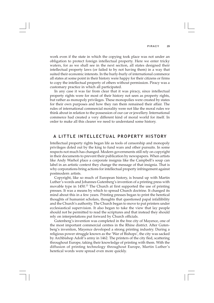work even if the state in which the copying took place was not under an obligation to protect foreign intellectual property. Here we enter tricky waters, for as we shall see in the next section, all states designed their intellectual property laws (or failed to by not having them) in a way that suited their economic interests. In the hurly-burly of international commerce all states at some point in their history were happy for their citizens or firms to copy the intellectual property of others without permission. Piracy was a customary practice in which all participated.

In any case it was far from clear that it was piracy, since intellectual property rights were for most of their history not seen as property rights, but rather as monopoly privileges. These monopolies were created by states for their own purposes and how they ran them remained their affair. The rules of international commercial morality were not like the moral rules we think about in relation to the possession of our car or jewellery. International commerce had created a very different kind of moral world for itself. In order to make all this clearer we need to understand some history.

## A LITTLE INTELLECTUAL PROPERTY HISTORY

Intellectual property rights began life as tools of censorship and monopoly privileges doled out by the king to fund wars and other pursuits. In some respects not much has changed. Modern governments still rely on copyright in their documents to prevent their publication by newspapers. When artists like Andy Warhol place a corporate insignia like the Campbell's soup can label in an artistic context they change the message of that insignia. That is why corporations bring actions for intellectual property infringement against postmodern artists.

Copyright, like so much of European history, is bound up with Martin Luther's words and Johannes Gutenberg's invention of a printing press with movable type in 1450.13 The Church at first supported the use of printing presses. It was a means by which to spread Church doctrine. It changed its mind about this in a few years. Printing presses began to print the heretical thoughts of humanist scholars, thoughts that questioned papal infallibility and the Church's authority. The Church began to move to put printers under ecclesiastical supervision. It also began to take the view that lay people should not be permitted to read the scriptures and that instead they should rely on interpretations put forward by Church officials.

Gutenberg's invention was completed in the free city of Mayence, one of the most important commercial centres in the Rhine district. After Gutenberg's invention, Mayence developed a strong printing industry. During a religious power struggle known as the 'War of Bishops', the city was sacked by Archbishop Adolf's army in 1462. The printers of the city fled, scattering throughout Europe, taking their knowledge of printing with them. With the diffusion of printing technology throughout Europe, Martin Luther's heretical words were spread even more quickly.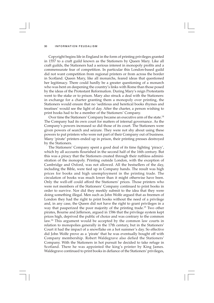Copyright begins life in England in the form of printing privileges granted in 1557 to a craft guild known as the Stationers by Queen Mary. Like all craft guilds, the Stationers had a serious interest in monopoly profits and a commensurate fear of competition. In particular this London-based guild did not want competition from regional printers or from across the border in Scotland. Queen Mary, like all monarchs, feared ideas that questioned her legitimacy. There could hardly be a greater questioning of a monarch who was bent on deepening the country's links with Rome than those posed by the ideas of the Protestant Reformation. During Mary's reign Protestants went to the stake or to prison. Mary also struck a deal with the Stationers: in exchange for a charter granting them a monopoly over printing, the Stationers would ensure that no 'seditious and heretical books rhymes and treatises' would see the light of day. After the charter, a person wishing to print books had to be a member of the Stationers' Company.

Over time the Stationers' Company became an executive arm of the state.14 The Company had its own court for matters of internal governance. As the Company's powers increased so did those of its court. The Stationers were given powers of search and seizure. They were not shy about using these powers to put printers who were not part of their Company out of business. Many 'pirate' printers ended up in prison, their printing presses destroyed by the Stationers.

The Stationers' Company spent a good deal of its time fighting 'piracy', which by all accounts flourished in the second half of the 16th century. But this was a piracy that the Stationers created through their ruthless administration of the monopoly. Printing outside London, with the exception of Cambridge and Oxford, was not allowed. All the bestsellers of the day, including the Bible, were tied up in Company hands. The result was high prices for books and high unemployment in the printing trade. The circulation of books was much lower than it might otherwise have been. Only the well-off could afford the Stationers' prices. Those printers who were not members of the Stationers' Company continued to print books in order to survive. Nor did they meekly submit to the idea that they were doing something illegal. Men such as John Wolfe argued that as freemen of London they had the right to print books without the need of a privilege and, in any case, the Queen did not have the right to grant privileges in a way that pauperized the poor majority of the printing trade.15 Two other pirates, Bourne and Jefferson, argued in 1586 that the privilege system kept prices high, deprived the public of choice and was contrary to the common law.<sup>16</sup> This argument would be accepted by the common law courts in relation to monopolies generally in the 17th century, but in the Stationers' Court it had the impact of a snowflake on a hot summer's day. So effective did John Wolfe prove as a 'pirate' that he was eventually bought off with Company membership. Robert Waldegrave also defied the Stationers' Company. With the Stationers in hot pursuit he decided to take refuge in Scotland. There he was appointed the king's printer by King James. Waldegrave continued to print books in defiance of the Stationers' privileges,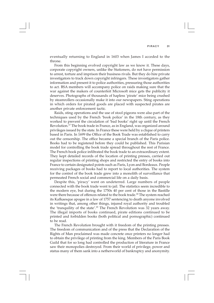eventually returning to England in 1603 when James I acceded to the throne.

From this beginning evolved copyright law as we know it. These days, corporate copyright owners, unlike the Stationers, do not have permission to arrest, torture and imprison their business rivals. But they do hire private investigators to track down copyright infringers. These investigators gather information and present it to police authorities, pressuring those authorities to act. BSA members will accompany police on raids making sure that the war against the makers of counterfeit Microsoft mice gets the publicity it deserves. Photographs of thousands of hapless 'pirate' mice being crushed by steamrollers occasionally make it into our newspapers. Sting operations in which orders for pirated goods are placed with suspected pirates are another private enforcement tactic.

Raids, sting operations and the use of stool pigeons were also part of the techniques used by the French 'book police' in the 18th century, as they worked to prevent the circulation of 'bad books' right up until the French Revolution.17 The book trade in France, as in England, was organized around privileges issued by the state. In France these were held by a clique of printers based in Paris. In 1699 the Office of the Book Trade was established to carry out the censorship. The office became a special branch of the Paris police. Books had to be registered before they could be published. This Parisian model for controlling the book trade spread throughout the rest of France. The French book police infiltrated the book trade to an extraordinary extent. They kept detailed records of the location of printing presses, carried out regular inspections of printing shops and restricted the entry of books into France to certain designated points such as Paris, Lyon and Bordeaux. People receiving packages of books had to report to local authorities. The system for the control of the book trade grew into a monolith of surveillance that permeated French social and commercial life on a daily basis.

Despite this, 'piracy' went on undeterred. Large numbers of people connected with the book trade went to jail. The statistics seem incredible to the modern eye, but during the 1750s 40 per cent of those in the Bastille were there because of offences related to the book trade.18 The system reached its Kafkaesque apogee in a law of 1757 sentencing to death anyone involved in writings that, among other things, injured royal authority and troubled the 'tranquility of the state'.<sup>19</sup> The French Revolution was 32 years away. The illegal imports of books continued, pirate editions continued to be printed and forbidden books (both political and pornographic) continued to be read.

The French Revolution brought with it freedom of the printing presses. The freedom of communication and of the press that the Declaration of the Rights of Man proclaimed was made concrete once printers no longer had to obtain the privilege of printing from the king. Members of the Paris Book Guild that for so long had controlled the production of literature in France saw their monopolies destroyed. From their world of privilege, power and status many of them sank into a netherworld of bankruptcy and anonymity.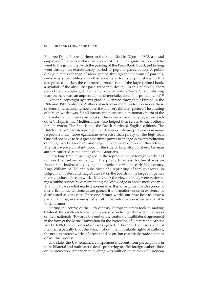Philippe-Denis Pierres, printer to the king, died in Dijon in 1808, a postal employee.<sup>20</sup> He was luckier than some of his fellow guild members who went to the guillotine. With the passing of the Paris Book Guild, publishing went through an extraordinary period of popular participation. A public dialogue and exchange of ideas spread through the medium of journals, newspapers, pamphlets and other ephemeral forms of publishing. In this deregulated market, the commercial production of the large printed book, a symbol of the absolutist past, went into decline. In this relatively short period before copyright law came back to restore 'order' to publishing markets there was 'an unprecedented democratization of the printed word'. 21

National copyright systems gradually spread throughout Europe in the 18th and 19th centuries. Authors slowly won more protection under these systems. Internationally, however, it was a very different picture. The pirating of foreign works was, for all intents and purposes, a customary norm of the international commerce in books. The same actors that preyed on each other's ships in the Mediterranean also helped themselves to each other's foreign works. The French and the Dutch reprinted English editions. The Dutch and the Spanish reprinted French works. Literary piracy was in many respects a much more egalitarian enterprise than piracy on the high seas. One did not have to be a great maritime power to engage in the reproduction of foreign works. Germany and Belgium were large centres for this activity. The Irish were a constant thorn in the side of English publishers. German authors suffered at the hands of the Austrians.

For a long time those engaged in the reproduction of foreign works did not see themselves as being in the piracy business. Rather it was an 'honourable business' involving honourable men.<sup>22</sup> In the early 19th century, King William of Holland subsidized the reprinting of foreign works. In Belgium, ministers and magistrates sat on the boards of the large companies that reproduced foreign works. Many took the view that they were performing a public service by disseminating the knowledge in books more cheaply. That in part was what made it honourable. It is an argument with economic merit. Economic efficiencies are gained if information, once in existence, is distributed at zero cost. Once one farmer works out how best to grow a particular crop, everyone is better off if that information is made available to all farmers.

During the course of the 19th century, European states took to making bilateral deals with each other on the issue of protection abroad for the works of their nationals. Towards the end of the century a multilateral agreement in the form of the Berne Convention for the Protection of Literary and Artistic Works 1886 (Berne Convention) was agreed in Europe. There was a lot of rhetoric, especially from the French, about the immutable rights of authors, the need to protect works of genius and so on, but essentially trade agendas drove this process.

One state, the US, remained conspicuously absent from participation in these bilateral and multilateral deals, preferring to offer foreign authors little or no protection. American publishing was built on the piracy of European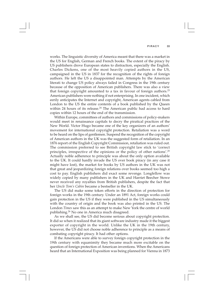## **P I R A C Y 33**

works. The linguistic diversity of America meant that there was a market in the US for English, German and French books. The extent of the piracy by US publishers drove European states to distraction, especially the English. Charles Dickens, one of the most heavily copied authors in the US, campaigned in the US in 1837 for the recognition of the rights of foreign authors. He left the US a disappointed man. Attempts by the American literati to change US policy always failed in Congress in the 19th century because of the opposition of American publishers. There was also a view that foreign copyright amounted to a tax in favour of foreign authors.<sup>23</sup> American publishers were nothing if not enterprising. In one incident, which eerily anticipates the Internet and copyright, American agents cabled from London to the US the entire contents of a book published by the Queen within 24 hours of its release.<sup>24</sup> The American public had access to hard copies within 12 hours of the end of the transmission.

Within Europe, committees of authors and commissions of policy-makers would meet in renaissance capitals to decry the piratical practices of the New World. Victor Hugo became one of the key organizers of an authors' movement for international copyright protection. Retaliation was a word to be heard on the lips of gentlemen. Suspend the recognition of the copyright of American authors in the UK was the suggested form of retaliation. In an 1876 report of the English Copyright Commission, retaliation was ruled out. The commission preferred to see British copyright law stick to 'correct principles, irrespective of the opinions or the policy of other nations'. 25 Actually noble adherence to principle was about the only option available to the UK. It could hardly invade the US over book piracy (in any case it might have lost), the market for books by US authors in the UK was not that great and jeopardizing foreign relations over books seemed too high a cost to pay. English publishers did exact some revenge. Longfellow was widely copied by many publishers in the UK and Harriet Beecher Stowe never received any royalties from British publishers, despite the fact that her *Uncle Tom's Cabin* became a bestseller in the UK.

The US did make some token efforts in the direction of protection for foreign works in the 19th century. Under an 1891 Act, foreign works could gain protection in the US if they were published in the US simultaneously with the country of origin and the book was also printed in the US. The London *Times* saw this as an attempt to make New York the centre of world publishing.26 No one in America much disagreed.

As we shall see, the US did become serious about copyright protection. It did so when it realized that its giant software industry made it the biggest exporter of copyright in the world. Unlike the UK in the 19th century, however, the US did not choose noble adherence to principle as a means of combating copyright piracy. It had other options.

If the Americans were able to survey foreign copyright protection in the 19th century with equanimity they became much more excitable on the question of foreign protection of American inventions. When the Americans heard that an International Exposition was being planned for Vienna in 1873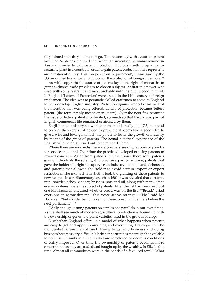they hinted that they might not go. The reason lay with Austrian patent law. The Austrians required that a foreign invention be manufactured in Austria in order to gain patent protection. Obviously setting up a manufacturing plant in a country in order to gain patent protection there represents an investment outlay. This 'preposterous requirement', it was said by the US, amounted to a virtual prohibition on the protection of foreign inventions.<sup>27</sup>

As with copyright the source of patents lay in the right of monarchs to grant exclusive trade privileges to chosen subjects. At first this power was used with some restraint and most probably with the public good in mind. In England 'Letters of Protection' were issued in the 14th century to foreign tradesmen. The idea was to persuade skilled craftsmen to come to England to help develop English industry. Protection against imports was part of the incentive that was being offered. Letters of protection became 'letters patent' (the term simply meant open letters). Over the next few centuries the issue of letters patent proliferated, so much so that hardly any part of English commercial life remained unaffected by them.

English patent history shows that perhaps it is really men[Q5] that tend to corrupt the exercise of power. In principle it seems like a good idea to give a wise and loving monarch the power to foster the growth of industry by means of the grant of patents. The actual historical experience of the English with patents turned out to be rather different.

Where there are monarchs there are courtiers seeking favours or payoffs for services rendered. Over time the practice developed of using patents to reward courtiers. Aside from patents for inventions, there were patents giving individuals the sole right to practise a particular trade, patents that gave the holder the right to supervise an industry like inns and alehouses, and patents that allowed the holder to avoid certain import or export restrictions. The monarch Elizabeth I took the granting of these patents to new heights. In a parliamentary speech in 1601 it was revealed that currants, iron, powder, ashes, vinegar, brushes, pots and oil, along with many other everyday items, were the subject of patents. After the list had been read out one Mr Hackwell enquired whether bread was on the list. '"Bread," cried everyone in astonishment, "this voice seems strange." "No" said Mr Hackwell, "but if order be not taken for these, bread will be there before the next parliament"'. 28

Oddly enough issuing patents on staples has parallels in our own times. As we shall see much of modern agricultural production is bound up with the ownership of genes and plant varieties used in the growth of crops.

Elizabethan England offers us a model of what happens when patents are easy to get and apply to anything and everything. Prices go up. The monopolist is rarely an altruist. Trying to get into business and doing business becomes very difficult. Market opportunities that might be available to potential entrants in a free market are foreclosed or onerous conditions of entry imposed. Over time the ownership of patents becomes more concentrated as they are traded and bought up by the wealthy. In Elizabeth's time 'almost all commodities were in the hands of a favoured few'. 29 What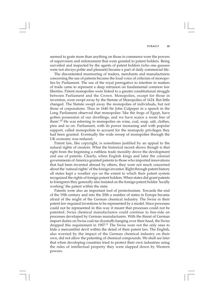#### **PIRACY** 35

seemed to grate more than anything on those in commerce were the powers of supervision and enforcement that were granted to patent holders. Being surveiled and inspected by the agents of patent holders (who one guesses were not always polite and pleasant) became a part of daily commercial life.

The discontented murmuring of traders, merchants and manufacturers concerning the use of patents became the loud voice of criticism of monopolies by Parliament. The use of the royal prerogative to interfere in matters of trade came to represent a deep intrusion on fundamental common law liberties. Patent monopolies were linked to a greater constitutional struggle between Parliament and the Crown. Monopolies, except for those in invention, were swept away by the Statute of Monopolies of 1624. But little changed. The Statute swept away the monopolies of individuals, but not those of corporations. Thus in 1640 Sir John Culpeper in a speech in the Long Parliament observed that monopolies 'like the frogs of Egypt, have gotten possession of our dwellings, and we have scarce a room free of them'. 30 He was referring to monopolies on wine, coal, soap, salt, clothes, pins and so on. Parliament, with its power increasing and with popular support, called monopolists to account for the monopoly privileges they had been granted. Eventually the wide sweep of monopolies through the UK economy was reduced.

Patent law, like copyright, is sometimes justified by an appeal to the natural rights of creators. What the historical record shows though is that right from the beginning a ruthless trade morality drove the development and use of patents. Clearly, when English kings and later the colonial governments of America granted patents to those who imported innovations that had been invented abroad by others, they were not much concerned about the 'natural rights' of the foreign inventor. Right through patent history all states kept a weather eye on the extent to which their patent system recognized the rights of foreign patent holders. When states did grant patents to foreigners they generally also insisted on the foreign patent holder 'locally working' the patent within the state.

Patents were also an important tool of protectionism. Towards the end of the 19th century and into the 20th a number of states in Europe became afraid of the might of the German chemical industry. The Swiss in their patent law required inventions to be represented by a model. Since processes could not be represented in this way it meant that processes could not be patented. Swiss chemical manufacturers could continue to free-ride on processes developed by German manufacturers. With the threat of German import duties on Swiss coal-tar dyestuffs hanging over their head, the Swiss dropped this requirement in 1907.31 The Swiss were not the only ones to hide a mercantilist devil within the detail of their patent law. The English, also worried by the impact of the German chemical industry on their own, did not allow the patenting of chemical compounds. We shall see later that when developing countries tried to protect their own industries using the rules of intellectual property they were slapped down by Western powers.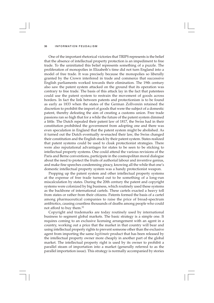One of the important rhetorical victories that TRIPS represents is the belief that the absence of intellectual property protection is an impediment to free trade. To the uninitiated this belief represents something of a puzzle. The proliferation of monopolies in Elizabeth's time did not turn England into a model of free trade. It was precisely because the monopolies so liberally granted by the Crown interfered in trade and commerce that successive English parliaments worked towards their elimination. The 19th century also saw the patent system attacked on the ground that its operation was contrary to free trade. The basis of this attack lay in the fact that patentees could use the patent system to restrain the movement of goods across borders. In fact the link between patents and protectionism is to be found as early as 1833 when the states of the German Zollverein retained the discretion to prohibit the import of goods that were the subject of a domestic patent, thereby defeating the aim of creating a customs union. Free trade passions ran so high that for a while the future of the patent system dimmed a little. The Dutch repealed their patent law of 1817, the Swiss had in their constitution prohibited the government from adopting one and there was even speculation in England that the patent system might be abolished. As it turned out the Dutch eventually re-enacted their law, the Swiss changed their constitution and the English stuck by their patent system. States realized that patent systems could be used to cloak protectionist strategies. There were also reputational advantages for states to be seen to be sticking to intellectual property systems. One could attend the various revisions of the Paris and Berne conventions, participate in the cosmopolitan moral dialogue about the need to protect the fruits of authorial labour and inventive genius, and make fine speeches condemning piracy, knowing all the while that one's domestic intellectual property system was a handy protectionist weapon.

Propping up the patent system and other intellectual property systems at the expense of free trade turned out to be something of a long-run miscalculation by states. During the 20th century the patent and copyright systems were colonized by big business, which routinely used these systems as the backbone of international cartels. These cartels exacted a heavy toll from states or rather from their citizens. Patents formed the basis of a cartel among pharmaceutical companies to raise the price of broad-spectrum antibiotics, causing countless thousands of deaths among people who could not afford to buy them.32

Copyright and trademarks are today routinely used by international business to segment global markets. The basic strategy is a simple one. It requires coming to an exclusive licensing arrangement with an agent in a country, working out a price that the market in that country will bear and using intellectual property rights to prevent someone other than the exclusive agent from importing the same *legitimate* product that has been released by the intellectual property owner more cheaply in another part of the global market. The intellectual property right is used by its owner to prohibit a parallel steam of importation into a market (generally referred to as the parallel importation issue). This strategy is normally accompanied by stories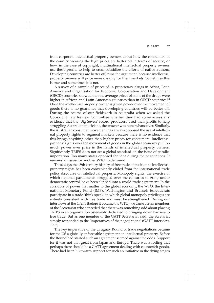## **PIRACY** 37

from corporate intellectual property owners about how the consumers in the country wearing the high prices are better off in terms of service, or how, in the case of copyright, multinational intellectual property owners use these profits to help to cross-subsidize the efforts of native authors. Developing countries are better off, runs the argument, because intellectual property owners will price more cheaply for their markets. Sometimes this is true and sometimes it is not.

A survey of a sample of prices of 14 proprietary drugs in Africa, Latin America and Organisation for Economic Co-operation and Development (OECD) countries showed that the average prices of some of the drugs were higher in African and Latin American countries than in OECD countries.<sup>33</sup> Once the intellectual property owner is given power over the movement of goods there is no guarantee that developing countries will be better off. During the course of our fieldwork in Australia when we asked the Copyright Law Review Committee whether they had come across any evidence that the 'Big Seven' record producers used their profits to help struggling Australian musicians, the answer was none whatsoever. Similarly, the Australian consumer movement has always opposed the use of intellectual property rights to segment markets because there is no evidence that this brings anything other than higher prices for consumers. Intellectual property rights over the movement of goods in the global economy put too much power over price in the hands of intellectual property owners. Significantly TRIPS does not set a global standard on the issue of parallel importation. Too many states opposed the idea during the negotiations. It remains an issue for another WTO trade round.

These days the 19th century history of free trade opposition to intellectual property rights has been conveniently elided from the international trade policy discourse on intellectual property. Monopoly rights, the exercise of which national parliaments struggled over the centuries to bring under democratic control, have been slipped into a world trade agreement. In the corridors of power that matter to the global economy, the WTO, the International Monetary Fund (IMF), Washington and Brussels bureaucrats participate in a trade 'think speak' in which global monopoly privileges are entirely consistent with free trade and must be strengthened. During our interviews at the GATT (before it became the WTO) we came across members of the Secretariat who conceded that there was something odd about placing TRIPS in an organization ostensibly dedicated to bringing down barriers to free trade. But as one member of the GATT Secretariat said, the Scretariat simply responded to the 'imperatives of the negotiations' (GATT interview, 1993).

The key imperative of the Uruguay Round of trade negotiations became for the US a globally enforceable agreement on intellectual property. Before the Round had started such an agreement seemed against the odds. Support for it was not that great from Japan and Europe. There was a feeling that perhaps there should be a GATT agreement dealing with counterfeit goods. There had been lukewarm support for such an initiative in the dying stages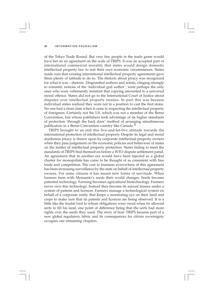of the Tokyo Trade Round. But very few people in the trade game would have bet on an agreement on the scale of TRIPS. It was an accepted part of international commercial morality that states would design domestic intellectual property law to suit their own economic circumstances. States made sure that existing international intellectual property agreements gave them plenty of latitude to do so. The rhetoric about piracy was recognized for what it was – rhetoric. Disgruntled authors and artists, clinging strongly to romantic notions of the 'individual god author', were perhaps the only ones who were vehemently insistent that copying amounted to a universal moral offence. States did not go to the International Court of Justice about disputes over intellectual property treaties. In part this was because individual states realized they were not in a position to cast the first stone. No one had a clean slate when it came to respecting the intellectual property of foreigners. Certainly not the US, which was not a member of the Berne Convention, but whose publishers took advantage of its higher standards of protection 'through the back door' method of arranging simultaneous publication in a Berne Convention country like Canada.<sup>34</sup>

TRIPS brought to an end this live-and-let-live attitude towards the international protection of intellectual property. Despite its legal and moral murkiness piracy is drawn upon by corporate intellectual property owners when they pass judgement on the economic policies and behaviour of states on the matter of intellectual property protection. States failing to meet the standards of TRIPS find themselves before a WTO dispute settlement panel. An agreement that in another era would have been rejected as a global charter for monopolists has come to be thought of as consistent with free trade and competition. The cost to business everywhere of this agreement has been increasing surveillance by the state on behalf of intellectual property owners. For some citizens it has meant new forms of servitude. When farmers farm with Monsanto's seeds their world changes. Seeds become patented technology. Farming becomes agricultural biotechnology. Farmers never own this technology. Instead they become its annual lessees under a system of patents and licences. Farmers manage a technological system on behalf of a corporate entity that keeps a monitoring eye on their land and crops to make sure that its patents and licences are being observed. It is a little like the feudal lord to whom obligations were owed when he allowed serfs to till his land, one point of difference being that the serfs had more rights over the seeds they used. The story of how TRIPS became part of a new global regulatory fabric and its consequences for citizen sovereignty occupies our remaining chapters.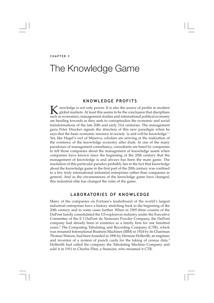## CHAPTER 3

# The Knowledge Game

## KNOWLEDGE PROFITS

K nowledge is not only power. It is also the source of profits in modern<br>global markets. At least this seems to be the conclusion that disciplines<br>such as economics management studies and international political economy global markets. At least this seems to be the conclusion that disciplines such as economics, management studies and international political economy are heading towards as they seek to conceptualize the economic and social transformations of the late 20th and early 21st centuries. The management guru Peter Drucker signals the direction of this new paradigm when he says that the basic economic resource in society 'is and will be knowledge'. 1 Yet, like Hegel's owl of Minerva, scholars are arriving at the realization of the existence of the knowledge economy after dusk. In one of the many paradoxes of management consultancy, consultants are hired by companies to tell those companies about the management of knowledge assets when companies have known since the beginning of the 20th century that the management of knowledge is and always has been the main game. The resolution of this particular paradox probably lies in the fact that knowledge about the knowledge game in the first part of the 20th century was confined to a few truly international industrial enterprises rather than companies in general. And as the circumstances of the knowledge game have changed, this industrial elite has changed the rules of the game.

## LABORATORIES OF KNOWLEDGE

Many of the companies on Fortune's leaderboard of the world's largest industrial enterprises have a history stretching back to the beginning of the 20th century and in some cases further. When in 1905 three cousins of the DuPont family consolidated the US explosives industry under the Executive Committee of the E I DuPont de Nemours Powder Company, the DuPont company had already been in existence as a family firm for one hundred years.2 The Computing Tabulating and Recording Company (CTR), which was renamed International Business Machines (IBM) in 1924 by its Chairman Thomas Watson, had been founded in 1896 by Herman Hollerith, an engineer and inventor of a system of punch cards for the taking of census data.<sup>3</sup> Hollerith had called the company the Tabulating Machine Company and sold it in 1911 to Charles Flint, a financier, who renamed it CTR.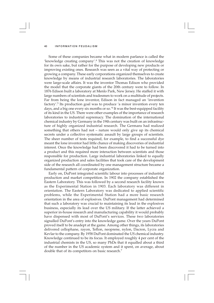Some of these companies became what in modern parlance is called the 'knowledge creating company'. 4 This was not the creation of knowledge for its own sake, but rather for the purpose of developing new products or improving existing ones. Research was seen as a vital way of protecting or growing a company. These early corporations organized themselves to create knowledge by means of industrial research laboratories. The laboratories were large-scale affairs. It was the inventor Thomas Edison who provided the model that the corporate giants of the 20th century were to follow. In 1876 Edison built a laboratory at Menlo Park, New Jersey. He staffed it with large numbers of scientists and tradesmen to work on a multitude of projects. Far from being the lone inventor, Edison in fact managed an 'invention factory'. 5 Its production goal was to produce 'a minor invention every ten days, and a big one every six months or so.'<sup>6</sup> It was the best-equipped facility of its kind in the US. There were other examples of the importance of research laboratories to industrial supremacy. The domination of the international chemical industry by Germany in the 19th century was built on an infrastructure of highly organized industrial research. The Germans had realized something that others had not – nature would only give up its chemical secrets under a collective systematic assault by large groups of scientists. The sheer number of tests required, for example, to find a successful dye meant the lone inventor had little chance of making discoveries of industrial interest. Once the knowledge had been discovered it had to be turned into a product and this required more interaction between scientists and those responsible for production. Large industrial laboratories linked to equally organized production and sales facilities that took care of the development side of the research all coordinated by one management structure became a fundamental pattern of corporate organization.

Early on, DuPont integrated scientific labour into processes of industrial production and market competition. In 1902 the company established the Eastern Laboratory. This was followed by a second research facility known as the Experimental Station in 1903. Each laboratory was different in orientation. The Eastern Laboratory was dedicated to applied scientific problems, while the Experimental Station had a more basic research orientation in the area of explosives. DuPont management had determined that such a laboratory was crucial to maintaining its lead in the explosives business, especially its lead over the US military. If the latter achieved a superior in-house research and manufacturing capability it would probably have dispensed with most of DuPont's services. These two laboratories signalled DuPont's entry into the knowledge game. Over the years DuPont proved itself to be anadept at the game. Among other things, its laboratories delivered cellophane, rayon, Teflon, neoprene, nylon, Dacron, Lycra and Kevlar to the company. By 1958 DuPont dominated the US chemical industry. Knowledge continued to be its focus. It employed roughly 4 per cent of the industrial chemists in the US, so many PhDs that it equalled about a third of the number in the US academic system and it spent, on average, about double that of its competitors on basic research.7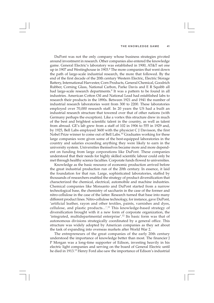## **THE KNOWLEDGE GAME 41**

DuPont was not the only company whose business strategies pivoted around investment in research. Other companies also entered the knowledge game. General Electric's laboratory was established in 1900, AT&T set one up in 1907 and Westinghouse in 1903.<sup>8</sup> The more companies that went down the path of large-scale industrial research, the more that followed. By the end of the first decade of the 20th century Western Electric, Electric Storage Battery, International Harvester, Corn Products, General Chemical, Goodrich Rubber, Corning Glass, National Carbon, Parke Davis and E R Squibb all had large-scale research departments.<sup>9</sup> It was a pattern to be found in all industries. American Cotton Oil and National Lead had established labs to research their products in the 1890s. Between 1921 and 1941 the number of industrial research laboratories went from 300 to 2200. These laboratories employed over 70,000 research staff. In 20 years the US had a built an industrial research structure that towered over that of other nations (with Germany perhaps the exception). Like a vortex this structure drew in much of the best and brightest scientific talent in the country, as well as talent from abroad. GE's lab grew from a staff of 102 in 1906 to 555 in 1929 and, by 1925, Bell Labs employed 3600 with the physicist C J Davisson, the first Nobel Prize winner to come out of Bell Labs.10 Graduates working for these large companies were given some of the best-equipped laboratories in the country and salaries exceeding anything they were likely to earn in the university system. Universities themselves became more and more dependent on funding from large corporations like DuPont. These companies understood that their needs for highly skilled scientific labour could only be met through healthy science faculties. Corporate funds flowed to universities.

Knowledge as the basic resource of economic production arrived before the great industrial production run of the 20th century. In essence, it laid the foundation for that run. Large, sophisticated laboratories, staffed by thousands of researchers enabled the strategy of product diversification that characterized the chemical, electrical, automobile and machine industries. Chemical companies like Monsanto and DuPont started from a narrow technological base, the chemistry of saccharin in the case of the former and nitro-cellulose in the case of the latter. Research turned that base into many different product lines. Nitro-cellulose technology, for instance, gave DuPont, 'artificial leather, rayon and other textiles, paints, varnishes and dyes, cellulose, and plastic products...'. 11 This knowledge-based strategy of diversification brought with it a new form of corporate organization, the 'integrated, multidepartmental enterprise'. 12 Its basic form was that of autonomous divisions strategically coordinated by a general office. This structure was widely adopted by American companies as they set about the task of expanding into overseas markets after World War 2.

The entrepreneurs of the great companies of the early 20th century understood the importance of knowledge better than most. The financier J P Morgan was a long-time supporter of Edison, investing heavily in his electric light companies and serving on the board of General Electric until he died in 1913.13 Henry Ford also saw the importance of Edison's industrial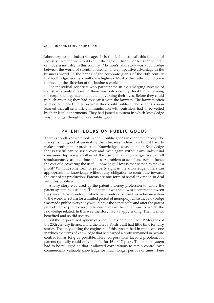laboratory to the industrial age: 'It is the fashion to call this the age of industry... Rather, we should call it the age of Edison. For he is the founder of modern industry in this country.' 14 Edison's laboratory was a footbridge between the world of scientific research and competitive advantage in the business world. In the hands of the corporate giants of the 20th century that footbridge became a multi-lane highway. Most of the traffic would come to travel in the direction of the business world.

For individual scientists who participated in the emerging systems of industrial scientific research there was only one tiny devil hidden among the corporate organizational detail governing their lives. Before they could publish anything they had to clear it with the lawyers. The lawyers often said no or placed limits on what they could publish. The scientists soon learned that all scientific communication with outsiders had to be vetted by their legal departments. They had joined a system in which knowledge was no longer thought of as a public good.

## PATENT LOCKS ON PUBLIC GOODS

There is a well-known problem about public goods in economic theory. The market is not good at generating them because individuals find it hard to make a profit in their production. Knowledge is a case in point. Knowledge that is useful can be used over and over again without any individual consumer depriving another of the use of that knowledge. We can all simultaneously use the times tables. A problem arises if one person funds the cost of discovering the useful knowledge. How is that person to make a profit? Without some form of property right in the knowledge, others can appropriate the knowledge without any obligation to contribute towards the cost of its production. Patents are one form of social invention to deal with this problem.

A fairy story was used by the patent attorney profession to justify the patent system to outsiders. The patent, it was said, was a contract between the state and the inventor in which the inventor disclosed his or her invention to the world in return for a limited period of monopoly. Once the knowledge was made public everybody would have the benefit of it and after the patent period had expired everybody could make the invention to which the knowledge related. In this way the story had a happy ending. The inventor benefited and so did society.

But the corporatized system of scientific research that the J P Morgans of the 20th century financed and the Henry Fords built had little time for fairy stories. The only ending the engineers of this system had in mind was one in which the items of knowledge that had turned a profit remained in private control for as long as possible. Here, corporations faced a problem, for patents typically could only be held for 16 or 17 years. The patent system had to be re-jigged so that it allowed corporations to retain control over commercially valuable knowledge for much longer periods of time. There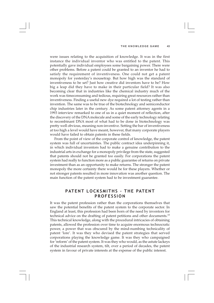## THE KNOWLEDGE GAME 43

were issues relating to the acquisition of knowledge. It was in the first instance the individual inventor who was entitled to the patent. This potentially gave individual employees some bargaining power. There were other problems. Before a patent could be granted to an inventor he had to satisfy the requirement of inventiveness. One could not get a patent monopoly for yesterday's mousetrap. But how high was the standard of inventiveness to be set? Just how creative did inventors have to be? How big a leap did they have to make in their particular field? It was also becoming clear that in industries like the chemical industry much of the work was timeconsuming and tedious, requiring great resources rather than inventiveness. Finding a useful new dye required a lot of testing rather than invention. The same was to be true of the biotechnology and semiconductor chip industries later in the century. As some patent attorney agents in a 1993 interview remarked to one of us in a quiet moment of reflection, after the discovery of the DNA molecule and some of the early technology relating to recombinant DNA most of what had to be done in biotechnology was pretty well obvious, meaning non-inventive. Setting the bar of inventiveness at too high a level would have meant, however, that many corporate players would have failed to obtain patents in these fields.

From the point of view of the corporate control of knowledge, the patent system was full of uncertainties. The public contract idea underpinning it, in which individual inventors had to make a genuine contribution to the industrial arts in exchange for a monopoly privilege from the state, suggested that patents should not be granted too easily. For corporations the patent system had really to function more as a public guarantee of returns on private investment than as an opportunity to make returns. The stronger the patent monopoly the more certainty there would be for these players. Whether or not stronger patents resulted in more innovation was another question. The main function of the patent system had to be investment guarantee.

## PATENT LOCKSMITHS - THE PATENT PROFESSION

It was the patent profession rather than the corporations themselves that saw the potential benefits of the patent system to the corporate sector. In England at least, this profession had been born of the need by inventors for technical advice on the drafting of patent petitions and other documents.15 This technical knowledge, along with the procedural intricacies of obtaining patents, allowed the profession over time to acquire enormous technocratic power, a power that was obscured by the mind-numbing technicality of patent 'lore'. It was they who devised the patent strategies that served corporations playing the knowledge game. It was they who campaigned for 'reform' of the patent system. It was they who would, as the astute lackeys of the industrial research system, tilt, over a period of decades, the patent system in favour of private interests at the expense of the public interest.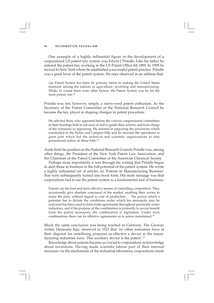One example of a highly influential figure in the development of a corporatized US patent law system was Edwin J Prindle. Like his father he entered the patent bar, working in the US Patent Office till 1899. In 1905 he moved to New York where he established a successful patent practice. Prindle was a great lover of the patent system. He once observed in an address that:

our Patent System has been *the* primary factor in making the United States foremost among the nations in agriculture, inventing and manufacturing. While, of course there were other factors, the Patent System was by far the most potent one.16

Prindle was not, however, simply a starry-eyed patent enthusiast. As the Secretary of the Patent Committee of the National Research Council he became the key player in shaping changes in patent procedure.

He selected those who appeared before the various congressional committees in their hearings held in advance of and to guide their actions, and took charge of the witnesses so appearing. He assisted in preparing the provisions which eventuated in the Nolan and Lampert bills and he directed the operations in great part which led the technical and scientific organizations to take pronounced action on these bills.17

Aside from his position on the National Research Council, Prindle was, among other things, the President of the New York Patent Law Association, and the Chairman of the Patent Committee of the American Chemical Society.

Perhaps more importantly it was through his writing that Prindle began to alert those in business to the full potential of the patent system. He wrote a highly influential set of articles on 'Patents in Manufacturing Business' that were subsequently turned into book form. His main message was that corporations had to see the patent system as a fundamental tool of business:

Patents are the best and most effective means of controlling competition. They occasionally give absolute command of the market, enabling their owner to name the price without regard to cost of production. . . The power which a patentee has to dictate the conditions under which his monopoly may be exercised has been used to form trade agreements throughout practically entire industries, and if the purpose of the combination is primarily to secure benefit from the patent monopoly, the combination is legitimate. Under such combinations there can be effective agreements as to prices maintained.18

Much the same conclusion was being reached in Germany. The German writer, Hermann Isay, observed in 1923 that 'no other industries have at their disposal for cartellizing purposes as effective a device as the manufacturing industries have. This auxiliary device is the patent'. 19

Knowledge about patents became as crucial to corporations as knowledge about inventions. Having made scientific labour part of their internal structure via the mechanism of the industrial laboratory, corporations made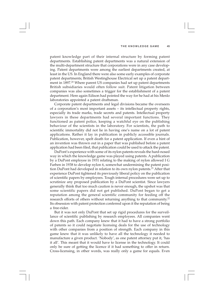#### THE KNOWLEDGE GAME 45

patent knowledge part of their internal structure by forming patent departments. Establishing patent departments was a natural extension of the multi-department structure that corporations were in any case developing. Patent departments were among the earliest departments created, at least in the US. In England there were also some early examples of corporate patent departments; British Westinghouse Electrical set up a patent department in 1897.<sup>20</sup> Where parent US companies had set up patent departments British subsidiaries would often follow suit. Patent litigation between companies was also sometimes a trigger for the establishment of a patent department. Here again Edison had pointed the way for he had at his Menlo laboratories appointed a patent draftsman.

Corporate patent departments and legal divisions became the overseers of a corporation's most important assets – its intellectual property rights, especially its trade marks, trade secrets and patents. Intellectual property lawyers in these departments had several important functions. They functioned as patent police, keeping a watchful eye on the publishing behaviour of the scientists in the laboratory. For scientists, the path to scientific immortality did not lie in having one's name on a lot of patent applications. Rather it lay in publication in publicly accessible journals. Publication, however, spelt death for a patent application. If even a hint of an invention was thrown out in a paper that was published before a patent application had been filed, that publication could be used to attack the patent.

DuPont's experience with some of its nylon patents reveals the hard-nosed way in which the knowledge game was played using patents. A publication by a DuPont employee in 1931 relating to the making of nylon allowed I G Farben in 1938 to develop nylon 6, somewhat undermining the patent position DuPont had developed in relation to its own nylon patents.<sup>21</sup> After that experience DuPont tightened its previously liberal policy on the publication of scientific papers by employees. Tough internal procedures were set up to scrutinize any proposed publication by a DuPont scientist. Since lawyers generally think that too much caution is never enough, the upshot was that some scientific papers did not get published. DuPont began to get a reputation among the general scientific community for feeding off the research efforts of others without returning anything to that community.<sup>22</sup> Its obsession with patent protection conferred upon it the reputation of being a free-rider.

But it was not only DuPont that set up rigid procedures for the surveillance of scientific publishing by research employees. All companies went down this path. Each company knew that it had to have a strong portfolio of patents so it could negotiate licensing deals for the use of technology with other companies from a position of strength. Each company in this game knew that it was unlikely to have all the technology it needed to manufacture a given product. 'Nobody', as one patent attorney put it, 'has it all'. This meant that it would have to license in the technology. It could only be sure of getting the licence if it had something to offer in return. Cross-licensing, in other words, was really only a game for equals. Even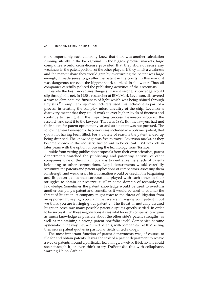more importantly, each company knew that there was another calculation running silently in the background. In the biggest product markets, large companies would cross-license provided that they did not sense any weakness in the patent position of the other players. If they smelt a weakness and the market share they would gain by overturning the patent was large enough, it made sense to go after the patent in the courts. In this world it was dangerous for even the biggest shark to bleed in the water. Thus all companies carefully policed the publishing activities of their scientists.

Despite the best procedures things still went wrong; knowledge would slip through the net. In 1980 a researcher at IBM, Mark Levenson, discovered a way to eliminate the fuzziness of light which was being shined through tiny slits.23 Computer chip manufacturers used this technique as part of a process in creating the complex micro circuitry of the chip. Levenson's discovery meant that they could work to ever higher levels of fineness and continue to use light in the imprinting process. Levenson wrote up the research and sent it to the lawyers. That was 1981. But the lawyers had met their quota for patent optics that year and so a patent was not pursued. The following year Levenson's discovery was included in a polymer patent, that quota not having been filled. For a variety of reasons the patent ended up being dropped. The knowledge was free to travel. Levenson masks, as they became known in the industry, turned out to be crucial. IBM was left in later years with the option of buying the technology from Toshiba.

Aside from vetting publication proposals from their own scientists, patent departments watched the publishing and patenting activity of other companies. One of their main jobs was to neutralize the effects of patents belonging to other corporations. Legal departments would carefully scrutinize the patents and patent applications of competitors, assessing them for strength and weakness. This information would be used in the bargaining and litigation games that corporations played with each other in their struggles to obtain or preserve 'turf' in some domain of technological knowledge. Sometimes the patent knowledge would be used to overturn another company's patent and sometimes it would be used to counter the threat of litigation. A company might react to the threat of litigation from an opponent by saying 'you claim that we are infringing your patent x, but we think you are infringing our patent y'. The threat of mutually assured litigation costs saw many possible patent disputes quietly settled. In order to be successful in these negotiations it was vital for each company to acquire as much knowledge as possible about the other side's patent strengths, as well as maintaining a strong patent portfolio itself. Companies became systematic in the way they acquired patents, with companies like IBM setting themselves patent quotas in particular fields of technology.

The most important function of patent departments was, of course, to file for and obtain patents. It was the task of a patent department to weave a web of patents around a particular technology, a web so thick no one could steer through it, or even think to try. DuPont did this with cellophane, warning Union Carbide: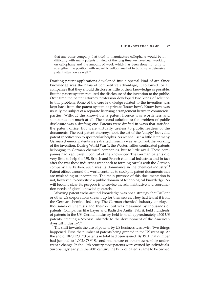## **THE KNOWLEDGE GAME 47**

that any other company that tried to manufacture cellophane would be in difficulty with many patents in view of the long time we have been working on cellophane and the amount of work which has been done not only to strengthen the position with regard to cellophane but to build up a defensive patent situation as well.<sup>24</sup>

Drafting patent applications developed into a special kind of art. Since knowledge was the basis of competitive advantage, it followed for all companies that they should disclose as little of their knowledge as possible. But the patent system required the disclosure of the invention to the public. Over time the patent attorney profession developed two kinds of solution to this problem. Some of the core knowledge related to the invention was kept back from the patent system as private 'know-how'. Know-how was usually the subject of a separate licensing arrangement between commercial parties. Without the know-how a patent licence was worth less and sometimes not much at all. The second solution to the problem of public disclosure was a drafting one. Patents were drafted in ways that satisfied the patent office, but were virtually useless to public readers of the documents. The best patent attorneys took the art of the 'empty' but valid patent specification to spectacular heights. As we shall see a little later many German chemical patents were drafted in such a way as to mask the working of the invention. During World War 1, the Western allies confiscated patents belonging to German chemical companies, but to little avail. These companies had kept careful control of the know-how. The German patents did very little to help the US, British and French chemical industries and in fact after the war these industries went back to forming cartels with the German company I G Farben, such was its dominance in the chemical industry.25 Patent offices around the world continue to stockpile patent documents that are misleading or incomplete. The main purpose of this documentation is not, however, to constitute a public domain of technological knowledge. As will become clear, its purpose is to service the administrative and coordination needs of global knowledge cartels.

Weaving patent webs around knowledge was not a strategy that DuPont or other US corporations dreamt up for themselves. They had learnt it from the German chemical industry. The German chemical industry employed thousands of chemists and their output was measured by thousands of patents. Companies like Bayer and Badische Anilin Fabrik held hundreds of patents in the US. German industry held in total approximately 4500 US patents, creating a 'colossal obstacle to the development of the American dyestuff industry'. 26

The shift towards the use of patents by US business was swift. Two things happened. First, the number of patents being granted in the US went up. At the end of 1870 120,573 patents in total had been issued. By 1911 that number had jumped to 1,002,478.<sup>27</sup> Second, the nature of patent ownership underwent a change. In the 19th century most patents were owned by individuals. Surprisingly early in the 20th century the bulk of patents came to be owned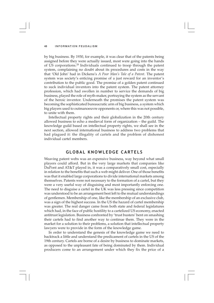by big business. By 1930, for example, it was clear that of the patents being assigned before they were actually issued, most were going into the hands of US corporations.28 Individuals continued to troop through the patent system, complaining no doubt about its procedures and costs in the way that 'Old John' had in Dickens's *A Poor Man's Tale of a Patent*. The patent system was society's enticing promise of a just reward for an inventor's contribution to the public good. The promise of a golden patent continued to suck individual inventors into the patent system. The patent attorney profession, which had swollen in number to service the demands of big business, played the role of myth-maker, portraying the system as the servant of the heroic inventor. Underneath the promises the patent system was becoming the sophisticated bureaucratic arm of big business, a system which big players used to outmanoeuvre opponents or, where this was not possible, to unite with them.

Intellectual property rights and their globalization in the 20th century allowed business to echo a medieval form of organization – the guild. The knowledge guild based on intellectual property rights, we shall see in the next section, allowed international business to address two problems that had plagued it: the illegality of cartels and the problem of dishonest individual cartel members.

## GLOBAL KNOWLEDGE CARTELS

Weaving patent webs was an expensive business, way beyond what small players could afford. But in the very large markets that companies like DuPont and AT&T played in, it was a comparatively small cost, especially in relation to the benefits that such a web might deliver. One of those benefits was that it enabled large corporations to divide international markets among themselves. Patents were not necessary to the formation of a cartel, but they were a very useful way of disguising and most importantly enforcing one. The need to disguise a cartel in the UK was less pressing since competition was understood to be an arrangement best left to the mutual understandings of gentlemen. Membership of one, like the membership of an exclusive club, was a sign of the highest success. In the US the hazard of cartel membership was greater. The real danger came from both state and federal legislatures which had, in the face of public hostility to a cartelized US economy, enacted antitrust legislation. Business confronted by 'trust busters' bent on smashing their cartels had to find another way to continue them. They were in the market for a solution to their problems, a solution that intellectual property lawyers were to provide in the form of the knowledge game.

In order to understand the genesis of the knowledge game we need to backtrack a little and understand the predicament of cartels in the US of the 19th century. Cartels are borne of a desire by business to dominate markets, as opposed to the unpleasant fate of being dominated by them. Individual producers come to an arrangement under which they fix the price of a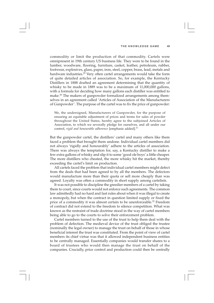#### THE KNOWLEDGE GAME 49

commodity or limit the production of that commodity. Cartels were omnipresent in 19th century US business life. They were to be found in the lumber, woodware, flooring, furniture, casket, leather, petroleum, rubber, footwear, explosives, glass, paper, iron, steel, copper, brass, lead, metals and hardware industries.<sup>29</sup> Very often cartel arrangements would take the form of quite detailed articles of association. So, for example, the Kentucky Distillers in 1888 drafted an agreement determining that the quantity of whisky to be made in 1889 was to be a maximum of 11,000,000 gallons, with a formula for deciding how many gallons each distiller was entitled to make.<sup>30</sup> The makers of gunpowder formalized arrangements among themselves in an agreement called 'Articles of Association of the Manufacturers of Gunpowder'. The purpose of the cartel was to fix the price of gunpowder:

We, the undersigned, Manufacturers of Gunpowder, for the purpose of ensuring an equitable adjustment of prices and terms for sales of powder throughout the United States, hereby agree to the subjoined Articles of Association, to which we severally pledge for ourselves, and all under our control, rigid and honourable adherence [emphasis added].<sup>31</sup>

But the gunpowder cartel, the distillers' cartel and many others like them faced a problem that brought them undone. Individual cartel members did not always 'rigidly and honourably' adhere to the articles of association. There was always the temptation for, say, a Kentucky distiller to make a few extra gallons of whisky and slip it to some 'good ole boys' a little cheaper. The more distillers who cheated, the more whisky hit the market, thereby exceeding the cartel's limit on production.

All cartels faced the problem that individual cartel members might defect from the deals that had been agreed to by all the members. The defectors would manufacture more than their quota or sell more cheaply than was agreed. Loyalty was often a commodity in short supply among cartelists.

It was not possible to discipline the greedier members of a cartel by taking them to court, since courts would not enforce such agreements. The common law admittedly had no hard and fast rules about when it was illegal to create a monopoly, but when the contract in question limited supply or fixed the price of a commodity it was almost certain to be unenforceable.<sup>32</sup> Freedom of contract did not extend to the freedom to silence competition. What was known as the restraint of trade doctrine stood in the way of cartel members being able to go to the courts to solve their enforcement problem.

Cartel members turned to the use of the trust to help them deal with the problem of defection. The medieval device of the trust obliged the trustee (nominally the legal owner) to manage the trust on behalf of those in whose beneficial interest the trust was constituted. From the point of view of cartel members its chief virtue was that it allowed independent business entities to be centrally managed. Essentially companies would transfer shares to a board of trustees who would then manage the trust on behalf of the companies. Crucially, price control and production could then be centrally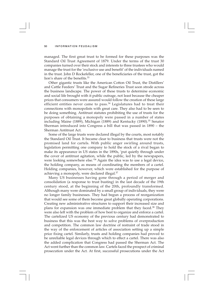managed. The first great trust to be formed for these purposes was the Standard Oil Trust Agreement of 1879. Under the terms of the trust 30 companies turned over their stock and interests to three trustees who would manage the trust for the 'exclusive use and benefit' of the individuals named in the trust. John D Rockefeller, one of the beneficiaries of the trust, got the lion's share of the benefits.33

Other gigantic trusts like the American Cotton Oil Trust, the Distillers' and Cattle Feeders' Trust and the Sugar Refineries Trust soon strode across the business landscape. The power of these trusts to determine economic and social life brought with it public outrage, not least because the cheaper prices that consumers were assured would follow the creation of these large efficient entities never came to pass.<sup>34</sup> Legislatures had to treat their connections with monopolists with great care. They also had to be seen to be doing something. Antitrust statutes prohibiting the use of trusts for the purposes of obtaining a monopoly were passed in a number of states including Maine (1889), Michigan (1889) and Kentucky (1890).<sup>35</sup> Senator Sherman introduced into Congress a bill that was passed in 1890 – the Sherman Antitrust Act.

Some of the large trusts were declared illegal by the courts, most notably the Standard Oil Trust. It became clear to business that trusts were not the promised land for cartels. With public anger swirling around trusts, legislation permitting one company to hold the stock of a rival began to make its appearance in US states in the 1890s, 'put quietly through under the cover of antitrust agitation, while the public, led by the newspapers, were looking somewhere else.' 36 Again the idea was to use a legal device, the holding company, as means of coordinating the members of a cartel. Holding companies, however, which were established for the purpose of achieving a monopoly, were declared illegal.37

Many US businesses having gone through a period of merger and consolidation (a response to trust busting) in the last decade of the 19th century stood, at the beginning of the 20th, profoundly transformed. Although many were dominated by a small group of individuals, they were no longer family businesses. They had begun a process of reorganization that would see some of them become great globally operating corporations. Creating new administrative structures to support their increased size and plans for expansion was one immediate problem that they faced.<sup>38</sup> They were also left with the problem of how best to organize and enforce a cartel. The cartelized US economy of the previous century had demonstrated to business that this was the best way to solve problems of overproduction and competition. The common law doctrine of restraint of trade stood in the way of the enforcement of articles of association setting up a simple price fixing cartel. Similarly, trusts and holding companies had proved to be unreliable legal devices through which to effect a cartel. There was also the added complication that Congress had passed the Sherman Act. The Act went further than the common law. Cartels faced the prospect of criminal prosecution under the Act. At first, successful prosecutions under the Act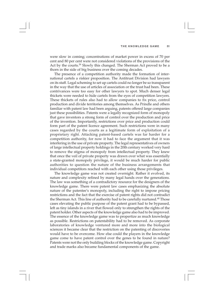## THE KNOWLEDGE GAME 51

were slow in coming; concentrations of market power in excess of 70 per cent and 80 per cent were not considered violations of the provisions of the Act by the courts.39 Slowly this changed. The Sherman Act proved to be a thorn in the side of big business over the coming decades.

The presence of a competition authority made the formation of international cartels a riskier proposition. The Antitrust Division had lawyers on its staff. Legal scheming to set up cartels could no longer be so transparent in the way that the use of articles of association or the trust had been. These contrivances were too easy for other lawyers to spot. Much denser legal thickets were needed to hide cartels from the eyes of competition lawyers. These thickets of rules also had to allow companies to fix price, control production and divide territories among themselves. As Prindle and others familiar with patent law had been arguing, patents offered large companies just these possibilities. Patents were a legally recognized form of monopoly that gave inventors a strong form of control over the production and price of the invention. Importantly, restrictions over price and production could form part of the patent licence agreement. Such restrictions were in many cases regarded by the courts as a legitimate form of exploitation of a proprietary right. Attacking patent-based cartels was far harder for a competition authority, for now it had to face the argument that it was interfering in the use of private property. The legal representatives of owners of large intellectual property holdings in the 20th century worked very hard to remove the stigma of monopoly from intellectual property. They knew that once the veil of private property was drawn over what was essentially a state-granted monopoly privilege, it would be much harder for public authorities to question the nature of the business arrangements that individual competitors reached with each other using those privileges.

The knowledge game was not created overnight. Rather it evolved, its nature and complexity refined by many legal hands over the generations. The law was something of a contradictory resource for the designers of the knowledge game. There were patent law cases emphasizing the absolute nature of the patentee's monopoly, including the right to impose pricing restrictions and the fact that the exercise of patent rights did not contradict the Sherman Act. This line of authority had to be carefully nurtured.<sup>40</sup> Those cases elevating the public purpose of the patent grant had to be bypassed, left as tiny islands in a river that flowed only to strengthen the rights of the patent holder. Other aspects of the knowledge game also had to be improved. The essence of the knowledge game was to propertize as much knowledge as possible. Restrictions on patentability had to be removed. As corporate laboratories of knowledge ventured more and more into the biological sciences it became clear that the restriction on the patenting of discoveries would have to be overcome. How else could the players in the knowledge game come to have patent control over the genes to be found in nature? Patents were not the only building blocks of the knowledge game. Copyright and trade marks also became fundamental components of the game.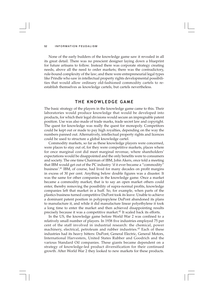None of the early builders of the knowledge game saw it revealed in all its great detail. There was no prescient designer laying down a blueprint for future artisans to follow. Instead there was corporate strategy creating needs, above all the need to order markets; there was the contradictory, rule-bound complexity of the law; and there were entrepreneurial legal types like Prindle who saw in intellectual property rights developmental possibilities that would allow ordinary old-fashioned commodity cartels to reestablish themselves as knowledge cartels, but cartels nevertheless.

## THE KNOWLEDGE GAME

The basic strategy of the players in the knowledge game came to this. Their laboratories would produce knowledge that would be developed into products, for which their legal divisions would secure an impregnable patent position. Use was also made of trade marks, trade secret law and copyright. The quest for knowledge was really the quest for monopoly. Competitors could be kept out or made to pay high royalties, depending on the way the numbers panned out. Alternatively, intellectual property rights and licences could be used to structure a global knowledge cartel.

Commodity markets, so far as these knowledge players were concerned, were places to stay out of, for they were competitive markets, places where for once marginal cost did meet marginal revenue, where shareholders' expectations would be disappointed and the only benefits were to consumers and society. The one time Chairman of IBM, John Akers, once told a meeting that IBM would get out of the PC industry 'if it ever became a "commodity" business'. 41 IBM, of course, had lived for many decades on profit margins in excess of 30 per cent. Anything below double figures was a disaster. It was the same for other companies in the knowledge game. Once a market became a commodity market, that is to say an open market others could enter, thereby removing the possibility of supra-normal profits, knowledge companies left that market in a huff. So, for example, when parts of the plastics business turned competitive DuPont took its leave. Unable to achieve a dominant patent position in polypropylene DuPont abandoned its plans to manufacture it, and while it did manufacture linear polyethylene it took a long time to enter the market and then achieved disappointing results precisely because it was a competitive market.<sup>42</sup> It scaled back its efforts.

In the US, the knowledge game before World War 2 was confined to a relatively small number of players. In 1938 five industries employed 75 per cent of the staff involved in industrial research: the chemical, power machinery, electrical, petroleum and rubber industries.<sup>43</sup> Each of these industries had its heavy hitters: DuPont, General Electric, General Motors, International Harvesters, United States Rubber and Goodrich and the various Standard Oil companies. These giants became dependent on a strategy of knowledge-led product diversification for their continued growth. After World War 2 they looked to new markets for these products.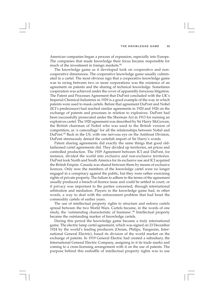## THE KNOWLEDGE GAME 53

American companies began a process of expansion, especially into Europe. The companies that made knowledge their focus became responsible for much of the investment in foreign markets.<sup>44</sup>

The knowledge game as it developed took on cooperative and noncooperative dimensions. The cooperative knowledge game usually culminated in a cartel. The most obvious sign that a cooperative knowledge game was in swing between two or more corporations was the existence of an agreement on patents and the sharing of technical knowledge. Sometimes cooperation was achieved under the cover of apparently ferocious litigation. The Patent and Processes Agreement that DuPont concluded with the UK's Imperial Chemical Industries in 1929 is a good example of the way in which patents were used to mask cartels. Before that agreement DuPont and Nobel (ICI's predecessor) had reached similar agreements in 1920 and 1926 on the exchange of patents and processes in relation to explosives. DuPont had been successfully prosecuted under the Sherman Act in 1913 for running an explosives cartel. The 1920 agreement was described by Sir Harry McGowan, the British chairman of Nobel who was used to the British version of competition, as 'a camouflage' for all the relationships between Nobel and DuPont.45 Back in the US, with one nervous eye on the Antitrust Division, DuPont strenuously denied the cartelish import of Sir Harry's words.

Patent sharing agreements did exactly the same things that good oldfashioned cartel agreements did. They divided up territories, set prices and controlled production. The 1929 Agreement between ICI and DuPont, for instance, divided the world into exclusive and non-exclusive territories. DuPont took North and South America for its exclusive use and ICI acquired the British Empire. Canada was shared between them by means of exclusive licences. Only now the members of the knowledge cartel were no longer engaged in a conspiracy against the public, but they were rather exercising rights of private property. The failure to adhere to the terms of the agreement usually produced a breach-of-licence issue and could be settled in court, or if privacy was important to the parties concerned, through international arbitration and mediation. Players in the knowledge game had, in other words, a way to deal with the enforcement problem that had beset the commodity cartels of earlier years.

The use of intellectual property rights to structure and enforce cartels spread between the two World Wars. Cartels became, in the words of one study, the 'outstanding characteristic of business'. 46 Intellectual property became the outstanding marker of knowledge cartels.

During this period the knowledge game became a truly international game. The electric lamp cartel agreement, which was signed on 23 December 1924 by the world's leading producers (Osram, Philips, Tungsram, International General Electric), based its division of the world market on the exchange of patents. In 1919 General Electric had created a subsidiary, the International General Electric Company, assigning to it its trade marks and coming to a cross-licensing arrangement with it on the use of patents. The purpose behind this reshuffle of intellectual property rights was to use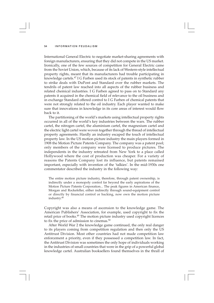International General Electric to negotiate market-sharing agreements with foreign manufacturers, ensuring that they did not compete in the US market. Ironically, one of the few sources of competition for General Electric came from the Soviet Union, which, because of its lack of Western-style intellectual property rights, meant that its manufacturers had trouble participating in knowledge cartels.47 I G Farben used its stock of patents in synthetic rubber to strike deals with DuPont and Standard over the rubber markets. The tendrils of patent law reached into all aspects of the rubber business and related chemical industries. I G Farben agreed to pass on to Standard any patents it acquired in the chemical field of relevance to the oil business and in exchange Standard offered control to I G Farben of chemical patents that were not strongly related to the oil industry. Each player wanted to make sure that innovations in knowledge in its core areas of interest would flow back to it.

The partitioning of the world's markets using intellectual property rights occurred in all of the world's key industries between the wars. The rubber cartel, the nitrogen cartel, the aluminium cartel, the magnesium cartel and the electric light cartel were woven together through the thread of intellectual property agreements. Hardly an industry escaped the touch of intellectual property law. In the US motion picture industry the main players formed in 1908 the Motion Picture Patents Company. The company was a patent pool; only members of the company were licensed to produce pictures. The independents in the industry retreated from New York to a place called Hollywood where the cost of production was cheaper. For a variety of reasons the Patents Company lost its influence, but patents remained important, especially with invention of the 'talkies'. In the mid-1930s one commentator described the industry in the following way:

The entire motion picture industry, therefore, through patent ownership, is indirectly under a monopoly control far beyond the early aspirations of the Motion Picture Patents Corporation... The peak figures in American finance, Morgan and Rockefeller, either indirectly through sound-equipment control or directly by financial control or backing, now own the motion picture industry.48

Copyright was also a means of ascension to the knowledge game. The American Publishers' Association, for example, used copyright to fix the retail price of books.<sup>49</sup> The motion picture industry used copyright licences to fix the price of admission to cinemas.<sup>50</sup>

After World War 2 the knowledge game continued, the only real danger to its players coming from competition regulation and then only the US Antitrust Division. Most other countries had not made competition law enforcement a priority, even if they possessed a competition law. In fact, the Antitrust Division was sometimes the only hope of individuals working in the industries of small countries that were in the grip of a powerful global knowledge cartel. Australian booksellers found themselves in the thrall of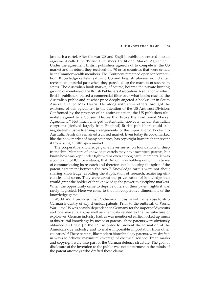#### THE KNOWLEDGE GAME 55

just such a cartel. After the war US and English publishers entered into an agreement called the 'British Publishers Traditional Market Agreement'. Under the agreement British publishers agreed not to compete in the US market and in return they received the 70 or so countries that were or had been Commonwealth members. The Continent remained open for competition. Knowledge cartels featuring US and English players would often recreate an imperial past when they parcelled up the markets of sovereign states. The Australian book market, of course, became the private hunting ground of members of the British Publishers Association. A situation in which British publishers placed a commercial filter over what books reached the Australian public and at what price deeply angered a bookseller in South Australia called Max Harris. He, along with some others, brought the existence of this agreement to the attention of the US Antitrust Division. Confronted by the prospect of an antitrust action, the US publishers ultimately agreed to a Consent Decree that broke the Traditional Market Agreement.<sup>51</sup> Not much changed in Australia, however. Under Australian copyright (derived largely from England) British publishers could still negotiate exclusive licensing arrangements for the importation of books into Australia. Australia remained a closed market. Even today its book market, like the book market of many countries, has copyright barriers that prevent it from being a fully open market.

The cooperative knowledge game never rested on foundations of deep friendship. Members of knowledge cartels may have swapped patents, but know-how was kept under tight wraps even among cartel members. It was a complaint of ICI, for instance, that DuPont was holding out on it in terms of communicating its research and therefore not honouring the spirit of the patent agreement between the two.<sup>52</sup> Knowledge cartels were not about sharing knowledge, avoiding the duplication of research, achieving efficiencies and so on. They were about the privatization of knowledge that would grant the holder of that knowledge the power to discipline markets. When the opportunity came to deprive others of their patent rights it was rarely neglected. Here we come to the non-cooperative dimensions of the knowledge game.

World War 1 provided the US chemical industry with an excuse to strip German industry of key chemical patents. Prior to the outbreak of World War 1, the US was heavily dependent on Germany for the import of dyestuffs and pharmaceuticals, as well as chemicals related to the manufacture of explosives. German industry had, as was mentioned earlier, locked up much of this crucial knowledge by means of patents: 'these patents were obviously obtained and held [in the US] in order to prevent the formation of the American dye industry and to make impossible importation from other countries'. 53 These patents, like modern biotechnology patents, were drafted in ways to achieve maximum coverage of chemical science. Trade marks and copyright were also part of the German defence structure. The goal of disclosure of the invention to the public was not uppermost in the minds of the patent attorneys who drafted these claims: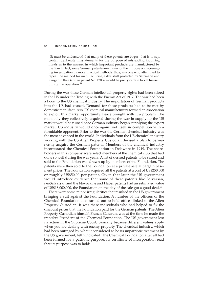[I]t must be understood that many of these patents are bogus, that is to say, contain deliberate misstatements for the purpose of misleading inquiring minds as to the manner in which important products are manufactured by the firm. In fact, some German patents are drawn for the purpose of discouraging investigation by more practical methods: thus, any one who attempted to repeat the method for manufacturing a dye stuff protected by Salzmann and Kruger in the German patent No. 12096 would be pretty certain to kill himself during the operation.<sup>54</sup>

During the war these German intellectual property rights had been seized in the US under the Trading with the Enemy Act of 1917. The war had been a boon to the US chemical industry. The importation of German products into the US had ceased. Demand for these products had to be met by domestic manufacturers. US chemical manufacturers formed an association to exploit this market opportunity. Peace brought with it a problem. The monopoly they collectively acquired during the war in supplying the US market would be ruined once German industry began supplying the export market. US industry would once again find itself in competition with a formidable opponent. Prior to the war the German chemical industry was the most advanced in the world. Individuals from the US chemical industry working with the US Alien Property Custodian devised a plan to permanently acquire the German patents. Members of the chemical industry incorporated the Chemical Foundation in Delaware in 1919. The shareholders in this company were select members of the chemical club that had done so well during the war years. A list of desired patents to be seized and sold to the Foundation was drawn up by members of the Foundation. The patents were then sold to the Foundation at a private sale at bargain basement prices. The Foundation acquired all the patents at a cost of US\$250,000 or roughly US\$50.00 per patent. Given that later the US government would introduce evidence that some of these patents like Salvarsan, neoSalvarsan and the Novocaine and Haber patents had an estimated value of US\$18,000,000, the Foundation on the day of the sale got a good deal.<sup>55</sup>

There were some minor irregularities that resulted in the US government bringing a suit against the Foundation. A number of the officers of the Chemical Foundation also turned out to hold offices linked to the Alien Property Custodian. It was these individuals who had helped to fix the discount prices that the Foundation paid for the German patents. The Alien Property Custodian himself, Francis Garavan, was at the time he made the transfers President of the Chemical Foundation. The US government lost its action in the Supreme Court, basically because different values apply when you are dealing with enemy property. The chemical industry, which had been outraged by what it considered to be its unpatriotic treatment by the US government, felt vindicated. The Chemical Foundation after all had been formed for a patriotic purpose. Its certificate of incorporation read that its purpose was to hold: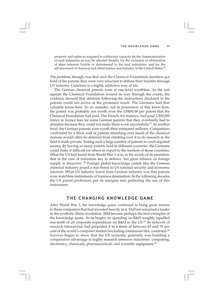## THE KNOWLEDGE GAME 57

property and rights so acquired in a fiduciary capacity for the Americanization of such industries as may be affected thereby, for the exclusion or elimination of alien interests hostile or detrimental to the said industries, and for the advancement of chemical and allied science and industry in the United States.<sup>56</sup>

The problem, though, was that once the Chemical Foundation members got hold of the patents they were very reluctant to diffuse their benefits through US industry. Cartelism is a highly addictive way of life.

The German chemical patents were at one level worthless. As the suit against the Chemical Foundation wound its way through the courts, the evidence showed that chemists following the instructions disclosed in the patents could not arrive at the promised result. The Germans had that valuable know-how. To an outsider, not in possession of this know-how, the patent was probably not worth even the US\$50.00 per patent that the Chemical Foundation had paid. The French, for instance, had paid 2,500,000 francs in licence fees for some German patents that they eventually had to abandon because they could not make them work successfully.<sup>57</sup> At another level, the German patents were worth their estimated millions. Competitors confronted by a thick wall of patents stretching over much of the chemical domain would often be deterred from climbing over it to do research in the field it made private. Testing such a large number of patents in court required money. By having so many patents held in different countries, the Germans could make it difficult for others to export to the markets of those countries. What the US had learnt from World War 1 was, in the words of its president, that in the case of industries key to defence 'too great reliance on foreign supply is *dangerous*'. 58 Foreign global knowledge cartels like the German chemical industry posed a real threat to US national security and economic interests. What US industry learnt from German industry was that patents were matchless instruments of business domination. In the following decades the US patent profession put its energies into perfecting the use of this instrument.

## THE CHANGING KNOWLEDGE GAME

After World War 2, the knowledge game continued to bring great returns to those companies that had invested heavily in it. DuPont remained a leader in the synthetic fibres revolution. IBM became perhaps the best exemplar of the knowledge game. At its height, its spending on R&D roughly equalled one-tenth of all corporate expenditure on R&D in the US.59 Its network of research laboratories had propelled it to a share of between 65 and 70 per cent of the world's computer market (excluding communist bloc countries).<sup>60</sup> Surveys began to show that the US economy generally was building a comparative advantage in highly research intensive industries: computing, electronics, chemicals, pharmaceuticals and scientific equipment.<sup>61</sup>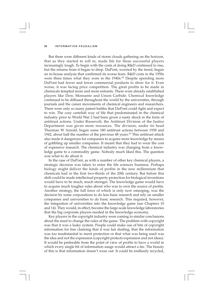But there were different kinds of storm clouds gathering on the horizon, that as they started to roll in, made life for these successful players increasingly tough. To begin with the costs of doing R&D continued to rise, but the returns from it began to drop. DuPont, worried by the trend, began an in-house analysis that confirmed its worse fears. R&D costs in the 1950s were three times what they were in the 1940s.<sup>62</sup> Despite spending more DuPont had fewer and fewer commercial products to show for it. Even worse, it was facing price competition. The great profits to be made in chemicals tempted more and more entrants. There were already established players like Dow, Monsanto and Union Carbide. Chemical knowledge continued to be diffused throughout the world by the universities, through journals and the career movements of chemical engineers and researchers. There were only so many patent battles that DuPont could fight and expect to win. The cosy cartelish way of life that predominated in the chemical industry prior to World War 2 had been given a nasty shock in the form of antitrust actions. Under Roosevelt, the Antitrust Division of the Justice Department was given more resources. The division, under its head Thurman W Arnold, began some 180 antitrust actions between 1938 and 1942, about half the number of the previous 48 years.<sup>63</sup> This antitrust attack also made it dangerous for companies to acquire more knowledge by means of gobbling up smaller companies. It meant that they had to wear the cost of expensive research. The chemical industry was changing from a knowledge game to a commodity game. Nobody much liked this. The question was what to do about it.

In the case of DuPont, as with a number of other key chemical players, a strategic decision was taken to enter the life sciences business. Perhaps biology might deliver the kinds of profits in the new millennium that chemicals had in the first two-thirds of the 20th century. But before this shift could be made intellectual property protection for biological inventions would have to be much, much stronger. The knowledge game would have to acquire much tougher rules about who was to own the source of profits. Another strategy, the full force of which is only now emerging, was the decision by some corporations to do less basic research and rely on smaller companies and universities to do basic research. This required, however, the integration of universities into the knowledge game (see Chapters 10 and 14). They would, in effect, become the large-scale knowledge laboratories that the big corporate players needed in the knowledge economy.

Key players in the copyright industry were coming to similar conclusions about the need to change the rules of the game. The problem with copyright was that it was a leaky system. People could make use of bits of copyright information for free claiming that it was fair dealing, that the information was too insubstantial to merit protection or that what was being used was the idea and not the expression (copyright protects expression and not ideas). It would be preferable from the point of view of profits to have a world in which every single bit of information usage would attract a fee. The beauty of this is that information doesn't wear out. It could be endlessly recycled,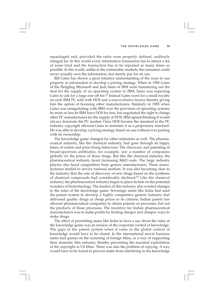## THE KNOWLEDGE GAME 59

repackaged and, provided the rules were properly defined, endlessly charged for. In this world every information transaction has to attract a fee of some kind and the transaction has to be repeated as many times as possible. In this world, unlike in the commodity markets, the consumer could never actually own the information, but merely pay for its use.

Bill Gates has shown a great intuitive understanding of the ways to use property in information to develop a pricing strategy. When in 1980 Gates of the fledgling Microsoft and Jack Sams of IBM were hammering out the deal for the supply of an operating system to IBM, Sams was expecting Gates to ask for a large one-off fee.<sup>64</sup> Instead Gates went for a small royalty on each IBM PC sold with DOS and a non-exclusive licence thereby giving him the option of licensing other manufacturers. Similarly in 1985 when Gates was renegotiating with IBM over the provision of operating systems he more or less let IBM have DOS for free, but negotiated the right to charge other PC manufacturers for the supply of DOS. IBM agreed thinking it would always dominate the PC market. Once DOS became the standard in the PC industry copyright allowed Gates to maintain it as a proprietary standard. He was able to develop a pricing strategy based on use without ever parting with its ownership.

The knowledge game changed for other industries as well. The pharmaceutical industry, like the chemical industry, had gone through its happy times of cartels and price-fixing behaviour. The discovery and patenting of broad-spectrum antibiotics, for example, saw a number of companies globally fix the prices of those drugs. But like the chemical industry, the pharmaceutical industry faced increasing R&D costs. The large industry players also faced competition from generic manufacturers. These manufacturers tended to service national markets. It was also becoming clear to the industry that the rate of discovery of new drugs based on the synthesis of chemical compounds had considerably declined.65 Like the chemical industry, the pharmaceutical industry began to place its bets on the potential wonders of biotechnology. The leaders of this industry also wanted changes to the rules of the knowledge game. Sovereign states like India had used the patent system to develop a highly competitive generic industry that delivered quality drugs at cheap prices to its citizens. Indian patent law allowed pharmaceutical companies to obtain patents on processes, but not the products of those processes. The incentive for Indian pharmaceutical manufacturers was to make profits by finding cheaper and cheaper ways to make drugs.

The effect of permitting states like India to have a say about the rules of the knowledge game was an erosion of the corporate control of knowledge. The gaps in the patent system when it came to the global control of knowledge would have to be closed. In the international movie business states had quotas on the screening of foreign films, as a way of supporting their domestic film industry, thereby preventing the maximal exploitation of the copyright in US films. There was also the problem of copying. A way would have to be found to prevent states from interfering in the knowledge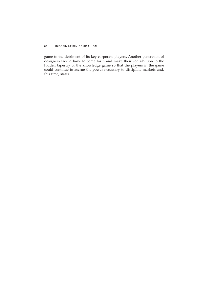$\begin{array}{c|c} \hline \quad \quad & \quad \quad & \quad \quad \\ \hline \quad \quad & \quad \quad & \quad \quad \\ \hline \end{array}$ 

 $\boxed{\phantom{1}}$ 

game to the detriment of its key corporate players. Another generation of designers would have to come forth and make their contribution to the hidden tapestry of the knowledge game so that the players in the game could continue to accrue the power necessary to discipline markets and, this time, states.

 $\sqrt{ }$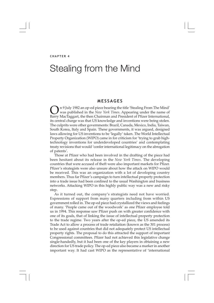## CHAPTER 4

# Stealing from the Mind

## **MESSAGES**

On 9 July 1982 an op-ed piece bearing the title 'Stealing From The Mind' was published in the *New York Times*. Appearing under the name of Barry MacTaggart, the then Chairman and President of Pfizer International, its central charge was that US knowledge and inventions were being stolen. The culprits were other governments: Brazil, Canada, Mexico, India, Taiwan, South Korea, Italy and Spain. These governments, it was argued, designed laws allowing for US inventions to be 'legally' taken. The World Intellectual Property Organization (WIPO) came in for criticism for 'trying to grab hightechnology inventions for underdeveloped countries' and contemplating treaty revisions that would 'confer international legitimacy on the abrogation of patents'.

Those at Pfizer who had been involved in the drafting of the piece had been hesitant about its release in the *New York Times*. The developing countries that were accused of theft were also important markets for Pfizer. Pfizer's strategists were also unsure about how the attack on WIPO would be received. This was an organization with a lot of developing country members. Thus far Pfizer's campaign to turn intellectual property protection into a trade issue had been confined to the usual Washington and business networks. Attacking WIPO in this highly public way was a new and risky step.

As it turned out, the company's strategists need not have worried. Expressions of support from many quarters including from within US government rolled in. The op-ed piece had crystallized the views and feelings of many. 'People came out of the woodwork' as one Pfizer employee told us in 1994. This response saw Pfizer push on with greater confidence with one of its goals, that of linking the issue of intellectual property protection to the trade regime. Two years after the op-ed piece, the US amended its Trade Act to allow a process of trade retaliation (known as the 301 process) to be used against countries that did not adequately protect US intellectual property rights. The proposal to do this attracted the support of important Congressional committees. Pfizer had not achieved this legislative change single-handedly, but it had been one of the key players in obtaining a new direction for US trade policy. The op-ed piece also became a marker in another important way. It had cast WIPO as the representative of 'international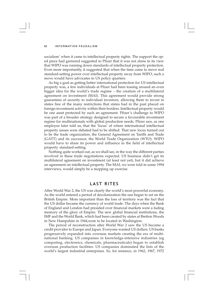socialism' when it came to intellectual property rights. The support the oped piece had garnered suggested to Pfizer that it was not alone in its view that WIPO was running down standards of intellectual property protection. Even more importantly, it suggested that when the time came to move real standard-setting power over intellectual property away from WIPO, such a move would have advocates in US policy quarters.

As big a goal as getting better international protection for US intellectual property was, a few individuals at Pfizer had been tossing around an even bigger idea for the world's trade regime – the creation of a multilateral agreement on investment (MAI). This agreement would provide strong guarantees of security to individual investors, allowing them to invest in states free of the many restrictions that states had in the past placed on foreign investment activity within their borders. Intellectual property would be one asset protected by such an agreement. Pfizer's challenge to WIPO was part of a broader strategy designed to secure a favourable investment regime for multinationals with global production needs. Pfizer saw, as one employee later told us, that the 'locus' of where international intellectual property issues were debated had to be shifted. That new locus turned out to be the trade organization, the General Agreement on Tariffs and Trade (GATT) and its successor, the World Trade Organization (WTO). WIPO would have to share its power and influence in the field of intellectual property standard-setting.

Nothing quite worked out, as we shall see, in the way the different parties involved in these trade negotiations expected. US business didn't get its multilateral agreement on investment (at least not yet), but it did achieve an agreement on intellectual property. The MAI, we were told in some 1994 interviews, would simply be a mopping up exercise.

## LAST RITES

After World War 2, the US was clearly the world's most powerful economy. As the world entered a period of decolonization the sun began to set on the British Empire. More important than the loss of territory was the fact that the US dollar became the currency of world trade. The days when the Bank of England and London had presided over financial markets were a fading memory of the glory of Empire. The new global financial institutions, the IMF and the World Bank, which had been created by states at Bretton Woods in New Hampshire in 1944,were to be located in Washington.

The period of reconstruction after World War 2 saw the US become a credit provider to Europe and Japan. Everyone wanted US dollars. US banks progressively expanded into overseas markets creating the era of multinational banking. US companies in knowledge-intensive industries (eg computing, electronics, chemicals, pharmaceuticals) began to establish overseas production facilities. US companies dominated the lists of the world's largest industrial enterprises. So, for instance, in 1962, 1967, 1972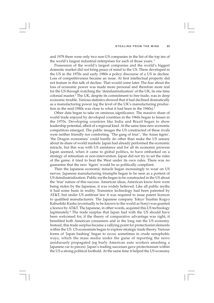#### **STEALING FROM THE MIND 63**

and 1978 there were only two non-US companies in the list of the top ten of the world's largest industrial enterprises for each of those years.<sup>1</sup>

Possession of the world's largest companies and the world's biggest domestic market did not bring peace of mind to the US. There developed in the US in the 1970s and early 1980s a policy discourse of a US in decline. Loss of competitiveness became an issue. At first intellectual property did not feature in this talk of decline. That would come later. The fear about the loss of economic power was made more personal and therefore more real for the US through watching the 'deindustrialization' of the UK, its one time colonial master.<sup>2</sup> The UK, despite its commitment to free trade, was in deep economic trouble. Various statistics showed that it had declined dramatically as a manufacturing power (eg the level of the UK's manufacturing production in the mid-1980s was close to what it had been in the 1960s).<sup>3</sup>

Other data began to take on ominous significance. The massive share of world trade enjoyed by developed countries in the 1960s began to lessen in the 1970s. Developing countries like India and Brazil began to show leadership potential, albeit of a regional kind. At the same time new economic competitors emerged. The public images the US constructed of these rivals were neither friendly nor comforting. 'The gang of four', 'the Asian tigers', 'the Dragon economies' could hardly do other than make the US uneasy about its share of world markets. Japan had already performed the economic miracle, but this was with US assistance and for all its economic prowess Japan seemed, when it came to global politics, to have embarked on a strategy of retreatism or non-intervention. Japan did not try to set the rules of the game; it tried to beat the West under its own rules. There was no guarantee that the new 'tigers' would be so politically compliant.

Then the Japanese economic miracle began increasingly to wear on US nerves. Japanese manufacturing triumphs began to be seen as a portent of US deindustrialization. Public myths began to be constructed in the US about the 'true' nature of this success. American ideas, American know-how were being stolen by the Japanese, it was widely believed. Like all public myths it had some basis in reality. Transistor technology had been patented by AT&T, but under US antitrust law it was required to issue patent licences to qualified manufacturers. The Japanese company Tokyo Tsushin Kogyo Kabushiki Kasha (eventually to be known to the world as Sony) was granted a licence by AT&T. The Japanese, in other words, acquired this US technology legitimately.4 The trade surplus that Japan had with the US should have been welcomed for, if the theory of comparative advantage was right, it benefited both American consumers and in the long run the US economy. Instead, this trade surplus became a rallying point for protectionist elements within the US. US economists began to explore strategic trade theory. Various forms of 'Japan bashing' began to occur, sometimes in crude xenophobic ways, which the mass media under the guise of reporting the news assiduously propagated (eg burly American auto workers smashing a Japanese car to pieces). Japan's trading successes gave protectionism within the US a strong political foothold. At the same time it helped the US economy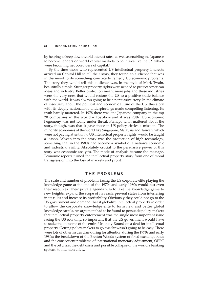by helping to keep down world interest rates, as well as enabling the Japanese to become lenders on world capital markets to countries like the US which were becoming net borrowers of capital.<sup>5</sup>

By the time those who represented US intellectual property interests arrived on Capitol Hill to tell their story, they found an audience that was in the mood to do something concrete to remedy US economic problems. The story they would tell this audience was, in the style of Mark Twain, beautifully simple. Stronger property rights were needed to protect American ideas and industry. Better protection meant more jobs and these industries were the very ones that would restore the US to a positive trade balance with the world. It was always going to be a persuasive story. In the climate of insecurity about the political and economic future of the US, this story with its deeply nationalistic underpinnings made compelling listening. Its truth hardly mattered. In 1978 there was one Japanese company in the top 20 companies in the world – Toyota – and it was 20th. US economic hegemony was not really under threat. Perhaps what mattered about the story, though, was that it gave those in US policy circles a mission. The minority economies of the world like Singapore, Malaysia and Taiwan, which were not paying attention to US intellectual property rights, would be taught a lesson. Woven into the story was the protection of high technology, something that in the 1980s had become a symbol of a nation's economic and industrial virility. Absolutely crucial to the persuasive power of this story was economic analysis. The mode of analysis became the message. Economic reports turned the intellectual property story from one of moral transgression into the loss of markets and profit.

## THE PROBLEMS

The scale and number of problems facing the US corporate elite playing the knowledge game at the end of the 1970s and early 1980s would test even their resources. Their private agenda was to take the knowledge game to new heights: expand the scope of its reach, prevent states from interfering in its rules and increase its profitability. Obviously they could not go to the US government and demand that it globalize intellectual property in order to allow the corporate knowledge elite to form new and better global knowledge cartels. An argument had to be found to persuade policy-makers that intellectual property enforcement was the single most important issue facing the US economy, so important that the US government would have to stake the outcome of the entire Uruguay Round on a deal for intellectual property. Getting policy-makers to go this far wasn't going to be easy. There were lots of other issues clamouring for attention during the 1970s and early 1980s: the breakdown of the Bretton Woods system of fixed exchange rates and the consequent problems of international monetary adjustment, OPEC and the oil crisis, the debt crisis and possible collapse of the world's banking system, to mention a few.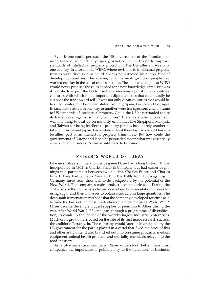#### **STEALING FROM THE MIND 65**

Even if one could persuade the US government of the foundational importance of intellectual property, what could the US do to improve standards of intellectual property protection? The US, after all, was only one country. In a forum like WIPO, where revisions to intellectual property treaties were discussed, it could always be outvoted by a large bloc of developing countries. The answer, which a small group of people had worked out, lay in the use of trade sanctions. The endless dialogue at WIPO would never produce the rules needed for a new knowledge game. But was it realistic to expect the US to use trade sanctions against other countries, countries with which it had important diplomatic ties that might easily be cut once the trade sword fell? It was not only Asian countries that would be labelled pirates, but European states like Italy, Spain, Greece and Portugal. In fact, most nations in one way or another were transgressors when it came to US standards of intellectual property. Could the US be persuaded to use its trade power against so many countries? There were other problems. It was one thing to beat up on minority economies like Singapore, Malaysia and Taiwan for being intellectual property pirates, but entirely another to take on Europe and Japan. For a while at least these last two would have to be allies, part of an intellectual property triumvirate. But how could the governments of Europe and Japan be persuaded to join what was essentially a cause of US business? A way would have to be found.

## PFIZER'S WORLD OF IDEAS

Like most players in the knowledge game Pfizer had a long history.<sup>6</sup> It was incorporated in 1942 as Charles Pfizer & Company, but had earlier beginnings in a partnership between two cousins, Charles Pfizer and Charles Erhart. They had come to New York in the 1840s from Ludwigsburg in Germany, lured from their well-to-do background by the potential of the New World. The company's main product became citric acid. During the 1920s two of the company's chemists developed a fermentation process for using sugar and then molasses to obtain citric acid in large quantities. The deep-tank fermentation methods that the company developed for citric acid became the basis of the mass production of penicillin during World War 2. Pfizer became the single biggest supplier of penicillin to Allies during the war. After World War 2, Pfizer began, through a programme of diversification, to climb up the ladder of the world's largest industrial enterprises. Much of its growth was based on the sale of its first major research success, the antibiotic Terramycin. The company would later be investigated by the US government for the part it played in a cartel that fixed the price of this and other antibiotics. It also branched out into consumer products, medical equipment, animal health products and speciality chemicals relevant to the food industry.

As a pharmaceutical company Pfizer understood better than most companies the importance of public policy to the operations of business.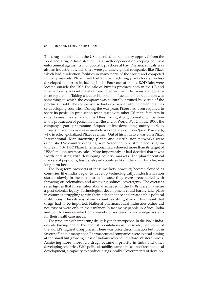The drugs that it sold in the US depended on regulatory approval from the Food and Drug Administration; its growth depended on keeping antitrust enforcement against its monopolistic practices at bay. Pharmaceuticals was also an industry in which there were genuinely global companies like Pfizer which had production facilities in many parts of the world and competed in many markets. Pfizer itself had 21 manufacturing plants located in less developed countries including India. Four out of its six R&D labs were located outside the US.<sup>7</sup> The sale of Pfizer's products both in the US and internationally was intimately linked to government decisions and government regulation. Taking a leadership role in influencing that regulation was something to which the company was culturally attuned by virtue of the products it sold. The company also had experience with the patent regimes of developing countries. During the war years Pfizer had been required to share its penicillin production techniques with other US manufacturers in order to meet the demand of the Allies. Facing strong domestic competition in the production of penicillin after the end of World War 2, in the 1950s the company began a programme of expansion into developing country markets. Pfizer's move into overseas markets was the idea of John 'Jack' Powers Jr, who in effect globalized Pfizer as a firm. Out of his initiative was born Pfizer International. Manufacturing plants and distribution networks were established 'in countries ranging from Argentina to Australia and Belgium to Brazil'.<sup>8</sup> By 1957 Pfizer International had achieved more than its target of US\$60 million overseas sales. More importantly, it had decided that it was worth persisting with developing country markets. The pharmaceutical markets of populous, less developed countries like India and China became long-term bets.

The long-term prospects of these markets, however, became clouded as countries like India began to develop technologically. Industrialization started slowly in these countries because they were preoccupied with throwing off colonialism and achieving political sovereignty. The overseas sales figures that Pfizer International achieved in the 1950s were in a sense a post-colonial legacy. Technological development could hardly take place in countries struggling to win their independence and create stable political institutions. The citizens of such countries still got sick. This meant that drugs had to be imported. National pharmaceutical industries either did not exist or were only in their infancy. In fact many people in Africa, India and South America relied on a variety of indigenous knowledge systems for their healthcare needs.

The problem with importing drugs lay in their expense. In the 1960s India, despite having one of the poorest populations in the world, had some of the world's highest drug prices. There was price discrimination but not in favour of India's many poor. Pharmaceutical companies were instead aiming at the small but growing class of Indians who could afford Western prices. Achieving more affordable drugs became a priority in India and other developing countries. With political stability came a measure of technological development, a capacity to produce drugs locally. Governments of develop-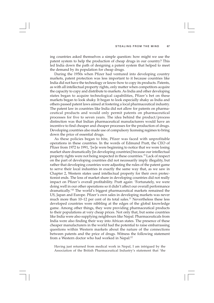## **STEALING FROM THE MIND 67**

ing countries asked themselves a simple question: how might we use the patent system to help the production of cheap drugs in our country? This led India down the path of designing a patent system that helped to meet the demand by its population for cheap drugs.

During the 1950s when Pfizer had ventured into developing country markets, patent protection was less important to it because countries like India did not have the technology or know-how to copy its products. Patents, as with all intellectual property rights, only matter when competitors acquire the capacity to copy and distribute to markets. As India and other developing states began to acquire technological capabilities, Pfizer's bet on these markets began to look shaky. It began to look especially shaky as India and others passed patent laws aimed at fostering a local pharmaceutical industry. The patent law in countries like India did not allow for patents on pharmaceutical products and would only permit patents on pharmaceutical processes for five to seven years. The idea behind the product/process distinction was that Indian pharmaceutical manufacturers would have an incentive to find cheaper and cheaper processes for the production of drugs. Developing countries also made use of compulsory licensing regimes to bring down the price of essential drugs.

As these policies began to bite, Pfizer was faced with unprofitable operations in these countries. In the words of Edmund Pratt, the CEO of Pfizer from 1972 to 1991, '[w]e were beginning to notice that we were losing market share dramatically [in developing countries] because our intellectual property rights were not being respected in these countries.' 9 Lack of respect on the part of developing countries did not necessarily imply illegality, but rather that developing countries were adjusting the rules of the patent game to serve their local industries in exactly the same way that, as we saw in Chapter 2, Western states used intellectual property for their own protectionist ends. The loss of market share in developing countries did not really impact on Pfizer's overall profitability. Pratt again: 'Fortunately, we were doing well in our other operations so it didn't affect our overall performance dramatically.' 10 The world's biggest pharmaceutical markets remained the US, Japan and Europe. Pfizer's own sales in developing markets was never much more than 10–12 per cent of its total sales.<sup>11</sup> Nevertheless these less developed countries were nibbling at the edges of the global knowledge game. Among other things, they were providing pharmaceutical products to their populations at very cheap prices. Not only that, but some countries like India were also supplying neighbours like Nepal. Pharmaceuticals from India were also finding their way into African states. The presence of these cheaper manufacturers in the world had the potential to raise embarrassing questions within Western markets about the nature of the connections between patents and the price of drugs. Witness the following statement from a Western doctor who had worked in Nepal:<sup>12</sup>

Having just returned from medical work in Nepal, I am intrigued by the Association of the British Pharmaceutical Industry's statement that 'the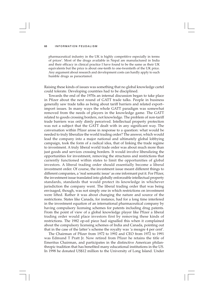pharmaceutical industry in the UK is highly competitive especially in terms of prices'. Most of the drugs available in Nepal are manufactured in India and their efficacy in clinical practice I have found to be the same as their UK equivalents but the price is about one-tenth to one-twentieth of the UK price. Any argument about research and development costs can hardly apply to such humble drugs as paracetamol.

Raising these kinds of issues was something that no global knowledge cartel could tolerate. Developing countries had to be disciplined.

Towards the end of the 1970s an internal discussion began to take place in Pfizer about the next round of GATT trade talks. People in business generally saw trade talks as being about tariff barriers and related export– import issues. In many ways the whole GATT paradigm was somewhat removed from the needs of players in the knowledge game. The GATT related to goods crossing borders, not knowledge. The problem of non-tariff trade barriers was only dimly perceived. Intellectual property protection was not a subject that the GATT dealt with in any significant way. The conversation within Pfizer arose in response to a question: what would be needed to truly liberalize the world trading order? The answer, which would lead the company into a major national and ultimately global lobbying campaign, took the form of a radical idea, that of linking the trade regime to investment. A truly liberal world trade order was about much more than just goods and services crossing borders. It would involve liberalizing the opportunities for investment, removing the structures and restrictions that currently functioned within states to limit the opportunities of global investors. A liberal trading order should essentially become a liberal investment order. Of course, the investment issue meant different things to different companies, a 'real semantic issue' as one informant put it. For Pfizer, the investment issue translated into globally enforceable intellectual property standards, standards that would protect its knowledge in whichever jurisdiction the company went. The liberal trading order that was being envisaged, though, was not simply one in which restrictions on investment were lifted. Rather it was about changing the nature and source of the restrictions. States like Canada, for instance, had for a long time interfered in the investment equation of an international pharmaceutical company by having compulsory licensing schemes for patents including drug patents. From the point of view of a global knowledge player like Pfizer a liberal trading order would place investors first by removing these kinds of restrictions. The 1982 op-ed piece had signalled this when it complained about the compulsory licensing schemes of India and Canada, pointing out that in the case of the latter's scheme the royalty was 'a meagre 4 per cent'.

The Chairman of Pfizer from 1972 to 1992 and CEO from 1972 to 1991 was Edmund T Pratt Jr. Now retired from Pfizer he retains the title of Emeritus Chairman, and participates in the distinctive American philanthropic tradition that has benefited many educational institutions in the US. In 1998 he donated US\$12 million to the University of Long Island. Under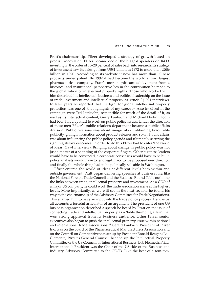#### **STEALING FROM THE MIND 69**

Pratt's chairmanship, Pfizer developed a strategy of growth based on product innovation. Pfizer became one of the biggest spenders on R&D, investing in the order of 15–20 per cent of sales back into research. Its strategy of investment saw its sales go from US\$1 billion in 1972 to more than US\$6 billion in 1990. According to its website it now has more than 60 new products under patent. By 1999 it had become the world's third largest pharmaceutical company. Pratt's more significant achievement from a historical and institutional perspective lies in the contribution he made to the globalization of intellectual property rights. Those who worked with him described his intellectual, business and political leadership on the issue of trade, investment and intellectual property as 'crucial' (1994 interview). In later years he reported that the fight for global intellectual property protection was one of 'the highlights of my career'. 13 Also involved in the campaign were Ted Littlejohn, responsible for much of the detail of it, as well as its intellectual content, Gerry Laubach and Michael Hodin. Hodin had been hired by Pratt to work on public policy issues. Under the direction of these men Pfizer's public relations department became a public affairs division. Public relations was about image, about obtaining favourable publicity, giving information about product releases and so on. Public affairs was about influencing the public policy agenda and ultimately securing the right regulatory outcomes. In order to do this Pfizer had to enter 'the world of ideas' (1994 interview). Bringing about change in public policy was not just a matter of a snapping of the corporate fingers. Other business leaders would have to be convinced, a corporate consensus would have to be built, policy analysts would have to lend legitimacy to the proposed new direction and finally the whole thing had to be politically saleable in Washington.

Pfizer entered the world of ideas at different levels both within and outside government. Pratt began delivering speeches at business fora like the National Foreign Trade Council and the Business Round Table outlining the links between trade, intellectual property and investment. As a CEO of a major US company, he could work the trade association scene at the highest levels. More importantly, as we will see in the next section, he found his way to the chairmanship of the Advisory Committee for Trade Negotiations. This enabled him to have an input into the trade policy process. He was by all accounts a forceful articulator of an argument. The president of one US business organization described a speech he heard by Pratt on the issue of connecting trade and intellectual property as a 'table thumping affair' that won strong approval from its business audience. Other Pfizer senior executives also began to push the intellectual property issue within national and international trade associations.14 Gerald Laubach, President of Pfizer Inc, was on the board of the Pharmaceutical Manufacturers Association and on the Council on Competitiveness set up by President Ronald Reagan; Lou Clemente, Pfizer's General Counsel, headed up the Intellectual Property Committee of the US Council for International Business; Bob Neimeth, Pfizer International's President was the Chair of the US side of the Business and Industry Advisory Committee to the OECD. Like the beat of a tom-tom,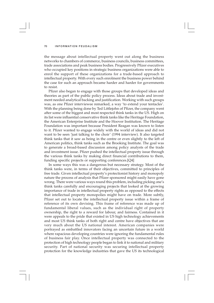the message about intellectual property went out along the business networks to chambers of commerce, business councils, business committees, trade associations and peak business bodies. Progressively Pfizer executives who occupied key positions in strategic business organizations were able to enrol the support of these organizations for a trade-based approach to intellectual property. With every such enrolment the business power behind the case for such an approach became harder and harder for governments to resist.

Pfizer also began to engage with those groups that developed ideas and theories as part of the public policy process. Ideas about trade and investment needed analytical backing and justification. Working with such groups was, as one Pfizer interviewee remarked, a way 'to extend your tentacles'. With the planning being done by Ted Littlejohn of Pfizer, the company went after some of the biggest and most respected think tanks in the US. High on its list were influential conservative think tanks like the Heritage Foundation, the American Enterprise Institute and the Hoover Institution. The Heritage Foundation was important because President Reagan was known to listen to it. Pfizer wanted to engage widely with the world of ideas and did not want to be seen 'just talking to the choir' (1994 interview). It also targeted think tanks that it saw as being in the centre or even slightly to the left of American politics, think tanks such as the Brooking Institute. The goal was to generate a broad-based discussion among policy analysts of the trade and investment issue. Pfizer pushed the intellectual property issue through the various think tanks by making direct financial contributions to them, funding specific projects or supporting conferences.[Q4]

In some ways this was a dangerous but necessary strategy. Most of the think tanks were, in terms of their objectives, committed to principles of free trade. Given intellectual property's protectionist history and monopoly nature the process of analysis that Pfizer sponsored might easily have gone wrong. There were various ways round this problem, including picking one's think tanks carefully and encouraging projects that looked at the growing importance of trade in intellectual property rights as opposed to the effects that intellectual property monopolies might have on trade. More subtly, Pfizer set out to locate the intellectual property issue within a frame of reference of its own devising. This frame of reference was made up of fundamental liberal values, such as the individual right of property ownership, the right to a reward for labour, and fairness. Contained in it were appeals to the pride that existed in US high technology achievements and most US think tanks of both right and centre have objectives that are very much about the US national interest. American companies were portrayed as embattled innovators facing an uncertain future in a world where rapacious developing countries were ignoring the fundamental rules of business fair play. Once intellectual property was connected to the protection of high technology people began to link it to national and military security. Part of national security was securing intellectual property protection for the knowledge industries that gave the US its technological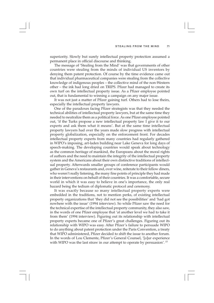superiority. Slowly but surely intellectual property protection assumed a permanent place in official discourse and thinking.

The message of 'Stealing from the Mind' was that governments of other countries were stealing from the minds of individual US inventors by denying them patent protection. Of course by the time evidence came out that individual pharmaceutical companies were stealing from the collective knowledge of indigenous peoples – the collective mind of the non-Western other – the ink had long dried on TRIPS. Pfizer had managed to create its own turf on the intellectual property issue. As a Pfizer employee pointed out, that is fundamental to winning a campaign on any major issue.

It was not just a matter of Pfizer gaining turf. Others had to lose theirs, especially the intellectual property lawyers.

One of the paradoxes facing Pfizer strategists was that they needed the technical abilities of intellectual property lawyers, but at the same time they needed to neutralize them as a political force. As one Pfizer employee pointed out, 'if the Turks propose a new intellectual property law I give it to our experts and ask them what it means'. But at the same time intellectual property lawyers had over the years made slow progress with intellectual property globalization, especially on the enforcement front. For decades intellectual property experts from many countries had regularly gathered in WIPO's imposing, art-laden building near Lake Geneva for long days of speech-making. The developing countries would speak about technology as the common heritage of mankind, the Europeans about the moral rights of authors and the need to maintain the integrity of the intellectual property system and the Americans about their own distinctive traditions of intellectual property. Afterwards smaller groups of conference participants would gather in Geneva's restaurants and, over wine, reiterate to their fellow diners, who weren't really listening, the many fine points of principle they had made in their interventions on behalf of their countries. It was a comfortable, secure world in which it was easy to believe in one's importance, the only real hazard being the tedium of diplomatic protocol and ceremony.

It was exactly because so many intellectual property experts were embedded in the traditions, not to mention perks, of existing intellectual property organizations that 'they did not see the possibilities' and 'had got nowhere with the issue' (1994 interview). So while Pfizer saw the need for the technical expertise of the intellectual property community, they also saw, in the words of one Pfizer employee that 'at another level we had to take it from them' (1994 interview). Figuring out its relationship with intellectual property experts became one of Pfizer's great challenges. Figuring out its relationship with WIPO was easy. After Pfizer's failure to persuade WIPO to do anything about patent protection under the Paris Convention, a treaty that WIPO administered, Pfizer decided to shift the issue to another forum. In the words of Lou Clemente, Pfizer's General Counsel, '[o]ur experience with WIPO was the last straw in our attempt to operate by persuasion'. <sup>15</sup>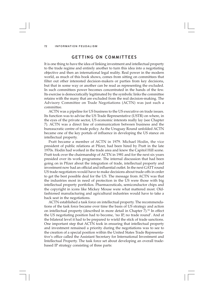## GETTING ON COMMITTEES

It is one thing to have the idea of linking investment and intellectual property to the trade regime and entirely another to turn this idea into a negotiating objective and then an international legal reality. Real power in the modern world, as much of this book shows, comes from sitting on committees that filter out other interested decision-makers or parties from key decisions, but that in some way or another can be read as representing the excluded. In such committees power becomes concentrated in the hands of the few. Its exercise is democratically legitimated by the symbolic links the committee retains with the many that are excluded from the real decision-making. The Advisory Committee on Trade Negotiations (ACTN) was just such a committee.

ACTN was a pipeline for US business to the US executive on trade issues. Its function was to advise the US Trade Representative (USTR) on where, in the eyes of the private sector, US economic interests really lay (see Chapter 7). ACTN was a direct line of communication between business and the bureaucratic centre of trade policy. As the Uruguay Round unfolded ACTN became one of the key portals of influence in developing the US stance on intellectual property.

Pratt became a member of ACTN in 1979. Michael Hodin, the vice president of public relations at Pfizer, had been hired by Pratt in the late 1970s. Hodin had worked in the trade area and knew the Capitol Hill scene. Pratt took over the chairmanship of ACTN in 1981 and for the next six years presided over its work programme. The internal discussion that had been going on in Pfizer about the integration of trade, intellectual property and investment now had an official and influential outlet. In the next GATT round US trade negotiators would have to make decisions about trade-offs in order to get the best possible deal for the US. The message from ACTN was that the industries most in need of protection in the US were those with big intellectual property portfolios. Pharmaceuticals, semiconductor chips and the copyright in icons like Mickey Mouse were what mattered most. Oldfashioned manufacturing and agricultural industries would have to take a back seat in the negotiations.

ACTN established a task force on intellectual property. The recommendations of the task force became over time the basis of US strategy and action on intellectual property (described in more detail in Chapter 7).<sup>16</sup> In effect the US negotiating position had to become, 'no IP, no trade round'. And at the bilateral level it had to be prepared to wield the stick of trade sanctions. One important step that ACTN took in ensuring that intellectual property and investment remained a priority during the negotiations was to see to the creation of a special position within the United States Trade Representative's office called the Assistant Secretary for International Investment and Intellectual Property. The task force set about developing an overall tradebased IP strategy consisting of three parts: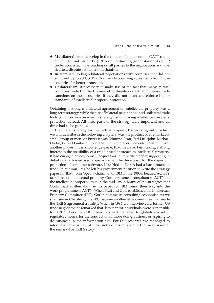#### **STEALING FROM THE MIND 73**

- **Multilateralism:** to develop in the context of the upcoming GATT round an intellectual property (IP) code containing good standards of IP protection, which was binding on all parties to the negotiations and was tied to a dispute settlement mechanism.
- **Bilateralism:** to begin bilateral negotiations with countries that did not sufficiently protect US IP with a view to obtaining agreements from those countries for better protection.
- **Unilateralism:** if necessary to make use of the fact that many 'pirate' countries traded in the US market to threaten or actually impose trade sanctions on those countries if they did not enact and enforce higher standards of intellectual property protection.

Obtaining a strong multilateral agreement on intellectual property was a long-term strategy, while the use of bilateral negotiations and unilateral trade tools could provide an interim strategy for improving intellectual property protection abroad. All three parts of the strategy were important and all three had to be pursued.

The overall strategy for intellectual property, the working out of which we will describe in the following chapters, was the product of a remarkably small group of men. At Pfizer it was Edmund Pratt, Ted Littlejohn, Michael Hodin, Gerald Laubach, Robert Neimeth and Lou Clemente. Outside Pfizer another player in the knowledge game, IBM, had also been taking a strong interest in the possibility of a trade-based approach to intellectual property. It had engaged an economist, Jacques Gorlin, to write a paper suggesting in detail how a trade-based approach might be developed for the copyright protection of computer software. Like Hodin, Gorlin had a background in trade. In autumn 1984 he left his government position to write the strategy paper for IBM. John Opel, a chairman of IBM in the 1980s, headed ACTN's task force on intellectual property. Gorlin became a consultant to ACTN on the intellectual property issue in the mid-1980s. Many of the strategies that Gorlin had written about in his paper for IBM found their way into the work programme of ACTN. When Pratt and Opel established the Intellectual Property Committee (IPC), Gorlin became its consulting economist. As we shall see in Chapter 6, the IPC became another elite committee that made the TRIPS agreement a reality. When in 1994 we interviewed a former US trade negotiator, he remarked that 'less than 50 individuals' were responsible for TRIPS. Less than 50 individuals had managed to globalize a set of regulatory norms for the conduct of all those doing business or aspiring to do business in the information age. For this research we managed to interview perhaps half of these individuals in our effort to make sense of the remarkable TRIPS story.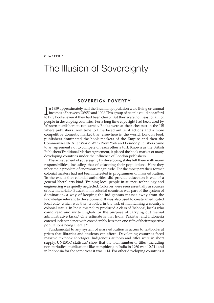## CHAPTER 5

# The Illusion of Sovereignty

## SOVEREIGN POVERTY

 $\prod_{\text{to}}$  $\Gamma$  n 1959 approximately half the Brazilian population were living on annual incomes of between US\$50 and 100.1 This group of people could not afford to buy books, even if they had been cheap. But they were not, least of all for people in developing countries. For a long time copyright had been used by Western publishers to run cartels. Books were at their cheapest in the US where publishers from time to time faced antitrust actions and a more competitive domestic market than elsewhere in the world. London book publishers dominated the book markets of the Empire and then the Commonwealth. After World War 2 New York and London publishers came to an agreement not to compete on each other's turf. Known as the British Publishers Traditional Market Agreement, it placed the book market of many developing countries under the influence of London publishers.

The achievement of sovereignty by developing states left them with many responsibilities, including that of educating their populations. Here they inherited a problem of enormous magnitude. For the most part their former colonial masters had not been interested in programmes of mass education. To the extent that colonial authorities did provide education it was of a general liberal arts kind. Training local people in science, technology and engineering was quietly neglected. Colonies were seen essentially as sources of raw materials.<sup>2</sup> Education in colonial countries was part of the system of domination, a way of keeping the indigenous masses away from the knowledge relevant to development. It was also used to create an educated local elite, which was then enrolled in the task of maintaining a country's colonial status. In India this policy produced a class of 'baboos', locals who could read and write English for the purpose of carrying out menial administrative tasks.3 One estimate is that India, Pakistan and Indonesia entered independence with considerably less than one-fifth of their respective populations being literate.4

Fundamental to any system of mass education is access to textbooks at prices that libraries and students can afford. Developing countries faced massive textbook shortages. Indigenous authors and titles were in short supply. UNESCO statistics<sup>5</sup> show that the total number of titles (including non-periodical publications like pamphlets) in India in 1960 was 10,741 and in Indonesia for the same year it was 1114. For other developing countries it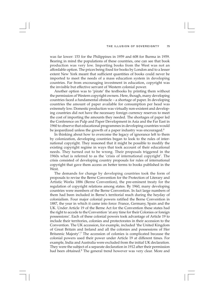#### THE ILLUSION OF SOVEREIGNTY 75

was far lower: 153 for the Philippines in 1959 and 608 for Burma in 1959. Bearing in mind the populations of these countries, one can see that book production was very low. Importing books from the West was not an affordable option. The prices being fixed for books by London and to a lesser extent New York meant that sufficient quantities of books could never be imported to meet the needs of a mass education system in developing countries. Far from encouraging investment in education, copyright was the invisible but effective servant of Western colonial power.

Another option was to 'pirate' the textbooks by printing them without the permission of Western copyright owners. Here, though, many developing countries faced a fundamental obstacle – a shortage of paper. In developing countries the amount of paper available for consumption per head was extremely low. Domestic production was virtually non-existent and developing countries did not have the necessary foreign currency reserves to meet the cost of importing the amounts they needed. The shortages of paper led the Conference on Pulp and Paper Development in Asia and the Far East in 1960 to observe that educational programmes in developing countries would be jeopardized unless the growth of a paper industry was encouraged.<sup>6</sup>

In thinking about how to overcome the legacy of ignorance left to them by colonization, developing countries began to look to the rules of international copyright. They reasoned that it might be possible to modify the existing copyright regime in ways that took account of their educational needs. They turned out to be wrong. Their proposals triggered in the 1960s what is referred to as the 'crisis of international copyright'. The crisis consisted of developing country proposals for rules of international copyright that gave them access on better terms to books published in the West.

The demands for change by developing countries took the form of proposals to revise the Berne Convention for the Protection of Literary and Artistic Works 1886 (Berne Convention), the pre-eminent treaty for the regulation of copyright relations among states. By 1960, many developing countries were members of the Berne Convention. In fact large numbers of them had been included in Berne's territorial reach during the heyday of colonialism. Four major colonial powers ratified the Berne Convention in 1887, the year in which it came into force: France, Germany, Spain and the UK. Under Article 19 of the Berne Act for the Convention these states had the right to accede to the Convention 'at any time for their Colonies or foreign possessions'. Each of these colonial powers took advantage of Article 19 to include their territories, colonies and protectorates in their accession to the Convention. The UK accession, for example, included 'the United Kingdom of Great Britain and Ireland and all the colonies and possessions of Her Britannic Majesty'.<sup>7</sup> The accession of colonies is complicated because the colonial powers used their power under Article 19 at different times. For example, India and Australia were excluded from the initial UK declaration. They were the subject of a separate declaration in 1912 after their permission had been obtained.<sup>8</sup> The general trend however was very clear. More and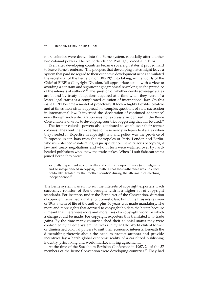more colonies were drawn into the Berne system, especially after another two colonial powers, The Netherlands and Portugal, joined it in 1914.

Even after developing countries became sovereign states it proved hard to leave Berne's embrace. The prospect that developing states might leave a system that paid no regard to their economic development needs stimulated the secretariat of the Berne Union (BIRPI)<sup>9</sup> into taking, in the words of the Chief of BIRPI's Copyright Division, 'all appropriate action with a view to avoiding a constant and significant geographical shrinking, to the prejudice of the interests of authors'. 10 The question of whether newly sovereign states are bound by treaty obligations acquired at a time when they were of a lesser legal status is a complicated question of international law. On this issue BIRPI became a model of proactivity. It took a highly flexible, creative and at times inconsistent approach to complex questions of state succession in international law. It invented the 'declaration of continued adherence' even though such a declaration was not expressly recognized in the Berne Convention and wrote to developing countries suggesting that this be used.<sup>11</sup>

The former colonial powers also continued to watch over their former colonies. They lent their expertise to these newly independent states when they needed it. Expertise in copyright law and policy was the province of Europeans in top hats from the metropoles of Paris, London and Berlin, who were steeped in natural rights jurisprudence, the intricacies of copyright law and treaty negotiations and who in turn were watched over by hardheaded publishers who knew the trade stakes. When 11 sub-Saharan states joined Berne they were:

so totally dependent economically and culturally upon France (and Belgium) and so inexperienced in copyright matters that their adherence was, in effect, politically dictated by the 'mother country' during the aftermath of reaching independence.<sup>12</sup>

The Berne system was run to suit the interests of copyright exporters. Each successive revision of Berne brought with it a higher set of copyright standards. For instance, under the Berne Act of the Convention, duration of copyright remained a matter of domestic law, but in the Brussels revision of 1948 a term of life of the author plus 50 years was made mandatory. The more and more rights that accrued to copyright holders the better, because it meant that there were more and more uses of a copyright work for which a charge could be made. For copyright exporters this translated into trade gains. By the time many countries shed their colonial status they were confronted by a Berne system that was run by an Old World club of former or diminished colonial powers to suit their economic interests. Beneath the dissembling rhetoric about the need to protect authors and provide incentives lay a harsh global economic reality of a cartelized publishing industry, price fixing and world market sharing agreements.

At the time of the Stockholm Revision Conference in 1967, 24 of the 57 members of the Berne Convention were developing countries.13 They had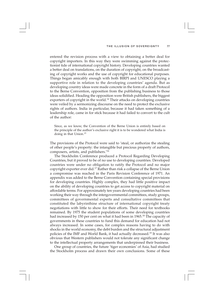#### **THE ILLUSION OF SOVEREIGNTY 77**

entered the revision process with a view to obtaining a better deal for copyright importers. In this way they were swimming against the protectionist tide of international copyright history. Developing countries wanted a better deal on translations, on the duration of copyright, on the broadcasting of copyright works and the use of copyright for educational purposes. Things began amicably enough with both BIRPI and UNESCO playing a supportive role in relation to the developing countries' agenda. But as developing country ideas were made concrete in the form of a draft Protocol to the Berne Convention, opposition from the publishing business to those ideas solidified. Heading the opposition were British publishers, the biggest exporters of copyright in the world.<sup>14</sup> Their attacks on developing countries were veiled by a sermonizing discourse on the need to protect the exclusive rights of authors. India in particular, because it had taken something of a leadership role, came in for stick because it had failed to convert to the cult of the author:

Since, as we know, the Convention of the Berne Union is entirely based on the principle of the author's exclusive right it is to be wondered what India is doing in that Union.15

The provisions of the Protocol were said to 'steal, or authorize the stealing of other people's property: the intangible but precious property of authors, composers, artists, and publishers.' 16

The Stockholm Conference produced a Protocol Regarding Developing Countries, but it proved to be of no use to developing countries. Developed countries were under no obligation to ratify the Protocol and no major copyright exporter ever did.17 Rather than risk a collapse of the Berne Union a compromise was reached in the Paris Revision Conference of 1971. An appendix was added to the Berne Convention containing special provisions for developing countries. Highly complex, they had little positive impact on the ability of developing countries to get access to copyright material on affordable terms. For approximately ten years developing countries had been working their way through the intergovernmental committees, study groups, committees of governmental experts and consultative committees that constituted the labyrinthine structure of international copyright treaty negotiations with little to show for their efforts. Their need for textbooks remained. By 1975 the student populations of some developing countries had increased by 150 per cent on what it had been in 1965.<sup>18</sup> The capacity of governments in these countries to fund this demand for education had not always increased. In some cases, for complex reasons having to do with shocks in the world economy, the debt burden and the structural adjustment policies of the IMF and World Bank, it had actually decreased.19 It was also obvious that Western publishers would not tolerate any significant change to the intellectual property arrangements that underpinned their business.

One group of countries, the future 'tiger economies' of Asia, had studied the Stockholm process and drawn their own conclusions. Some of these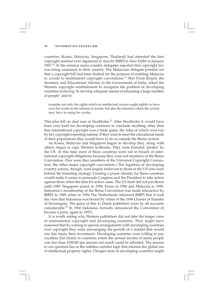countries (Korea, Malaysia, Singapore, Thailand) had attended the first copyright seminar ever organized in Asia by BIRPI in New Delhi in January 1967.<sup>20</sup> At the seminar many country delegates reported that copyright law was being examined in their country. The Malaysian delegate pointed out that a copyright bill had been drafted for the purpose of enabling Malaysia to accede to multilateral copyright conventions.<sup>21</sup> Shri Prem Kirpal, the Secretary and Educational Adviser to the Government of India, asked the Western copyright establishment to recognize the problem of developing countries in having 'to develop adequate means of educating a large number of people' and to:

consider not only the rights which an intellectual creator ought rightly to have over his works in the interest of society but also the interests which the society may have in using his works.

This plea fell on deaf ears at Stockholm.<sup>22</sup> After Stockholm it would have been very hard for developing countries to conclude anything other than that international copyright was a trade game, the rules of which were run by key copyright exporting nations. If they were to meet the educational needs of their populations they would have to do so outside the Berne system.

As Korea, Malaysia and Singapore began to develop they, along with others, began to copy Western textbooks. They were branded 'pirates' by the US. At this time most of these countries were not in breach of international copyright obligations because they were not members of the Berne Convention. (Nor were they members of the Universal Copyright Convention, the other major copyright convention.) The legalities of developing country actions, though, were largely irrelevant to those in the US who were behind the branding strategy. Creating a pirate identity for these countries would make it easier to persuade Congress and the President to take action against them when the time for action came. The US itself did not join Berne until 1989. Singapore joined in 1998, Korea in 1996 and Malaysia in 1990. Indonesia's membership of the Berne Convention was made retroactive by BIRPI to 1949 when in 1956 The Netherlands informed BIRPI that it took the view that Indonesia was bound by virtue of the 1949 Charter of Transfer of Sovereignty. The gains of this to Dutch publishers were by all accounts considerable.<sup>23</sup> In 1960 Indonesia formally denounced the Convention (it became a party again in 1997).

It is worth asking why Western publishers did not take the longer view of international copyright and developing countries. They might have reasoned that by coming to special arrangements with developing countries over copyright they were encouraging the growth of a market that would one day repay their investment. Developing countries were willing to pay royalties, but clearly in countries where the annual income of many people was less than US\$100 per annum not much could be afforded. The answer to our question lies in the ruthless cartelist logic that informs the global use of intellectual property rights. Cheaper texts in developing countries might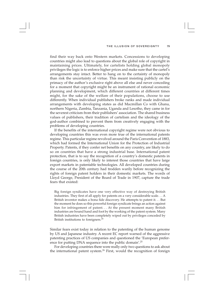#### THE ILLUSION OF SOVEREIGNTY 79

find their way back onto Western markets. Concessions to developing countries might also lead to questions about the global role of copyright in maintaining prices. Ultimately, for cartelists holding global monopoly privileges the logic is to enforce higher prices and make sure that the cartel's arrangements stay intact. Better to hang on to the certainty of monopoly than risk the uncertainty of virtue. This meant insisting publicly on the primacy of the author's exclusive right above all else and never conceding for a moment that copyright might be an instrument of rational economic planning and development, which different countries at different times might, for the sake of the welfare of their populations, choose to use differently. When individual publishers broke ranks and made individual arrangements with developing states as did Macmillan Co with Ghana, northern Nigeria, Zambia, Tanzania, Uganda and Lesotho, they came in for the severest criticism from their publishers' association. The shared business values of publishers, their tradition of cartelism and the ideology of the god-author combined to prevent them from creatively engaging with the problems of developing countries.

If the benefits of the international copyright regime were not obvious to developing countries this was even more true of the international patents regime. This particular regime revolved around the Paris Convention of 1883, which had formed the International Union for the Protection of Industrial Property. Patents, if they confer net benefits on any country, are likely to do so on countries that have a strong industrial base. International patent protection, that is to say the recognition of a country's domestic patents in foreign countries, is only likely to interest those countries that have large export markets in patentable technologies. All developed countries during the course of the 20th century had trodden warily before recognizing the rights of foreign patent holders in their domestic markets. The words of Lloyd George, President of the Board of Trade in 1907, capture the trade fears that existed:

Big foreign syndicates have one very effective way of destroying British industries. They first of all apply for patents on a very considerable scale. . . A British inventor makes a bona fide discovery. He attempts to patent it. . . But the moment he does so this powerful foreign syndicate brings an action against him for infringement of patent... At the present moment many British industries are bound hand and foot by the working of the patent system. Many British industries have been completely wiped out by privileges conceded by British institutions to foreigners.<sup>24</sup>

Similar fears exist today in relation to the patenting of the human genome by US and Japanese industry. A recent EC report warned of the aggressive patenting practices of US companies and questioned the 'European preference for putting DNA sequence into the public domain'. 25

For developing countries there were really only two questions to ask about the international patent system.26 First, would the recognition of foreign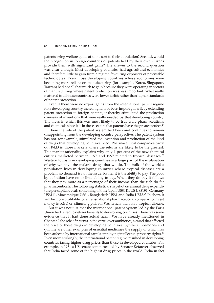patents bring welfare gains of some sort to their population? Second, would the recognition in foreign countries of patents held by their own citizens provide them with significant gains? The answer to the second question was clear enough. Most developing countries had agricultural economies and therefore little to gain from a regime favouring exporters of patentable technologies. Even those developing countries whose economies were becoming more reliant on manufacturing (for example, Korea, Singapore, Taiwan) had not all that much to gain because they were operating in sectors of manufacturing where patent protection was less important. What really mattered to all these countries were lower tariffs rather than higher standards of patent protection.

Even if there were no export gains from the international patent regime for a developing country there might have been import gains if, by extending patent protection to foreign patents, it thereby stimulated the production overseas of inventions that were really needed by that developing country. The areas in which this was most likely to be true were pharmaceuticals and chemicals since it is in these sectors that patents have the greatest effect.<sup>27</sup> But here the role of the patent system had been and continues to remain disappointing from the developing country perspective. The patent system has not, for example, stimulated the invention and production of the kind of drugs that developing countries need. Pharmaceutical companies carry out R&D in those markets where the returns are likely to be the greatest. This market rationality explains why only 1 per cent of the new chemical entities marketed between 1975 and 1997 related to tropical diseases.<sup>28</sup> Western tourism in developing countries is a large part of the explanation of why we have the malaria drugs that we do. The bulk of the world's population lives in developing countries where tropical diseases are a problem, so demand is not the issue. Rather it is the ability to pay. The poor by definition have no or little ability to pay. When they do pay it follows that they pay more as a percentage of their income than the rich do for pharmaceuticals. The following statistical snapshot on annual drug expenditure per capita reveals something of this: Japan US\$411, US US\$191, Germany US\$111, Mozambique US\$1, Bangladesh US\$1 and India US\$3.29 In short, it will be more profitable for a transnational pharmaceutical company to invest money in R&D on slimming pills for Westerners than on a tropical disease.

But it was not just that the international patent system led by the Paris Union had failed to deliver benefits to developing countries. There was some evidence that it had done actual harm. We have already mentioned in Chapter 2 the role of patents in the cartel over antibiotics, a cartel that affected the price of these drugs in developing countries. Synthetic hormones and quinine are other examples of essential medicines the supply of which has been affected by international cartels employing intellectual property rights.<sup>30</sup> Even more strikingly, the international patent regime resulted in developing countries facing higher drug prices than those in developed countries. For example, in 1961 a US senate committee led by Senator Kefauver observed that India faced some of the highest drug prices in the world. India in fact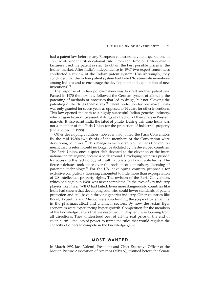## THE ILLUSION OF SOVEREIGNTY 81

had a patent law before many European countries, having acquired one in 1856 while under British colonial rule. From that time on British manufacturers used the patent system to obtain the best possible prices in the Indian market. After India's independence in 1947 two expert committees conducted a review of the Indian patent system. Unsurprisingly, they concluded that the Indian patent system had failed 'to stimulate inventions among Indians and to encourage the development and exploitation of new inventions'. 31

The response of Indian policy-makers was to draft another patent law. Passed in 1970 the new law followed the German system of allowing the patenting of methods or processes that led to drugs, but not allowing the patenting of the drugs themselves.32 Patent protection for pharmaceuticals was only granted for seven years as opposed to 14 years for other inventions. This law opened the path to a highly successful Indian generics industry, which began to produce essential drugs at a fraction of their price in Western markets. It also earnt India the label of pirate. During this time India was not a member of the Paris Union for the protection of industrial property (India joined in 1998).

Other developing countries, however, had joined the Paris Convention. By the mid-1980s two-thirds of the members of the Convention were developing countries. 33 This change in membership of the Paris Convention meant that its reform could no longer be dictated by the developed countries. The Paris Union, once a quiet club devoted to the elevation of the international patent regime, became a battleground. Developing countries pushed for access to the technology of multinationals on favourable terms. The fiercest debates took place over the revision of compulsory licensing of patented technology.<sup>34</sup> For the US, developing country proposals for exclusive compulsory licensing amounted to little more than expropriation of US intellectual property rights. The revision of the Paris Convention, which had begun in 1980, was never completed. In the eyes of key industry players like Pfizer, WIPO had failed. Even more dangerously, countries like India had shown that developing countries could lower standards of patent protection and still have a thriving generics industry. Other countries like Brazil, Argentina and Mexico were also limiting the scope of patentability in the pharmaceutical and chemical sectors. By now the Asian tiger economies were experiencing hyper-growth. Competition for the members of the knowledge cartels that we described in Chapter 3 was looming from all directions. They understood best of all the real price of the end of colonialism – the loss of power to frame the rules that would regulate the capacity of others to compete in the knowledge game.

## MOST WANTED

In March 1992 Jack Valenti, President and Chief Executive Officer of the Motion Picture Association of America (MPAA), testified before the Senate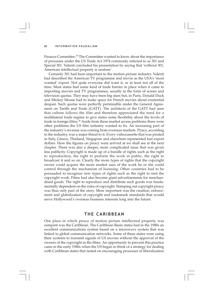Finance Committee.35 The Committee wanted to know about the importance of processes under the US Trade Act 1974 commonly referred to as 301 and Special 301. Valenti concluded his presentation by saying that 'without 301, American intellectual property is undone'.

Certainly 301 had been important to the motion picture industry. Valenti had described the American TV programme and movie as the USA's 'most wanted' export. Not quite everyone did want it, or at least not all of the time. Most states had some kind of trade barrier in place when it came to importing movies and TV programmes, usually in the form of screen and television quotas. They may have been big stars but, in Paris, Donald Duck and Mickey Mouse had to make space for French movies about existential despair. Such quotas were perfectly permissible under the General Agreement on Tariffs and Trade (GATT). The architects of the GATT had seen that culture follows the film and therefore appreciated the need for a multilateral trade regime to give states some flexibility about the levels of trade in foreign films.<sup>36</sup> Aside from these market access problems there were other problems the US film industry wanted to fix. An increasing part of the industry's revenue was coming from overseas markets. Piracy, according to the industry, was a major threat to it. Every videocassette that was pirated in Italy, Greece, Thailand, Singapore and elsewhere represented lost export dollars. How the figures on piracy were arrived at we shall see in the next chapter. There was also a deeper, more complicated issue that was given less publicity. Copyright is made up of a bundle of rights such as the right to reproduction, the right to perform the work in public, the right to broadcast it and so on. Clearly the more types of rights that the copyright owner could acquire the more market uses of the work he or she could control through the mechanism of licensing. Other countries had to be persuaded to recognize new types of rights such as the right to rent the copyright work. Films had also become giant advertisements for merchandised goods. The right to reproduce and distribute such goods was fundamentally dependent on the rules of copyright. Stamping out copyright piracy was thus only part of the story. More important was the creation, enforcement and globalization of copyright and trademark standards that would serve Hollywood's overseas business interests long into the future.

## THE CARIBBEAN

One place in which piracy of motion picture intellectual property was rampant was the Caribbean. The Caribbean Basin states had in the 1980s an excellent communications system based on a microwave system that was linked to global communication networks. Some of these states were using their systems to transmit signals of US movies without the approval of the owners of the copyright in the films. An opportunity to prevent this practice came in the early 1980s when the US began to think of a strategy for dealing with Caribbean states that rested on encouraging processes of liberalization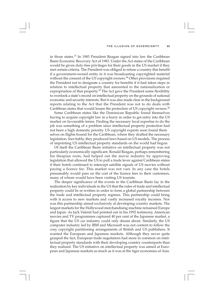## THE ILLUSION OF SOVEREIGNTY 83

in those states.37 In 1983 President Reagan signed into law the Caribbean Basin Economic Recovery Act of 1983. Under the Act states of the Caribbean would be given duty-free privileges for their goods in the US market if they met certain criteria. The President was obliged to refuse a country this benefit if a government-owned entity in it was broadcasting copyrighted material without the consent of the US copyright owners.<sup>38</sup> Other provisions required the President not to designate a country for benefits if it had taken steps in relation to intellectual property that amounted to the nationalization or expropriation of that property.<sup>39</sup> The Act gave the President some flexibility to overlook a state's record on intellectual property on the grounds of national economic and security interests. But it was also made clear in the background reports relating to the Act that the President was not to do deals with Caribbean states that would lessen the protection of US copyright owners.<sup>40</sup>

Some Caribbean states like the Dominican Republic found themselves having to acquire copyright law in a hurry in order to get entry into the US market on favourable terms. Finding the necessary local expertise to do the job was something of a problem since intellectual property protection had not been a high domestic priority. US copyright experts soon found them selves on flights bound for the Caribbean, where they drafted the necessary legislation. Inevitably, they produced laws based on US models. The process of imprinting US intellectual property standards on the world had begun.

Of itself the Caribbean Basin initiative on intellectual property was not particularly economically significant. Ronald Reagan, perhaps remembering his thespian roots, had helped out the movie industry by approving legislation that allowed the US to pull a trade lever against Caribbean states if their hotels continued to intercept satellite signals of US movies without paying a licence fee. This market was not vast. In any case the hotels presumably would pass on the cost of the licence fees to their customers, many of whom would have been visiting US tourists.

The deeper significance of the events in the Caribbean Basin lay in the realization by key individuals in the US that the rules of trade and intellectual property could be re-written in order to form a global partnership between the trade and intellectual property regimes. This partnership could bring with it access to new markets and vastly increased royalty incomes. Nor was this partnership aimed exclusively at developing country markets. The largest markets for the Hollywood merchandising machine remained Europe and Japan. As Jack Valenti had pointed out in his 1992 testimony, American movies and TV programmes captured 40 per cent of the Japanese market, a figure that the US car industry could only dream about. Similarly, the US computer industry led by IBM and Microsoft was not content to follow the cosy copyright partitioning arrangements of British and US publishers. It wanted the European and Japanese markets. Although they never quite grasped the fact, European trade negotiators had more in common on intellectual property standards with their developing country counterparts than they realized. The US initiative on intellectual property was aimed at European and Japanese markets as much as it was at the tiger economies of Asia.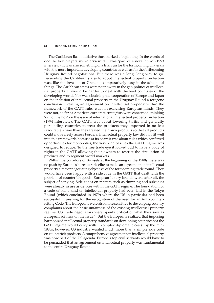The Caribbean Basin initiative thus marked a beginning. In the words of one the key players we interviewed it was 'part of a new fabric' (1993 interview). It was also something of a trial run for the forthcoming bilaterals with the more important developing countries as well as for the forthcoming Uruguay Round negotiations. But there was a long, long way to go. Persuading the Caribbean states to adopt intellectual property protection was, like the invasion of Grenada, comparatively easy in the scheme of things. The Caribbean states were not powers in the geo-politics of intellectual property. It would be harder to deal with the lead countries of the developing world. Nor was obtaining the cooperation of Europe and Japan on the inclusion of intellectual property in the Uruguay Round a foregone conclusion. Creating an agreement on intellectual property within the framework of the GATT rules was not exercising European minds. They were not, so far as American corporate strategists were concerned, thinking 'out of the box' on the issue of international intellectual property protection (1994 interview). The GATT was about lowering tariffs and generally persuading countries to treat the products they imported in no less favourable a way than they treated their own products so that all products could move freely across borders. Intellectual property law did not fit well into this framework, because at its heart it was about rules which conferred opportunities for monopolies, the very kind of rules the GATT regime was designed to reduce. To the free trade eye it looked odd to have a body of rights in the GATT allowing their owners to restrict the circulation of products and to segment world markets.

Within the corridors of Brussels at the beginning of the 1980s there was no push by Europe's bureaucratic elite to make an agreement on intellectual property a major negotiating objective of the forthcoming trade round. They would have been happy with a side code in the GATT that dealt with the problem of counterfeit goods. European luxury brands were, after all, the subject of copying. Side codes on matters such as dumping and subsidies were already in use as devices within the GATT regime. The foundation for a code of some kind on intellectual property had been laid in the Tokyo Round (which concluded in 1979) where the US in particular had been successful in pushing for the recognition of the need for an Anti-Counterfeiting Code. The Europeans were also more sensitive to developing country complaints about the basic unfairness of the existing intellectual property regime. US trade negotiators were openly critical of what they saw as European softness on the issue.41 But the Europeans realized that imposing harmonized intellectual property standards on developing countries via the GATT regime would carry with it complex diplomatic costs. By the mid-1980s, however, US industry wanted much more than a simple side code on counterfeit products. A comprehensive agreement on intellectual property was now part of the US agenda. Europe's top civil servants would have to be persuaded that an agreement on intellectual property was fundamental to the entire Uruguay Round.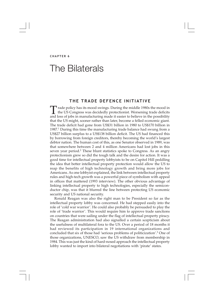## CHAPTER 6

# The Bilaterals

# THE TRADE DEFENCE INITIATIVE

Trade policy has its mood swings. During the middle 1980s the mood in the US Congress was decidedly protectionist. Worsening trade deficits and loss of jobs in manufacturing made it easier to believe in the possibility that the US might, sooner rather than later, become a felled economic giant. The trade deficit had gone from US\$31 billion in 1980 to US\$170 billion in 1987.<sup>1</sup> During this time the manufacturing trade balance had swung from a US\$27 billion surplus to a US\$138 billion deficit. The US had financed this by borrowing from foreign creditors, thereby becoming the world's largest debtor nation. The human cost of this, as one Senator observed in 1989, was that somewhere between 2 and 4 million Americans had lost jobs in this seven year period.<sup>2</sup> These blunt statistics spoke to Congress. As an angry protectionism grew so did the tough talk and the desire for action. It was a good time for intellectual property lobbyists to be on Capitol Hill peddling the idea that better intellectual property protection would allow the US to reap the benefits of high technology growth and bring more jobs for Americans. As one lobbyist explained, the link between intellectual property rules and high-tech growth was a powerful piece of symbolism with appeal in offices that mattered (1993 interview). The other obvious advantage of linking intellectual property to high technologies, especially the semiconductor chip, was that it blurred the line between protecting US economic security and US national security.

Ronald Reagan was also the right man to be President so far as the intellectual property lobby was concerned. He had stepped easily into the role of 'cold war warrior'. He could also probably be persuaded to play the role of 'trade warrior'. This would require him to approve trade sanctions on countries that were sailing under the flag of intellectual property piracy. The Reagan administration had also signalled a certain scepticism about the usefulness of multilateral fora to the US. Over a period of 18 months it had reviewed its participation in 19 international organizations and concluded that six of those had 'serious problems of politicization'. 3 One of those organizations, UNESCO, saw the US withdraw from membership in 1984. This was just the kind of hard-nosed approach the intellectual property lobby wanted to import into bilateral negotiations with 'pirate' states.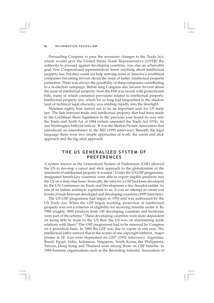Persuading Congress to pass the necessary changes to the Trade Act, which would give the United States Trade Representative (USTR) the authority to proceed against developing countries, was also an achievable goal. Few Congressional representatives knew anything about intellectual property law, but they could not help noticing some of America's wealthiest companies becoming fervent about the issue of better intellectual property protection. There was always the possibility of these companies contributing to a re-election campaign. Before long Congress also became fervent about the issue of intellectual property. Soon the Hill was awash with protectionist bills, many of which contained provisions related to intellectual property. Intellectual property law, which for so long had languished in the shadow land of technical legal obscurity, was striding rapidly into the limelight.

Nineteen eighty four turned out to be an important year for US trade law. The link between trade and intellectual property that had been made in the Caribbean Basin legislation in the previous year found its way into the Trade and Tariff Act of 1984 (which amended the Trade Act 1974). As one Washington lobbyist told us: 'It was the Motion Picture Association that introduced an amendment to the Bill' (1993 interview). Beneath the legal language there were two simple approaches at work: the carrot and stick approach and the big stick approach.

# THE US GENERALIZED SYSTEM OF **PREFERENCES**

A system known as the Generalized System of Preferences (GSP) allowed the US to develop a carrot and stick approach to the globalization of the standards of intellectual property it wanted.<sup>4</sup> Under the US GSP programme, designated beneficiary countries were able to export eligible products into the US on a duty-free basis. Ironically, the idea for a GSP had been developed by the UN Conference on Trade and Development a few decades earlier. As one of its Indian architects explained to us, it was an attempt to create real bonds of trade between developed and developing countries (1995 interview).

The US GSP programme had begun in 1976 and was authorized by the US Trade Act. When the GSP began working, protection of intellectual property was not a criterion of eligibility for receiving benefits under it. By 1984 roughly 3000 products from 140 developing countries and territories were part of the scheme.<sup>5</sup> These developing countries were more dependent on being able to trade in the US than the US was on maintaining trade relations with them.<sup>6</sup> The GSP programme had to be renewed by Congress on a periodical basis. In 1984 the GSP was due to expire in one year. The intellectual lobby noticed that in the words of one copyright lobbyist, 'major pirates in SE Asia were dependent on GSP' (1993 interview): Argentina, Brazil, Egypt, India, Indonesia, Singapore, South Korea, the Philippines, Taiwan, Hong Kong and Thailand were among those on GSP benefits. In 1984 business organizations such as the Recording Industry Association of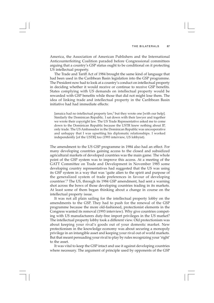## **THE BILATERALS** 87

America, the Association of American Publishers and the International Anticounterfeiting Coalition paraded before Congressional committees arguing that a country's GSP status ought to be conditional on it protecting US intellectual property.

The Trade and Tariff Act of 1984 brought the same kind of language that had been used in the Caribbean Basin legislation into the GSP programme. The President now had to look at a country's conduct on intellectual property in deciding whether it would receive or continue to receive GSP benefits. States complying with US demands on intellectual property would be rewarded with GSP benefits while those that did not might lose them. The idea of linking trade and intellectual property in the Caribbean Basin initiative had had immediate effects:

Jamaica had no intellectual property law,<sup>7</sup> but they wrote one [with our help]. Similarly the Dominican Republic. I sat down with their lawyer and together we wrote their copyright law. The US Trade Representative asked me to come down to the Dominican Republic because the USTR knew nothing about IP, only trade. The US Ambassador in the Dominican Republic was uncooperative and unhappy that I was upsetting his diplomatic relationships. I worked independently [of the USTR] too (1993 interview, US lobbyist).

The amendment to the US GSP programme in 1984 also had an effect. For many developing countries gaining access to the closed and subsidized agricultural markets of developed countries was the main game. The whole point of the GSP system was to improve this access. At a meeting of the GATT Committee on Trade and Development in November 1985 some developing country representatives had suggested that the US was using its GSP system in a way that was 'quite alien to the spirit and purpose of the generalized system of trade preferences in favour of developing countries'. 8 The US, through its 1984 GSP amendment, had sent a warning shot across the bows of those developing countries trading in its markets. At least some of them began thinking about a change in course on the intellectual property issue.

It was not all plain sailing for the intellectual property lobby on the amendments to the GSP. They had to push for the renewal of the GSP programme because the more old-fashioned, protectionist elements in the Congress wanted its removal (1993 interview). Why give countries competing with US manufacturers duty-free import privileges in the US market? The intellectual property lobby took a different view. Old protectionism was about keeping your rival's goods out of your domestic market. New protectionism in the knowledge economy was about securing a monopoly privilege in an intangible asset and keeping your rival out of world markets. But that meant persuading your rival to play by rules recognizing your 'right' to the asset.

It was vital to keep the GSP intact and use it against developing countries where necessary. The argument of principle used by opponents of the GSP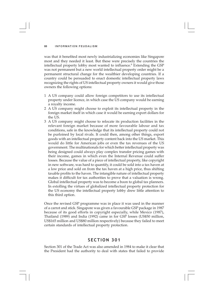was that it benefited most newly industrializing economies like Singapore most and they needed it least. But these were precisely the countries the intellectual property lobby most wanted to influence.<sup>9</sup> Extending the GSP was not permanent but a new world intellectual property order might be a permanent structural change for the wealthier developing countries. If a country could be persuaded to enact domestic intellectual property laws recognizing the rights of US intellectual property owners it would give those owners the following options:

- 1 A US company could allow foreign competitors to use its intellectual property under licence, in which case the US company would be earning a royalty income.
- 2 A US company might choose to exploit its intellectual property in the foreign market itself in which case it would be earning export dollars for the US.
- 3 A US company might choose to relocate its production facilities in the relevant foreign market because of more favourable labour and tax conditions, safe in the knowledge that its intellectual property could not be purloined by local rivals. It could then, among other things, export goods with an intellectual property content back into the US market. This would do little for American jobs or even the tax revenues of the US government. The multinationals for which better intellectual property was being designed could always play complex transfer pricing games with their income, games in which even the Internal Revenue could suffer losses. Because the value of a piece of intellectual property, like copyright in new software, was hard to quantify, it could be sold into a tax haven at a low price and sold on from the tax haven at a high price, thus shifting taxable profits to the haven. The intangible nature of intellectual property makes it difficult for tax authorities to prove that a valuation is wrong. Global intellectual property was to become a boon to global tax planners. In extolling the virtues of globalized intellectual property protection for the US economy the intellectual property lobby drew little attention to this third option.

Once the revised GSP programme was in place it was used in the manner of a carrot and stick. Singapore was given a favourable GSP package in 1987 because of its good efforts in copyright especially, while Mexico (1987), Thailand (1989) and India (1992) came in for GSP losses (US\$50 million, US\$165 million and US\$80 million respectively) because they failed to meet certain standards of intellectual property protection.

## **SECTION 301**

Section 301 of the Trade Act was also amended in 1984 to make it clear that the President had the authority to deal with states that failed to provide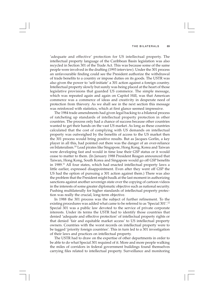## THE BILATERALS 89

'adequate and effective' protection for US intellectual property. The intellectual property language of the Caribbean Basin legislation was also recycled in Section 301 of the Trade Act. This was because some of the same people were involved in the drafting (1993 interview). Under the 301 process an unfavourable finding could see the President authorize the withdrawal of trade benefits to a country or impose duties on its goods. The USTR was also given the power to 'self-initiate' a 301 action against a foreign country. Intellectual property slowly but surely was being placed at the heart of those legislative provisions that guarded US commerce. The simple message, which was repeated again and again on Capitol Hill, was that American commerce was a commerce of ideas and creativity in desperate need of protection from thievery. As we shall see in the next section this message was reinforced with statistics, which at first glance seemed impressive.

The 1984 trade amendments had given legal backing to a bilateral process of ratcheting up standards of intellectual property protection in other countries. The process only had a chance of success because other countries wanted to get their hands on the vast US market. As long as these countries calculated that the cost of complying with US demands on intellectual property was outweighed by the benefits of access to the US market then the 301 process would bring positive results. But as Jacques Gorlin, a key player in all this, had pointed out there was the danger of an over-reliance on bilateralism.10 Lead pirates like Singapore, Hong Kong, Korea and Taiwan were developing fast and would in time lose their GSP status or it would cease to matter to them. (In January 1988 President Reagan announced that Taiwan, Hong Kong, South Korea and Singapore would go off GSP benefits in 1989.<sup>11</sup> All four states, which had enacted intellectual property laws a little earlier, expressed disappointment. Even after they went off GSP the US had the option of pursuing a 301 action against them.) There was also the problem that the President might baulk at the last moment in authorizing sanctions against another sovereign state over the copying of cartoon videos in the interests of some greater diplomatic objective such as national security. Pushing multilaterally for higher standards of intellectual property protection was really the crucial, long-term objective.

In 1988 the 301 process was the subject of further refinement. To the existing procedures was added what came to be referred to as 'Special 301'. 12 Special 301 was a public law devoted to the service of private corporate interests. Under its terms the USTR had to identify those countries that denied 'adequate and effective protection' of intellectual property rights or that denied 'fair and equitable market access' to US intellectual property owners. Countries with the worst records on intellectual property were to be tagged 'priority foreign countries'. This in turn led to a 301 investigation of their laws and practices on intellectual property.

The USTR had to draw on the expertise of other departments in order to be able to do what Special 301 required of it. More and more people walking the miles of corridors in federal government buildings found themselves carrying files related to intellectual property. Surveillance and monitoring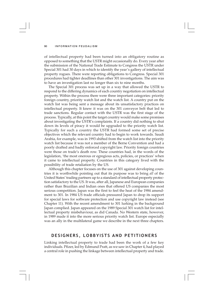of intellectual property had been turned into an obligatory routine as opposed to something that the USTR might occasionally do. Every year after the submission of the National Trade Estimate to Congress the USTR under Special 301 had 30 days in which to identify the year's gallery of intellectual property rogues. There were reporting obligations to Congress. Special 301 procedures had tighter deadlines than other 301 investigations. The aim was to have an investigation last no longer than six to nine months.

The Special 301 process was set up in a way that allowed the USTR to respond to the differing dynamics of each country negotiation on intellectual property. Within the process there were three important categories: priority foreign country, priority watch list and the watch list. A country put on the watch list was being sent a message about its unsatisfactory practices on intellectual property. It knew it was on the 301 conveyor belt that led to trade sanctions. Regular contact with the USTR was the first stage of the process. Typically, at this point the target country would make some promises about investigating the USTR's complaints. If a country did nothing to shut down its levels of piracy it would be upgraded to the priority watch list. Typically for such a country the USTR had formed some set of precise objectives which the relevant country had to begin to work towards. Saudi Arabia, for example, was in 1993 shifted from the watch list into the priority watch list because it was not a member of the Berne Convention and had a poorly drafted and badly enforced copyright law. Priority foreign countries were those on trade's death row. These countries had, in the words of the legislation, 'the most onerous or egregious acts, policies, or practices' when it came to intellectual property. Countries in this category lived with the possibility of trade retaliation by the US.

Although this chapter focuses on the use of 301 against developing countries it is worthwhile pointing out that its purpose was to bring *all* of the United States' trading partners up to a standard of intellectual property protection satisfactory to the US. It was, after all, Japanese and European companies rather than Brazilian and Indian ones that offered US companies the most serious competition. Japan was the first to feel the heat of the 1984 amendment to 301. In 1984 US trade officials pressured Japan to drop its support for special laws for software protection and use copyright law instead (see Chapter 11). With the recent amendment to 301 lurking in the background Japan complied. Japan appeared on the 1989 Special 301 watch list for intellectual property misbehaviour, as did Canada. No Western state, however, in 1989 made it into the more serious priority watch list. Europe especially was an ally in the multilateral game we describe in the next three chapters.

## DESIGNERS, LOBBYISTS AND PETITIONERS

Linking intellectual property to trade had been the work of a few key individuals. Pfizer, led by Edmund Pratt, as we saw in Chapter 4, had played a central role in pushing the linkage between intellectual property and trade.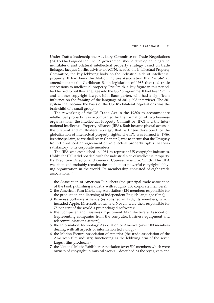#### **THE BILATERALS** 91

Under Pratt's leadership the Advisory Committee on Trade Negotiations (ACTN) had argued that the US government should develop an integrated multilateral and bilateral intellectual property strategy based on trade linkages. Jacques Gorlin, adviser to ACTN, headed the Intellectual Property Committee, the key lobbying body on the industrial side of intellectual property. It had been the Motion Picture Association that 'wrote' an amendment to the Caribbean Basin legislation of 1983 that tied trade concessions to intellectual property. Eric Smith, a key figure in this period, had helped to put this language into the GSP programme. It had been Smith and another copyright lawyer, John Baumgarten, who had a significant influence on the framing of the language of 301 (1993 interview). The 301 system that became the basis of the USTR's bilateral negotiations was the brainchild of a small group.

The reworking of the US Trade Act in the 1980s to accommodate intellectual property was accompanied by the formation of two business organizations, the Intellectual Property Committee (IPC) and the International Intellectual Property Alliance (IIPA). Both became pivotal actors in the bilateral and multilateral strategy that had been developed for the globalization of intellectual property rights. The IPC was formed in 1986. Its principal aim, as we shall see in Chapter 7, was to ensure that the Uruguay Round produced an agreement on intellectual property rights that was satisfactory to its corporate members.

The IIPA was established in 1984 to represent US copyright industries. Unlike the IPC it did not deal with the industrial side of intellectual property. Its Executive Director and General Counsel was Eric Smith. The IIPA was then and probably remains the single most powerful copyright lobbying organization in the world. Its membership consisted of eight trade associations:13

- 1 the Association of American Publishers (the principal trade association of the book publishing industry with roughly 230 corporate members);
- 2 the American Film Marketing Association (124 members responsible for the production and licensing of independent English-language films);
- 3 Business Software Alliance (established in 1988, its members, which included Apple, Microsoft, Lotus and Novell, were then responsible for 75 per cent of the world's pre-packaged software);
- 4 the Computer and Business Equipment Manufacturers Association (representing companies from the computer, business equipment and telecommunications sectors);
- 5 the Information Technology Association of America (over 500 members dealing with all aspects of information technology);
- 6 the Motion Picture Association of America (the trade association of the American film industry, functioning as the lobbying arm of the seven largest film producers);
- 7 the National Music Publishers Association (over 500 members which were owners of copyright in musical works – described as the 'eyes, ears and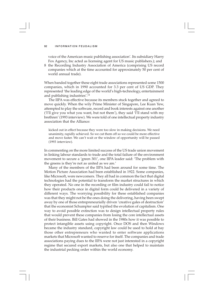voice of the American music publishing association'. Its subsidiary Harry Fox Agency, Inc acted as licensing agent for US music publishers.); and

8 the Recording Industry Association of America (comprising US record companies which at the time accounted for approximately 50 per cent of world annual trade).

When banded together these eight trade associations represented some 1500 companies, which in 1990 accounted for 3.3 per cent of US GDP. They represented 'the leading edge of the world's high-technology, entertainment and publishing industries'. 14

The IIPA was effective because its members stuck together and agreed to move quickly. When the wily Prime Minister of Singapore, Lee Kuan Yew, attempted to play the software, record and book interests against one another ('I'll give you what you want, but not them'), they said 'I'll stand with my brethren' (1993 interview). We were told of one intellectual property industry association that the Alliance:

kicked out in effect because they were too slow in making decisions. We need unanimity, rapidly achieved. So we cut them off so we could be more effective and move faster. We can't wait or the window of opportunity will be passed (1993 interview).

In commenting on the more limited success of the US trade union movement in linking labour standards to trade and the total failure of the environment movement to secure a 'green 301', one IIPA leader said: 'The problem with the greens is they're not as united as we are.'

Many of the members of the IIPA had been around for some time. The Motion Picture Association had been established in 1922. Some companies, like Microsoft, were newcomers. They all had in common the fact that digital technologies had the potential to transform the market structures in which they operated. No one in the recording or film industry could fail to notice how their products once in digital form could be delivered in a variety of different ways. The worrying possibility for these established companies was that they might not be the ones doing the delivering, having been swept away by one of those entrepreneurially driven 'creative gales of destruction' that the economist Schumpter said typified the evolution of capitalism. One way to avoid possible extinction was to design intellectual property rules that would prevent these companies from losing the core intellectual assets of their business. Bill Gates had showed in the 1980s how it was possible to protect intangible assets using copyright. Once DOS and then Windows became the industry standard, copyright law could be used to hold at bay those other entrepreneurs who wanted to enter software applications markets that Microsoft wanted to reserve for itself. The companies and trade associations paying dues to the IIPA were not just interested in a copyright regime that secured export markets, but also one that helped to maintain the industrial pecking order within the world economy.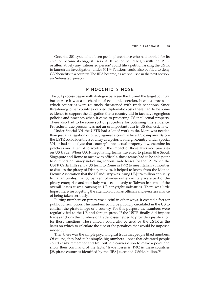Once the 301 system had been put in place, those who had lobbied for its creation became its biggest users. A 301 action could begin with the USTR or alternatively any 'interested person' could file a petition asking the USTR to launch an investigation under 301.<sup>15</sup> Petitions could also be filed to deny GSP benefits to a country. The IIPA became, as we shall see in the next section, an 'interested person'.

## PINOCCHIO'S NOSE

The 301 process began with dialogue between the US and the target country, but at base it was a mechanism of economic coercion. It was a process in which countries were routinely threatened with trade sanctions. Since threatening other countries carried diplomatic costs there had to be some evidence to support the allegation that a country did in fact have egregious policies and practices when it came to protecting US intellectual property. There also had to be some sort of procedure for obtaining this evidence. Procedural due process was not an unimportant idea in US domestic law.

Under Special 301 the USTR had a lot of work to do. More was needed than just an allegation of piracy against a country by a US company. Before the USTR could identify a country as a priority foreign country under Special 301, it had to analyse that country's intellectual property law, examine its practices and attempt to work out the impact of those laws and practices on US trade. When USTR negotiating teams travelled to places like Seoul, Singapore and Rome to meet with officials, those teams had to be able point to numbers on piracy indicating serious trade losses for the US. When the USTR Carla Hills sent a US team to Rome in 1992 to meet Italian authorities to discuss the piracy of Disney movies, it helped to know from the Motion Picture Association that the US industry was losing US\$224 million annually to Italian pirates, that 80 per cent of video outlets in Italy were part of the piracy enterprise and that Italy was second only to Taiwan in terms of the overall losses it was causing to US copyright industries. There was little hope otherwise of getting the attention of Italian officials and even less chance of being taken seriously.

Putting numbers on piracy was useful in other ways. It created a fact for public consumption. The numbers could be publicly circulated in the US to confirm the pirate image of a country. For this purpose the numbers were regularly fed to the US and foreign press. If the USTR finally did impose trade sanctions the numbers on trade losses helped to provide a justification for those sanctions. The numbers could also be used by the USTR as the basis on which to calculate the size of the penalties that would be imposed under 301.

Then there was the simple psychological truth that people liked numbers. Of course, they had to be simple, big numbers – ones that educated people could easily remember and trot out in a conversation to make a point and show their command of the facts: 'Trade losses in 1992 in these countries [28 pirate countries identified by the IIPA] exceeded US\$4.6 billion.' 16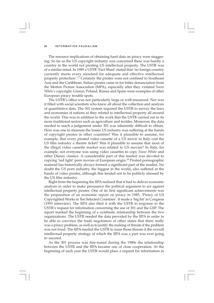The resource implications of obtaining hard data on piracy were staggering. So far as the US copyright industry was concerned there was hardly a country in the world not pirating US intellectual property. The USTR was of a similar mind. In 1989 a USTR 'Fact Sheet' stated that 'no foreign country currently meets every standard for adequate and effective intellectual property protection'. 17 Certainly the pirates were not confined to Southeast Asia and the Caribbean. Italian pirates came in for bitter denunciation from the Motion Picture Association (MPA), especially after they violated *Snow White's* copyright. Greece, Poland, Russia and Spain were examples of other European piracy trouble spots.

The USTR's office was not particularly large or well-resourced. Nor was it filled with social scientists who knew all about the collection and analysis of quantitative data. The 301 system required the USTR to survey the laws and economies of nations as they related to intellectual property all around the world. This was in addition to the work that the USTR carried out in its more traditional sectors such as agriculture and textiles. Moreover, the data needed to reach a judgement under 301 was inherently difficult to obtain. How was one to measure the losses US industry was suffering at the hands of copyright pirates in other countries? Was it plausible to assume, for example, that every pirated video cassette of a US movie in Italy cost the US film industry a theatre ticket? Was it plausible to assume that most of the illegal video cassette market was related to US movies? In Italy, for example, not everyone was using video cassettes to copy *Snow White* and other Disney classics. A considerable part of this market was devoted to copying 'red light' porn movies of European origin.18 Pirated pornographic material has historically always formed a significant part of the market. No doubt the US porn industry, the biggest in the world, also suffered at the hands of video pirates, although this tended not to be publicly stressed by the US film industry.

Right from the beginning the IIPA realized that it had to deliver economic analysis in order to make persuasive the political argument to act against intellectual property pirates. One of its first significant achievements was the preparation of an economic report on piracy in 1985, 'Piracy of US Copyrighted Works in Ten Selected Countries'. It made a 'big hit' in Congress (1993 interview). The IIPA also filed it with the USTR in response to the USTR's request for information concerning the use of 301 and the GSP. The report marked the beginning of a symbiotic relationship between the two organizations. The USTR needed the data provided by the IIPA in order to be able to convince the trade negotiators of other states that there really was a piracy problem, as well as to justify the making of threats if the problem was not fixed. The IIPA needed the USTR to issue those threats if the overall intellectual property strategy of which the IIPA was a part was ever going to succeed.

As the 301 process was fine-tuned during the 1980s the relationship between the USTR and the IIPA became one of close cooperation. At the beginning of each year the USTR would place a request for information in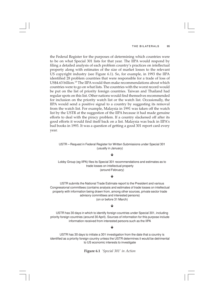#### **THE BILATERALS** 95

the Federal Register for the purposes of determining which countries were to be on what Special 301 lists for that year. The IIPA would respond by filing a detailed analysis of each problem country's practices on intellectual property along with estimates of the size of market losses to the relevant US copyright industry (see Figure 6.1). So, for example, in 1993 the IIPA identified 28 problem countries that were responsible for a trade of loss of US\$4.63 billion.<sup>19</sup> The IIPA would then make recommendations about which countries were to go on what lists. The countries with the worst record would be put on the list of priority foreign countries. Taiwan and Thailand had regular spots on this list. Other nations would find themselves recommended for inclusion on the priority watch list or the watch list. Occasionally, the IIPA would send a positive signal to a country by suggesting its removal from the watch list. For example, Malaysia in 1991 was taken off the watch list by the USTR at the suggestion of the IIPA because it had made genuine efforts to deal with the piracy problem. If a country slackened off after its good efforts it would find itself back on a list. Malaysia was back in IIPA's bad books in 1993. It was a question of getting a good 301 report card every year.

## USTR – Request in Federal Register for Written Submissions under Special 301 (usually in January)

### $\overline{\mathbf{r}}$

Lobby Group (eg IIPA) files its Special 301 recommendations and estimates as to trade losses on intellectual property (around February)

-

USTR submits the National Trade Estimate report to the President and various Congressional committees (contains analysis and estimates of trade losses on intellectual property with information being drawn from, among other sources, private sector trade advisory committees and interested persons) (on or before 31 March)

### $\blacklozenge$

USTR has 30 days in which to identify foreign countries under Special 301, including priority foreign countries (around 30 April). Sources of information for this purpose include information received from interested persons such as the IIPA

#### $\blacklozenge$

USTR has 30 days to initiate a 301 investigation from the date that a country is identified as a priority foreign country unless the USTR determines it would be detrimental to US economic interests to investigate

**Figure 6.1** *'Special 301' in Action*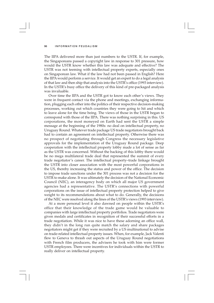The IIPA delivered more than just numbers to the USTR. If, for example, the Singaporeans passed a copyright law in response to 301 pressure, how would the USTR know whether this law was adequate and effective? The USTR was not teeming with intellectual property experts, especially ones on Singaporean law. What if the law had not been passed in English? Here the IIPA would perform a service. It would get an expert to do a legal analysis of that law and then ship that analysis into the USTR's office (1993 interview). In the USTR's busy office the delivery of this kind of pre-packaged analysis was invaluable.

Over time the IIPA and the USTR got to know each other's views. They were in frequent contact via the phone and meetings, exchanging information, plugging each other into the politics of their respective decision-making processes, working out which countries they were going to hit and which to leave alone for the time being. The views of those in the USTR began to correspond with those of the IIPA. There was nothing surprising in this. US corporations, the most moneyed on Earth had sent the USTR a simple message at the beginning of the 1980s: no deal on intellectual property, no Uruguay Round. Whatever trade package US trade negotiators brought back had to contain an agreement on intellectual property. Otherwise there was no prospect of negotiating through Congress the necessary legislative approvals for the implementation of the Uruguay Round package. Deep cooperation with the intellectual property lobby made a lot of sense as far as the USTR was concerned. Without the backing of this lobby there would be no mega multilateral trade deal that represented the summit of every trade negotiator's career. The intellectual property–trade linkage brought the USTR into closer association with the most powerful corporations in the US, thereby increasing the status and power of the office. The decision to impose trade sanctions under the 301 process was not a decision for the USTR to make alone. It was ultimately the decision of the National Economic Council (NEC), an interagency body on which all major US government agencies had a representative. The USTR's connections with powerful corporations on the issue of intellectual property protection helped to give weight to its recommendations about what to do. Generally, the decisions of the NEC were resolved along the lines of the USTR's views (1993 interview).

At a more personal level it also dawned on people within the USTR's office that their knowledge of the trade game would be valuable to companies with large intellectual property portfolios. Trade negotiators were given medals and certificates in recognition of their successful efforts in a trade negotiation. While it was nice to have these adorning an office wall, they didn't in the long run quite match the salary and share packages negotiators might get if they were recruited by a US multinational to advise on trade-related intellectual property issues. When, for example, Jack Valenti flew to Geneva to thrash out aspects of the Uruguay Round negotiations with French film producers, the advisers he took with him were former USTR employees. There were incentives for individuals within the USTR to really deliver on intellectual property.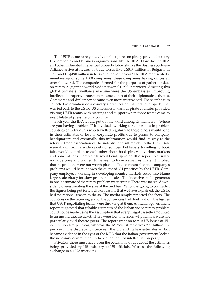#### **THE BILATERALS** 97

The USTR came to rely heavily on the figures on piracy provided to it by US companies and business organizations like the IIPA. How did the IIPA and other influential intellectual property lobbyists like the Business Software Alliance arrive at figures of trade losses like US\$47 million in Bulgaria in 1992 and US\$490 million in Russia in the same year? The IIPA represented a membership of some 1500 companies, these companies having offices all over the world. The companies formed for the purposes of gathering data on piracy a 'gigantic world-wide network' (1993 interview). Assisting this global private surveillance machine were the US embassies. Improving intellectual property protection became a part of their diplomatic activities. Commerce and diplomacy became even more intertwined. These embassies collected information on a country's practices on intellectual property that was fed back to the USTR. US embassies in various pirate countries provided visiting USTR teams with briefings and support when those teams came to exert bilateral pressure on a country.

Each year the IIPA would put out the word among its members – 'where are you having problems?' Individuals working for companies in problem countries or individuals who travelled regularly to these places would send in their estimates of loss of corporate profits due to piracy to company headquarters and eventually this information would find its way to the relevant trade association of the industry and ultimately to the IIPA. Data were drawn from a wide variety of sources. Publishers travelling to book fairs would complain to each other about book piracy in various markets and some of these complaints would end up in an IIPA report. Naturally, no large company wanted to be seen to have a small estimate. It implied that its products were not worth pirating. It also meant that the company's problems would be put down the queue of 301 priorities by the USTR. Company employees working in developing country markets could also blame large-scale piracy for slow progress on sales. The incentives to be generous in one's estimate of the piracy problem were strong. There was no real downside to overestimating the size of the problem. Who was going to contradict the figures being put forward? For reasons that we have explained, the USTR had no rational reason to do so. The media simply reported the facts. The countries on the receiving end of the 301 process had doubts about the figures that USTR negotiating teams were throwing at them. An Italian government report suggested that reliable estimates of the Italian video piracy problem could not be made using the assumption that every illegal cassette amounted to an unsold theatre ticket. There were lots of reasons why Italians were not particularly avid theatre goers. The report went on to put US losses at 15– 22.5 billion lire per year, whereas the MPA's estimate was 279 billion lire per year. The discrepancy between the US and Italian estimates in fact became evidence in the eyes of the MPA that the Italian government lacked the necessary commitment to tackle the theft of intellectual property.

Privately there must have been the occasional doubt about the estimates being provided by US industry to US officials. Witness the following exchange in a 1993 interview: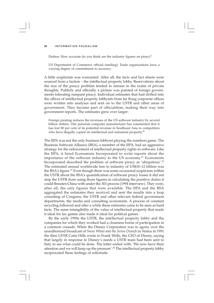Drahos: How accurate do you think are the industry figures on piracy?

US Department of Commerce official (smiling): Trade organizations have a varying degree of commitment to accuracy.

A little scepticism was warranted. After all, the facts and fact sheets were sourced from a faction – the intellectual property lobby. Reservations about the size of the piracy problem tended to remain in the realm of private thoughts. Publicly and officially a picture was painted of foreign governments tolerating rampant piracy. Individual estimates that had drifted into the offices of intellectual property lobbyists from far flung corporate offices were written into analyses and sent on to the USTR and other areas of government. They became part of officialdom, making their way into government reports. The estimates grew ever larger:

Foreign pirating reduces the revenues of the US software industry by several billion dollars. One personal computer manufacturer has commented that it has lost 80 per cent of its potential revenue in Southeast Asia to competitors who have illegally copied its intellectual and industrial property.<sup>20</sup>

The IIPA was not the only business lobbyist playing the numbers game. The Business Software Alliance (BSA), a member of the IIPA, had an aggressive strategy for the enforcement of intellectual property rights in software. Like the IIPA, it hired Economists Incorporated to write reports about the importance of the software industry to the US economy.<sup>21</sup> Economists Incorporated described the problem of software piracy as 'ubiquitous'. 22 The estimated annual worldwide loss to industry of US\$10–12 billion was the BSA's figure.<sup>23</sup> Even though there was some occasional scepticism within the USTR about the BSA's quantification of software piracy losses it did not stop the USTR from using those figures in calculating the punitive duties it could threaten China with under the 301 process (1994 interview). They were, after all, the only figures that were available. The IIPA and the BSA aggregated the estimates they received and sent the results into a loop consisting of Congress, the USTR and other relevant federal government departments, the media and consulting economists. A process of constant recycling followed and after a while these estimates came to be seen as hard facts. The same intangibility of the value of intellectual property that made it ideal for tax games also made it ideal for political games.

By the early 1990s the USTR, the intellectual property lobby and the companies for which they worked had a closeness borne of participation in a common crusade. When the Disney Corporation was in agony over the unauthorized broadcast of *Snow White and the Seven Dwarfs* in Venice in 1991 the then USTR Carla Hills wrote to Frank Wells, the CEO of Disney, saying that largely in response to Disney's needs a USTR team had been sent to Italy to see what could be done. The letter ended with, 'We now have their attention and we will keep up the pressure'. 24 The intellectual property lobby reciprocated these feelings of solicitude: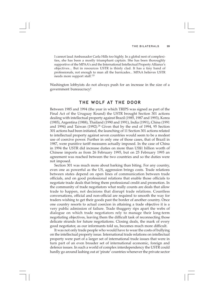#### THE BILATERALS 99

I cannot laud Ambassador Carla Hills too highly. In a global nest of complexities, she has been a mostly triumphant captain. She has been thoroughly supportive of the MPAA's and the International Intellectual Property Alliance's objectives... But in resources USTR is thinly clad. It has a tiny band of professionals, not enough to man all the barricades... MPAA believes USTR needs more support staff.' 25

Washington lobbyists do not always push for an increase in the size of a government bureaucracy!

## THE WOLF AT THE DOOR

Between 1985 and 1994 (the year in which TRIPS was signed as part of the Final Act of the Uruguay Round) the USTR brought Section 301 actions dealing with intellectual property against Brazil (1985, 1987 and 1993), Korea (1985), Argentina (1988), Thailand (1990 and 1991), India (1991), China (1991 and 1994) and Taiwan (1992).<sup>26</sup> Given that by the end of 1994, 95 Section 301 actions had been initiated, the launching of 11 Section 301 actions related to intellectual property against seven countries would seem to be a modest use of coercive power. Further in only one of those cases, that of Brazil in 1987, were punitive tariff measures actually imposed. In the case of China in 1994 the USTR did increase duties on more than US\$1 billion worth of Chinese imports as from 26 February 1995, but on 25 February 1995 an agreement was reached between the two countries and so the duties were not imposed.

Section 301 was much more about barking than biting. For any country, even one as powerful as the US, aggression brings costs. Trade relations between states depend on open lines of communication between trade officials, and on good professional relations that enable those officials to negotiate trade deals that bring them professional credit and promotion. In the community of trade negotiators what really counts are deals that allow trade to happen, not decisions that disrupt trade relations. Countless conversations, official and non-official are required to smooth the way for traders wishing to get their goods past the border of another country. Once one country resorts to actual coercion in attaining a trade objective it is a very public admission of failure. Trade thuggery rips apart the webs of dialogue on which trade negotiators rely to manage their long-term negotiating objectives, leaving them the difficult task of reconnecting those delicate strands for future negotiations. Closing deals, the mark of every good negotiator, as our informants told us, becomes much more difficult.

It was not only trade people who would have to wear the costs of bullying on the intellectual property issue. International trade relations on intellectual property were part of a larger set of international trade issues that were in turn part of an even broader set of international economic, foreign and defence issues. In such a world of complex interdependency the USTR could hardly go around lashing out at 'pirate' countries whenever the private sector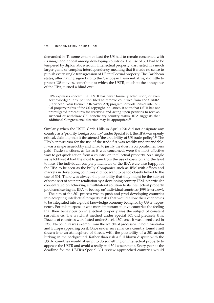demanded it. To some extent at least the US had to remain concerned with its image and appeal among developing countries. The use of 301 had to be tempered by diplomatic wisdom. Intellectual property was nested in a much larger game of complex interdependency meaning that it made no sense to punish every single transgression of US intellectual property. The Caribbean states, after having signed up to the Caribbean Basin initiative, did little to protect US movies, something to which the USTR, much to the annoyance of the IIPA, turned a blind eye:

IIPA expresses concern that USTR has never formally acted upon, or even acknowledged, any petition filed to remove countries from the CBERA [Caribbean Basin Economic Recovery Act] program for violations of intellectual property rights of the US copyright industries. It notes that USTR has not promulgated procedures for receiving and acting upon petitions to revoke, suspend or withdraw CBI beneficiary country status. IIPA suggests that additional Congressional direction may be appropriate.<sup>27</sup>

Similarly when the USTR Carla Hills in April 1990 did not designate any country as a 'priority foreign country' under Special 301, the IIPA was openly critical, claiming that it threatened 'the credibility of US trade policy'. 28 The IIPA's enthusiasm for the use of the trade fist was readily understandable. It was a single issue lobby and it had to justify the dues its corporate members paid. Trade sanctions, as far as it was concerned, were the most effective way to get quick action from a country on intellectual property. As a single issue lobbyist it had the most to gain from the use of coercion and the least to lose. The individual company members of the IIPA were also happy for the IIPA to be seen as the bully. Companies such as IBM with offices and markets in developing countries did not want to be too closely linked to the use of 301. There was always the possibility that they might be the subject of some sort of counter-retaliation by a developing country. IBM in particular concentrated on achieving a multilateral solution to its intellectual property problems leaving the IIPA 'to beat up on' individual countries (1993 interview).

The aim of the 301 process was to push and prod developing countries into accepting intellectual property rules that would allow their economies to be integrated into a global knowledge economy being led by US entrepreneurs. For this purpose it was more important to give countries the feeling that their behaviour on intellectual property was the subject of constant surveillance. The watchlist method under Special 301 did precisely this. Dozens of countries were listed under Special 301 once it was introduced in 1988. No country was exempt from the watchlist process with both Australia and Europe appearing on it. Once under surveillance a country found itself drawn into an atmosphere of threat, with the possibility of a 301 action lurking in the background. Rather than risk a full blown dispute with the USTR, countries would attempt to do something on intellectual property to appease the USTR and avoid a really bad 301 assessment. Every year as the deadline for the USTR's Special 301 review approached countries would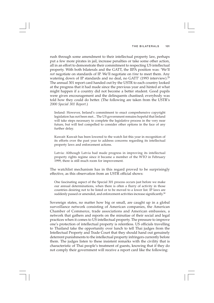#### **THE BILATERALS** 101

rush through some amendment to their intellectual property law, perhaps put a few more pirates in jail, increase penalties or take some other action, all in an effort to demonstrate their commitment to respecting US intellectual property. With both bilaterals and the GATT, the IIPA position was: 'We'll *not* negotiate on standards of IP. We'll negotiate on *time* to meet them. Any watering down of IP standards and no deal, no GATT' (1993 interview).<sup>29</sup> The annual 301 report card handed out by the USTR to each country looked at the progress that it had made since the previous year and hinted at what might happen if a country did not become a better student. Good pupils were given encouragement and the delinquents chastised; everybody was told how they could do better. (The following are taken from the USTR's *2000 Special 301 Report*.)

Ireland: However, Ireland's commitment to enact comprehensive copyright legislation has not been met... The US government remains hopeful that Ireland will take steps necessary to complete the legislative process in the very near future, but will feel compelled to consider other options in the face of any further delay.

Kuwait: Kuwait has been lowered to the watch list this year in recognition of its efforts over the past year to address concerns regarding its intellectual property laws and enforcement actions.

Latvia: Although Latvia had made progress in improving its intellectual property rights regime since it became a member of the WTO in February 1999, there is still much room for improvement.

The watchlist mechanism has in this regard proved to be surprisingly effective, as this observation from an USTR official shows:

One fascinating aspect of the Special 301 process occurs just before we make our annual determinations, when there is often a flurry of activity in those countries desiring not to be listed or to be moved to a lower list. IP laws are suddenly passed or amended, and enforcement activities increase significantly.<sup>30</sup>

Sovereign states, no matter how big or small, are caught up in a global surveillance network consisting of American companies, the American Chamber of Commerce, trade associations and American embassies, a network that gathers and reports on the minutiae of their social and legal practices when it comes to US intellectual property. The pressure to improve one's protection of intellectual property is relentless. US officials travelling to Thailand take the opportunity over lunch to tell Thai judges from the Intellectual Property and Trade Court that they should hand out genuinely deterrent punishments to the intellectual property infringers currently before them. The judges listen to these insistent remarks with the civility that is characteristic of Thai people's treatment of guests, knowing that if they do not comply their government will receive a report card like the following: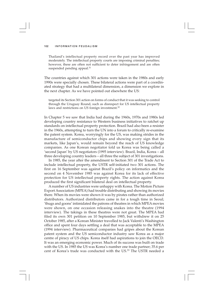Thailand's intellectual property record over the past year has improved moderately. The intellectual property courts are imposing criminal penalties; however, these are often not sufficient to deter infringement and are often suspended pending appeal.<sup>31</sup>

The countries against which 301 actions were taken in the 1980s and early 1990s were specially chosen. These bilateral actions were part of a coordinated strategy that had a multilateral dimension, a dimension we explore in the next chapter. As we have pointed out elsewhere the US:

targeted its Section 301 action on forms of conduct that it was seeking to control through the Uruguay Round, such as disrespect for US intellectual property laws and restrictions on US foreign investment.<sup>32</sup>

In Chapter 5 we saw that India had during the 1960s, 1970s and 1980s led developing country resistance to Western business initiatives to ratchet up standards on intellectual property protection. Brazil had also been a resister in the 1960s, attempting to turn the UN into a forum to critically re-examine the patent system. Korea, worryingly for the US, was making strides in the manufacture of semiconductor chips and showing every sign that its markets, like Japan's, would remain beyond the reach of US knowledge companies. As one Korean negotiator told us Korea was being called a 'second Japan' by US negotiators (1995 interview). Brazil, India, Korea – all three developing country leaders – all three the subject of 301 investigations.

In 1985, the year after the amendment to Section 301 of the Trade Act to include intellectual property, the USTR self-initiated two 301 actions. The first on 16 September was against Brazil's policy on informatics and the second on 4 November 1985 was against Korea for its lack of effective protection for US intellectual property rights. The action against Korea produced the first significant bilateral deal on intellectual property.

A number of US industries were unhappy with Korea. The Motion Picture Export Association (MPEA) had trouble distributing and showing its movies there. When its movies were shown it was by pirates rather than authorized distributors. Authorized distributors came in for a tough time in Seoul; 'thugs and goons' intimidated the patrons of theatres in which MPEA movies were shown, on one occasion releasing snakes into the theatre (1994 interview). The takings in these theatres were not great. The MPEA had filed its own 301 petition on 10 September 1985, but withdrew it on 25 October 1985, after a Korean Minister travelled to Jack Valenti's Washington office and spent four days settling a deal that was acceptable to the MPEA (1994 interview). Pharmaceutical companies had gripes about the Korean patent system and the US semiconductor industry saw Korea as a major centre of piracy of US chips. Korea itself had aspirations to join the OECD. It was an emerging economic power. Much of its success was built on trade with the US. In 1985 the US was Korea's number one trade partner; 35.6 per cent of Korea's trade was conducted with the US.<sup>33</sup> The USTR needed a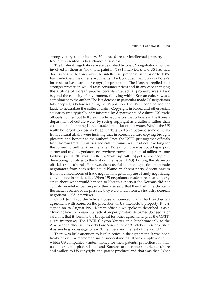strong victory under its new 301 procedure for intellectual property and Korea represented its best chance of success.

The bilateral negotiations were described by one US negotiator who was involved in them as 'slow and painful' (1994 interview). The US had had discussions with Korea over the intellectual property issue prior to 1985. Each side knew the other's arguments. The US argued that it was in Korea's interests to have stronger copyright protection. The Koreans replied that stronger protection would raise consumer prices and in any case changing the attitude of Korean people towards intellectual property was a task beyond the capacity of government. Copying within Korean culture was a compliment to the author. The last defence in particular made US negotiators take deep sighs before restating the US position. The USTR adopted another tactic to neutralize the cultural claim. Copyright in Korea and other Asian countries was typically administered by departments of culture. US trade officials pointed out to Korean trade negotiators that officials in the Korean department of culture were, by seeing copyright as a cultural rather than economic tool, getting Korean trade into a lot of hot water. Would the US really be forced to close its huge markets to Korea because some officials from cultural affairs were insisting that in Korean culture copying brought pleasure and honour to the author? Once the USTR put together officials from Korean trade ministries and culture ministries it did not take long for the former to pull rank on the latter. Korean culture was not a big export earner and trade negotiators everywhere move in a practical milieu. As one lobbyist put it, 301 was in effect a 'wake up call [to] get senior people in developing countries to think about the issue' (1993). Putting the blame on officials from cultural affairs was also a useful negotiating tactic in that trade negotiators from both sides could blame an absent party. Absent parties from the closed rooms of trade negotiations generally are a handy negotiating convenience in trade talks. When US negotiators made threats at an early stage about what would happen to Korean exports if the Koreans did not comply on intellectual property they also said that they had little choice in the matter because of the pressure they were under from US industry (Korean negotiator, 1995 interview).

On 21 July 1986 the White House announced that it had reached an agreement with Korea on the protection of US intellectual property. It was signed on 28 August 1986. Korean officials we spoke to described it as a 'dividing line' in Korean intellectual property history. A former US negotiator said of it that it 'became the blueprint for other agreements plus the GATT' (1994 interview). The USTR Clayton Yeutter, in a lunchtime talk to the American Intellectual Property Law Association on 9 October 1986, described it as sending a message to GATT members and the rest of the world.<sup>34</sup>

There was little attention to legal niceties in the agreement. It was not a treaty or even a memorandum of understanding. It was simply a deal in which US companies wanted money for their patents, protection for their trademarks, the pirates jailed and Koreans to open their markets, culture and wallets to US copyright and patent products and that was that. What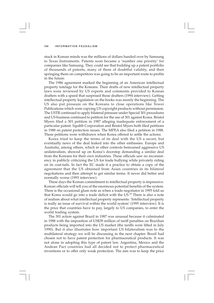stuck in Korean minds was the millions of dollars handed over by Samsung to Texas Instruments. Patents soon became a 'number one priority' for companies like Samsung. They could see that building up a patent portfolio of thousands of patents, many of them of doubtful validity, and then springing them on competitors was going to be an important route to profits in the future.

The 1986 agreement marked the beginning of an American intellectual property tutelage for the Koreans. Their drafts of new intellectual property laws were reviewed by US experts and comments provided to Korean drafters with a speed that surprised those drafters (1994 interview). Getting intellectual property legislation on the books was merely the beginning. The US also put pressure on the Koreans to close operations like Tower Publications which were copying US copyright products without permission. The USTR continued to apply bilateral pressure under Special 301 procedures and US business continued to petition for the use of 301 against Korea. Bristol Myers filed a 301 petition in 1987 alleging inadequate enforcement of a particular patent. Squibb Corporation and Bristol Myers both filed petitions in 1988 on patent protection issues. The MPEA also filed a petition in 1988. These petitions were withdrawn when Korea offered to settle the actions.

Korea tried to keep the terms of its deal with the US a secret, but eventually news of the deal leaked into the other embassies. Europe and Australia, among others, which in other contexts bemoaned aggressive US unilateralism, showed up on Korea's doorstep demanding a similar deal from the Koreans for their own industries. These officials saw no inconsistency in publicly criticizing the US for trade bullying while privately riding on its coat-tails. In fact the EC made it a practice to obtain a copy of the agreement that the US obtained from Asian countries in its bilateral negotiations and then attempt to get similar terms. It never did better and normally worse (1993 interview).

These days the Korean commitment to intellectual property is impressive. Korean officials will tell you of the enormous potential benefits of the system. There is the occasional glum note as when a trade negotiator in 1995 told us that Korea would go into a trade deficit with the  $US^{35}$  There is also a note of realism about what intellectual property represents: 'Intellectual property is really an issue of survival within the world system' (1995 interview). It is the price that countries have to pay, largely to US companies, to enter the world trading system.

The 301 action against Brazil in 1987 was unusual because it culminated in 1988 with the imposition of US\$39 million of tariff penalties on Brazilian products being imported into the US market (the tariffs were lifted in July 1990). But it also illustrates how important US bilateralism was to the multilateral strategy we will be discussing in the next chapter. Brazil had chosen not to have patent protection for pharmaceutical products. It was not alone in adopting this type of patent law. Argentina, Mexico and the Andean Pact countries had all decided not to protect pharmaceutical inventions or to offer only weak protection. The aim was to keep the price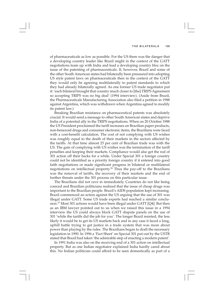#### **THE BILATERALS** 105

of pharmaceuticals as low as possible. For the US there was the danger that a developing country leader like Brazil might in the context of the GATT negotiations team up with India and lead a developing country bloc on the issue of the patenting of pharmaceuticals. If, however, Brazil and some of the other South American states had bilaterally been pressured into adopting US style patent laws on pharmaceuticals then in the context of the GATT they would only be agreeing multilaterally to patent standards to which they had already bilaterally agreed. As one former US trade negotiator put it: 'each bilateral brought that country much closer to [the] TRIPS Agreement so accepting TRIPS was no big deal' (1994 interview). (Aside from Brazil, the Pharmaceuticals Manufacturing Association also filed a petition in 1988 against Argentina, which was withdrawn when Argentina agreed to modify its patent law.)

Breaking Brazilian resistance on pharmaceutical patents was absolutely crucial. It would send a message to other South American states and deprive India of a potential ally in the TRIPS negotiations. When on 20 October 1988 the US President proclaimed the tariff increases on Brazilian paper products, non-benezoid drugs and consumer electronic items, the Brazilians were faced with a cost-benefit calculation. The cost of not complying with US wishes was roughly equal to the death of their markets in the sectors affected by the tariffs. At that time almost 25 per cent of Brazilian trade was with the US. The gain of complying with US wishes was the termination of the tariff penalties and keeping their markets. Compliance would also get the rod of 301 action off their backs for a while. Under Special 301 a foreign country could not be identified as a priority foreign country if it entered into good faith negotiations or made significant progress in bilateral or multilateral negotiations on intellectual property.36 Thus the pay-off to the Brazilians was the removal of tariffs, the recovery of their markets and the end of further threats under the 301 process on this particular issue.

The Brazilians did not cave in immediately. Countries do not like being coerced and Brazilian politicians realized that the issue of cheap drugs was important to the Brazilian people. Brazil's AIDS population kept increasing. Brazil commenced an action against the US arguing that the use of 301 was illegal under GATT. Some US trade experts had reached a similar conclusion.37 Most 301 actions would have been illegal under GATT [Q4]. But then as an IBM lawyer pointed out to us when we raised this issue in a 1994 interview the US could always block GATT dispute panels on the use of 301 'while the tariffs did the job for you'. The longer Brazil resisted, the less likely it would be to get its US markets back and in any case it faced a long, uphill battle trying to get justice in a trade system that was more about power than playing by the rules. The Brazilians began to draft the necessary legislation in 1990. In 1996 a 'Fact Sheet' on Special 301 put out by the USTR stated that Brazil had taken 'the admirable step of enacting a modern patent'.

In 1991 India was also on the receiving end of a 301 action on intellectual property. But as one Indian negotiator explained India hardly cared about this. No Indian politician could afford to be seen domestically as part of a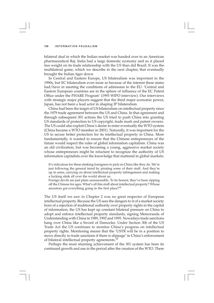bilateral deal in which the Indian market was handed over to an American pharmaceutical Raj. India had a large domestic economy and so it placed less weight on its trade relationship with the US than did Brazil. It was the multilateral game, which we describe in the next chapter, that eventually brought the Indian tiger down.

In Central and Eastern Europe, US bilateralism was important in the 1990s, but EC bilateralism even more so because of the interest these states had/have in meeting the conditions of admission to the EU: 'Central and Eastern European countries are in the sphere of influence of the EC Patent Office under the PHARE Program' (1993 WIPO interview). Our interviews with strategic major players suggest that the third major economic power, Japan, has not been a lead actor in shaping IP bilateralism.

China had been the target of US bilateralism on intellectual property since the 1979 trade agreement between the US and China. In that agreement and through subsequent 301 actions the US tried to push China into granting US standards of protection to US copyright, trade mark and patent owners. The US could also exploit China's desire to enter eventually the WTO system (China became a WTO member in 2001). Naturally, it was important for the US to secure better protection for its intellectual property in China. More fundamentally, it wanted to ensure that the Chinese entrepreneurs of the future would respect the rules of global information capitalism. China was an old civilization, but was becoming a young, aggressive market society whose entrepreneurs might be reluctant to recognize the authority of US information capitalists over the knowledge that mattered in global markets:

It's ridiculous for these stinking foreigners to pick on China like they do. We're just following the general trend by pirating some of their stuff. And they're up in arms, carrying on about intellectual property infringement and making a fucking stink all over the world about us.

Foreign devils are just plain unreasonable. To be honest, they've been ripping off the Chinese for ages. What's all this stuff about intellectual property? Whose ancestors got everything going in the first place?<sup>38</sup>

The US itself we saw in Chapter 2 was no great respecter of European intellectual property. Because the US sees the dangers to it of a market society born of a rejection of traditional authority over property rights in the capital of information, the US has kept up constant bilateral pressure on China to adopt and enforce intellectual property standards, signing Memoranda of Understanding with China in 1989, 1992 and 1995. Nowadays trade sanctions hang over China like a Sword of Damocles. Under Section 306 of the US Trade Act the US continues to monitor China's progress on intellectual property rights. Monitoring means that the 'USTR will be in a position to move directly to trade sanctions if there is slippage' in China's enforcement of bilateral intellectual property agreements.<sup>39</sup>

Perhaps the most stunning achievement of the 301 system has been its continued growth and use in the period after the creation of the WTO. There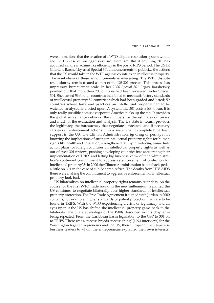#### **THE BILATERALS** 107

were intimations that the creation of a WTO dispute resolution system would see the US ease off on aggressive unilateralism. But if anything 301 has acquired a more machine like efficiency in the post-TRIPS period. The USTR Charlene Barshefsky used Special 301 announcements to publicize the actions that the US would take in the WTO against countries on intellectual property. The symbolism of these announcements is interesting. The WTO dispute resolution system is treated as part of the US 301 process. This process has impressive bureaucratic scale. In her *2000 Special 301 Report* Barshefsky pointed out that more than 70 countries had been reviewed under Special 301. She named 59 foreign countries that failed to meet satisfactory standards of intellectual property; 59 countries which had been graded and listed; 59 countries whose laws and practices on intellectual property had to be watched, analysed and acted upon. A system like 301 costs a lot to run. It is only really possible because corporate America picks up the tab. It provides the global surveillance network, the numbers for the estimates on piracy and much of the evaluation and analysis. The US state in return provides the legitimacy, the bureaucracy that negotiates, threatens and if necessary carries out enforcement actions. It is a system with complete bipartisan support in the US. The Clinton Administration, ignoring or perhaps not knowing the implications of stronger intellectual property rights for human rights like health and education, strengthened 301 by introducing immediate action plans for foreign countries on intellectual property rights as well as out-of-cycle 301 reviews, pushing developing countries into accelerating their implementation of TRIPS and letting big business know of the 'Administration's continued commitment to aggressive enforcement of protection for intellectual property'. 40 In 2000 the Clinton Administration had to back-pedal a little on 301 in the case of sub-Saharan Africa. The deaths from HIV-AIDS there were making the commitment to aggressive enforcement of intellectual property look bad.

US bilateralism on intellectual property rights remains relentless. As the course for the first WTO trade round in the new millennium is plotted the US continues to negotiate bilaterally ever higher standards of intellectual property protection. The Free Trade Agreement it signed with Jordan in 2000 contains, for example, higher standards of patent protection than are to be found in TRIPS. With the WTO experiencing a crisis of legitimacy and all eyes upon it the US has shifted the intellectual property game back to the bilaterals. The bilateral strategy of the 1980s described in this chapter is being repeated. From the Caribbean Basin legislation to the GSP to 301 on to TRIPS 'There was a success breeds success thing' (1993 interview) for the Washington legal entrepreneurs and the US, then European, then Japanese business leaders to whom the entrepreneurs explained their own interests.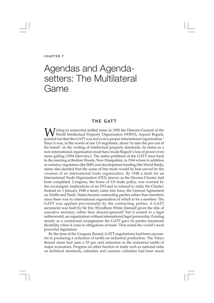#### CHAPTER 7

# Agendas and Agendasetters: The Multilateral Game

## THE GATT

**W** riting in somewhat miffed tones in 1992 the Director-General of the World Intellectual Property Organization (WIPO), Arpard Bogsch, pointed out that the GATT was not even a proper international organization <sup>1</sup> World Intellectual Property Organization (WIPO), Arpard Bogsch, pointed out that the GATT was not even a proper international organization.<sup>1</sup> Since it was, in the words of one US negotiator, about 'to take the pen out of his hands' on the writing of intellectual property standards, its status as a non-international organization must have made Bogsch's loss of power even more galling (1994 interview). The status problems of the GATT trace back to the meeting at Bretton Woods, New Hampshire, in 1944 where in addition to currency regulation (the IMF) and development funding (the World Bank), states also decided that the cause of free trade would be best served by the creation of an international trade organization. By 1948 a draft for an International Trade Organization (ITO), known as the Havana Charter, had been completed. Congress, the home of US trade policy, was worried by the sovereignty implications of an ITO and so refused to ratify the Charter. Instead on 1 January 1948 a treaty came into force, the General Agreement on Tariffs and Trade. States became contracting parties rather than members since there was no international organization of which to be a member. The GATT was applied provisionally by the contracting parties. A GATT secretariat was built by Sir Eric Wyndham White (himself given the title of executive secretary rather than director-general)<sup>2</sup> but it existed in a legal netherworld, an organization without international legal personality. Existing merely as a contractual arrangement the GATT gave its parties maximum flexibility when it came to obligations of trade. That suited the world's most powerful legislature.

By the time of the Uruguay Round, GATT negotiations had been successful in producing a reduction of tariffs on industrial production. The Tokyo Round alone had seen a 35 per cent reduction in the industrial tariffs of major economies. Progress on other barriers to trade such as national rules on technical standards, subsidies and customs valuation had been much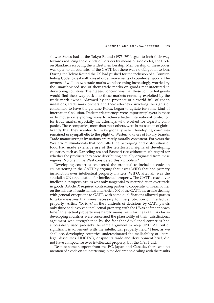#### **A G E N D A S A N D A G E N D A - S E T T E R S 109**

slower. States had in the Tokyo Round (1973–79) begun to inch their way towards reducing these kinds of barriers by means of side codes, the Code on Standards enjoying the widest membership. Membership of these codes was open to all countries of the GATT, but there was no obligation to join. During the Tokyo Round the US had pushed for the inclusion of a Counterfeiting Code to deal with cross-border movements of counterfeit goods. The owners of well-known trade marks were becoming increasingly worried by the unauthorized use of their trade marks on goods manufactured in developing countries. The biggest concern was that these counterfeit goods would find their way back into those markets normally exploited by the trade mark owner. Alarmed by the prospect of a world full of cheap imitations, trade mark owners and their attorneys, invoking the rights of consumers to have the genuine Rolex, began to agitate for some kind of international solution. Trade mark attorneys were important players in these early moves on exploring ways to achieve better international protection for trade marks, especially the attorneys who worked for cigarette companies. These companies, more than most others, were in possession of global brands that they wanted to make globally safe. Developing countries remained unsympathetic to the plight of Western owners of luxury brands. Trade manoeuvrings by nations are rarely morally consistent. For years the Western multinationals that controlled the packaging and distribution of food had made extensive use of the territorial insignia of developing countries such as Darjeeling tea and Basmati rice without much regard for whether the products they were distributing actually originated from these regions. No one in the West considered this a problem.<sup>3</sup>

Developing countries countered the proposal to include a code on counterfeiting in the GATT by arguing that it was WIPO that had primary jurisdiction over intellectual property matters. WIPO, after all, was the specialist UN organization for intellectual property. The GATT's reach over intellectual property issues was only tangential to its jurisdiction over trade in goods. Article IX required contracting parties to cooperate with each other on the misuse of trade names and Article XX of the GATT, the article dealing with general exceptions to GATT, with some qualifications allowed parties to take measures that were necessary for the protection of intellectual property (Article XX (d)).<sup>4</sup> In the hundreds of decisions by GATT panels only three had involved intellectual property, with the US as defendant each time.<sup>5</sup> Intellectual property was hardly mainstream for the GATT. As far as developing countries were concerned the plausibility of their jurisdictional argument was strengthened by the fact that developed countries had successfully used precisely the same argument to keep UNCTAD out of significant involvement with the intellectual property field.<sup>6</sup> Here, as we shall see, developing countries underestimated the malleability of liberal legal discourses. UNCTAD, despite its trade and development brief, did not have competence over intellectual property, but the GATT did.

Despite some support from the EC, Japan and Canada, there was no mention of a code on counterfeiting in the declaration dealing with the results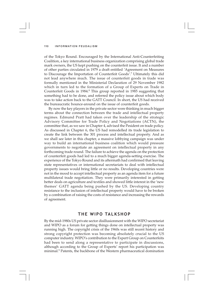of the Tokyo Round. Encouraged by the International Anti-Counterfeiting Coalition, a key international business organization comprising global trade mark owners, the US kept pushing on the counterfeit issue. It and a number of other parties circulated in 1979 a draft entitled 'Agreement on Measures to Discourage the Importation of Counterfeit Goods'. 7 Ultimately this did not lead anywhere much. The issue of counterfeit goods in trade was formally mentioned in the Ministerial Declaration of 29 November 1982 which in turn led to the formation of a Group of Experts on Trade in Counterfeit Goods in 1984.<sup>8</sup> This group reported in 1985 suggesting that something had to be done, and referred the policy issue about which body was to take action back to the GATT Council. In short, the US had received the bureaucratic bounce-around on the issue of counterfeit goods.

By now the key players in the private sector were thinking in much bigger terms about the connection between the trade and intellectual property regimes. Edmund Pratt had taken over the leadership of the strategic Advisory Committee for Trade Policy and Negotiations (ACTN), the committee that, as we saw in Chapter 4, advised the Pesident on trade policy. As discussed in Chapter 6, the US had remodelled its trade legislation to create the link between the 301 process and intellectual property. And as we shall see later in this chapter, a massive lobbying campaign was under way to build an international business coalition which would pressure governments to negotiate an agreement on intellectual property in any forthcoming trade round. The failure to achieve the agenda on the protection of counterfeit goods had led to a much bigger agenda-setting exercise. The experience of the Tokyo Round and its aftermath had confirmed that leaving state representatives or international secretariats to deal with intellectual property issues would bring little or no results. Developing countries were not in the mood to accept intellectual property as an agenda item for a future multilateral trade negotiation. They were primarily interested in getting better deals on agriculture and textiles and showed little interest in the 'new themes' GATT agenda being pushed by the US. Developing country resistance to the inclusion of intellectual property would have to be broken by a combination of raising the costs of resistance and increasing the rewards of agreement.

## THE WIPO TALKSHOP

By the mid-1980s US private sector disillusionment with the WIPO secretariat and WIPO as a forum for getting things done on intellectual property was running high. The copyright crisis of the 1960s was still recent history and strong copyright protection was becoming absolutely crucial to the US computer industry. WIPO's contribution to the Expert Group on Counterfeits had been to send along a representative to participate in discussions, although according to the Group of Experts' report his participation was minimal.9 Patents, the backbone of the Western pharmaceutical domination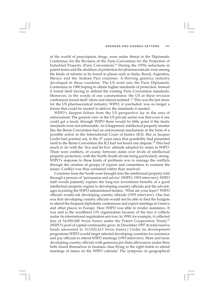#### **A G E N D A S A N D A G E N D A - S E T T E R S 111**

of the world of prescription drugs, were under threat in the Diplomatic Conference for the Revision of the Paris Convention for the Protection of Industrial Property (Paris Convention).10 During the 1970s reductions in patent terms and the abolition of protection for pharmaceuticals were among the kinds of reforms to be found in places such as India, Brazil, Argentina, Mexico and the Andean Pact countries. A thriving generics industry developed in these countries. The US went into the Paris Diplomatic Conference in 1980 hoping to obtain higher standards of protection. Instead it found itself having to defend the existing Paris Convention standards. Moreover, in the words of one commentator, the US at these revision conferences found itself 'alone and almost isolated'. 11 This was the last straw for the US pharmaceutical industry. WIPO, it concluded, was no longer a forum that could be trusted to deliver the standards it needed.

WIPO's deepest failure from the US perspective lay in the area of enforcement. The general view in the US private sector was that even if one could get a treaty through WIPO there would be little point if the treaty standards were not enforceable. As it happened, intellectual property treaties like the Berne Convention had an enforcement mechanism in the form of a possible action in the International Court of Justice (ICJ). But as Jacques Gorlin had pointed out, in the 37 years since that possibility had presented itself in the Berne Convention the ICJ had not heard one dispute.12 This had much to do with the 'live and let live' attitude adopted by states in WIPO. There were conflicts, of course, between states over levels of intellectual property protection, with the North–South divide being particularly strong. WIPO's response to these kinds of problems was to manage the conflicts through the creation of groups of experts and committees to examine the issues. Conflict was thus contained rather than resolved.

Countries from the South were brought into the intellectual property fold through a process of 'persuasion and advice' (WIPO, 1993 interview). WIPO staff would patiently explain the long-run investment benefits of a good intellectual property regime to developing country officials and the advantages in joining the WIPO administered treaties. 'What are your fears?' WIPO officials would ask developing country officials (1993 interview). One fear was that developing country officials would not be able to find the budgets to attend the frequent diplomatic conferences and expert meetings in Geneva and other places in Europe. Here WIPO was able to render assistance. It was and is the wealthiest UN organization because of the fees it collects under its international registration services. In 1990, for example, it collected fees of 54,850,000 Swiss francs under the Patent Cooperation Treaty.13 (WIPO's pool of capital continuedto grow. In December 1997 its total reserve funds amounted to 313,022,413 Swiss francs.) Under its development programme WIPO would target selected developing countries for assistance and pay officials to attend WIPO meetings (1993 interview). More and more developing country officials with generous per diem allowances under their belts found themselves in business class flying to the right hotels to attend meetings of status on the WIPO calendar. The symposia on geographical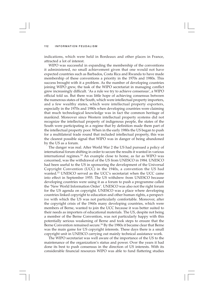indications, which were held in Bordeaux and other places in France, attracted a lot of interest.

WIPO was successful in expanding the membership of the conventions it administered, no small achievement given that one would not have expected countries such as Barbados, Costa Rica and Rwanda to have made membership of these conventions a priority in the 1970s and 1980s. This success brought with it a problem. As the number of developing countries joining WIPO grew, the task of the WIPO secretariat in managing conflict grew increasingly difficult. 'As a rule we try to achieve consensus', a WIPO official told us. But there was little hope of achieving consensus between the numerous states of the South, which were intellectual property importers, and a few wealthy states, which were intellectual property exporters, especially in the 1970s and 1980s when developing countries were claiming that much technological knowledge was in fact the common heritage of mankind. Moreover since Western intellectual property systems did not recognize the intellectual property of indigenous people, the states of the South were participating in a regime that by definition made them part of the intellectual property poor. When in the early 1980s the US began to push for a multilateral trade round that included intellectual property, this was the clearest possible signal that WIPO was in danger of being abandoned by the US as a forum.

The danger was real. After World War 2 the US had pursued a policy of international forum shifting in order to secure the results it wanted in various international regimes.<sup>14</sup> An example close to home, as far as WIPO was concerned, was the withdrawal of the US from UNESCO in 1984. UNESCO had been useful to the US in sponsoring the development of the Universal Copyright Convention (UCC) in the 1940s, a convention the US had wanted.15 UNESCO served as the UCC's secretariat when the UCC came into effect in September 1955. The US withdrew from UNESCO because developing countries were using it as a forum to push a programme called the 'New World Information Order'. UNESCO was also not the right forum for the US agenda on copyright. UNESCO was a place where developing countries linked copyright to education and other human rights, a perspective with which the US was not particularly comfortable. Moreover, after the copyright crisis of the 1960s many developing countries, which were members of Berne, wanted to join the UCC because it was better suited to their needs as importers of educational materials. The US, despite not being a member of the Berne Convention, was not particularly happy with this potentially serious weakening of Berne and took steps to ensure that the Berne Convention remained secure.<sup>16</sup> By the 1980s it became clear that Berne was the main game for US copyright interests. These days there is a small copyright unit in UNESCO carrying out mainly technical assistance work.

The WIPO secretariat was well aware of the importance of the US to the maintenance of the organization's status and power. Over the years it had done its best to push consensus in the direction of US interests. With its considerable financial resources WIPO was able to fund flattering studies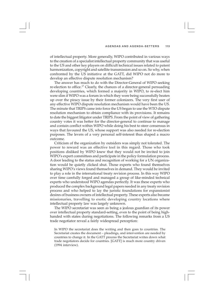#### **A G E N D A S A N D A G E N D A - S E T T E R S 113**

of intellectual property. More generally, WIPO contributed in various ways to the creation of a specialist intellectual property community that was useful to the US and other key players on difficult technical issues related to patent harmonization, copyright and satellite transmission and so on. So why, when confronted by the US initiative at the GATT, did WIPO not do more to develop an effective dispute resolution mechanism?

The answer has much to do with the Director-General of WIPO seeking re-election to office.<sup>17</sup> Clearly, the chances of a director-general persuading developing countries, which formed a majority in WIPO, to re-elect him were slim if WIPO was a forum in which they were being successfully beaten up over the piracy issue by their former colonizers. The very first user of any effective WIPO dispute resolution mechanism would have been the US. The minute that TRIPS came into force the US began to use the WTO dispute resolution mechanism to obtain compliance with its provisions. It remains to date the biggest litigator under TRIPS. From the point of view of gathering country votes it was better for the director-general to continue to manage and contain conflict within WIPO while doing his best to steer consensus in ways that favoured the US, whose support was also needed for re-election purposes. The levers of a very personal self-interest thus shaped a macro outcome.

Criticism of the organization by outsiders was simply not tolerated. The power to reward was an effective tool in this regard. Those who took positions disliked by WIPO knew that they would not be invited to join WIPO's expert committees and participate in the policy formulation process. A door leading to the status and recognition of working for a UN organization would be quietly clicked shut. Those experts who found themselves sharing WIPO's views found themselves in demand. They would be invited to play a role in the international treaty revision process. In this way WIPO over time carefully forged and managed a group of like-minded technical experts who understood WIPO agendas perfectly. It was these experts who produced the complex background legal papers needed in any treaty revision process and who helped to lay the juristic foundations for expansionist desires of business owners of intellectual property. These experts also became missionaries, travelling to exotic developing country locations where intellectual property law was largely unknown.

The WIPO secretariat was seen as being a jealous guardian of its power over intellectual property standard-setting, even to the point of being highhanded with states during negotiations. The following remarks from a US trade negotiator reveal a fairly widespread perception:

In WIPO the secretariat does the writing and then goes to countries. The Secretariat creates the document – pleadings, and intervention are needed by countries to change it. In the GATT process the Secretariat writes down what trade negotiators decide for countries. [GATT] is much more country driven (1994 interview).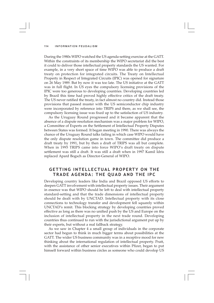During the 1980s WIPO watched the US agenda-setting exercise at the GATT. Within the constraints of its membership the WIPO secretariat did the best it could to deliver those intellectual property standards the US wanted. For example, in a very short space of time WIPO was able to produce a draft treaty on protection for integrated circuits. The Treaty on Intellectual Property in Respect of Integrated Circuits (IPIC) was opened for signature on 26 May 1989. But by now it was too late. The US initiative at the GATT was in full flight. In US eyes the compulsory licensing provisions of the IPIC were too generous to developing countries. Developing countries led by Brazil this time had proved highly effective critics of the draft treaty. The US never ratified the treaty, in fact almost no country did. Instead those provisions that passed muster with the US semiconductor chip industry were incorporated by reference into TRIPS and there, as we shall see, the compulsory licensing issue was fixed up to the satisfaction of US industry.

As the Uruguay Round progressed and it became apparent that the absence of a dispute resolution mechanism was a major problem for WIPO, a Committee of Experts on the Settlement of Intellectual Property Disputes between States was formed. It began meeting in 1990. There was always the chance of the Uruguay Round talks failing in which case WIPO would have the only dispute resolution game in town. The committee did produce a draft treaty by 1991, but by then a draft of TRIPS was all but complete. When in 1995 TRIPS came into force WIPO's draft treaty on dispute settlement was still a draft. It was still a draft when in 1997 Kamil Idris replaced Apard Bogsch as Director-General of WIPO.

# GETTING INTELLECTUAL PROPERTY ON THE TRADE AGENDA: THE QUAD AND THE IPC

Developing country leaders like India and Brazil opposed US efforts to deepen GATT involvement with intellectual property issues. Their argument in essence was that WIPO should be left to deal with intellectual property standard-setting and that the trade dimensions of intellectual property should be dealt with by UNCTAD. Intellectual property with its close connections to technology transfer and development fell squarely within UNCTAD's remit. This blocking strategy by developing countries proved effective as long as there was no unified push by the US and Europe on the inclusion of intellectual property in the next trade round. Developing countries thus continued to run with the jurisdictional argument put up by their experts, but without a real fallback strategy.

As we saw in Chapter 4 a small group of individuals in the corporate sector had begun to think in much bigger terms about possibilities at the GATT. The wider US business community was in a receptive mood for new thinking about the international regulation of intellectual property. Pratt, with the assistance of other senior executives within Pfizer, began to put himself forward within business circles as someone who could develop US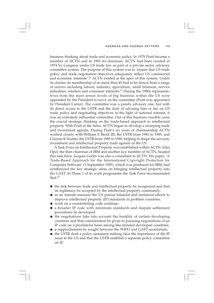#### **A G E N D A S A N D A G E N D A - S E T T E R S 115**

business thinking about trade and economic policy. In 1979 Pratt became a member of ACTN and in 1981 its chairman. ACTN had been created in 1974 by Congress under US trade law as part of a private sector advisory committee system. The purpose of this system was to 'ensure that US trade policy and trade negotiation objectives adequately reflect US commercial and economic interests'. 18 ACTN existed at the apex of this system. Under its charter, its membership of no more than 45 had to be drawn from a range of sectors including labour, industry, agriculture, small business, service industries, retailers and consumer interests.19 During the 1980s representatives from the most senior levels of big business within the US were appointed by the President to serve on the committee (Pratt was appointed by President Carter). The committee was a purely advisory one, but with its direct access to the USTR and the duty of advising him or her on US trade policy and negotiating objectives in the light of national interest, it was an extremely influential committee. Out of this business crucible came the crucial strategic thinking on the trade-based approach to intellectual property. With Pratt at the helm, ACTN began to develop a sweeping trade and investment agenda. During Pratt's six years of chairmanship ACTN worked closely with William E Brock III, the USTR from 1981 to 1985, and Clayton K Yeutter, the USTR from 1985 to 1989, helping to shape the services, investment and intellectual property trade agenda of the US.

A Task Force on Intellectual Property was established within ACTN. John Opel, the then chairman of IBM and another key member of ACTN, headed this task force. Jacques Gorlin was also a consultant to ACTN. His paper, 'A Trade-Based Approach for the International Copyright Protection for Computer Software' (1 September 1985), which was produced for IBM, had synthesized the key strategic ideas on bringing intellectual property into the GATT. In Phase 1 of its work programme the Task Force recommended that:20

- the link between trade and intellectual property be recognized and that its legitimacy be accepted by the intellectual property community;
- as an interim measure the US pursue bilateral and unilateral efforts to improve intellectual property (IP) standards in problem countries;
- work on a counterfeiting code continue;
- a broader IP code with minimum standards and dispute settlement procedures be developed
- the negotiations take into account the hostility of certain developing countries and that consideration be given to pursuing negotiations of an IP code on a plurilateral basis among like-minded developed countries;
- a rapprochement be sought between the WIPO and GATT secretariats;
- the USTR draft a policy statement making clear the importance of the IP issue to the US and that the USTR establish a separate policy committee on IP.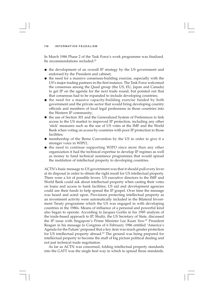In March 1986 Phase 2 of the Task Force's work programme was finalized. Its recommendations included:<sup>21</sup>

- the development of an overall IP strategy by the US government and endorsed by the President and cabinet;
- the need for a massive consensus-building exercise, especially with the US's major trading partners in the first instance. The Task Force welcomed the consensus among the Quad group (the US, EU, Japan and Canada) to get IP on the agenda for the next trade round, but pointed out that that consensus had to be expanded to include developing countries;
- $\bullet$  the need for a massive capacity-building exercise funded by both government and the private sector that would bring developing country officials and members of local legal professions in those countries into the Western IP community;
- the use of Section 301 and the Generalized System of Preferences to link access to the US market to improved IP protection, including any other 'stick' measures such as the use of US votes at the IMF and the World Bank when voting on access by countries with poor IP protection to those facilities;
- membership of the Berne Convention by the US in order to give it a stronger voice in WIPO;
- the need to continue supporting WIPO since more than any other organization it had the technical expertise to develop IP regimes as well as money to fund technical assistance programmes that would spread the institution of intellectual property to developing countries.

ACTN's basic message to US government was that it should pull every lever at its disposal in order to obtain the right result for US intellectual property. There were a lot of possible levers. US executive directors to the IMF and World Bank could ask about intellectual property when casting their votes on loans and access to bank facilities; US aid and development agencies could use their funds to help spread the IP gospel. Over time the message was heard and acted upon. Provisions protecting intellectual property as an investment activity were automatically included in the Bilateral Investment Treaty programme which the US was engaged in with developing countries in the 1980s. Means of influence of a personal and powerful kind also began to operate. According to Jacques Gorlin in his 1985 analysis of the trade-based approach to IP, Shultz, the US Secretary of State, discussed the IP issue with Singapore's Prime Minister Lee Kuan Yew.22 President Reagan in his message to Congress of 6 February 1986 entitled 'America's Agenda for the Future' proposed that a key item was much greater protection for US intellectual property abroad.<sup>23</sup> The ground was being prepared for intellectual property to become the stuff of big picture political dealing and not just technical trade negotiation.

As far as ACTN was concerned, folding intellectual property standards into the GATT was the single best way in which to spread those standards.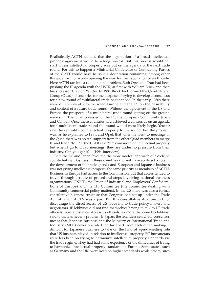#### **A G E N D A S A N D A G E N D A - S E T T E R S 117**

Realistically ACTN realized that the negotiation of a broad intellectual property agreement would be a long process. But this process would not start unless intellectual property was put on the agenda of the next trade round. For this to happen a Ministerial Conference of Contracting Parties of the GATT would have to issue a declaration containing, among other things, a form of words opening the way for the negotiation of an IP code. Here ACTN ran into a fundamental problem. Both Opel and Pratt had been pushing the IP agenda with the USTR, at first with William Brock and then his successor Clayton Yeutter. In 1981 Brock had formed the Quadrilateral Group (Quad) of countries for the purpose of trying to develop a consensus for a new round of multilateral trade negotiations. In the early 1980s there were differences of view between Europe and the US on the desirability and content of a future trade round. Without the agreement of the US and Europe the prospects of a multilateral trade round getting off the ground were slim. The Quad consisted of the US, the European Community, Japan and Canada. Once these countries had achieved a consensus on an agenda for a multilateral trade round the round would most likely begin. Yeutter saw the centrality of intellectual property to the round, but the problem was, as he explained to Pratt and Opel, that when he went to meetings of the Quad there was no real support from the other Quad members to merge IP and trade. 'In 1986 the USTR said "I'm convinced on intellectual property but when I go to Quad meetings, they are under no pressure from their industry. Can you get it?"' (1994 interview).

Both the EC and Japan favoured the more modest approach of a code on counterfeiting. Business in these countries did not have so direct a role in the development of the trade agenda and European and Japanese business was not giving intellectual property the same priority as members of ACTN. Business in Europe had access to the Commission, but that access tended to travel through a route of procedural steps involving national business organizations, UNICE (the Union of Industrial and Employers' Confederations of Europe) and the 113 Committee (the committee dealing with Community commercial policy matters). In the US there was also a formal consultative business structure that Congress had set up under the Trade Act, of which ACTN was a part. But this consultative structure did not discourage the direct access of US lobbyists to trade policy-makers and negotiators. IP lobbyists did not find themselves having to talk to US trade officials from a distance. Access to officials, as more than one US lobbyist said to us, was never a problem. In Japan, the relentless search for consensus meant that Japanese business and the Ministry of International Trade and Industry (MITI) never operated too far apart from each other, making it difficult for Japanese business to take on the kind of agenda-setting role that US business played in relation to intellectual property. EC bureaucrats were less keen on trying to harmonize intellectual property standards via the trade regime. They had had some experience of the difficulties of trying to harmonize intellectual property standards in Europe. Some states, such as Germany and the UK, were keen on higher standards while others, such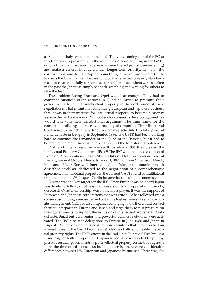as Spain and Italy, were not so inclined. The view coming out of the EC at this time was to press on with the initiative on counterfeiting in the GATT (a lot of luxury European trade marks were the subject of counterfeiting) and make a general IP code a much longer-term priority. In Japan, the corporations and MITI adopted something of a wait-and-see attitude towards the US initiative. The case for global intellectual property standards was not clear, especially for some sectors of Japanese industry. As so often in the past the Japanese simply sat back, watching and waiting for others to take the lead.

The problem facing Pratt and Opel was clear enough. They had to convince business organizations in Quad countries to pressure their governments to include intellectual property in the next round of trade negotiations. That meant first convincing European and Japanese business that it was in their interests for intellectual property to become a priority issue in the next trade round. Without such a consensus developing countries would win with their jurisdictional argument. The time frame for the consensus-building exercise was roughly six months. The Ministerial Conference to launch a new trade round was scheduled to take place at Punta del Este in Uruguay in September 1986. The USTR had been working hard to convince the remainder of the Quad of the IP issue, but it had to become much more than just a talking point at the Ministerial Conference.

Pratt and Opel's response was swift. In March 1986 they created the Intellectual Property Committee (IPC).24 The IPC was an ad hoc coalition of 13 major US corporations: Bristol-Myers, DuPont, FMC Corporation, General Electric, General Motors, Hewlett-Packard, IBM, Johnson & Johnson, Merck, Monsanto, Pfizer, Rockwell International and Warner Communications. It described itself as 'dedicated to the negotiation of a comprehensive agreement on intellectual property in the current GATT round of multilateral trade negotiations.' 25 Jacques Gorlin became its consulting economist.

Europe was the key target for the IPC. Once Europe was on board Japan was likely to follow, or at least not raise significant opposition. Canada, despite its Quad membership, was not really a player. It was the support of European and Japanese corporations that was crucial. What followed was a consensus-building exercise carried out at the highest levels of senior corporate management. CEOs of US companies belonging to the IPC would contact their counterparts in Europe and Japan and urge them to put pressure on their governments to support the inclusion of intellectual property at Punta del Este. Small but very senior and powerful business networks were activated. The IPC also sent delegations to Europe in June 1986 and Japan in August 1986 to persuade business in those countries that they also had an interest in seeing the GATT become a vehicle of globally enforceable intellectual property rights. The IPC's efforts in the lead-up to Punta del Este brought it success, for both European and Japanese industry responded by putting pressure on their governments to put intellectual property on the trade agenda.

At the time of this consensus-building exercise there were considerable differences between US, European and Japanese businesses. There was, for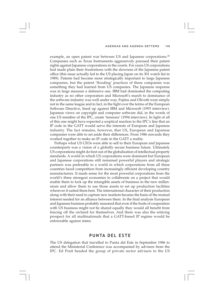#### **A G E N D A S A N D A G E N D A - S E T T E R S 119**

example, an open patent war between US and Japanese corporations.<sup>26</sup> Companies such as Texas Instruments aggressively pursued their patent rights against Japanese corporations in the courts. For years US corporations had made plain their frustrations with the slowness of the Japanese patent office (this issue actually led to the US placing Japan on its 301 watch list in 1989). Patents had become more strategically important to large Japanese companies, but the patent 'flooding' practices of these companies was something they had learned from US companies. The Japanese response was in large measure a defensive one. IBM had dominated the computing industry as no other corporation and Microsoft's march to dominance of the software industry was well under way. Fujitsu and Olivetti were simply not in the same league and in fact, in the fight over the terms of the European Software Directive, lined up against IBM and Microsoft (1993 interview). Japanese views on copyright and computer software did, in the words of one US member of the IPC, create 'tensions' (1994 interview). In light of all of this one might have expected a sceptical reaction to the IPC's line that an IP code in the GATT would serve the interests of European and Japanese industry. The fact remains, however, that US, European and Japanese companies were able to set aside their differences. From 1986 onwards they worked together to make an IP code in the GATT a reality.

Perhaps what US CEOs were able to sell to their European and Japanese counterparts was a vision of a globally secure business future. Ultimately US corporations might do best out of the globalization of intellectual property standards. A world in which US corporations were dominant but European and Japanese corporations still remained powerful players and strategic partners was preferable to a world in which corporations from all these countries faced competition from increasingly efficient developing country manufacturers. It made sense for the most powerful corporations from the world's three strongest economies to collaborate on a project that would enable them to lock up the intangible assets of business in the new millennium and allow them to use those assets to set up production facilities wherever it suited them best. The international character of their production along with their need to capture new markets became the basis of the mutual interest needed for an alliance between them. In the final analysis European and Japanese business probably reasoned that even if the fruits of cooperation with US business might not be shared equally they would all benefit from fencing off the orchard for themselves. And there was also the enticing prospect for all multinationals that a GATT-based IP regime would be enforceable against states.

## **PUNTA DEL ESTE**

The US delegation that travelled to Punta del Este in September 1986 to attend the Ministerial Conference was accompanied by advisers from the IPC. Ed Pratt headed the group of private sector advisers to the US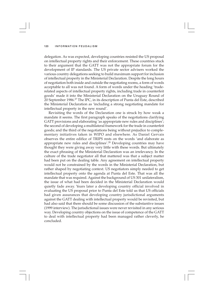delegation. As was expected, developing countries resisted the US proposal on intellectual property rights and their enforcement. These countries stuck to their argument that the GATT was not the appropriate forum for the development of IP standards. The US private sector advisers worked the various country delegations seeking to build maximum support for inclusion of intellectual property in the Ministerial Declaration. Despite the long hours of negotiation both inside and outside the negotiating rooms, a form of words acceptable to all was not found. A form of words under the heading 'traderelated aspects of intellectual property rights, including trade in counterfeit goods' made it into the Ministerial Declaration on the Uruguay Round of 20 September 1986.27 The IPC, in its description of Punta del Este, described the Ministerial Declaration as 'including a strong negotiating mandate for intellectual property in the new round'.

Revisiting the words of the Declaration one is struck by how weak a mandate it seems. The first paragraph speaks of the negotiations clarifying GATT provisions and elaborating 'as appropriate new rules and disciplines'; the second of developing a multilateral framework for the trade in counterfeit goods; and the third of the negotiations being without prejudice to complementary initiatives taken in WIPO and elsewhere. As Daniel Gervais observes the entire edifice of TRIPS rests on the words 'and elaborate as appropriate new rules and disciplines'. 28 Developing countries may have thought they were giving away very little with these words. But ultimately the exact phrasing of the Ministerial Declaration was an irrelevancy. In the culture of the trade negotiator all that mattered was that a subject matter had been put on the dealing table. Any agreement on intellectual property would not be constrained by the words in the Ministerial Declaration, but rather shaped by negotiating context. US negotiators simply needed to get intellectual property onto the agenda at Punta del Este. That was all the mandate that was required. Against the background of US 301 unilateralism, the issue of what had been decided in the Ministerial Declaration would quietly fade away. Years later a developing country official involved in evaluating the US proposal prior to Punta del Este told us that US officials had given assurances that developing country jurisdictional arguments against the GATT dealing with intellectual property would be revisited, but had also said that there should be some discussion of the substantive issues (1999 interview). The jurisdictional issues were never revisited in any serious way. Developing country objections on the issue of competence of the GATT to deal with intellectual property had been managed rather cleverly, he concluded.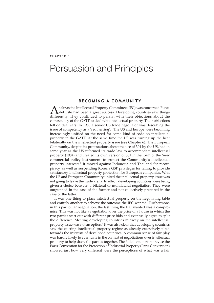#### CHAPTER 8

# Persuasion and Principles

## BECOMING A COMMUNITY

As far as the Intellectual Property Committee (IPC) was concerned Punta<br>del Este had been a great success. Developing countries saw things<br>differently. They continued to persist with their objections about the del Este had been a great success. Developing countries saw things differently. They continued to persist with their objections about the competency of the GATT to deal with intellectual property. Their objections fell on deaf ears. In 1988 a senior US trade negotiator was describing the issue of competency as a 'red herring'. 1 The US and Europe were becoming increasingly unified on the need for some kind of code on intellectual property in the GATT. At the same time the US was turning up the heat bilaterally on the intellectual property issue (see Chapter 6). The European Community, despite its protestations about the use of 301 by the US, had in same year as the US reformed its trade law to accommodate intellectual property (1984) and created its own version of 301 in the form of the 'new commercial policy instrument' to protect the Community's intellectual property interests.2 It moved against Indonesia and Thailand for record piracy, as well as suspending Korea's GSP privileges for failing to provide satisfactory intellectual property protection for European companies. With the US and European Community united the intellectual property issue was not going to leave the trade arena. In effect, developing countries were being given a choice between a bilateral or multilateral negotiation. They were outgunned in the case of the former and not collectively prepared in the case of the latter.

It was one thing to place intellectual property on the negotiating table and entirely another to achieve the outcome the IPC wanted. Furthermore, in this particular negotiation, the last thing the IPC wanted was a compromise. This was not like a negotiation over the price of a house in which the two parties start out with different price bids and eventually agree to split the difference. Meeting developing countries midway on the intellectual property issue was not an option.<sup>3</sup> It was also clear that developing countries saw the existing intellectual property regime as already excessively tilted towards the interests of developed countries. A common sense of fair play was hardly likely to eventuate in the context of negotiations over intellectual property to help draw the parties together. The failed attempts to revise the Paris Convention for the Protection of Industrial Property (Paris Convention) showed just how very different were the perceptions of what was a fair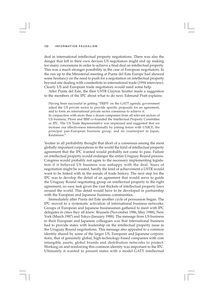deal in international intellectual property negotiations. There was also the danger that left to their own devices US negotiators might end up making too many concessions in order to achieve a final deal on intellectual property. This was a much stronger possibility in the case of European negotiators. In the run up to the Ministerial meeting at Punta del Este Europe had showed some hesitancy on the need to push for a negotiation on intellectual property beyond one dealing with counterfeits in international trade (1994 interview). Clearly US and European trade negotiators would need some help.

After Punta del Este, the then USTR Clayton Yeutter made a suggestion to the members of the IPC about what to do next. Edmund Pratt explains:

Having been successful in getting 'TRIPS' on the GATT agenda, government asked the US private sector to provide specific proposals for an agreement, and to form an international private sector consensus to achieve it. In conjunction with more than a dozen companies from all relevant sectors of US business, Pfizer and IBM co-founded the Intellectual Property Committee or IPC. The US Trade Representative was impressed and suggested that we increase our effectiveness internationally by joining forces with UNICE, the principal pan-European business group, and its counterpart in Japan, Keidanren.4

Yeutter in all probability thought that short of a consensus among the most globally important corporations in the world the kind of intellectual property agreement that the IPC wanted would probably not come to pass. Failure on intellectual property would endanger the entire Uruguay Round process. Congress would probably not agree to the necessary implementing legislation if it believed US business was unhappy with the deal. Years of negotiation might be wasted, hardly the kind of achievement a USTR would want to be linked with in the annals of trade history. The next step for the IPC was to develop the detail of an agreement that would serve to guide the Uruguay Round negotiating group on intellectual property to the right agreement, no easy task given the vast thickets of intellectual property laws around the world. This detail would have to be developed in partnership with the European and Japanese business communities.

Immediately after Punta del Este another cycle of persuasion began. The IPC moved to a systematic activation of international business networks. Groups of European and Japanese businessmen gathered to meet with IPC delegates in cities they all knew: Brussels (November 1986, May 1988), New York (March 1987) and Tokyo (January 1988). The message from US business to their European and Japanese colleagues was that international business had to provide states with leadership on the intellectual property issue in the Uruguay Round negotiations. This message also appealed to a common identity shared by some of the larger US, European and Japanese corporations, that of genuinely global, high-technology-based companies with core intangible assets, global brands and distribution networks to protect. Working on and reinforcing this common identity was important to the IPC. Ultimately it wanted to present states with a model GATT intellectual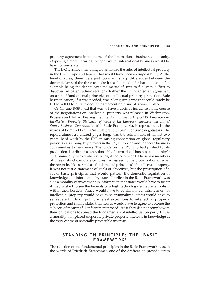property agreement in the name of the international business community. Opposing a model bearing the approval of international business would be hard for any state.

The IPC was not attempting to harmonize the rules of intellectual property in the US, Europe and Japan. That would have been an impossibility. At the level of rules, there were just too many sharp differences between the domestic laws of the three to make it feasible to aim for harmonization (an example being the debate over the merits of 'first to file' versus 'first to discover' in patent administration). Rather the IPC wanted an agreement on a set of fundamental principles of intellectual property protection. Rule harmonization, if it was needed, was a long-run game that could safely be left to WIPO to pursue once an agreement on principles was in place.

On 14 June 1988 a text that was to have a decisive influence on the course of the negotiations on intellectual property was released in Washington, Brussels and Tokyo. Bearing the title *Basic Framework of GATT Provisions on Intellectual Property: Statement of Views of the European, Japanese and United States Business Communities* (the Basic Framework), it represented, in the words of Edmund Pratt, a 'multilateral blueprint' for trade negotiators. The report, almost a hundred pages long, was the culmination of almost two years' hard work by the IPC on raising cooperation on global regulatory policy issues among key players in the US, European and Japanese business communities to new levels. The CEOs on the IPC who had pushed for its production described it as an action of the 'international business community'. 5

'Community' was probably the right choice of word. The senior members of three distinct corporate cultures had agreed to the globalization of what the report itself described as 'fundamental principles' of intellectual property. It was not just a statement of goals or objectives, but the prescription of a set of basic principles that would pattern the domestic regulation of knowledge and information by states. Implicit in the Basic Framework was also a morality of investment in information that states would have to foster if they wished to see the benefits of a high technology entrepreneurialism within their borders. Piracy would have to be eliminated, infringement of intellectual property would have to be criminalized, states would have to set severe limits on public interest exceptions to intellectual property protection and finally states themselves would have to agree to become the subjects of meaningful enforcement procedures if they did not comply with their obligations to spread the fundamentals of intellectual property. It was a morality that placed corporate private property interests in knowledge at the very centre of societally protectible interests.

## STANDING ON PRINCIPLE: THE 'BASIC FRAMEWORK'

The function of the fundamental principles in the Basic Framework was, in the words of Friedrich Kretschmer, one of the drafters, to provide states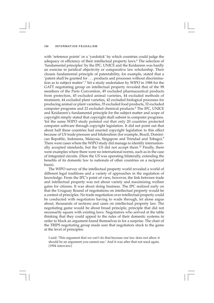with 'reference points' or a 'yardstick' by which countries could judge the adequacy or efficiency of their intellectual property laws.<sup>6</sup> The selection of 'fundamental principles' by the IPC, UNICE and the Keidanren was hardly an exercise in juridical objectivity or comparative law scholarship. Their chosen fundamental principle of patentability, for example, stated that a 'patent shall be granted for . . . products and processes without discrimination as to subject matter'. 7 Yet a study undertaken by WIPO in 1988 for the GATT negotiating group on intellectual property revealed that of the 98 members of the Paris Convention, 49 excluded pharmaceutical products from protection, 45 excluded animal varieties, 44 excluded methods of treatment, 44 excluded plant varieties, 42 excluded biological processes for producing animal or plant varieties, 35 excluded food products, 32 excluded computer programs and 22 excluded chemical products.<sup>8</sup> The IPC, UNICE and Keidanren's fundamental principle for the subject matter and scope of copyright simply stated that copyright shall subsist in computer programs. Yet the same WIPO study pointed out that only 20 countries protected computer software through copyright legislation. It did not point out that about half these countries had enacted copyright legislation to this effect because of US trade pressure and bilateralism (for example, Brazil, Dominican Republic, Indonesia, Malaysia, Singapore and Trinidad and Tobago).<sup>9</sup> There were cases where the WIPO study did manage to identify internationally accepted standards, but the US did not accept them.10 Finally, there were examples where there were no international norms, such as in the case of integrated circuits. (Here the US was operating bilaterally, extending the benefits of its domestic law to nationals of other countries on a reciprocal basis).

The WIPO survey of the intellectual property world revealed a world of different legal traditions and a variety of approaches in the regulation of knowledge. From the IPC's point of view, however, the link between trade and intellectual property was not about variety and maximizing welfare gains for citizens. It was about doing business. The IPC realized early on that the Uruguay Round of negotiations on intellectual property would be a contest of principles. No trade negotiation over intellectual property could be conducted with negotiators having to wade through, let alone argue about, thousands of sections and cases on intellectual property law. The negotiating game would be about broad principle, principle that did not necessarily square with existing laws. Negotiators who arrived at the table thinking that they could appeal to the rules of their domestic systems in order to block an argument found themselves in for a surprise. The chair of the TRIPS negotiating group made sure that negotiators stuck to the game at the level of principles:

I said: 'This argument that we can't do that because our law does not allow it should be an argument you cannot use.' And it was after that not used again. (1994 interview)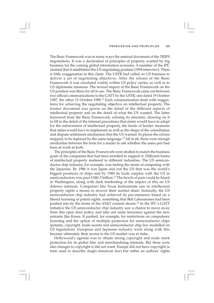#### **PERSUASION AND PRINCIPLES** 125

The Basic Framework was in many ways the seminal document of the TRIPS negotiations. It was a declaration of principles of property wanted by big business for the coming global information economy. A member of the IPC claimed that it established the US negotiating position (1994 interview). There is little exaggeration in this claim. The USTR had called on US business to deliver a set of negotiating objectives. After the release of the Basic Framework it was circulated widely within US policy circles, as well as to US diplomatic missions. The textual impact of the Basic Framework on the US position was there for all to see. The Basic Framework came out between two official communications to the GATT by the USTR, one dated 19 October 1987, the other 13 October 1988.<sup>11</sup> Each communication dealt with suggestions for achieving the negotiating objective on intellectual property. The former document was sparse on the detail of the different aspects of intellectual property and on the detail of what the US wanted. The latter borrowed from the Basic Framework, echoing its structure, drawing on it to fill in the detail of the internal procedures that states would have to adopt for the enforcement of intellectual property, the kinds of border measures that states would have to implement as well as the shape of the consultation and dispute settlement mechanism that the US wanted. In places the echoes stopped, to be replaced by the same language.<sup>12</sup> All in all, there were enough similarities between the texts for a reader to ask whether the same pen had been at work in both.

The principles of the Basic Framework were drafted to match the business goals of the companies that had been enrolled to support it. Different forms of intellectual property mattered to different industries. The US semiconductor chip industry, for example, was feeling the strain of competing with the Japanese. By 1986 it was Japan and not the US that was the world's biggest producer of chips and by 1989 its trade surplus with the US in semiconductors was past US\$1.5 billion.<sup>13</sup> The howls of pain could be heard in Washington, along with dark foreboding of the impact of this on US defence interests. Companies like Texas Instruments saw in intellectual property rights a means to recover their market share. Ironically, the US semiconductor chip industry had achieved its pre-eminence based on a liberal licensing of patent rights, something that Bell Laboratories had been pushed into by the terms of the AT&T consent decree.14 In the IPC's GATT initiative the US semiconductor chip industry saw a chance to move away from this open door policy and take out some insurance against the new entrants like Korea. It pushed, for example, for restrictions on compulsory licensing and the option of multiple protection for semiconductor chips (patents, copyright, trade secrets and semiconductor chip law modelled on US legislation). European and Japanese industry went along with this because ultimately their access to the US market was at stake.

Hollywood's agenda was to obtain strong copyright and trade mark protection for its global film and merchandising interests. But there were also changes to copyright it did not want. Europe did not have copyright (a term used to describe Anglo-American law) but rather an authors' rights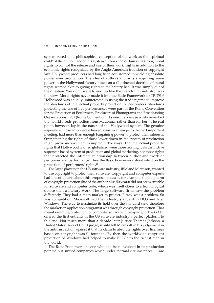system based on a philosophical conception of the work as the 'spiritual child' of the author. Under this system authors had certain very strong moral rights to control the release and use of their work, rights in addition to the economic rights recognized by the Anglo-American tradition of copyright law. Hollywood producers had long been accustomed to wielding absolute power over production. The idea of authors and artists acquiring some power in the Hollywood factory based on a Continental doctrine of moral rights seemed akin to giving rights to the battery hen. It was simply out of the question. 'We don't want to end up like the French film industry' was the view. Moral rights never made it into the Basic Framework or TRIPS.15 Hollywood was equally uninterested in using the trade regime to improve the standards of intellectual property protection for performers. Standards protecting the use of live performances were part of the Rome Convention for the Protection of Performers, Producers of Phonograms and Broadcasting Organizations, 1961 (Rome Convention). As one interviewee wryly remarked the 'world needs protection from Madonna, rather than for her'. The real point, however, lay in the nature of the Hollywood system. The genuine superstars, those who were whisked away in a Lear jet to the next important meeting, had more than enough bargaining power to protect their interests. Strengthening the rights of those lower down in the system of production might prove inconvenient in unpredictable ways. The intellectual property rights that Hollywood wanted globalized were those relating to its distinctive superstar-based system of production and global marketing, not those rights that protected the intimate relationship between author and work or performer and performance. Thus the Basic Framework stood silent on the protection of performers' rights.16

The large players in the US software industry, IBM and Microsoft, wanted to use copyright to protect their software. Copyright and computer experts had lots of doubts about this proposal because, for example, the long term of copyright protection (life of the author plus 50 years) did not seem suitable for software and computer code, which was itself closer to a technological device than a literary work. The large software firms saw the problem differently. They had a mass market to protect. Piracy was a problem. So was competition. Microsoft had the industry standard in DOS and later Windows. The way to maximize its hold over the standard (and therefore the markets in application programs) was through copyright protection. That meant ramming protection for computer software into copyright. The GATT offered the first entrants in the US software industry a perfect platform to this end. Not much more than a decade later Justice Thomas Jackson, a United States District Court judge, would tell Microsoft in his judgement in the antitrust action against it that its claim to absolute rights over licensees based on copyright was ill-founded. By then the worldwide copyright protection of Windows had helped to make Bill Gates the richest man in the world.

The Basic Framework, as one who had been involved in its production pointed out, united companies which under 'normal circumstances . . . are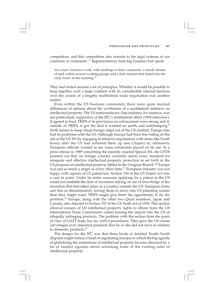#### **PERSUASION AND PRINCIPLES** 127

competitors, and this competition also extends to the legal systems of our countries or continents'. 17 Representatives from big business had spent:

two years' intensive work, with meetings in three continents, a steady stream of mail within several working groups and a final reunion that lasted into the early hours of the morning.18

They had united around a set of principles. Whether it would be possible to keep together such a large coalition with its considerable internal tensions over the course of a lengthy multilateral trade negotiation was another matter.

Even within the US business community there were quite marked differences of opinion about the worthiness of a multilateral initiative on intellectual property. The US semiconductor chip industry, for instance, was not particularly supportive of the IPC's multilateral effort (1994 interview). It agreed to back TRIPS if its provisions on enforcement were strong and if, outside of TRIPS, it got the deal it wanted on tariffs and antidumping<sup>19</sup> (both means to keep cheap foreign chips out of the US market). Europe also had its problems with the US. Although Europe had been free-riding on the use of the US 301 by engaging in bilateral negotiations with states like South Korea after the US had softened them up (see Chapter 6), ultimately European officials wanted to see some constraints placed on its use. In a press release in 1989 concerning the recently enacted Special 301, the USTR pointed out that 'no foreign country currently meets every standard for adequate and effective intellectual property protection as set forth in the US proposal on intellectual property tabled in the Uruguay Round.' 20 Europe was just as much a target as every other state.<sup>21</sup> European industry was not happy with aspects of US patent law. Section 104 of the US Patent Act was a case in point. Under its terms someone applying for a patent in the US could not establish the date of invention relying on use of knowledge of the invention that had taken place in a country outside the US. European firms saw this as discriminatory, forcing them to move into US patenting sooner than they might want. TRIPS might give them the opportunity to fix the problem.22 Europe, along with the other two Quad members, Japan and Canada, also objected to Section 337 of the US Tariff Act of 1930. This section allowed owners of US intellectual property rights to obtain from the US International Trade Commission orders barring the import into the US of allegedly infringing products. The problem with the section from the point of view of GATT trade law lay with it procedures. They gave the US owner advantages over imported products that he or she did not have in relation to domestic products.23

The danger for the IPC was that these kinds of detailed North–North disputes might induce a kind of negotiating myopia in which the big agenda of globalizing the institutions of intellectual property became obscured by a lot of smaller agendas about reforming some of the existing rules of intellectual property.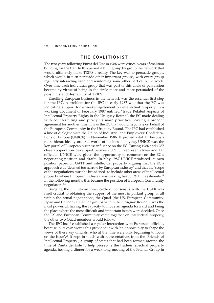## THE COALITIONIST

The two years following Punta del Este in 1986 were critical years of coalition building for the IPC. In this period it built group by group the network that would ultimately make TRIPS a reality. The key was to persuade groups, which would in turn persuade other important groups, with every group regularly interacting with and reinforcing some other part of the network. Over time each individual group that was part of this circle of persuasion became by virtue of being in the circle more and more persuaded of the possibility and desirability of TRIPS.

Enrolling European business in the network was the essential first step for the IPC. A problem for the IPC in early 1987 was that the EC was indicating support for a weaker agreement on intellectual property. In a working document of February 1987 entitled 'Trade Related Aspects of Intellectual Property Rights in the Uruguay Round', the EC made dealing with counterfeiting and piracy its main priorities, leaving a broader agreement for another time. It was the EC that would negotiate on behalf of the European Community in the Uruguay Round. The IPC had established a line of dialogue with the Union of Industrial and Employers' Confederations of Europe (UNICE) in November 1986. It proved vital. In Europe's more hierarchically ordered world of business lobbying, UNICE was the key portal of European business influence on the EC. During 1986 and 1987 close cooperation developed between UNICE representatives and EC officials; UNICE were given the opportunity to comment on the EC's negotiating position and drafts. In May 1987 UNICE produced its own position paper on GATT and intellectual property arguing that the EC's approach was 'deemed too narrow by European industry' and that the 'scope of the negotiations must be broadened' to include other areas of intellectual property where European industry was making heavy R&D investments.<sup>24</sup> In the following months this became the position of European Community negotiators.25

Bringing the EC into an inner circle of consensus with the USTR was itself crucial to obtaining the support of the most important group of all within the actual negotiations, the Quad (the US, European Community, Japan and Canada). Of all the groups within the Uruguay Round it was the most powerful, having the capacity to move an agenda forward and being the place where the most difficult and important issues were decided. Once the US and European Community came together on intellectual property, the other two Quad members would follow.

The IPC itself established a regular interaction with European officials, because in its own words this provided it with 'an opportunity to shape the views of these key officials, who at the time were only beginning to focus on the issue'. 26 It kept in touch with representatives from the 'Friends of Intellectual Property', a group of states that had been formed around the time of Punta del Este to help prosecute the trade-intellectual property agenda, hosting a dinner for a week-long meeting of the Friends Group in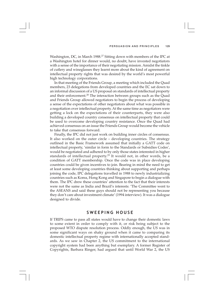#### **PERSUASION AND PRINCIPLES** 129

Washington, DC, in March 1988.<sup>27</sup> Sitting down with members of the IPC at a Washington hotel for dinner would, no doubt, have invested negotiators with a sense of the importance of their negotiating mission. Amidst the tinkle of cutlery and wineglasses they learnt more about the kind of agreement on intellectual property rights that was desired by the world's most powerful high technology corporations.

In that meeting of the Friends Group, a meeting which included the Quad members, 23 delegations from developed countries and the EC sat down to an informal discussion of a US proposal on standards of intellectual property and their enforcement.<sup>28</sup> The interaction between groups such as the Quad and Friends Group allowed negotiators to begin the process of developing a sense of the expectations of other negotiators about what was possible in a negotiation over intellectual property. At the same time as negotiators were getting a lock on the expectations of their counterparts, they were also building a developed country consensus on intellectual property that could be used to overcome developing country resistance. Once the Quad had achieved consensus on an issue the Friends Group would become the vehicle to take that consensus forward.

Finally, the IPC did not just work on building inner circles of consensus. It also worked on the outer circle – developing countries. The strategy outlined in the Basic Framework assumed that initially a GATT code on intellectual property, 'similar in form to the Standards or Subsidies Codes', would be negotiated and adhered to by only those states interested in higher standards of intellectual property.<sup>29</sup> It would not, in other words, be a condition of GATT membership. Once the code was in place developing countries could be given incentives to join. Bearing in mind the need to get at least some developing countries thinking about supporting and perhaps joining the code, IPC delegations travelled in 1988 to newly industrializing countries such as Korea, Hong Kong and Singapore to begin a dialogue with them. The IPC drew these countries' attention to the fact that their interests were not the same as India and Brazil's interests: 'The Committee went to the ASEANS and said these guys should not be representing you because they don't care about investment climate' (1994 interview). It was a dialogue designed to divide.

## **SWEEPING HOUSE**

If TRIPS came to pass all states would have to change their domestic laws to some extent in order to comply with it, or risk being subject to the proposed WTO dispute resolution process. Oddly enough, the US was in some significant ways on shaky ground when it came to comparing its domestic intellectual property regime with internationally accepted standards. As we saw in Chapter 2, the US commitment to the international copyright system had been anything but exemplary. A former Register of Copyrights, Barbara Ringer, had argued that until World War 2, the US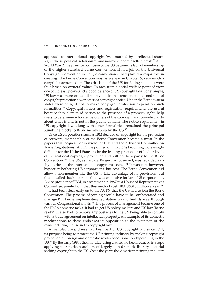approach to international copyright 'was marked by intellectual shortsightedness, political isolationism, and narrow economic self-interest'. 30 After World War 2, the principal criticism of the US became its lack of membership of the higher standard Berne Convention. It had joined the Universal Copyright Convention in 1955, a convention it had played a major role in creating. The Berne Convention was, as we saw in Chapter 5, very much a copyright owners' club. The criticisms of the US for failing to join it were thus based on owners' values. In fact, from a social welfare point of view one could easily construct a good defence of US copyright law. For example, US law was more or less distinctive in its insistence that as a condition of copyright protection a work carry a copyright notice. Under the Berne system states were obliged not to make copyright protection depend on such formalities.31 Copyright notices and registration requirements are useful because they alert third parties to the presence of a property right, help users to determine who are the owners of the copyright and provide clarity about what is and is not in the public domain. The notice requirement in US copyright law, along with other formalities, remained the principal stumbling blocks to Berne membership by the US.<sup>32</sup>

Once US corporations such as IBM decided on copyright for the protection of software, membership of the Berne Convention became a must. In the papers that Jacques Gorlin wrote for IBM and the Advisory Committee on Trade Negotiations (ACTN) he pointed out that it 'is becoming increasingly difficult for the United States to be the leading proponent of higher levels of international copyright protection and still not be a party to the Berne Convention.' 33 The US, as Barbara Ringer had observed, was regarded as a 'hypocrite on the international copyright scene'. 34 It was not, however, hypocrisy bothering US corporations, but cost. The Berne Convention did allow a non-member like the US to take advantage of its provisions, but this so-called 'back door' method was expensive for large US corporations. A vice president of IBM, in a statement in 1987 to a House of Representatives Committee, pointed out that this method cost IBM US\$10 million a year.<sup>35</sup>

It had been clear early on to the ACTN that the US had to join the Berne Convention. The process of joining would have to be 'orchestrated and managed' if Berne implementing legislation was to find its way through various Congressional shoals.<sup>36</sup> The process of management became one of the IPC's domestic tasks. It had to get US policy-makers and US law 'Berne ready'. It also had to remove any obstacles to the US being able to comply with a trade agreement on intellectual property. An example of its domestic machinations to these ends was its opposition to the extension of the manufacturing clause in US copyright law.

A manufacturing clause had been part of US copyright law since 1891, its purpose being to protect the US printing industry by making copyright protection of foreign and domestic works conditional on typesetting in the US.37 By the early 1980s the manufacturing clause had been reduced in scope applying to American authors of largely non-dramatic literary material seeking copyright in the US. Over the years the American printing industry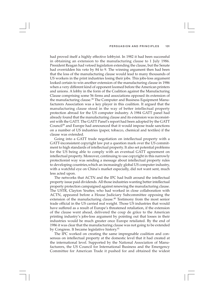#### **PERSUASION AND PRINCIPLES** 131

had proved itself a highly effective lobbyist. In 1982 it had been successful in obtaining an extension to the manufacturing clause to 1 July 1986. President Reagan had vetoed legislation extending the clause, but the Senate had overridden his veto by 84 to 9. The winning argument then had been that the loss of the manufacturing clause would lead to many thousands of US workers in the print industries losing their jobs. This jobs-loss argument looked certain to win another extension of the manufacturing clause in 1986 when a very different kind of opponent loomed before the American printers and unions. A lobby in the form of the Coalition against the Manufacturing Clause comprising some 56 firms and associations opposed its extension of the manufacturing clause.<sup>38</sup> The Computer and Business Equipment Manufacturers Association was a key player in this coalition. It argued that the manufacturing clause stood in the way of better intellectual property protection abroad for the US computer industry. A 1984 GATT panel had already found that the manufacturing clause and its extension was inconsistent with the GATT. The GATT Panel's report had been adopted by the GATT Council39 and Europe had announced that it would impose trade sanctions on a number of US industries (paper, tobacco, chemical and textiles) if the clause was extended.

Going into a GATT trade negotiation on intellectual property with a GATT-inconsistent copyright law put a question mark over the US commitment to high standards of intellectual property. It also set potential problems for the US being able to comply with an eventual GATT agreement on intellectual property. Moreover, continuing to use copyright in this narrowly protectionist way was sending a message about intellectual property rules to developing countries,which an increasingly global US computer industry, with a watchful eye on China's market especially, did not want sent, much less acted upon.

The networks that ACTN and the IPC had built around the intellectual property issue paid dividends. All those industries wanting better intellectual property protection campaigned against renewing the manufacturing clause. The USTR, Clayton Yeutter, who had worked in close collaboration with ACTN, appeared before a House Judiciary Subcommittee opposing the extension of the manufacturing clause.<sup>40</sup> Testimony from the most senior trade official in the US carried real weight. Those US industries that would have suffered as a result of Europe's threatened retaliation, if the extension of the clause went ahead, delivered the coup de grâce to the American printing industry's jobs-loss argument by pointing out that losses in their industries would be much greater once Europe retaliated. By the end of 1986 it was clear that the manufacturing clause was not going to be extended by Congress. It became legislative history.<sup>41</sup>

The IPC worked on creating the same impregnable coalition and consensus on intellectual property at the domestic level that it had created at the international level. Supported by the National Association of Manufacturers, the US Council for International Business and the Emergency Committee for American Trade it pushed for and obtained the widest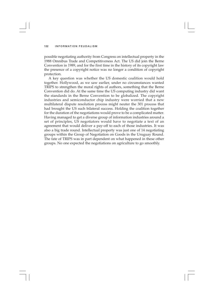possible negotiating authority from Congress on intellectual property in the 1988 Omnibus Trade and Competitiveness Act. The US did join the Berne Convention in 1989, and for the first time in the history of its copyright law the presence of a copyright notice was no longer a condition of copyright protection.

A key question was whether the US domestic coalition would hold together. Hollywood, as we saw earlier, under no circumstances wanted TRIPS to strengthen the moral rights of authors, something that the Berne Convention did do. At the same time the US computing industry did want the standards in the Berne Convention to be globalized. The copyright industries and semiconductor chip industry were worried that a new multilateral dispute resolution process might neuter the 301 process that had brought the US such bilateral success. Holding the coalition together for the duration of the negotiations would prove to be a complicated matter. Having managed to get a diverse group of information industries around a set of principles, US negotiators would have to negotiate a text of an agreement that would deliver a pay-off to each of those industries. It was also a big trade round. Intellectual property was just one of 14 negotiating groups within the Group of Negotiation on Goods in the Uruguay Round. The fate of TRIPS was in part dependent on what happened in these other groups. No one expected the negotiations on agriculture to go smoothly.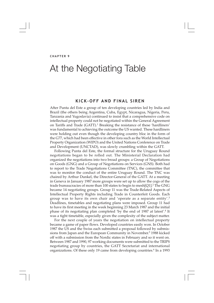#### CHAPTER 9

# At the Negotiating Table

## KICK-OFF AND FINAL SIREN

After Punta del Este a group of ten developing countries led by India and Brazil (the others being Argentina, Cuba, Egypt, Nicaragua, Nigeria, Peru, Tanzania and Yugoslavia) continued to insist that a comprehensive code on intellectual property could not be negotiated within the General Agreement on Tariffs and Trade (GATT).<sup>1</sup> Breaking the resistance of these 'hardliners' was fundamental to achieving the outcome the US wanted. These hardliners were holding out even though the developing country bloc in the form of the G77, which had been effective in other fora such as the World Intellectual Property Organization (WIPO) and the United Nations Conference on Trade and Development (UNCTAD), was slowly crumbling within the GATT.

Following Punta del Este, the formal structure for the Uruguay Round negotiations began to be rolled out. The Ministerial Declaration had organized the negotiations into two broad groups: a Group of Negotiations on Goods (GNG) and a Group of Negotiations on Services (GNS). Both had to report to the Trade Negotiations Committee (TNC), the committee that was to monitor the conduct of the entire Uruguay Round. The TNC was chaired by Arthur Dunkel, the Director-General of the GATT. At a meeting in Geneva in January 1987 more groups were set up to allow the cogs of the trade bureaucracies of more than 100 states to begin to mesh[Q1].<sup>2</sup> The GNG became 14 negotiating groups. Group 11 was the Trade-Related Aspects of Intellectual Property Rights including Trade in Counterfeit Goods. Each group was to have its own chair and 'operate as a separate entity'. 3 Deadlines, timetables and negotiating plans were imposed. Group 11 had to have its first meeting in the week beginning 23 March 1987 and the initial phase of its negotiating plan completed 'by the end of 1987 at latest'.<sup>4</sup> It was a tight timetable, especially given the complexity of the subject matter.

For the next couple of years the negotiation on intellectual property became a game of paper flows. Developed countries easily won. In October 1987 the US and the Swiss each submitted a proposal followed by submissions from Japan and the European Community in November.<sup>5</sup> 1988 kicked off with a submission from the Nordic states in February and so it went on. Between 1987 and 1990, 97 working documents were submitted to the TRIPS negotiating group by countries, the GATT Secretariat and international organizations. Of these only 19 came from developing countries.<sup>6</sup> In a 1993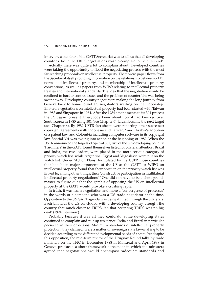interview a member of the GATT Secretariat was to tell us that all developing countries did in the TRIPS negotiations was 'to complain to the bitter end'.

Actually there was quite a lot to complain about. Developed countries were taking the opportunity to flood the negotiating process with the most far-reaching proposals on intellectual property. There were paper flows from the Secretariat itself providing information on the relationship between GATT norms and intellectual property, and membership of intellectual property conventions, as well as papers from WIPO relating to intellectual property treaties and international standards. The idea that the negotiation would be confined to border control issues and the problem of counterfeits was being swept away. Developing country negotiators making the long journey from Geneva back to home found US negotiators waiting on their doorstep. Bilateral negotiations on intellectual property had been started with Taiwan in 1983 and Singapore in 1984. After the 1984 amendments to its 301 process the US began to use it. Everybody knew about how it had knocked over South Korea in 1985 using 301 (see Chapter 6). Brazil became the next target (see Chapter 6). By 1989 USTR fact sheets were reporting other successes: copyright agreements with Indonesia and Taiwan, Saudi Arabia's adoption of a patent law, and Colombia including computer software in its copyright law. Special 301 was swung into action at the beginning of 1989. When the USTR announced the targets of Special 301, five of the ten developing country 'hardliners' in the GATT found themselves listed for bilateral attention. Brazil and India, the two leaders, were placed in the more serious category of priority watch list, while Argentina, Egypt and Yugoslavia were put on the watch list. Under 'Action Plans' formulated by the USTR those countries that had been major opponents of the US at the GATT or WIPO on intellectual property found that their position on the priority watch list was linked to, among other things, their 'constructive participation in multilateral intellectual property negotiations'. 7 One did not have to be a chess grandmaster to figure out that the gambit of opposing the US on intellectual property at the GATT would provoke a crushing reply.

In truth, it was less a negotiation and more a 'convergence of processes' in the words of a someone who was a US trade negotiator at the time. Opposition to the US GATT agenda was being diluted through the bilaterals. Each bilateral the US concluded with a developing country brought the country that much closer to TRIPS, 'so that accepting TRIPS was no big deal' (1994 interview).

Probably because it was all they could do, some developing states continued to complain and put up resistance. India and Brazil in particular persisted in their objections. Minimum standards of intellectual property protection, they claimed, were a matter of sovereign state law-making to be decided according to the different developmental needs of a state. Yet despite this opposition, the mid-term review of the Uruguay Round talks by trade ministers on the TNC in December 1988 in Montreal and April 1989 in Geneva produced a short framework agreement in which the ministers agreed that negotiations would encompass 'adequate standards and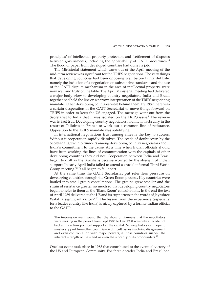#### **AT THE NEGOTIATING TABLE 135**

principles' of intellectual property protection and 'settlement of disputes between governments, including the applicability of GATT procedures'.<sup>8</sup> The flood of paper from developed countries had done its job.

The Ministerial statement which came out of the April meeting of the mid-term review was significant for the TRIPS negotiations. The very things that developing countries had been opposing well before Punta del Este, namely the inclusion of a negotiation on substantive standards and the use of the GATT dispute mechanism in the area of intellectual property, were now well and truly on the table. The April Ministerial meeting had delivered a major body blow to developing country negotiators. India and Brazil together had held the line on a narrow interpretation of the TRIPS negotiating mandate. Other developing countries were behind them. By 1989 there was a certain desperation in the GATT Secretariat to move things forward on TRIPS in order to keep the US engaged. The message went out from the Secretariat to India that it was isolated on the TRIPS issue.<sup>9</sup> The reverse was in fact true. Developing country negotiators had met in February in the resort of Talloires in France to work out a common line of resistance. Opposition to the TRIPS mandate was solidifying.

In international negotiations trust among allies is the key to success. Without it cooperation rapidly dissolves. The seeds of doubt sown by the Secretariat grew into rumours among developing country negotiators about India's commitment to the cause. At a time when Indian officials should have been working the lines of communication with the capitals of other developing countries they did not. Cooperation between India and Brazil began to drift as the Brazilians became worried by the strength of Indian support. In early April India failed to attend a crucial informal Third World Group meeting.10 It all began to fall apart.

At the same time the GATT Secretariat put relentless pressure on developing countries through the Green Room process. Key countries were hauled into small group consultations. The groups grew smaller and the strain of resistance greater, so much so that developing country negotiators began to refer to them as the 'Black Room' consultations. In the end the text of April 1989 delivered to the US and its supporters in the words of Jayashree Watal 'a significant victory'.<sup>11</sup> The lesson from the experience (especially for a leader country like India) is nicely captured by a former Indian official to the GATT:

The impression went round that the show of firmness that the negotiators were making in the period from Sept 1986 to Dec 1988 was only a facade not backed by a firm political support at the capital. No negotiators can hope to muster support from other countries on difficult issues involving disagreement and even confrontation with major powers, if those countries suspect the inherent strength of the stand or even the sincerity of its propounders.<sup>12</sup>

One last event took place in 1988 that contributed to the eventual victory of the US and European Community. For three decades India and Brazil had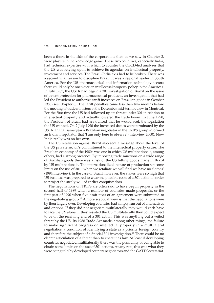been a thorn in the side of the corporations that, as we saw in Chapter 3, were players in the knowledge game. These two countries, especially India, had technical expertise with which to counter the OECD-led analyses that the US was relying upon to achieve its agendas on intellectual property, investment and services. The Brazil–India axis had to be broken. There was a second vital reason to discipline Brazil. It was a regional leader in South America. For the US pharmaceutical and information technology sectors there could only be one voice on intellectual property policy in the Americas. In July 1987, the USTR had begun a 301 investigation of Brazil on the issue of patent protection for pharmaceutical products, an investigation that had led the President to authorize tariff increases on Brazilian goods in October 1988 (see Chapter 6). The tariff penalties came less than two months before the meeting of trade ministers at the December mid-term review in Montreal. For the first time the US had followed up its threat under 301 in relation to intellectual property and actually lowered the trade boom. In June 1990, the President of Brazil had announced that he would seek the legislation the US wanted. On 2 July 1990 the increased duties were terminated by the USTR. In that same year a Brazilian negotiator in the TRIPS group informed an Indian negotiator that 'I am only here to observe' (interview 2000). Now India really was on her own.

The US retaliation against Brazil also sent a message about the level of the US private sector's commitment to the intellectual property cause. The Brazilian economy of the 1980s was one in which US multinationals, among others, had a strong presence. By imposing trade sanctions on a wide range of Brazilian goods there was a risk of the US hitting goods made in Brazil by US multinationals. The internationalized nature of production set some limits on the use of 301: 'when we retaliate we will find we have no clothes' (1994 interview). In the case of Brazil, however, the stakes were so high that US business was prepared to wear the possible costs of a 301 action in order to project the steely will of earlier conquistadors.

The negotiations on TRIPS are often said to have begun properly in the second half of 1989 when a number of countries made proposals, or the first part of 1990 when five draft texts of an agreement were submitted to the negotiating group.<sup>13</sup> A more sceptical view is that the negotiations were by then largely over. Developing countries had simply run out of alternatives and options. If they did not negotiate multilaterally they would each have to face the US alone. If they resisted the US multilaterally they could expect to be on the receiving end of a 301 action. This was anything but a veiled threat by the US. Its 1988 Trade Act made, among other things, the failure to make significant progress on intellectual property in a multilateral negotiation a condition of identifying a state as a priority foreign country and therefore the subject of a Special 301 investigation.<sup>14</sup> There could be no clearer articulation of a threat than to enact it as law. At least if developing countries negotiated multilaterally there was the possibility of being able to obtain some limits on the use of 301 actions. At any rate, this was what they were being told by developed country negotiators and the GATT Secretariat.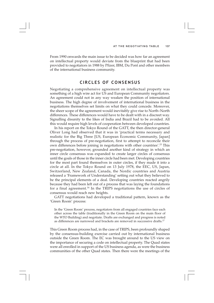#### **AT THE NEGOTIATING TABLE 137**

From 1990 onwards the main issue to be decided was how far an agreement on intellectual property would deviate from the blueprint that had been provided to negotiators in 1988 by Pfizer, IBM, Du Pont and other members of the international business community.

## CIRCLES OF CONSENSUS

Negotiating a comprehensive agreement on intellectual property was something of a high wire act for US and European Community negotiators. An agreement could not in any way weaken the position of international business. The high degree of involvement of international business in the negotiations themselves set limits on what they could concede. Moreover, the sheer scope of the agreement would inevitably give rise to North–North differences. These differences would have to be dealt with in a discreet way. Signalling disunity to the likes of India and Brazil had to be avoided. All this would require high levels of cooperation between developed countries.

In his report on the Tokyo Round of the GATT, the then director-general Oliver Long had observed that it was in 'practical terms necessary and realistic for the Big Three [US, European Economic Community, Japan] through the process of pre-negotiation, first to attempt to reconcile their own differences before joining in negotiations with other countries'. 15 This pre-negotiation, however, grounded another kind of strategy in which an inner circle consensus was expanded to create larger circles of consensus until the goals of those in the inner circle had been met. Developing countries for the most part found themselves in outer circles, if they made it into a circle at all. In the Tokyo Round on 13 July 1978, the EEC, US, Japan, Switzerland, New Zealand, Canada, the Nordic countries and Austria released a 'Framework of Understanding' setting out what they believed to be the principal elements of a deal. Developing countries reacted angrily because they had been left out of a process that was laying the foundations for a final agreement.16 In the TRIPS negotiations the use of circles of consensus would reach new heights.

GATT negotiations had developed a traditional pattern, known as the 'Green Room' process:

In the 'Green Room' process, negotiators from all engaged countries face each other across the table (traditionally in the Green Room on the main floor of the WTO Building) and negotiate. Drafts are exchanged and progress is noted as differences are narrowed and brackets are removed in successive drafts.<sup>17</sup>

This Green Room process had, in the case of TRIPS, been profoundly shaped by the consensus-building exercise carried out by international business outside the Green Room. The EC was brought around to the US view on the importance of securing a code on intellectual property. The Quad states were all enrolled in support of the US business agenda, as were the business communities of the other Quad states. Then there were the meetings of the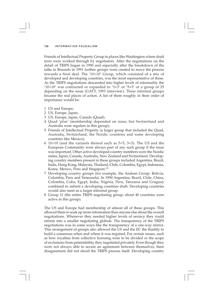Friends of Intellectual Property Group in places like Washington where draft texts were worked through by negotiators. After the negotiations on the detail of TRIPS began in 1990 and especially after the breakdown of the talks in Brussels in 1991 further groups were created to move the process towards a final deal. The '10+10' Group, which consisted of a mix of developed and developing countries, was the most representative of these. As the TRIPS negotiations descended into higher levels of informality the '10+10' was contracted or expanded to '3+3' or '5+5' or a group of 25 depending on the issue (GATT, 1993 interview). These informal groups became the real places of action. A list of them roughly in their order of importance would be:

- 1 US and Europe;
- 2 US, Europe, Japan;
- 3 US, Europe, Japan, Canada (Quad);
- 4 Quad 'plus' (membership depended on issue, but Switzerland and Australia were regulars in this group);
- 5 Friends of Intellectual Property (a larger group that included the Quad, Australia, Switzerland, the Nordic countries and some developing countries like Mexico);
- 6 10+10 (and the variants thereof such as 5+5, 3+3). The US and the European Community were always part of any such group if the issue was important. Other active developed country members were the Nordic states, Japan, Canada, Australia, New Zealand and Switzerland. Developing country members present in these groups included Argentina, Brazil, India, Hong Kong, Malaysia, Thailand, Chile, Colombia, Egypt, Indonesia, Korea, Mexico, Peru and Singapore.18
- 7 Developing country groups (for example, the Andean Group: Bolivia, Colombia, Peru and Venezuela). In 1990 Argentina, Brazil, Chile, China, Colombia, Cuba, Egypt, India, Nigeria, Peru, Tanzania and Uruguay combined to submit a developing countries draft. Developing countries would also meet as a larger informal group.
- 8 Group 11 (the entire TRIPS negotiating group; about 40 countries were active in this group).

The US and Europe had membership of almost all of these groups. This allowed them to soak up more information than anyone else about the overall negotiations. Whenever they needed higher levels of secrecy they could reform into a smaller negotiating globule. The transparency of the TRIPS negotiations was in some ways like the transparency of a one-way mirror. This arrangement of groups also allowed the US and the EC the fluidity to build a consensus when and where it was required. For certain issues, such as how royalties from collective licensing were to be divided or the scope of exclusions from patentability, they negotiated privately. Even though they were not always able to secure an agreement between themselves, their disagreement did not derail the TRIPS process itself. Developing country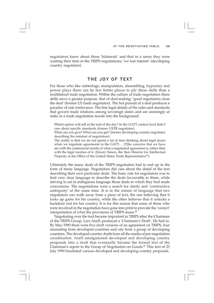negotiators knew about these 'bilaterals' and that in a sense they were wasting their time in the TRIPS negotiations; 'we lost interest' (developing country negotiator).

## THE JOY OF TEXT

For those who like subterfuge, manipulation, dissembling, hypocrisy and power plays there can be few better places to ply these skills than a multilateral trade negotiation. Within the culture of trade negotiation these skills serve a greater purpose, that of deal-making: 'good negotiators close the deal' (former US trade negotiator). The hot pursuit of a deal produces a paradox of rule irrelevance. The fine legal details of the rules and standards that govern trade relations among sovereign states and are seemingly at stake in a trade negotiation recede into the background:

Which option will sell at the end of the day? In the GATT context [we] didn't care about specific standards (former USTR negotiator).

What can you give? What can you get? (former developing country negotiator describing the mindset of negotiators).

The reality is that we do not spend a lot of time thinking about legal issues when we negotiate agreements in the GATT. . . [T]he concerns that we have are with the commercial results of what a negotiated agreement is, rather than with the legal niceties of it. (Emory Simon, the then Director for Intellectual Property at the Office of the United States Trade Representative<sup>19</sup>)

Ultimately the many deals of the TRIPS negotiation had to end up in the form of treaty language. Negotiators did care about the detail of the text describing their own particular deals. The basic rule for negotiators was to find very clear language to describe the deals favourable to them, while striving to set in ambiguous language those deals in which they had made concessions. The negotiations were a search for clarity and 'constructive ambiguity' at the same time. It is in the nature of language that two negotiators can walk away from a piece of text, the one believing that it locks up gains for his country, while the other believes that it unlocks a backdoor exit for her country. It is for this reason that some of those who were involved in the negotiation have gone into print to provide the 'correct' interpretation of what the provisions of TRIPS mean.<sup>20</sup>

Negotiating over the text became important in TRIPS after the Chairman of the TRIPS Group, Lars Anell, produced a 'Chairman's Draft'. He had to. By May 1990 there were five draft versions of an agreement on TRIPS, four emanating from developed countries and one from a group of developing countries. The developed country drafts bore all the marks of pre-negotiation coordination. Anell amalgamated developed and developing country proposals into a draft that eventually became the formal text of the Chairman's report to the Group of Negotiation on Goods.<sup>21</sup> This text of 23 July 1990 bracketed various developed and developing country proposals.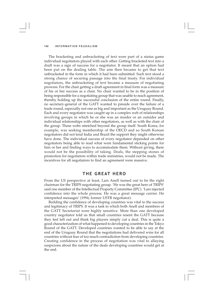The bracketing and unbracketing of text were part of a status game individual negotiators played with each other. Getting bracketed text into a draft was a sign of success for a negotiator. It meant that an option had been put on the dealing table. The aim then became to get that text unbracketed in the form in which it had been submitted. Such text stood a strong chance of securing passage into the final treaty. For individual negotiators, the unbracketing of text became a measure of negotiating prowess. For the chair getting a draft agreement in final form was a measure of his or her success as a chair. No chair wanted to be in the position of being responsible for a negotiating group that was unable to reach agreement, thereby holding up the successful conclusion of the entire round. Finally, no secretary-general of the GATT wanted to preside over the failure of a trade round, especially not one as big and important as the Uruguay Round. Each and every negotiator was caught up in a complex web of relationships involving groups in which he or she was an insider or an outsider and individual relationships with other negotiators, as well as with the chair of the group. These webs stretched beyond the group itself. South Korea, for example, was seeking membership of the OECD and so South Korean negotiators did not lend India and Brazil the support they might otherwise have done. The individual success of every negotiator depended on other negotiators being able to read what were fundamental sticking points for him or her and finding ways to accommodate them. Without giving, there would not be the possibility of taking. Deals, the stepping stones of promotion for negotiators within trade ministries, would not be made. The incentives for all negotiators to find an agreement were massive.

## THE GREAT HERO

From the US perspective at least, Lars Anell turned out to be the right chairman for the TRIPS negotiating group. 'He was the great hero of TRIPS' said one member of the Intellectual Property Committee (IPC). 'Lars injected confidence into the whole process. He was a great message carrier. He interpreted messages' (1994, former USTR negotiator).

Building the confidence of developing countries was vital to the success and legitimacy of TRIPS. It was a task to which both Anell and members of the GATT Secretariat were highly sensitive. More than one developed country negotiator told us that small countries resent the GATT because they feel left out and think big players simply cut a deal. This is quite a good characterization of what happened to developing countries in the Tokyo Round of the GATT. Developed countries wanted to be able to say at the end of the Uruguay Round that the negotiations had delivered wins for all countries without fear of too much contradiction from developing countries. Creating confidence in the process of negotiation was vital to allaying suspicions about the nature of the deals developing countries would get at the end.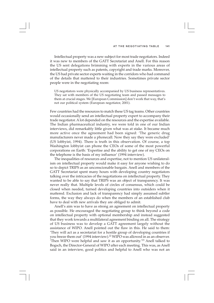#### **AT THE NEGOTIATING TABLE 141**

Intellectual property was a new subject for most trade negotiators. Indeed it was new to members of the GATT Secretariat and Anell. For this reason the US sent delegations brimming with experts in the various areas of intellectual property such as patents, copyright and trade marks. Moreover, the US had private sector experts waiting in the corridors who had command of the details that mattered to their industries. Sometimes private sector people were in the negotiating room:

US negotiators were physically accompanied by US business representatives. They sat with members of the US negotiating team and passed messages to them at crucial stages. We [European Commission] don't work that way, that's not our political system (European negotiator, 2001).

Few countries had the resources to match these US tag teams. Other countries would occasionally send an intellectual property expert to accompany their trade negotiator. A lot depended on the resources and the expertise available. The Indian pharmaceutical industry, we were told in one of our Indian interviews, did remarkably little given what was at stake. It became much more active once the agreement had been signed: 'The generic drug manufacturers never made a phonecall. Now they say they were excluded' (US lobbyist, 1994). There is truth in this observation. Of course, a top Washington lobbyist can phone the CEOs of some of the most powerful corporations on Earth: 'Expertise and the ability to get one of my CEOs on the telephone is the basis of my influence' (1994 interview).

The inequalities of resources and expertise, not to mention US unilateralism on intellectual property would make it easy for anyone wishing to do so to depict TRIPS as an unconscionable bargain. Anell and members of the GATT Secretariat spent many hours with developing country negotiators talking over the intricacies of the negotiations on intellectual property. They wanted to be able to say that TRIPS was an object of transparency. It was never really that. Multiple levels of circles of consensus, which could be closed when needed, turned developing countries into outsiders when it mattered. Exclusion and lack of transparency had simply assumed subtler forms, the way they always do when the members of an established club have to deal with new arrivals they are obliged to admit.

Anell's aim was to have as strong an agreement on intellectual property as possible. He encouraged the negotiating group to think beyond a code on intellectual property with optional membership and instead suggested that they work towards a multilateral agreement binding on all. The strategy of US business was to develop a GATT agreement largely without the assistance of WIPO. Anell pointed out the flaw in this. He said to them: 'They will act as a secretariat for a hostile group of developing countries if you freeze them out' (1994 interview).<sup>22</sup> WIPO was allowed in as an observer. 'Then WIPO were helpful and saw it as an opportunity.' 23 Anell talked to Bogsch, the Director-General of WIPO after each meeting. This was, as Anell said in an interview, good politics and helpful to Anell who was not an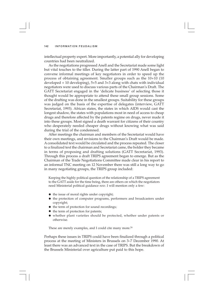intellectual property expert. More importantly, a potential ally for developing countries had been neutralized.

As the negotiations progressed Anell and the Secretariat made some light but vital touches to the tiller. During the latter part of 1990 Anell began to convene informal meetings of key negotiators in order to speed up the process of obtaining agreement. Smaller groups such as the 10+10 (10 developed + 10 developing), 5+5 and 3+3 along with chats with individual negotiators were used to discuss various parts of the Chairman's Draft. The GATT Secretariat engaged in the 'delicate business' of selecting those it thought would be appropriate to attend these small group sessions. Some of the drafting was done in the smallest groups. Suitability for these groups was judged on the basis of the expertise of delegates (interview, GATT Secretariat, 1993). African states, the states in which AIDS would cast the longest shadow, the states with populations most in need of access to cheap drugs and therefore affected by the patents regime on drugs, never made it into these groups. Most signed a death warrant for citizens of their country who desperately needed cheaper drugs without knowing what was said during the trial of the condemned.

After meetings the chairman and members of the Secretariat would have their own meetings, and revisions to the Chairman's Draft would be made. A consolidated text would be circulated and the process repeated. The closer to a finalized text the chairman and Secretariat came, the bolder they became in terms of proposing and drafting solutions (GATT Secretariat, 1993). Through this process a draft TRIPS agreement began to emerge. But as the Chairman of the Trade Negotiations Committee made clear in his report to an informal TNC meeting on 12 November there was still a long way to go in many negotiating groups, the TRIPS group included:

Keeping the highly political question of the relationship of a TRIPS agreement to the GATT aside for the time being, there are others on which the negotiators need Ministerial political guidance *now*. I will mention only a few:

- $\bullet$  the issue of moral rights under copyright;
- $\bullet$  the protection of computer programs, performers and broadcasters under copyright;
- $\bullet$  the term of protection for sound recordings;
- $\bullet$  the term of protection for patents;
- whether plant varieties should be protected, whether under patents or otherwise.

These are merely examples, and I could cite many more.<sup>24</sup>

Perhaps these issues in TRIPS could have been finalized through a political process at the meeting of Ministers in Brussels on 3–7 December 1990. At least there was an advanced text in the case of TRIPS. But the breakdown of the Brussels Ministerial over agriculture put paid to this hope.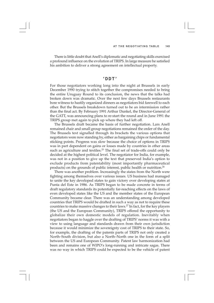#### **AT THE NEGOTIATING TABLE 143**

There is little doubt that Anell's diplomatic and negotiating skills exercised a profound influence on the evolution of TRIPS. In large measure he satisfied his ambition to deliver a strong agreement on intellectual property.

## $'$ DDT $'$

For those negotiators working long into the night at Brussels in early December 1990 trying to stitch together the compromises needed to bring the entire Uruguay Round to its conclusion, the news that the talks had broken down was dramatic. Over the next few days Brussels restaurants bore witness to hastily organized dinners as negotiators bid farewell to each other. But the Brussels breakdown turned out to be an intermission rather than the final act. By February 1991 Arthur Dunkel, the Director-General of the GATT, was announcing plans to re-start the round and in June 1991 the TRIPS group met again to pick up where they had left off.

The Brussels draft became the basis of further negotiation. Lars Anell remained chair and small group negotiations remained the order of the day. The Brussels text signalled through its brackets the various options that negotiators were now standing by, either as bargaining chips or fundamental sticking points. Progress was slow because the choice of options in TRIPS was in part dependent on gains or losses made by countries in other areas such as agriculture and textiles.<sup>25</sup> The final set of trade-offs could only be decided at the highest political level. The negotiator for India, for example, was not in a position to give up the text that preserved India's option to exclude products from patentability (most importantly pharmaceutical products) on the grounds of public interest, public health or nutrition.26

There was another problem. Increasingly the states from the North were fighting among themselves over various issues. US business had managed to unite the key developed states to gain victory over developing states at Punta del Este in 1986. As TRIPS began to be made concrete in terms of draft regulatory standards its potentially far-reaching effects on the laws of even developed states like the US and the member states of the European Community became clear. There was an understanding among developed countries that TRIPS would be drafted in such a way as not to require these countries to make massive changes to their laws.27 In fact, for the key players (the US and the European Community), TRIPS offered the opportunity to globalize their own domestic models of regulation. Inevitably when negotiators began to haggle over the drafting of TRIPS' norms it was with a view to using language and standards drawn from their own jurisdiction because it would minimize the sovereignty cost of TRIPS to their state. So, for example, the drafting of the patents parts of TRIPS not only created a North–South division, but also a North–North one in the form of a split between the US and European Community. Patent law harmonization had been and remains one of WIPO's long-running and intricate sagas. There was no way in which TRIPS could be expected to be the vehicle of patent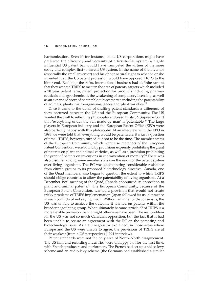harmonization. Even if, for instance, some US corporations might have preferred the efficiency and certainty of a first-to-file system, a highly influential US patent bar would have trumpeted the virtues of the more costly and complex first-to-invent US system. In the name of the inventor (especially the small inventor) and his or her natural right to what he or she invented first, the US patent profession would have opposed TRIPS to the bitter end. Realizing the risks, international business had definite targets that they wanted TRIPS to meet in the area of patents, targets which included a 20 year patent term, patent protection for products including pharmaceuticals and agrochemicals, the weakening of compulsory licensing, as well as an expanded view of patentable subject matter, including the patentability of animals, plants, micro-organisms, genes and plant varieties.28

Once it came to the detail of drafting patent standards a difference of view occurred between the US and the European Community. The US wanted the draft to reflect the philosophy endorsed by its US Supreme Court that 'everything under the sun made by man' is patentable.<sup>29</sup> The large players in European industry and the European Patent Office (EPO) were also perfectly happy with this philosophy. At an interview with the EPO in 1993 we were told that 'everything would be patentable, it's just a question of time'. TRIPS, however, turned out not to be the time. The member states of the European Community, which were also members of the European Patent Convention, were bound by provisions expressly prohibiting the grant of patents on plant and animal varieties, as well as a provision prohibiting the grant of patents on inventions in contravention of morality.<sup>30</sup> There was also disquiet among some member states on the reach of the patent system over living organisms. The EC was encountering considerable resistance from citizen groups to its proposed biotechnology directive. Canada, one of the Quad members, also began to question the extent to which TRIPS should oblige countries to allow the patentability of living organisms. At a December 1991 meeting of the Quad, Canada announced its opposition to plant and animal patents.<sup>31</sup> The European Community, because of the European Patent Convention, wanted a provision that would not create tricky problems of TRIPS implementation. Japan followed its usual practice in such conflicts of not saying much. Without an inner circle consensus, the US was unable to achieve the outcome it wanted on patents within the broader negotiating group. What ultimately became Article 27 of TRIPS is a more flexible provision than it might otherwise have been. The real problem for the US was not so much Canadian opposition, but the fact that it had been unable to secure an agreement with the EC on the patenting and biotechnology issue. As a US negotiator explained, in those areas where Europe and the US were unable to agree, the provisions of TRIPS are at their weakest (from a US perspective) (1994 interview).

Patent standards were not the only area of North–North disagreement. The US film and recording industries were unhappy, not for the first time, with French producers and performers. The French had set up a video levy scheme and an audio levy scheme (the Germans had established a similar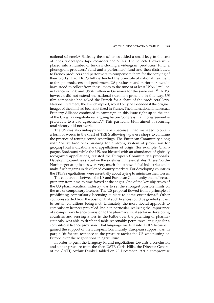#### **AT THE NEGOTIATING TABLE 145**

national scheme).32 Basically these schemes added a small levy to the cost of tapes, videotapes, tape recorders and VCRs. The collected levies were placed into a number of funds including a videogram producers' fund, a phonogram producers' fund and a performers' fund and then distributed to French producers and performers to compensate them for the copying of their works. Had TRIPS fully extended the principle of national treatment to foreign producers and performers, US producers and performers would have stood to collect from these levies to the tune of at least US\$6.2 million in France in 1990 and US\$4 million in Germany for the same year.<sup>33</sup> TRIPS, however, did not extend the national treatment principle in this way. US film companies had asked the French for a share of the producers' levy. National treatment, the French replied, would only be extended if the original images of the film had been first fixed in France. The International Intellectual Property Alliance continued to campaign on this issue right up to the end of the Uruguay negotiations, arguing before Congress that 'no agreement is preferable to a bad agreement'. 34 This particular bluff aimed at securing total victory did not work.

The US was also unhappy with Japan because it had managed to obtain a form of words in the draft of TRIPS allowing Japanese shops to continue the practice of renting sound recordings. The European Community along with Switzerland was pushing for a strong system of protection for geographical indications and appellations of origin (for example, Champagne, Bordeaux) while the US, not blessed with an abundance of globally recognized appellations, resisted the European Community's proposals. Developing countries stayed on the sidelines in these debates. These North– North negotiating issues were very much about how global industries could make further gains in developed country markets. For developing countries the TRIPS negotiations were essentially about trying to minimize their losses.

The cooperation between the US and European Community on intellectual property from time to time frayed at the edges. One of the key objectives of the US pharmaceutical industry was to set the strongest possible limits on the use of compulsory licences. The US proposal flowed from a principle of prohibiting compulsory licensing subject to some exceptions.<sup>35</sup> Other countries started from the position that such licences could be granted subject to certain conditions being met. Ultimately, the more liberal approach to compulsory licences prevailed. India in particular, realizing the importance of a compulsory licence provision to the pharmaceutical sector in developing countries and sensing a loss in the battle over the patenting of pharmaceuticals, was able to draft and table reasonably permissive language for a compulsory licence provision. That language made it into TRIPS because it gained the support of the European Community. European support was, in part, a 'tit-for-tat' response to the pressure tactics the US was putting on Europe over the negotiations in agriculture.

In order to push the Uruguay Round negotiations towards a conclusion and under pressure from the then USTR Carla Hills, the Director-General of the GATT, Arthur Dunkel, tabled on 20 December 1991 a compromise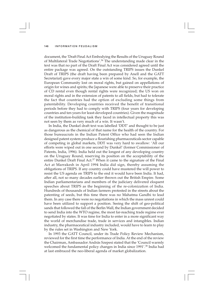document, the 'Draft Final Act Embodying the Results of the Uruguay Round of Multilateral Trade Negotiations'. 36 The understanding made clear in the text was that no part of the Draft Final Act was considered agreed until the entire package was agreed. On the outstanding TRIPS issues the Dunkel Draft of TRIPS (the draft having been prepared by Anell and the GATT Secretariat) gave every major state a win of some kind. So, for example, the European Community lost on moral rights, but gained on appellations of origin for wines and spirits; the Japanese were able to preserve their practice of CD rental even though rental rights were recognized; the US won on moral rights and in the extension of patents to all fields, but had to tolerate the fact that countries had the option of excluding some things from patentability. Developing countries received the benefit of transitional periods before they had to comply with TRIPS (four years for developing countries and ten years for least-developed countries). Given the magnitude of the institution-building task they faced in intellectual property this was not seen by them as very much of a win. It wasn't.

In India, the Dunkel draft text was labelled 'DDT' and thought to be just as dangerous as the chemical of that name for the health of the country. For those bureaucrats in the Indian Patent Office who had seen the Indian designed patent system produce a flourishing pharmaceuticals sector capable of competing in global markets, DDT was very hard to swallow: 'All our efforts were wiped out in one second by Dunkel' (former Commissioner of Patents, India, 1996). India held out the longest of any developing country on the Uruguay Round, reserving its position on the acceptability of the entire Dunkel Draft Final Act.<sup>37</sup> When it came to the signature of the Final Act at Marrakesh in April 1994 India did sign, thereby assuming the obligations of TRIPS. If any country could have mustered the will power to resist the US agenda on TRIPS to the end it would have been India. It had, after all, not so many decades earlier thrown out the British Empire. Some Indian parliamentarians and members of the judiciary delivered eloquent speeches about TRIPS as the beginning of the re-colonization of India. Hundreds of thousands of Indian farmers protested in the streets about the patenting of seeds, but this time there was no Mahatma Gandhi to lead them. In any case there were no negotiations in which the mass unrest could have been utilized to support a position. Seeing the shift of geo-political sands that followed the fall of the Berlin Wall, the Indian government decided to send India into the WTO regime, the most far-reaching trade regime ever negotiated by states. It was time for India to enter in a more significant way the world of merchandise trade, trade in services and intangibles. Indian industry, the pharmaceutical industry included, would have to learn to play by the rules set in Washington and New York.

In 1993 the GATT Council, under its Trade Policy Review Mechanism, reviewed for the first time the performance of India. At the end of the review the Chairman, Ambassador András Szepesi stated that the 'Council warmly welcomed the fundamental policy changes in India since 1991'. 38 India had at last embraced the neo-liberal agenda of market globalization.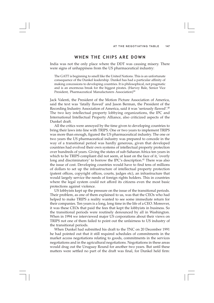## WHEN THE CHIPS ARE DOWN

India was not the only place where the DDT was causing misery. There were signs of unhappiness from the US pharmaceutical industry:

The GATT is beginning to smell like the United Nations. This is an unfortunate consequence of the Dunkel leadership. Dunkel has had a particular affinity of making concessions to developing countries. It is philosophical, not pragmatic and is an enormous break for the biggest pirates. (Harvey Bale, Senior Vice President, Pharmaceutical Manufacturers Association)<sup>39</sup>

Jack Valenti, the President of the Motion Picture Association of America, said the text was 'fatally flawed' and Jason Berman, the President of the Recording Industry Association of America, said it was 'seriously flawed'. 40 The two key intellectual property lobbying organizations, the IPC and International Intellectual Property Alliance, also criticized aspects of the Dunkel draft.

All the critics were annoyed by the time given to developing countries to bring their laws into line with TRIPS. One or two years to implement TRIPS was more than enough, figured the US pharmaceutical industry. The one or two years the US pharmaceutical industry was prepared to concede in the way of a transitional period was hardly generous, given that developed countries had evolved their own systems of intellectual property protection over hundreds of years. Giving the states of sub-Saharan Africa ten years in which to be TRIPS compliant did not seem, at least on the face of it, 'overly long and discriminatory' to borrow the IPC's description.<sup>41</sup> There was also the issue of cost. Developing countries would have to find tens of millions of dollars to set up the infrastructure of intellectual property protection (patent offices, copyright offices, courts, judges etc), an infrastructure that would largely service the needs of foreign rights holders. This in countries where the legal system could not afford its citizens even the most basic protections against violence.

US lobbyists kept up the pressure on the issue of the transitional periods. Their problem, as one of them explained to us, was that the CEOs who had helped to make TRIPS a reality wanted to see some immediate return for their companies. Ten years is a long, long time in the life of a CEO. Moreover, it was these CEOs that paid the fees that kept the lobbyists in business. So the transitional periods were routinely denounced by all in Washington. When in 1994 we interviewed major US corporations about their views on TRIPS not one of them failed to point out the unfairness to US industry of the transitional periods.

When Dunkel had submitted his draft to the TNC on 20 December 1991 he had pointed out that it still required schedules of commitments in the market access negotiations relating to goods, commitments in the services negotiations and in the agricultural negotiations. Negotiations in these areas would drag out the Uruguay Round for another two years. But until these matters were settled no part of the draft was final, for Dunkel held firm: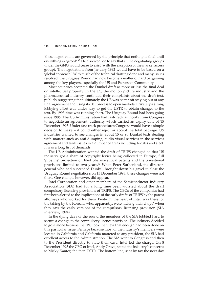'these negotiations are governed by the principle that nothing is final until everything is agreed'. 42 He also went on to say that all the negotiating groups under the GNG would cease to exist (with the exception of the market access group). The negotiations from January 1992 would have to be based on a 'global approach'. With much of the technical drafting done and many issues resolved, the Uruguay Round had now become a matter of hard bargaining among the key players, especially the US and European Community.

Most countries accepted the Dunkel draft as more or less the final deal on intellectual property. In the US, the motion picture industry and the pharmaceutical industry continued their complaints about the draft text, publicly suggesting that ultimately the US was better off staying out of any final agreement and using its 301 process to open markets. Privately a strong lobbying effort was under way to get the USTR to obtain changes to the text. By 1993 time was running short. The Uruguay Round had been going since 1986. The US Administration had fast-track authority from Congress to negotiate an agreement, authority which carried an expiry date of 15 December 1993. Under fast-track procedures Congress would have a simple decision to make – it could either reject or accept the total package. US industries wanted to see changes in about 15 or so Dunkel texts dealing with matters such as anti-dumping, audio-visual services in the services agreement and tariff issues in a number of areas including textiles and steel. It was a long list of demands.

The US Administration wanted the draft of TRIPS changed so that US industry got a share of copyright levies being collected in Europe, full 'pipeline' protection on filed pharmaceutical patents and the transitional provisions limited to two years.<sup>43</sup> When Peter Sutherland, the directorgeneral who had succeeded Dunkel, brought down his gavel to close the Uruguay Round negotiations on 15 December 1993, these changes were not there. One change, however, did appear.

Intel Corporation and other members of the Semiconductor Industry Association (SIA) had for a long time been worried about the draft compulsory licensing provisions of TRIPS. The CEOs of the companies had first been alerted to the implications of the early drafts of TRIPS by the patent attorneys who worked for them. Pentium, the heart of Intel, was there for the taking by the Koreans who, apparently, were 'licking their chops' when they saw the early versions of the compulsory licensing provision (SIA interview, 1994).

In the dying days of the round the members of the SIA lobbied hard to secure a change to the compulsory licence provision. The industry decided to go it alone because the IPC took the view that enough had been done on this particular issue. Perhaps because most of the industry's members were located in California and California mattered to any president, the SIA had excellent access to the Administration. The SIA went to Congress and then to the President directly to state their case. Intel led the charge. On 8 December 1993 the CEO of Intel, Andy Grove, stated the industry's concerns to Micky Kantor, the then USTR. The bottom line, sent by fax the next day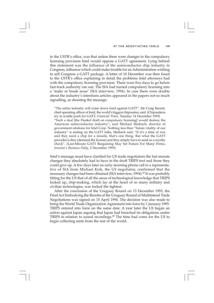#### **AT THE NEGOTIATING TABLE 149**

to the USTR's office, was that unless there were changes to the compulsory licensing provision Intel would oppose a GATT agreement. Lying behind this statement was the influence of the semiconductor chip industry in Congress, influence which could make trouble for an Administration wishing to sell Congress a GATT package. A letter of 10 December was then faxed to the USTR's office explaining in detail the problems Intel attorneys had with the compulsory licensing provision. There were five days to go before fast-track authority ran out. The SIA had turned compulsory licensing into a 'make or break issue' (SIA interview, 1994). In case there were doubts about the industry's intentions articles appeared in the papers not so much signalling, as shouting the message:

"The entire industry will come down hard against GATT", Mr Craig Barrett, chief operating officer of Intel, the world's biggest chipmaker, said. (Chipmakers try to scuttle push for GATT, *Financial Times*, Tuesday 14 December 1993) "Such a deal [the Dunkel draft on compulsory licensing] would destroy the American semiconductor industry", said Michael Maibach, director of government relations for Intel Corp. Nothing less than "future vitality of our industry" is resting on the GATT talks, Maibach said. "If it's a time of war and they need a chip for a missile, that's one thing. But what the GATT provides is they (demand the license) and they simply have to send us a royalty check". (Last-Minute GATT Bargaining May Set Future For Many Firms, *Investor's Business Daily*, 2 December 1993)

Intel's message must have clarified for US trade negotiators the last minute changes they absolutely had to have in the draft TRIPS text and those they could give up. A few days later an early morning phone call to a representative of SIA from Michael Kirk, the US negotiator, confirmed that the necessary changes had been obtained (SIA interview, 1994).<sup>44</sup> It was probably fitting for the US that of all the areas of technological knowledge that TRIPS locked up, chip-making, which lay at the heart of so many military and civilian technologies, was locked the tightest.

After the conclusion of the Uruguay Round on 13 December 1993, the Final Act Embodying the Results of the Uruguay Round of Multilateral Trade Negotiations was signed on 15 April 1994. The decision was also made to bring the World Trade Organization Agreement into force by 1 January 1995. TRIPS entered into force on the same date. A year later the US began an action against Japan arguing that Japan had breached its obligations under TRIPS in relation to sound recordings.45 The time had come for the US to begin collecting rents from the rest of the world.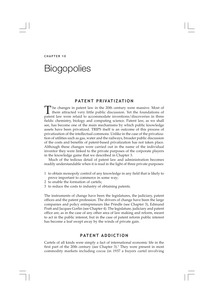CHAPTER 10

## **Biogopolies**

## PATENT PRIVATIZATION

The changes in patent law in the 20th century were massive. Most of them attracted very little public discussion. Yet the foundations of patent law were relaid to accommodate inventions/discoveries in three them attracted very little public discussion. Yet the foundations of patent law were relaid to accommodate inventions/discoveries in three fields: chemistry, biology and computing science. Patent law, as we shall see, has become one of the main mechanisms by which public knowledge assets have been privatized. TRIPS itself is an outcome of this process of privatization of the intellectual commons. Unlike in the case of the privatization of utilities such as gas, water and the railways, broader public discussion of the costs and benefits of patent-based privatization has not taken place. Although these changes were carried out in the name of the individual inventor they were linked to the private purposes of the corporate players in the knowledge game that we described in Chapter 3.

Much of the tedious detail of patent law and administration becomes readily understandable when it is read in the light of three private purposes:

- 1 to obtain monopoly control of any knowledge in any field that is likely to prove important to commerce in some way;
- 2 to enable the formation of cartels;
- 3 to reduce the costs to industry of obtaining patents.

The instruments of change have been the legislatures, the judiciary, patent offices and the patent profession. The drivers of change have been the large companies and policy entrepreneurs like Prindle (see Chapter 3), Edmund Pratt and Jacques Gorlin (see Chapter 4). The legislature, judiciary and patent office are, as in the case of any other area of law making and reform, meant to act in the public interest, but in the case of patent reform public interest has become a leaf swept away by the winds of private gain.

## PATENT ADDICTION

Cartels of all kinds were simply a fact of international economic life in the first part of the 20th century (see Chapter 3). $<sup>1</sup>$  They were present in most</sup> commodity markets including cocoa (in 1937 a buyers cartel involving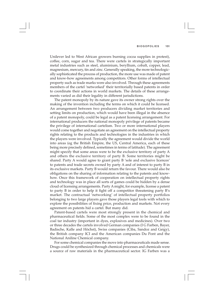#### **B I O G O P O L I E S 151**

Unilever led to West African growers burning cocoa supplies in protest), coffee, corn, sugar and tea. There were cartels in strategically important metal industries such as steel, aluminium, beryllium, cobalt, copper, lead, magnesium, mercury, tin and zinc. Generally speaking, the more technologically sophisticated the process of production, the more use was made of patent and know-how agreements among competitors. Other forms of intellectual property such as trade marks were also involved. Through these agreements members of the cartel 'networked' their territorially based patents in order to coordinate their actions in world markets. The details of these arrangements varied as did their legality in different jurisdictions.

The patent monopoly by its nature gave its owner strong rights over the making of the invention including the terms on which it could be licensed. An arrangement between two producers dividing market territories and setting limits on production, which would have been illegal in the absence of a patent monopoly, could be legal as a patent licensing arrangement. For international producers the national monopoly privilege of patents became the privilege of international cartelism. Two or more international players would come together and negotiate an agreement on the intellectual property rights relating to the products and technologies in the industries in which the players were involved. Typically the agreement would divide the world into areas (eg the British Empire, the US, Central America, each of these being more precisely defined, sometimes in terms of latitude). The agreement might specify that some areas were to be the exclusive territory of party A and others the exclusive territory of party B. Some territories might be shared. Party A would agree to grant party B 'sole and exclusive licences' to patents and trade secrets owned by party A and of interest to party B in its exclusive markets. Party B would return the favour. There would also be obligations on the sharing of information relating to the patents and knowhow. Once this framework of cooperation on intellectual property rights and technology was in place all sorts of games could be hidden by a dense cloud of licensing arrangements. Party A might, for example, license a patent to party B in order to help it fight off a competitor threatening party B's market. The contractual 'networking' of intellectual property portfolios belonging to two large players gave those players legal tools with which to explore the possibilities of fixing price, production and markets. Not every agreement on patents hid a cartel. But many did.

Patent-based cartels were most strongly present in the chemical and pharmaceutical fields. Some of the most complex were to be found in the coal tar industry (important in dyes, explosives and medicines). Over two or three decades the cartels involved German companies (I G Farben, Bayer, Badische, Kalle and Höchst), Swiss companies (Ciba, Sandoz and Geigy), the British company ICI and the American companies Du Pont and the National Aniline Chemical company.

For some chemical companies the move into pharmaceuticals made sense. Drugs could be synthesized through chemical processes and chemicals were a source of raw materials in the pharmaceutical sector. IG Farben was a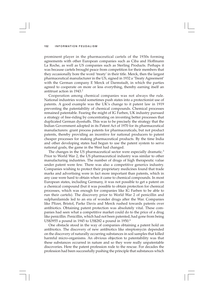prominent player in the pharmaceutical cartels of the 1930s forming agreements with other European companies such as Ciba and Hoffmann La Roche, as well as US companies such as Sterling Products. Perhaps it was because cartels brought peace from competition for their members that they occasionally bore the word 'treaty' in their title. Merck, then the largest pharmaceutical manufacturer in the US, signed in 1932 a 'Treaty Agreement' with the German company E Merck of Darmstadt, in which the parties agreed to cooperate on more or less everything, thereby earning itself an antitrust action in 1943.<sup>2</sup>

Cooperation among chemical companies was not always the rule. National industries would sometimes push states into a protectionist use of patents. A good example was the UK's change to it patent law in 1919 preventing the patentability of chemical compounds. Chemical processes remained patentable. Fearing the might of IG Farben, UK industry pursued a strategy of free-riding by concentrating on inventing better processes that duplicated German dyestuffs. This was to be precisely the strategy that the Indian Government adopted in its Patent Act of 1970 for its pharmaceutical manufacturers: grant process patents for pharmaceuticals, but not product patents, thereby providing an incentive for national producers to patent cheaper processes for making pharmaceutical products. By the time India and other developing states had begun to use the patent system to serve national goals, the game in the West had changed.

The changes in the US pharmaceutical sector were especially dramatic.<sup>3</sup> Prior to World War 2, the US pharmaceutical industry was similar to other manufacturing industries. The number of drugs of high therapeutic value under patent were few. There was also a competitive generics industry. Companies wishing to protect their proprietary medicines found that trade marks and advertising were in fact more important than patents, which in any case were hard to obtain when it came to chemical compounds. In most European states, including Germany, it was not possible to get a patent on a chemical compound (but it was possible to obtain protection for chemical processes, which was enough for companies like IG Farben to be able to run their cartels). The discovery prior to World War 2 of penicillin and sulphanilamide led to an era of wonder drugs after the War. Companies like Pfizer, Bristol, Parke Davis and Merck rushed towards patents over antibiotics. Obtaining patent protection was absolutely vital. These companies had seen what a competitive market could do to the price of a drug like penicillin. Penicillin, which had not been patented, had gone from being US\$3955 a pound in 1945 to US\$282 a pound in 1950.4

One obstacle stood in the way of companies obtaining a patent hold on antibiotics. The discovery of new antibiotics like streptomycin depended on the discovery of naturally occurring substances in soil samples that killed harmful micro-organisms. An obvious objection to patentability was that these substances occurred in nature and so they were really unpatentable discoveries. Here the patent profession rode to the rescue. For decades the profession had been successfully pushing the principle that substances which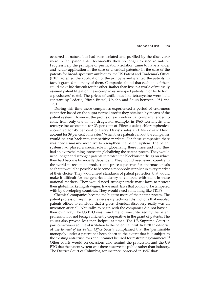#### **B I O G O P O L I E S 153**

occurred in nature, but had been isolated and purified by the discoverer were in fact patentable. Technically they no longer existed in nature. Progressively the principle of purification/isolation came to have a wider and wider application in the case of chemical patents.<sup>5</sup> In the case of the patents for broad-spectrum antibiotics, the US Patent and Trademark Office (PTO) accepted the application of the principle and granted the patents. In fact, it granted too many of them. Companies found that each one of them could make life difficult for the other. Rather than live in a world of mutually assured patent litigation these companies swapped patents in order to form a producers' cartel. The prices of antibiotics like tetracycline were held constant by Lederle, Pfizer, Bristol, Upjohn and Squib between 1951 and 1961.

During this time these companies experienced a period of enormous expansion based on the supra-normal profits they obtained by means of the patent system. However, the profits of each individual company tended to come from only one or two drugs. For example, in 1960 Terramycin and tetracycline accounted for 33 per cent of Pfizer's sales; chloramphenicol accounted for 45 per cent of Parke Davis's sales and Merck saw Divril account for 39 per cent of its sales.<sup>6</sup> When these patents ran out the companies would be cast back into competitive markets. For these companies there was now a massive incentive to strengthen the patent system. The patent system had played a crucial role in globalizing these firms and now they had an overwhelming interest in globalizing the patent system. They would need longer and stronger patents to protect the blockbuster drugs on which they had become financially dependent. They would need every country in the world to recognize product and process patents<sup>7</sup> for pharmaceuticals so that it would be possible to become a monopoly supplier in every market of their choice. They would need standards of patent protection that would make it difficult for the generics industry to compete with them in these national markets. They would need stronger trade mark laws to protect their global marketing strategies, trade mark laws that could not be tampered with by developing countries. They would need something like TRIPS.

Chemical companies became the biggest users of the patent system. The patent profession supplied the necessary technical distinctions that enabled patents offices to conclude that a given chemical discovery really was an invention after all. Naturally, to begin with the companies did not have all their own way. The US PTO was from time to time criticized by the patent profession for not being sufficiently cooperative in the grant of patents. The courts also proved less than helpful at times. The US Supreme Court in particular was a source of irritation to the patent faithful. In 1930 an editorial of the *Journal of the Patent Office Society* complained that the 'permissible monopoly under a patent has been shorn to the extent that it is subject to the existing anti-trust laws and it cannot be used for restraining commerce'. 8 Other courts would on occasions also remind the profession and the US PTO that the patent system was there to serve the public rather than industry. The District Court of Columbia, for instance, observed in 1957 that: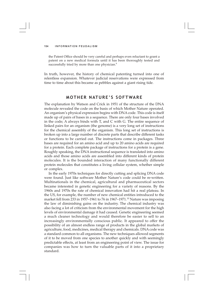the Patent Office should be very careful and perhaps even reluctant to grant a patent on a new medical formula until it has been thoroughly tested and successfully tried by more than one physician.<sup>9</sup>

In truth, however, the history of chemical patenting turned into one of relentless expansion. Whatever judicial reservations were expressed from time to time about this became as pebbles against a giant rising tide.

## MOTHER NATURE'S SOFTWARE

The explanation by Watson and Crick in 1951 of the structure of the DNA molecule revealed the code on the basis of which Mother Nature operated. An organism's physical expression begins with DNA code. This code is itself made up of pairs of bases in a sequence. There are only four bases involved in the code; A always binds with T, and C with G. The entire sequence of linked pairs for an organism (the genome) is a very long set of instructions for the chemical assembly of the organism. This long set of instructions is broken up into a large number of discrete parts that describe different tasks or functions to be carried out. The instructions come in packages. Three bases are required for an amino acid and up to 20 amino acids are required for a protein. Each complete package of instructions for a protein is a gene. Roughly speaking, the DNA instructional sequence is translated into amino acids and those amino acids are assembled into different kinds of protein molecules. It is the bounded interaction of many functionally different protein molecules that constitutes a living cellular system, whether simple or complex.

In the early 1970s techniques for directly cutting and splicing DNA code were found. Just like software Mother Nature's code could be re-written. Multinationals in the chemical, agricultural and pharmaceutical sectors became interested in genetic engineering for a variety of reasons. By the 1960s and 1970s the rate of chemical innovation had hit a real plateau. In the US, for example, the number of new chemical entities introduced to the market fell from 233 in 1957–1961 to 76 in 1967–1971.<sup>10</sup> Nature was imposing the law of diminishing gains on the industry. The chemical industry was also facing a lot of criticism from the environmental movement for the high levels of environmental damage it had caused. Genetic engineering seemed a much cleaner technology and would therefore be easier to sell to an increasingly environmentally conscious public. It appeared to offer the possibility of an almost endless range of products in the global markets of agriculture, food, medicines, medical therapy and chemicals. DNA code was a standard common to all organisms. The new techniques allowed segments of it to be moved from one species to another quickly and with seemingly predictable effects, at least from an engineering point of view. The issue for companies was how to turn the valuable parts of it into a proprietary standard.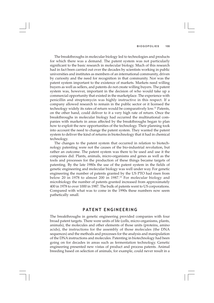#### **B I O G O P O L I E S 155**

The breakthroughs in molecular biology led to technologies and products for which there was a demand. The patent system was not particularly significant to the basic research in molecular biology. Much of this research had in fact been carried out over the decades by scientists working in public universities and institutes as members of an international community, driven by curiosity and the need for recognition in that community. Nor was the patent system important to the existence of markets. Markets need willing buyers as well as sellers, and patents do not create willing buyers. The patent system was, however, important in the decision of who would take up a commercial opportunity that existed in the marketplace. The experience with penicillin and streptomycin was highly instructive in this respect. If a company allowed research to remain in the public sector or it licensed the technology widely its rates of return would be comparatively low.<sup>11</sup> Patents, on the other hand, could deliver to it a very high rate of return. Once the breakthroughs in molecular biology had occurred the multinational companies with markets in areas affected by the breakthroughs began to plan how to exploit the new opportunities of the technology. Their planning took into account the need to change the patent system. They wanted the patent system to deliver the kind of returns in biotechnology that it had in chemical technology.

The changes to the patent system that occurred in relation to biotechnology patenting were not the causes of the bio-industrial revolution, but rather an outcome. The patent system was there to be used and use it the companies did. Plants, animals, micro-organisms and genes as well as the tools and processes for the production of these things became targets of patenting. By the late 1980s the use of the patent system in the fields of genetic engineering and molecular biology was well under way. For genetic engineering the number of patents granted by the US PTO had risen from below 20 in 1978 to almost 200 in 1987.<sup>12</sup> For molecular biology and microbiology the number of patents granted increased from approximately 400 in 1978 to over 1000 in 1987. The bulk of patents went to US corporations. Compared with what was to come in the 1990s these numbers now seem pathetically small.

## **PATENT ENGINEERING**

The breakthroughs in genetic engineering provided companies with four broad patent targets. There were units of life (cells, micro-organisms, plants, animals), the molecules and other elements of those units (proteins, amino acids), the instructions for the assembly of those molecules (the DNA sequences) and the methods and processes for the analysis and manipulation of the DNA instructions and molecules. Patenting in biotechnology had been going on for decades in areas such as fermentation technology. Genetic engineering presented new vistas of product and process patents. Animal breeding based on selection of animals, for example, could never result in a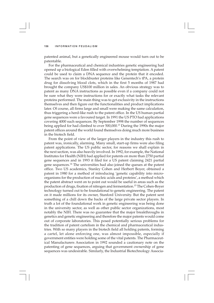patented animal, but a genetically engineered mouse would turn out to be patentable.

For the pharmaceutical and chemical industries genetic engineering had opened up a biological Eden filled with overwhelming temptation. A patent could be used to claim a DNA sequence and the protein that it encoded. The search was on for blockbuster proteins like Genentech's tPA, a protein drug for dissolving blood clots, which in the first 5 months of 1987 had brought the company US\$100 million in sales. An obvious strategy was to patent as many DNA instructions as possible even if a company could not be sure what they were instructions for or exactly what tasks the relevant proteins performed. The main thing was to get exclusivity in the instructions themselves and then figure out the functionalities and product implications later. Of course, all firms large and small were making the same calculation, thus triggering a herd-like rush to the patent office. In the US human partial gene sequences were a favoured target. In 1991 the US PTO had applications covering 4000 such sequences. By September 1998 the number of sequences being applied for had climbed to over 500,000.<sup>13</sup> During the 1990s the major patent offices around the world found themselves doing much more business in the biotech field.

From the point of view of the larger players in the industry this rush to patent was, ironically, alarming. Many small, start-up firms were also filing patent applications. The US public sector, for reasons we shall explain in the next section, was also heavily involved. In 1992, for example, the National Institutes for Health (NIH) had applied for patents on more than 2750 partial gene sequences and in 1993 it filed for a US patent claiming 2421 partial gene sequences.14 The universities had also joined the queues at the patent office. Two US academics, Stanley Cohen and Herbert Boyer, obtained a patent in 1980 for a method of introducing 'genetic capability into microorganisms for the production of nucleic acids and proteins', a method which the patent abstract went on to point out would be useful in areas such as the production of drugs, fixation of nitrogen and fermentation.15 The Cohen-Boyer technology turned out to be foundational to genetic engineering. The patent on it made millions for its owner, Stanford University. But the patent sent something of a chill down the backs of the large private sector players. In truth a lot of the foundational work in genetic engineering was being done in the university sector, as well as other public sector organizations, most notably the NIH. There was no guarantee that the major breakthroughs in genetics and genetic engineering and therefore the major patents would come out of corporate laboratories. This posed potentially serious problems for the tradition of patent cartelism in the chemical and pharmaceutical industries. With so many players in the biotech field all holding patents, forming a cartel, let alone enforcing one, was almost impossible, especially if government entities were holding some of the vital patents. The Pharmaceutical Manufacturers Association in 1992 sounded a cautionary note on the patenting of gene sequences, arguing that government ownership of gene sequences was undesirable. Similarly, the Industrial Biotechnology Associa-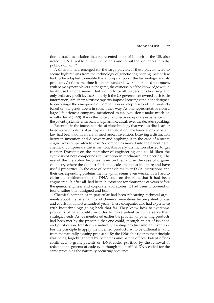#### **B I O G O P O L I E S 157**

tion, a trade association that represented most of biotech in the US, also urged the NIH not to pursue the patents and to put the sequences into the public domain.16

A dilemma had emerged for the large players. If these players were to secure high returns from the technology of genetic engineering, patent law had to be adapted to enable the appropriation of the technology and its products. At the same time if patent standards were liberalized too much, with so many new players in the game, the ownership of the knowledge would be diffused among many. That would force all players into licensing and only ordinary profit levels. Similarly, if the US government owned such basic information, it might in a trustee capacity impose licensing conditions designed to encourage the emergence of competition or keep prices of the products based on the genes down in some other way. As one representative from a large life sciences company mentioned to us, 'you don't make much on royalty deals' (1999). It was the voice of a collective corporate experience with the patent system in chemicals and pharmaceuticals over the decades speaking.

Patenting in the four categories of biotechnology that we described earlier faced some problems of principle and application. The foundations of patent law had been laid in an era of mechanical invention. Drawing a distinction between invention and discovery and applying it in the case of a steam engine was comparatively easy. As companies moved into the patenting of chemical compounds the invention/discovery distinction started to get fuzzier. Drawing on the metaphor of engineering one could liken the synthesis of new compounds to invention in mechanical engineering. The use of the metaphor becomes more problematic in the case of organic chemistry where the chemist finds molecules that exist in nature and have useful properties. In the case of patent claims over DNA instructions and their corresponding proteins the metaphor seems even weaker. It is hard to claim an entitlement to the DNA code on the basis that it had been engineered. It, after all, had been in existence for thousands of years before the genetic engineer and corporate laboratories. It had been uncovered or found rather than designed and built.

Chemical companies in particular had been rehearsing technical arguments about the patentability of chemical inventions before patent offices and courts for almost a hundred years. These companies also had experience with biotechnology going back that far. They knew how to overcome problems of patentability in order to make patent principle serve their strategic needs. As we mentioned earlier the problem of patenting products had been met by the principle that one could, through an act of isolation and purification, transform a naturally existing product into an invention. For the principle to apply the invented product had to be different in kind from the naturally existing product.17 By the 1990s this rider to the principle was being largely ignored by patentees and patent offices. Patent offices continued to grant patents on DNA codes purified by the removal of redundant segments of code even though the purified DNA coded for the same protein as the naturally occurring sequence.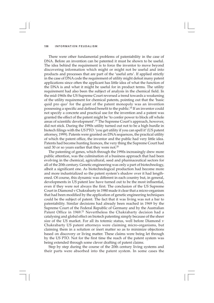There were other fundamental problems of patentability in the case of DNA. Before an invention can be patented it must be shown to be useful. The idea behind the requirement is to force the inventor to move beyond discovering information which might or might not be useful and into products and processes that are part of the 'useful arts'. If applied strictly in the case of DNA code the requirement of utility might defeat many patent applications since often the applicant has little idea of what the function of the DNA is and what it might be useful for in product terms. The utility requirement had also been the subject of analysis in the chemical field. In the mid-1960s the US Supreme Court reversed a trend towards a weakening of the utility requirement for chemical patents, pointing out that the 'basic quid pro quo' for the grant of the patent monopoly was an invention possessing a specific and defined benefit to the public.18 If an inventor could not specify a concrete and practical use for the invention and a patent was granted the effect of the patent might be 'to confer power to block off whole areas of scientific development'. 19 The Supreme Court's approach, however, did not stick. During the 1990s utility turned out not to be a high hurdle in biotech filings with the US PTO: 'you get utility if you can spell it' (US patent attorney, 1999). Patents were granted on DNA sequences, the practical utility of which the patent office, the inventor and the public had very little idea. Patents had become hunting licences, the very thing the Supreme Court had said 30 or so years earlier that they were not.<sup>20</sup>

The patenting of genes, which through the 1990s increasingly drew more public attention, was the culmination of a business approach that had been evolving in the chemical, agricultural, seed and pharmaceutical sectors for all of the 20th century. Genetic engineering was only a part of biotechnology, albeit a significant one. As biotechnological production had become more and more industrialized so the patent system's shadow over it had lengthened. Of course, this dynamic was different in each country but, in general, developments in US patent law have turned out to be the most influential, even if they were not always the first. The conclusion of the US Supreme Court in Diamond v Chakrabarty in 1980 made it clear that a micro-organism that had been modified by the application of genetic engineering techniques could be the subject of patent. The fact that it was living was not a bar to patentability. Similar decisions had already been reached in 1969 by the Supreme Court of the Federal Republic of Germany and by the Australian Patent Office in 1969.<sup>21</sup> Nevertheless the Chakrabarty decision had a catalysing and global effect on biotech patenting simply because of the sheer size of the US market. For all its totemic status, well before Diamond v Chakrabarty US patent attorneys were claiming micro-organisms, but claiming them in a solution or inert matter so as to minimize objections based on discovery or living matter. These claims were being let through by the US PTO. Not for the first time the reach of the patent system was being extended through some clever drafting of patent claims.

Step by step during the course of the 20th century living systems and their parts were absorbed into the patent system. In some cases the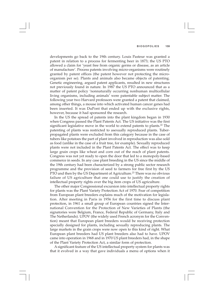#### **B I O G O P O L I E S 159**

developments go back to the 19th century. Louis Pasteur was granted a patent in relation to a process for fermenting beer in 1873; the US PTO allowed a claim for 'yeast free from organic germs or disease, as an article of manufacture'. Process patents involving micro-organisms were routinely granted by patent offices (the patent however not protecting the microorganism per se). Plants and animals also became objects of patenting. Genetic engineering, argued patent applicants, resulted in new structures not previously found in nature. In 1987 the US PTO announced that as a matter of patent policy 'nonnaturally occurring nonhuman multicellular living organisms, including animals' were patentable subject matter. The following year two Harvard professors were granted a patent that claimed, among other things, a mouse into which activated human cancer genes had been inserted. It was DuPont that ended up with the exclusive rights, however, because it had sponsored the research.

In the US the spread of patents into the plant kingdom began in 1930 when Congress passed the Plant Patents Act. The US initiative was the first significant legislative move in the world to extend patents to plants.<sup>22</sup> The patenting of plants was restricted to asexually reproduced plants. Tuberpropagated plants were excluded from this category because in the case of tubers like potatoes the part of plant involved in reproduction was also sold as food (unlike in the case of a fruit tree, for example). Sexually reproduced plants were not included in the Plant Patents Act. The effect was to keep large grain crops like wheat and corn out of the reach of plant patents. Congress was not yet ready to open the door that led to a monopoly-based commerce in seeds. In any case plant breeding in the US since the middle of the 19th century had been characterized by a strong public sector research programme and the provision of seed to farmers for free first by the US PTO and then by the US Department of Agriculture.<sup>23</sup> There was no obvious failure of US agriculture that one could use to justify the creation of intellectual property rights over the big item crops of US agriculture.

The other major Congressional excursion into intellectual property rights for plants was the Plant Variety Protection Act of 1970. Fear of competition from European plant breeders explains much of the motivation for legislation. After meeting in Paris in 1956 for the first time to discuss plant protection, in 1961 a small group of European countries signed the International Convention for the Protection of New Varieties of Plants (the signatories were Belgium, France, Federal Republic of Germany, Italy and The Netherlands). UPOV (the widely used French acronym for the Convention) meant that European plant breeders would be receiving protection specially designed for plants, including sexually reproducing plants. The large markets in the grain crops were now open to this kind of right. What European plant breeders had US plant breeders also had to have. UPOV came into operation in 1968 and in 1970 US plant breeders had, in the shape of the Plant Variety Protection Act, a similar form of protection.

A significant feature of the US intellectual property system for plants was that it evolved in a way that gave individuals a menu of options when it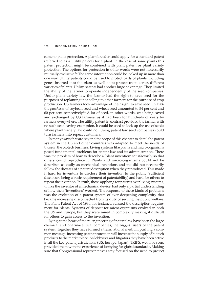came to plant protection. A plant breeder could apply for a standard patent (referred to as a utility patent) for a plant. In the case of some plants this patent protection might be combined with plant patent or plant variety protection. The options for protection in other words were not necessarily mutually exclusive.24 The same information could be locked up in more than one way. Utility patents could be used to protect parts of plants, including genes inserted into the plant as well as to protect traits across different varieties of plants. Utility patents had another huge advantage. They limited the ability of the farmer to operate independently of the seed companies. Under plant variety law the farmer had the right to save seed for the purposes of replanting it or selling to other farmers for the purpose of crop production. US farmers took advantage of their right to save seed. In 1986 the *purchases* of soybean seed and wheat seed amounted to 54 per cent and 60 per cent respectively.25 A lot of seed, in other words, was being saved and exchanged by US farmers, as it had been for hundreds of years by farmers everywhere. The utility patent in contrast provided the farmer with no such seed-saving exemption. It could be used to lock up the use of seeds where plant variety law could not. Using patent law seed companies could turn farmers into repeat customers.

In many ways that are beyond the scope of this chapter to detail the patent system in the US and other countries was adapted to meet the needs of those in the biotech business. Living systems like plants and micro-organisms posed fundamental problems for patent law and its administration. There was the problem of how to describe a 'plant invention' satisfactorily so that others could reproduce it. Plants and micro-organisms could not be described as easily as mechanical inventions and the did not necessarily follow the dictates of a patent description when they reproduced. This made it hard for inventors to disclose their invention to the public (sufficient disclosure being a basic requirement of patentability) and hard for others to repeat the invention. In truth, those applying for patents over living systems, unlike the inventor of a mechanical device, had only a partial understanding of how their 'inventions' worked. The response to these kinds of problems was the evolution of a patent system of ever deepening complexity that became increasing disconnected from its duty of serving the public welfare. The Plant Patent Act of 1930, for instance, relaxed the description requirement for plants. Systems of deposit for micro-organisms evolved in both the US and Europe, but they were mired in complexity making it difficult for others to gain access to the invention.

Lying at the heart of the re-engineering of patent law have been the large chemical and pharmaceutical companies, the biggest users of the patent system. Together they have formed a transnational medium pushing a common message: increasing patent protection will increase the supply of biotech products to the marketplace. As lobbyists and litigators they have been active in all the key patent jurisdictions (US, Europe, Japan). TRIPS, we have seen, provided them with the experience of lobbying for global standards. Making sure that Congressional representatives stay focused on the need to protect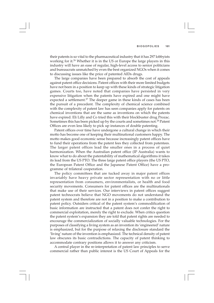#### **B I O G O P O L I E S 161**

their patents is so vital to the pharmaceutical industry that it has 297 lobbyists working for it.26 Whether it is in the US or Europe the large players in this industry will have an ease of regular, high-level access to senior politicians and bureaucrats unmatched by even the best organized NGOs when it comes to discussing issues like the price of patented AIDs drugs.

The large companies have been prepared to absorb the cost of appeals against patent office decisions. Patent offices with their more limited budgets have not been in a position to keep up with these kinds of strategic litigation games. Courts too, have noted that companies have persisted in very expensive litigation when the patents have expired and one might have expected a settlement.<sup>27</sup> The deeper game in these kinds of cases has been the pursuit of a precedent. The complexity of chemical science combined with the complexity of patent law has seen companies apply for patents on chemical inventions that are the same as inventions on which the patents have expired. Eli Lilly and Co tried this with their blockbuster drug Prozac. Sometimes this has been picked up by the courts and sometimes not.<sup>28</sup> Patent Offices are even less likely to pick up instances of double patenting.

Patent offices over time have undergone a cultural change in which their motto has become one of keeping their multinational customers happy. The motto makes good economic sense because increasingly patent offices have to fund their operations from the patent fees they collected from patentees. The larger patent offices lead the smaller ones in a process of quiet harmonization. When the Australian patent office (IP Australia) wants to know what to do about the patentability of mathematical algorithms it takes its lead from the US PTO. The three large patent office players (the US PTO, the European Patent Office and the Japanese Patent Office) have a programme of trilateral cooperation.

The policy committees that are tucked away in major patent offices invariably have heavy private sector representation with no or little representation from consumers, environmentalists, or health and food security movements. Consumers for patent offices are the multinationals that make use of their services. Our interviews in patent offices suggest patent technocrats believe that NGO movements do not understand the patent system and therefore are not in a position to make a contribution to patent policy. Outsiders critical of the patent system's commodification of basic information are instructed that a patent does not confer the right to commercial exploitation, merely the right to exclude. When critics question the patent system's expansion they are told that patent rights are needed to encourage the commercialization of socially valuable technologies. For the purposes of classifying a living system as an invention its 'engineered' nature is emphasized, but for the purpose of relaxing the disclosure standard the 'living' nature of the invention is emphasized. The technical density of patent law obscures its basic contradictions. The capacity of patent thinking to accommodate contrary positions allows it to answer any criticism.

A central player in the re-interpretation of patent law principles to serve commercial rather than public interest is the US Court of Appeals for the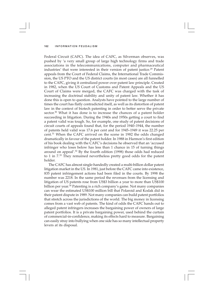Federal Circuit (CAFC). The idea of CAFC, as Silverman observes, was pushed by 'a very small group of large high technology firms and trade associations in the telecommunications, computer and pharmaceutical industries' that were interested in their version of patent justice.<sup>29</sup> Patent appeals from the Court of Federal Claims, the International Trade Commission, the US PTO and the US district courts (in most cases) are all funnelled to the CAFC, giving it centralized power over patent law principle. Created in 1982, when the US Court of Customs and Patent Appeals and the US Court of Claims were merged, the CAFC was charged with the task of increasing the doctrinal stability and unity of patent law. Whether it has done this is open to question. Analysts have pointed to the large number of times the court has flatly contradicted itself, as well as its distortion of patent law in the context of biotech patenting in order to better serve the private sector.<sup>30</sup> What it has done is to increase the chances of a patent holder succeeding in litigation. During the 1940s and 1950s getting a court to find a patent valid was tough. So, for example, one study of patent decisions of circuit courts of appeals found that, for the period 1940–1944, the number of patents held valid was 17.6 per cent and for 1945–1949 it was 22.25 per cent.<sup>31</sup> When the CAFC arrived on the scene in 1982 the odds changed dramatically in favour of the patent holder. In 1988 in Harmon's first edition of his book dealing with the CAFC's decisions he observed that an 'accused infringer who loses below has less than 1 chance in 15 of turning things around on appeal'. 32 By the fourth edition (1998) those odds had reduced to 1 in 7.33 They remained nevertheless pretty good odds for the patent holder.

The CAFC has almost single-handedly created a multi-billion dollar patent litigation market in the US. In 1981, just before the CAFC came into existence, 835 patent infringement actions had been filed in the courts. By 1998 the number was 2218. In the same period the revenues from the licensing and litigation of US patents rose from US\$3 billion a year to more than US\$100 billion per year.<sup>34</sup> Patenting is a rich company's game. Not many companies can wear the estimated US\$100 million bill that Polaroid and Kodak did in their patent dispute in 1989. Not many companies can build patent portfolios that stretch across the jurisdictions of the world. The big money in licensing comes from a vast web of patents. The kind of odds the CAFC hands out to alleged patent infringers increases the bargaining power of owners of large patent portfolios. It is a private bargaining power, used behind the curtain of commercial-in-confidence, making its effects hard to measure. Bargaining can easily stray into bullying when one side has so many intellectual property levers at its disposal.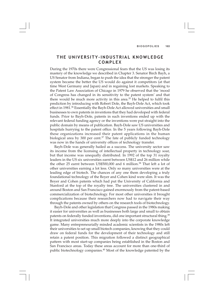# THE UNIVERSITY-INDUSTRIAL KNOWLEDGE COMPLEX

During the 1970s there were Congressional fears that the US was losing its mastery of the knowledge we described in Chapter 3. Senator Birch Bayh, a US Senator from Indiana, began to push the idea that the stronger the patent system became the better the US would do against it competitors (at that time West Germany and Japan) and in regaining lost markets. Speaking to the Patent Law Association of Chicago in 1979 he observed that the 'mood of Congress has changed in its sensitivity to the patent system' and that there would be much more activity in this area.<sup>35</sup> He helped to fulfil this prediction by introducing with Robert Dole, the Bayh-Dole Act, which took effect in 1981.36 Essentially the Bayh-Dole Act allowed universities and small businesses to own patents in inventions that they had developed with federal funds. Prior to Bayh-Dole, patents in such inventions ended up with the relevant federal funding agency or the inventions were put straight into the public domain by means of publication. Bayh-Dole saw US universities and hospitals hurrying to the patent office. In the 5 years following Bayh-Dole these organizations increased their patent applications in the human biological area by 300 per cent. $37$  The fate of publicly funded technology was now in the hands of university offices of technology transfer.

Bayh-Dole was generally hailed as a success. The university sector saw its income from the licensing of intellectual property in technology soar, but that income was unequally distributed. In 1992 of the top 31 royalty leaders in the US six universities earnt between US\$12 and 26 million while the other 25 earnt between US\$500,000 and 6 million.<sup>38</sup> That left a lot of other universities earning a lot less. Only so many universities were at the leading edge of biotech. The chances of any one them developing a truly foundational technology of the Boyer and Cohen kind were slim. It was the Boyer and Cohen patents which had put the University of California and Stanford at the top of the royalty tree. The universities clustered in and around Boston and San Francisco gained enormously from the patent-based commercialization of biotechnology. For most other universities it brought complications because their researchers now had to navigate their way through the patents owned by others on the research tools of biotechnology.

Bayh-Dole and other legislation that Congress passed in the 1980s making it easier for universities as well as businesses both large and small to obtain patents on federally funded inventions, did one important structural thing.39 It integrated universities much more deeply into the corporate knowledge game. Many entrepreneurially minded academic scientists in the 1980s left their universities to set up small biotech companies, knowing that they could draw on federal funds for the development of their technology and still retain a patent position. This migration followed a distinct geographical pattern with most start-up companies being established in the Boston and San Francisco areas. Today these areas account for more than one-third of public biotechnology companies.<sup>40</sup> Most of the knowledge patented by the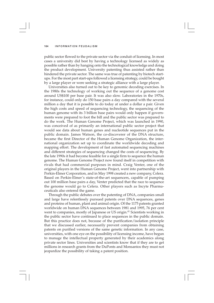public sector flowed to the private sector via the conduit of licensing. In most cases a university did best by having a technology licensed as widely as possible rather than by hanging onto the technological knowledge and doing the product development. University patenting thus assisted rather than hindered the private sector. The same was true of patenting by biotech startups. For the most part start-ups followed a licensing strategy, could be bought by a large player or were seeking a strategic alliance with a large player.

Universities also turned out to be key to genomic decoding exercises. In the 1980s the technology of working out the sequence of a genome cost around US\$100 per base pair. It was also slow. Laboratories in the 1970s, for instance, could only do 150 base pairs a day compared with the several million a day that it is possible to do today at under a dollar a pair. Given the high costs and speed of sequencing technology, the sequencing of the human genome with its 3 billion base pairs would only happen if governments were prepared to foot the bill and the public sector was prepared to do the work. The Human Genome Project, which was launched in 1990, was conceived of as primarily an international public sector project that would see data about human genes and nucleotide sequences put in the public domain. James Watson, the co-discoverer of the DNA structure, became the first Director of the Human Genome Organization, the international organization set up to coordinate the worldwide decoding and mapping effort. The development of fast automated sequencing machines and different strategies of sequencing changed the costs of sequencing. By the late 1990s it had become feasible for a single firm to sequence the human genome. The Human Genome Project now found itself in competition with rivals that had commercial purposes in mind. Craig Venter, one of the original players in the Human Genome Project, went into partnership with Perkin-Elmer Corporation, and in May 1998 created a new company, Celera. Based on Perkin-Elmer's state-of-the-art sequencers, capable of pumping out 100 million base pairs a day, Venter predicted that the race to sequence the genome would go to Celera. Other players such as Incyte Pharmaceuticals also entered the game.

Through the public debates over the patenting of DNA, companies small and large have relentlessly pursued patents over DNA sequences, genes and proteins of human, plant and animal origin. Of the 1175 patents granted worldwide on human DNA sequences between 1981 and 1995, 76 per cent went to companies, mostly of Japanese or US origin.<sup>41</sup> Scientists working in the public sector have continued to place sequences in the public domain. But this practice does not, because of the purification/isolation principle that we discussed earlier, necessarily prevent companies from obtaining patents on purified versions of the same genetic information. In any case, universities, with one eye on the possibility of licensing income, have begun to manage the intellectual property generated by their academics along private sector lines. Universities and scientists know that if they are to get millions in research grants from the DuPonts and Monsantos they must not jeopardize the possibility of taking a patent position.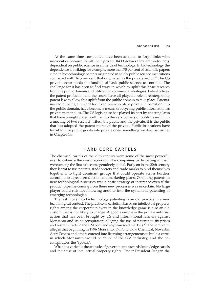At the same time companies have been anxious to forge links with universities because for all their private R&D dollars they are profoundly dependent on public science in all fields of technology. In biotechnology the dependence is striking; for example, more than 70 per cent of scientific papers cited in biotechnology patents originated in solely public science institutions compared with 16.5 per cent that originated in the private sector.<sup>42</sup> The US private sector needs the funding of basic public science to continue. The challenge for it has been to find ways in which to uplift this basic research from the public domain and utilize it in commercial strategies. Patent offices, the patent profession and the courts have all played a role in reinterpreting patent law to allow this uplift from the public domain to take place. Patents, instead of being a reward for inventors who place private information into the public domain, have become a means of recycling public information as private monopolies. The US legislature has played its part by enacting laws that have brought patent culture into the very corners of public research. In a meeting of two research tribes, the public and the private, it is the public that has adopted the patent mores of the private. Public institutions have learnt to turn public goods into private ones, something we discuss further in Chapter 14.

## HARD CORE CARTELS

The chemical cartels of the 20th century were some of the most powerful ever to colonize the world economy. The companies participating in them were among the first to become genuinely global. Early on in the 20th century they learnt to use patents, trade secrets and trade marks to bind themselves together into tight dominant groups that could operate across borders according to agreed production and marketing plans. Obtaining patents in new technological processes was a basic strategy of insurance even if the product pipeline coming from these new processes was uncertain. No large player could risk not following another into the systematic patenting of emerging technologies.

The fast move into biotechnology patenting is an old practice in a new technological context. The practice of cartelism based on intellectual property rights among the corporate players in the knowledge game is also an old custom that is not likely to change. A good example is the private antitrust action that has been brought by US and international farmers against Monsanto and its co-conspirators alleging the use of patents to fix prices and restrain trade in the GM corn and soybean seed markets.<sup>43</sup> The complaint alleges that beginning in 1996 Monsanto, DuPont, Dow Chemical, Novartis, AstraZeneca and others entered into licensing arrangements to build a cartel in which Monsanto would be 'hub' of the GM industry, and the coconspirators the 'spokes'.

What has varied is the attitude of governments towards knowledge cartels and their use of intellectual property rights. Under President Reagan the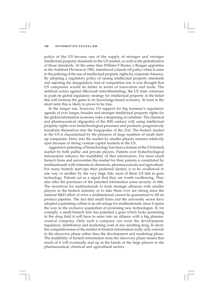policy of the US became one of the supply of stronger and stronger intellectual property standards to the US market, as well as the globalization of those standards. At the same time William F Baxter, a Reagan appointee to the Antitrust Division in 1981, introduced a hands-off policy when it came to the policing of the use of intellectual property rights by corporate America. By adopting a regulatory policy of raising intellectual property standards and rejecting the deregulatory tool of competition law it was thought that US companies would do better in terms of innovation and trade. The antitrust action against Microsoft notwithstanding, the US state continues to push its global regulatory strategy for intellectual property in the belief this will increase the gains to its knowledge-based economy. At least in the short term this is likely to prove to be true.

In the longer run, however, US support for big business's regulatory agenda of ever longer, broader and stronger intellectual property rights for the global information economy risks a deepening of cartelism. The chemical and pharmaceutical oligopolies of the 20th century will, using intellectual property rights over biotechnological processes and products, progressively transform themselves into the biogopolies of the 21st. The biotech market in the US is characterized by the presence of large numbers of small startup companies. Entry into the market by smaller players remains relatively open because of strong venture capital markets in the US.

Aggressive patenting of biotechnology has been a feature of the US biotech market by both public and private players. Patents over biotechnological information enhance the tradability of that information. For most small biotech firms and universities the market for their patents is constituted by multinationals with interests in chemicals, pharmaceuticals and agriculture. For many biotech start-ups their preferred destiny is to be swallowed in one way or another by the very large fish, most of them US fish in gene technology. Patents act as a signal that they are worth swallowing. They also offer the purchaser of the patented information some security of title. The incentives for multinationals to form strategic alliances with smaller players in the biotech industry or to take them over are strong since the internal R&D effort of even a multinational cannot be guaranteed to fill its product pipeline. The fact that small firms and the university sector have adopted a patenting culture is an advantage for multinationals, since it opens the way to the exclusive acquisition of promising new technologies. If, for example, a small biotech firm has patented a gene which looks promising in the drug field it will have to enter into an alliance with a big pharmaceutical company. Only such a company can wear the development, regulatory, distribution and marketing costs of any resulting drug. In short, the competitiveness of the market in biotech information really only extends to the discovery phase rather than the development and marketing phase. The tradability of biotech information from the discovery phase means that much of it will eventually end up in the hands of the large players in the pharmaceutical, chemical and agricultural sectors.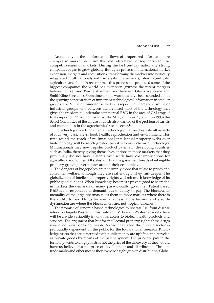#### **B I O G O P O L I E S 167**

Accompanying these information flows of propertized information are changes in market structure that will also have consequences for the competitiveness of markets. During the last century nationally strong companies began to grow globally, through a process of international market expansion, mergers and acquisitions, transforming themselves into vertically integrated multinationals with interests in chemicals, pharmaceuticals, agriculture and food. In recent times this process has produced some of the biggest companies the world has ever seen (witness the recent mergers between Pfizer and Warner-Lambert and between Glaxo Wellcome and SmithKline Beecham). From time to time warnings have been sounded about the growing concentration of important technological information in smaller groups. The Nuffield Council observed in its report that there were 'six major industrial groups who between them control most of the technology that gives the freedom to undertake commercial R&D in the area of GM crops.<sup>44</sup> In its report on *EC Regulation of Genetic Modification in Agriculture* (1998) the Select Committee of the House of Lords also warned of the problem of cartels and monopolies in the agrochemical/seed sector.<sup>45</sup>

Biotechnology is a fundamental technology that reaches into all aspects of four very basic areas: food, health, reproduction and environment. This time round the reach of multinational intellectual property webs over biotechnology will be much greater than it was over chemical technology. Multinationals may now register product patents in developing countries such as India, thereby giving themselves options in those markets that they previously did not have. Patents over seeds have cost implications for agricultural economies. All states will find the gossamer threads of intangible property growing ever tighter around their economies.

The dangers of biogopolies are not simply those that relate to prices and consumer welfare, although they are real enough. They run deeper. The globalization of intellectual property rights will rob much knowledge of its public good qualities. When knowledge becomes a private good to be traded in markets the demands of many, paradoxically, go unmet. Patent based R&D is not responsive to demand, but to ability to pay. The blockbuster mentality of the large pharmas takes them to those markets where there is the ability to pay. Drugs for mental illness, hypertension and erectile dysfunction are where the blockbusters are, not tropical diseases.

The promise of genomic-based technologies to liberate 'us' from disease refers to a largely Western industrialized 'us'. Even in Western markets there will be a wide variability in who has access to biotech health products and services. The argument that but for intellectual property rights these drugs would not exist does not wash. As we have seen the private sector is profoundly dependent on the public for the foundational research. Knowledge assets that are generated with public money are uplifted and recycled as private goods by means of the patent system. The price we pay in the form of patents to biogopolists is not the price of the discovery as they would have us believe, but the price of development and distribution. Through trade marks and other means they exercise a tight grip on distribution. Global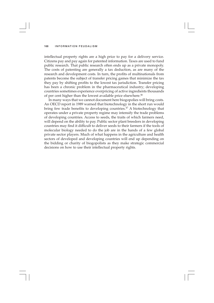intellectual property rights are a high price to pay for a delivery service. Citizens pay and pay again for patented information. Taxes are used to fund public research. That public research often ends up as a private monopoly. The costs of patenting are generally a tax deduction, as are many of the research and development costs. In turn, the profits of multinationals from patents become the subject of transfer pricing games that minimize the tax they pay by shifting profits to the lowest tax jurisdiction. Transfer pricing has been a chronic problem in the pharmaceutical industry; developing countries sometimes experience overpricing of active ingredients thousands of per cent higher than the lowest available price elsewhere.<sup>46</sup>

In many ways that we cannot document here biogopolies will bring costs. An OECD report in 1989 warned that biotechnology in the short run would bring few trade benefits to developing countries.<sup>47</sup> A biotechnology that operates under a private property regime may intensify the trade problems of developing countries. Access to seeds, the traits of which farmers need, will depend on the ability to pay. Public sector plant breeders in developing countries may find it difficult to deliver seeds to their farmers if the tools of molecular biology needed to do the job are in the hands of a few global private sector players. Much of what happens in the agriculture and health sectors of developed and developing countries will end up depending on the bidding or charity of biogopolists as they make strategic commercial decisions on how to use their intellectual property rights.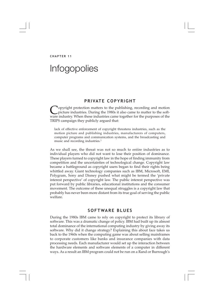## CHAPTER 11

# **Infogopolies**

# PRIVATE COPYRIGHT

**Copyright protection matters to the publishing, recording and motion** picture industries. During the 1980s it also came to matter to the soft-ware industry. When these industries came together for the purposes of the picture industries. During the 1980s it also came to matter to the software industry. When these industries came together for the purposes of the TRIPS campaign they publicly argued that:

lack of effective enforcement of copyright threatens industries, such as the motion picture and publishing industries, manufacturers of computers, computer programs and communication systems, and the broadcasting and music and recording industries.<sup>1</sup>

As we shall see, the threat was not so much to entire industries as to individual players who did not want to lose their position of dominance. These players turned to copyright law in the hope of finding immunity from competition and the uncertainties of technological change. Copyright law became a battleground as copyright users began to find their rights being whittled away. Giant technology companies such as IBM, Microsoft, EMI, Polygram, Sony and Disney pushed what might be termed the 'private interest perspective' of copyright law. The public interest perspective was put forward by public libraries, educational institutions and the consumer movement. The outcome of these unequal struggles is a copyright law that probably has never been more distant from its true goal of serving the public welfare.

## SOFTWARE BLUES

During the 1980s IBM came to rely on copyright to protect its library of software. This was a dramatic change of policy. IBM had built up its almost total dominance of the international computing industry by giving away its software. Why did it change strategy? Explaining this about face takes us back to the 1960s when the computing game was about selling mainframes to corporate customers like banks and insurance companies with data processing needs. Each manufacturer would set up the interaction between the hardware elements and software elements of a computer in different ways. As a result an IBM program could not be run on a Rand or Burrough's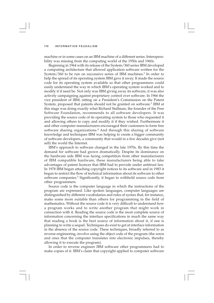machine or in some cases on an IBM machine of a different series. Interoperability was missing from the computing world of the 1950s and 1960s.

Beginning in 1964 with its release of the System/360 series IBM developed a computing architecture that allowed application software written for the System/360 to be run on successive series of IBM machines.<sup>2</sup> In order to help the spread of its operating system IBM gave it away. It made the source code for its operating system available so that other programmers could easily understand the way in which IBM's operating system worked and to modify it if need be. Not only was IBM giving away its software, it was also actively campaigning against proprietary control over software. In 1966 the vice president of IBM, sitting on a President's Commission on the Patent System, proposed that patents should not be granted on software.<sup>3</sup> IBM at this stage was doing exactly what Richard Stallman, the founder of the Free Software Foundation, recommends to all software developers. It was providing the source code of its operating system to those who requested it and allowing others to copy and modify it if they wished. Furthermore it and other computer manufacturers encouraged their customers to form free software sharing organizations.<sup>4</sup> And through this sharing of software knowledge and techniques IBM was helping to create a bigger community of software developers, a community that would in a few decades give (not sell) the world the Internet.

IBM's approach to software changed in the late 1970s. By this time the demand for software had grown dramatically. Despite its dominance on the hardware side IBM was facing competition from other manufacturers of IBM compatible hardware, these manufacturers being able to take advantages of patent licences that IBM had to provide under antitrust law. In 1978 IBM began attaching copyright notices to its software and in 1983 it began to restrict the flow of technical information about its software to other software companies.<sup>5</sup> Significantly, it began to withhold source code from other programmers.

Source code is the computer language in which the instructions of the program are expressed. Like spoken languages, computer languages are distinguished by different vocabularies and rules of syntax that, for instance, make some more suitable than others for programming in the field of mathematics. Without the source code it is very difficult to understand how a program works and to write another program that might work in connection with it. Reading the source code is the most complete source of information concerning the interface specifications in much the same way that reading a book is the best source of information about it, if one is planning to write a sequel. Techniques do exist to get at interface information in the absence of the source code. These techniques, broadly referred to as reverse engineering, involve using the object code of the program (the zeros and ones that the computer translates into electronic impulses, thereby allowing it to execute the program).

In order to reverse engineer IBM software other programmers had to make copies of it. IBM's claim that copyright applied to computer software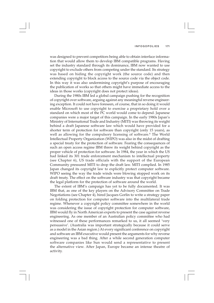#### **I N F O G O P O L I E S 171**

was designed to prevent competitors being able to obtain interface information that would allow them to develop IBM compatible programs. Having set the industry standard through its dominance, IBM now wanted to use copyright to exclude others from competing under the standard. Its strategy was based on hiding the copyright work (the source code) and then extending copyright to block access to the source code via the object code. In this way it was also undermining copyright's purpose of encouraging the publication of works so that others might have immediate access to the ideas in those works (copyright does not protect ideas).

During the 1980s IBM led a global campaign pushing for the recognition of copyright over software, arguing against any meaningful reverse engineering exception. It could not have foreseen, of course, that in so doing it would enable Microsoft to use copyright to exercise a proprietary hold over a standard on which most of the PC world would come to depend. Japanese companies were a major target of this campaign. In the early 1980s Japan's Ministry of International Trade and Industry (MITI) was throwing its weight behind a draft Japanese software law which would have provided for a shorter term of protection for software than copyright (only 15 years), as well as allowing for the compulsory licensing of software.<sup>6</sup> The World Intellectual Property Organization (WIPO) was also in the midst of drafting a special treaty for the protection of software. Fearing the consequences of such an open access regime IBM threw its weight behind copyright as the proper vehicle of protection for software. In 1984, the year in which the US had linked its 301 trade enforcement mechanism to intellectual property (see Chapter 6), US trade officials with the support of the European Community pressured MITI to drop the draft law. MITI complied. In 1985 Japan changed its copyright law to explicitly protect computer software. WIPO seeing the way the trade winds were blowing stopped work on its draft treaty. The effect on the software industry was that copyright became the legal platform for the protection of software around the world.

The extent of IBM's campaign has yet to be fully documented. It was IBM that, as one of the key players on the Advisory Committee on Trade Negotiations (see Chapter 4), hired Jacques Gorlin to write a strategy paper on folding protection for computer software into the multilateral trade regime. Whenever a copyright policy committee somewhere in the world was considering the issue of copyright protection for computer software, IBM would fly in North American experts to present the case against reverse engineering. As one member of an Australian policy committee who had witnessed one of these performances remarked to us, it all seemed 'very persuasive'. (Australia was important strategically because it could serve as a model in the Asian region.) At every significant conference on copyright and software an IBM executive would present the arguments for why reverse engineering was a bad thing. After a while second generation computer software companies like Sun would send a representative to present the alternative view. After Japan, Europe became an intense theatre of activity.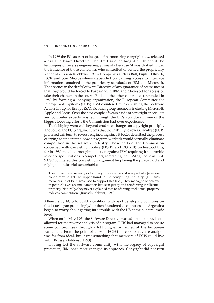In 1989 the EC, as part of its goal of harmonizing copyright law, released a draft Software Directive. The draft said nothing directly about the techniques of reverse engineering, primarily because 'it was drafted under the influence of those companies who controlled or owned the proprietary standards' (Brussels lobbyist, 1993). Companies such as Bull, Fujitsu, Olivetti, NCR and Sun Microsystems depended on gaining access to interface information contained in the proprietary standards of IBM and Microsoft. The absence in the draft Software Directive of any guarantee of access meant that they would be forced to bargain with IBM and Microsoft for access or take their chances in the courts. Bull and the other companies responded in 1989 by forming a lobbying organization, the European Committee for Interoperable Systems (ECIS). IBM countered by establishing the Software Action Group for Europe (SAGE), other group members including Microsoft, Apple and Lotus. Over the next couple of years a tide of copyright specialists and computer experts washed through the EC's corridors in one of the biggest lobbying efforts the Commission had ever experienced.

The lobbying went well beyond erudite exchanges on copyright principle. The core of the ECIS argument was that the inability to reverse analyse (ECIS preferred this term to reverse engineering since it better described the process of trying to understand how a program worked) would virtually eliminate competition in the software industry. Those parts of the Commission concerned with competition policy (DG IV and DG XIII) understood this, for in 1980 they had brought an action against IBM requiring it to provide interface specifications to competitors, something that IBM agreed to in 1984. SAGE countered this competition argument by playing the piracy card and relying on industrial xenophobia:

They linked reverse analysis to piracy. They also said it was part of a Japanese conspiracy to get the upper hand in the computing industry. [Fujitsu's membership of ECIS was used to support this line.] They managed to achieve in people's eyes an amalgamation between piracy and reinforcing intellectual property. Naturally, they never explained that reinforcing intellectual property reduces competition. (Brussels lobbyist, 1993)

Attempts by ECIS to build a coalition with lead developing countries on this issue began promisingly, but then foundered as countries like Argentina began to worry about getting into trouble with the US at the bilateral trade level.

When on 14 May 1991 the Software Directive was adopted its provisions allowed for the reverse analysis of a program. ECIS had managed to secure some compromises through a lobbying effort aimed at the European Parliament. From the point of view of ECIS the scope of reverse analysis was far from ideal, but it was something that members of ECIS could live with (Brussels lobbyist, 1993).

Having left the software community with the legacy of copyright protection, IBM once more changed its approach. Copyright did not turn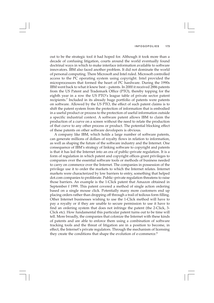out to be the strategic tool it had hoped for. Although it took more than a decade of confusing litigation, courts around the world eventually found doctrinal ways in which to make interface information available to software innovators. IBM also faced another problem. It did not dominate the world of personal computing. There Microsoft and Intel ruled. Microsoft controlled access to the PC operating system using copyright. Intel provided the microprocessors that formed the heart of PC hardware. During the 1990s IBM went back to what it knew best – patents. In 2000 it received 2886 patents from the US Patent and Trademark Office (PTO), thereby topping for the eighth year in a row the US PTO's league table of private sector patent recipients.7 Included in its already huge portfolio of patents were patents on software. Allowed by the US PTO, the effect of such patent claims is to shift the patent system from the protection of information that is embodied in a useful product or process to the protection of useful information outside a specific industrial context. A software patent allows IBM to claim the production of a curve on a screen without the need to relate the production of that curve to any other process or product. The potential blocking effect of these patents on other software developers is obvious.

A company like IBM, which holds a large number of software patents, can generate millions of dollars of royalty flows in relation to information, as well as shaping the future of the software industry and the Internet. One consequence of IBM's strategy of linking software to copyright and patents is that it has led the Internet into an era of public–private regulation. It is a form of regulation in which patent and copyright offices grant privileges to companies over the essential software tools or methods of business needed to carry on commerce over the Internet. The companies in possession of the privilege use it to order the markets to which the Internet relates. Internet markets were characterized by low barriers to entry, something that helped dot.com companies to proliferate. Public–private regulation threatens to raise those barriers. An example is the 1-Click patent that Amazon obtained in September f 1999. This patent covered a method of single action ordering based on a single mouse click. Potentially many more customers end up placing orders rather than dropping off through a trail of tedious form filling. Other Internet businesses wishing to use the 1-Click method will have to pay a royalty or if they are unable to secure permission to use it have to find an ordering system that does not infringe the patent (the 2-Click, 3- Click etc). How fundamental this particular patent turns out to be time will tell. More broadly, the companies that colonize the Internet with these kinds of patents and are able to enforce them using a combination of software tracking tools and the threat of litigation are in a position to become, in effect, the Internet's private regulators. Through the mechanism of licensing they create the conditions that shape the evolution of e-commerce.<sup>8</sup>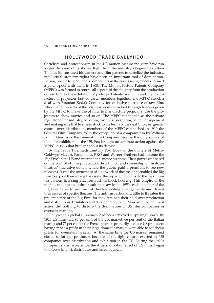## HOLLYWOOD TRADE BALLYHOO

Cartelism and protectionism in the US motion picture industry have run longer than any of its shows. Right from the industry's beginnings, when Thomas Edison used his camera and film patents to cartelize the industry, intellectual property rights have been an important tool of domination. Edison, unable to conquer his competitors in the courts using patents, formed a patent pool with them in 1908.<sup>9</sup> The Motion Picture Patents Company (MPPC) was formed to control all aspects of the industry from the production of raw film to the exhibition of pictures. Patents over film and the manufacture of projectors knitted cartel members together. The MPPC struck a deal with Eastman Kodak Company for exclusive purchase of raw film. After that all aspects of the business were controlled through licences given by the MPPC to make use of film, to manufacture projectors, use the projectors to show movies and so on. The MPPC functioned as the private regulator of the industry, collecting royalties, preventing patent infringement and making sure that licensees stuck to the terms of the deal.<sup>10</sup> To gain greater control over distribution, members of the MPPC established in 1910 the General Film Company. With the exception of a company run by William Fox in New York the General Film Company became the only source of films for exhibitors in the US. Fox brought an antitrust action against the MPPC in 1913 that brought about its demise.

By the 1930s Twentieth Century Fox, Loew's (the owners of Metro-Goldwyn-Mayer), Paramount, RKO and Warner Brothers had become the 'Big Five' in the US and international movie business. Their power was based on the control of film production, distribution and ownership of 'first-run theatres' (lucrative outlets where the public paid a premium to see new releases). It was the ownership of a network of theatres that enabled the Big Five to exploit their intangible assets (the copyright in films) to the maximum via various licensing practices such as block booking. This empire of the moguls ran into an antitrust suit that saw in the 1950s each member of the Big Five agree to pull out of theatre-pooling arrangements and divest themselves of specific theatres. The antitrust action did little to threaten the pre-eminence of the Big Five, for they retained their hold over production and distribution. Exhibitors still depended on them. Moreover, the antitrust action did nothing to disturb the domination of US film companies in overseas markets.

Hollywood's global supremacy had been achieved surprisingly early. By 1925 US films had 95 per cent of the UK market, 66 per cent of the Italian market and 77 per cent of the French market, primarily because US producers having made a profit in their large domestic market were able to set cheap prices for overseas markets.<sup>11</sup> At the same time the US market remained closed to foreign producers because of the tight control exerted by US companies over distribution and exhibition in the US. During the 1920s European states, worried by the Americanization effect of US films, began to impose import, distributor and screen quotas.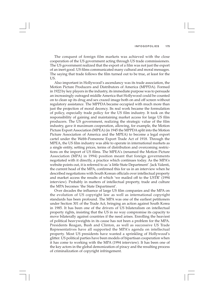#### **I N F O G O P O L I E S 175**

The conquest of foreign film markets was achieved with the close cooperation of the US government acting through US trade commissioners. The US government realized that the export of a film was not just the export of an inert good. US films communicated many cultural and moral messages. The saying that trade follows the film turned out to be true, at least for the US.

Also important in Hollywood's ascendancy was its trade association, the Motion Picture Producers and Distributors of America (MPPDA). Formed in 1922 by key players in the industry, its immediate purpose was to persuade an increasingly outraged middle America that Hollywood could be counted on to clean up its drug and sex crazed image both on and off screen without regulatory assistance. The MPPDA became occupied with much more than just the projection of moral decency. Its real work became the formulation of policy, especially trade policy for the US film industry. It took on the responsibility of gaining and maintaining market access for large US film producers. The US government, realizing the strategic value of the film industry, gave it maximum cooperation, allowing, for example, the Motion Picture Export Association (MPEA) (in 1945 the MPPDA split into the Motion Picture Association of America and the MPEA) to become a legal export cartel under the Webb-Pomerene Export Trade Act of 1918. Through the MPEA, the US film industry was able to operate in international markets as a single entity, setting prices, terms of distribution and overcoming restrictions on the import of US films. The MPEA's (renamed the Motion Picture Association (MPA) in 1994) position meant that foreign governments negotiated with it directly, a practice which continues today. As the MPA's website points out, it is referred to as 'a little State Department'. Jack Valenti, the current head of the MPA, confirmed this for us in an interview when he described negotiations with South Korean officials over intellectual property and market access the results of which 'we mailed off to the USTR' (1994 interview). Probably in matters of intellectual property, trade and culture the MPA becomes 'the State Department'.

Over decades the influence of large US film companies and the MPA on the evolution of US copyright law as well as international copyright standards has been profound. The MPA was one of the earliest petitioners under Section 301 of the Trade Act, bringing an action against South Korea in 1985. It has been one of the drivers of US bilateralism on intellectual property rights, insisting that the US in no way compromise its capacity to move bilaterally against countries if the need arises. Enrolling the heaviest of political heavyweights in its cause has not been a problem for the MPA. Presidents Reagan, Bush and Clinton, as well as successive US Trade Representatives have all supported the MPA's agenda on intellectual property. Most US presidents have wanted a sprinkling of Hollywood's glitter. US political parties have been models of bipartisan cooperation when it has come to working with the MPA (1994 interview). It has been one of the key actors in the global demonization of piracy and the resulting process of criminalization of copyright infringement.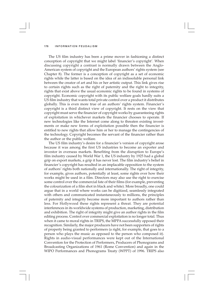The US film industry has been a prime mover in fashioning a distinct conception of copyright that we might label 'financier's copyright'. When discussing copyright a contrast is normally drawn between the Anglo-American system of copyright and the European authors' rights system (see Chapter 8). The former is a conception of copyright as a set of economic rights while the latter is based on the idea of an indissoluble personal link between the creator of art and his or her artistic output. This link gives rise to certain rights such as the right of paternity and the right to integrity, rights that exist above the usual economic rights to be found in systems of copyright. Economic copyright with its public welfare goals hardly suits a US film industry that wants total private control over a product it distributes globally. This is even more true of an authors' rights system. Financier's copyright is a third distinct view of copyright. It rests on the view that copyright must serve the financier of copyright works by guaranteeing rights of exploitation in whichever markets the financier chooses to operate. If new technologies like the Internet come along to threaten existing investments or make new forms of exploitation possible then the financier is entitled to new rights that allow him or her to manage the contingencies of the technology. Copyright becomes the servant of the financier rather than the author or the public welfare.

The US film industry's desire for a financier's version of copyright arose because it was among the first US industries to become an exporter and investor in overseas markets. Benefiting from the disruption to Europe's film industry caused by World War 1, the US industry by 1925 had a global grip on export markets, a grip it has never lost. The film industry's belief in financier's copyright has resulted in an implacable opposition to the system of authors' rights both nationally and internationally. The right of integrity, for example, gives authors, potentially at least, some rights over how their works might be used in a film. Directors may also use the right to exercise some control over the commercial fate of their films (for example, preventing the colourization of a film shot in black and white). More broadly, one could argue that in a world where works can be digitized, seamlessly integrated with others and communicated instantaneously to millions, the principles of paternity and integrity become more important to authors rather than less. For Hollywood these rights represent a threat. They are potential interferences in its worldwide systems of production, marketing, distribution and exhibition. The right of integrity might give an author rights in the film editing process. Control over commercial exploitation is no longer total. Thus when it came to moral rights in TRIPS, the MPPA successfully opposed their recognition. Similarly, the major producers have not been supporters of rights of property being granted to performers (a right, for example, that goes to a person who plays the music as opposed to the person who composed it). Rights in audio-visual performances were kept out of the International Convention for the Protection of Performers, Producers of Phonograms and Broadcasting Organizations of 1961 (Rome Convention) and again in the WIPO Performances and Phonograms Treaty (WPPT) of 1996. TRIPS also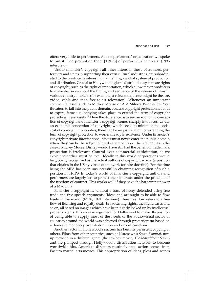#### **I N F O G O P O L I E S 177**

offers very little to performers. As one performers' organization we spoke to put it: ' no promotion there [TRIPS] of performers' interests' (1993 interview).

Under financier's copyright all other interests, those of authors, performers and states in supporting their own cultural industries, are subordinated to the producer's interest in maintaining a global system of production and distribution. Crucial to Hollywood's global distribution system are rights of copyright, such as the right of importation, which allow major producers to make decisions about the timing and sequence of the release of films in various country markets (for example, a release sequence might be theatre, video, cable and then free-to-air television). Whenever an important commercial asset such as Mickey Mouse or A A Milne's Winnie-the-Pooh threatens to fall into the public domain, because copyright protection is about to expire, ferocious lobbying takes place to extend the term of copyright protecting these assets.12 Here the difference between an economic conception of copyright and financier's copyright comes sharply into focus. Under an economic conception of copyright, which seeks to minimize the social cost of copyright monopolies, there can be no justification for extending the term of copyright protection to works already in existence. Under financier's copyright private informational assets must never enter the public domain where they can be the subject of market competition. The fact that, as in the case of Mickey Mouse, Disney would have still had the benefit of trade mark protection is irrelevant. Control over commercial exploitation, as we explained earlier, must be total. Ideally in this world corporations would be globally recognized as the actual authors of copyright works (a position that obtains in the US by virtue of the work-for-hire doctrine). For the time being the MPA has been unsuccessful in obtaining recognition of such a position in TRIPS. In today's world of financier's copyright, authors and performers are largely left to protect their interests under the principle of the freedom of contract. This works well if they have the bargaining power of a Madonna.

Financier's copyright is, without a trace of irony, defended using free trade and free speech arguments: 'Ideas and art ought to be able to flow freely in the world' (MPA, 1994 interview). Here free flow refers to a free flow of licensing and royalty deals, broadcasting rights, theatre releases and so on, all based on images which have been tightly locked up by intellectual property rights. It is an easy argument for Hollywood to make. Its position of being able to supply most of the needs of the audio-visual sector of countries around the world was achieved through protectionism based on a domestic monopoly over distribution and export cartelism.

Another factor in Hollywood's success has been its persistent copying of others. Films from other countries, such as Kurosawa's *Seven Samurai*, turn up recycled in a different genre (the cowboy movie, *The Magnificent Seven*) and are pumped through Hollywood's distribution network to become worldwide hits. American directors routinely steal action scenes from Eastern martial arts movies. This appropriation of ideas, plots and scenes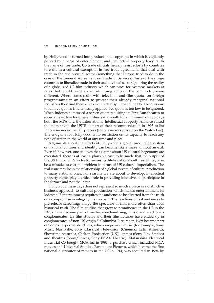by Hollywood is turned into products, the copyright in which is vigilantly policed by a corps of entertainment and intellectual property lawyers. In the name of free trade, US trade officials fiercely resist efforts by countries to write in a cultural exemption in free trade agreements that deal with trade in the audio-visual sector (something that Europe tried to do in the case of the General Agreement on Trade in Services). Instead they urge countries to liberalize trade in their audio-visual sector, ignoring the reality of a globalized US film industry which can price for overseas markets at rates that would bring an anti-dumping action if the commodity were different. Where states resist with television and film quotas on foreign programming in an effort to protect their already marginal national industries they find themselves in a trade dispute with the US. The pressure to remove quotas is relentlessly applied. No quota is too low to be ignored. When Indonesia imposed a screen quota requiring its First Run theatres to show at least two Indonesian films each month for a minimum of two days both the MPA and the International Intellectual Property Alliance raised the matter with the USTR as part of their recommendation in 1993 to list Indonesia under the 301 process (Indonesia was placed on the Watch List). The endgame for Hollywood is no restriction on its capacity to reach any type of screen in the world at any time and place.

Arguments about the effects of Hollywood's global production system on national cultures and identity can become like a maze without an exit. Even if, however, one believes that claims about US cultural hegemony are overstated, there is at least a plausible case to be made that the output of the US film and TV industry serves to dilute national cultures. It may also be a mistake to cast the problem in terms of US cultural imperialism. The real issue may lie in the relationship of a global system of cultural production to many national ones. For reasons we are about to develop, intellectual property rights play a critical role in providing incentives to participate in the former and not the latter.

Hollywood these days does not represent so much a place as a distinctive business approach to cultural production which makes entertainment its lodestar. If entertainment requires the audience to be diverted from the truth or a compromise in integrity then so be it. The reactions of test audiences to pre-release screenings shape the spectacle of film more often than does historical truth. The film studios that grew to prominence in the US in the 1920s have become part of media, merchandising, music and electronics conglomerates. US film studios and their film libraries have ended up in conglomerates of non-US origin.13 Columbia Pictures in 1989 became part of Sony's corporate structures, which range over music (for example, Sony Music Nashville, Sony Classical), television (Cinemax Latin America, Showtime-Australia, Carlton Production (UK)), games (Sony Play Station) and theatres (Sony/Lowes, Sony-IMAX Theatre). Matsushita Electrical Industrial Co bought MCA Inc in 1991, a purchase which included MCA movies and Universal Studios. Paramount Pictures, which became the first national distributor of movies in the US in 1914, was acquired in 1994 by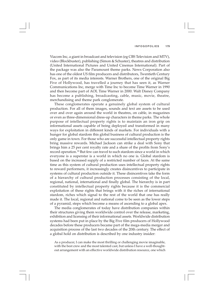#### **I N F O G O P O L I E S 179**

Viacom Inc, a giant in broadcast and television (eg CBS Television and MTV), video (Blockbuster), publishing (Simon & Schuster), theatres and distribution (United International Pictures and United Cinemas International). Part of the package was also the Paramount theme parks. News Corporation also has one of the oldest US film producers and distributors, Twentieth Century Fox, as part of its media interests. Warner Brothers, one of the original Big Five of Hollywood, has travelled a journey that has seen it, as Warner Communications Inc, merge with Time Inc to become Time Warner in 1990 and then become part of AOL Time Warner in 2000. Walt Disney Company has become a publishing, broadcasting, cable, music, movie, theatre, merchandising and theme park conglomerate.

These conglomerates operate a genuinely global system of cultural production. For all of them images, sounds and text are assets to be used over and over again around the world in theatres, on cable, in magazines or even as three-dimensional dress-up characters in theme parks. The whole purpose of intellectual property rights is to maintain an iron grip on informational assets capable of being deployed and transformed in many ways for exploitation in different kinds of markets. For individuals with a hunger for global stardom this global business of cultural production is the only game in town. For those who are successful intellectual property rights bring massive rewards. Michael Jackson can strike a deal with Sony that brings him a 25 per cent royalty rate and a share of the profits from Sony's record operation.14 But few can travel to such stardom since a world in which everyone is a superstar is a world in which no one is. Global stardom is based on the increased supply of a restricted number of faces. At the same time as this system of cultural production uses intellectual property rights to reward performers, it increasingly creates disincentives to participate in systems of cultural production outside it. These disincentives take the form of a hierarchy of cultural production processes consisting of the local, regional, national, international and finally global. The hierarchy is in part constituted by intellectual property rights because it is the commercial exploitation of these rights that brings with it the riches of international stardom, riches which signal to the rest of the world that one has really made it. The local, regional and national come to be seen as the lower steps of a pyramid, steps which become a means of ascending to a global apex.

The media conglomerates of today have distribution companies within their structures giving them worldwide control over the release, marketing, exhibition and licensing of their informational assets. Worldwide distribution systems had been put in place by the Big Five film producers of Hollywood decades before these producers became part of the mega-media merger and acquisition process of the last two decades of the 20th century. The effect of a global hold on distribution is described by one industry insider:

As a producer, I can make the most thrilling or challenging movie imaginable, with the best crew and the most talented cast, but unless I have a well-thoughtout arrangement with an effective worldwide distribution resource, one which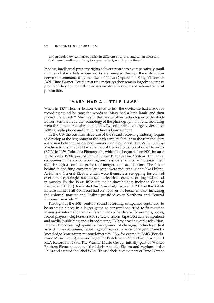understands how to market a film in different countries and when necessary to different audiences, I am, to a great extent, wasting my time.<sup>15</sup>

In short, intellectual property rights deliver rewards to a comparatively small number of star artists whose works are pumped through the distribution networks commanded by the likes of News Corporation, Sony, Viacom or AOL Time Warner. For the rest (the majority) they remain largely an empty promise. They deliver little to artists involved in systems of national cultural production.

## 'MARY HAD A LITTLE LAMB'

When in 1877 Thomas Edison wanted to test the device he had made for recording sound he sang the words to 'Mary had a little lamb' and then played them back.<sup>16</sup> Much as in the case of other technologies with which Edison was involved the technology of the phonograph or sound recording went through a series of patent battles. Two other rivals emerged, Alexander Bell's Graphophone and Emile Berliner's Gramophone.

In the US, the business structure of the sound recording industry began to develop at the beginning of the 20th century. Similar to the film industry a division between majors and minors soon developed. The Victor Talking Machine formed in 1901 became part of the Radio Corporation of America (RCA) in 1929. Columbia Phonograph, which had begun before 1900, became in the early 1930s part of the Columbia Broadcasting System. The major companies in the sound recording business were born of or increased their size through a complex process of mergers and acquisitions. The forces behind this shifting corporate landscape were industrial giants like Philips, AT&T and General Electric which were themselves struggling for control over new technologies such as radio, electrical sound recording and sound in movies. By the 1930s RCA (its major shareholders included General Electric and AT&T) dominated the US market, Decca and EMI had the British Empire market, Pathé-Marconi had control over the French market, including the colonial market and Philips presided over Northern and Central European markets.17

Throughout the 20th century sound recording companies continued to be strategic pieces in a larger game as corporations tried to fit together interests in information with different kinds of hardware (for example, books, record players, telephones, radio sets, televisions, tape recorders, computers) and media (publishing, radio broadcasting, TV broadcasting, cable television, Internet broadcasting) against a background of changing technology. Just as with film companies, recording companies have become part of media knowledge/entertainment conglomerates.18 So, for example, BMG (Bertelsmann Music Group), a subsidiary of the Bertelsmann Media Group, acquired RCA Records in 1986. The Warner Music Group, initially part of Warner Brothers Pictures, acquired the labels Atlantic, Elektra and Asylum in the 1960s and created the label WEA. These labels became part of Time-Warner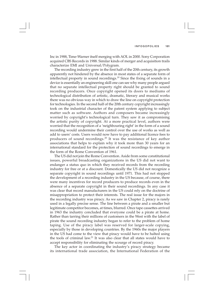Inc in 1988, Time-Warner itself merging with AOL in 2000. Sony Corporation acquired CBS Records in 1988. Similar kinds of merger and acquisition trails characterize EMI and Universal/Polygram.

The recording industry grew in the first half of the 20th century, its growth apparently not hindered by the absence in most states of a separate form of intellectual property in sound recordings.19 Since the fixing of sounds in a device is essentially an engineering skill one can see why many people argued that no separate intellectual property right should be granted to sound recording producers. Once copyright opened its doors to mediums of technological distribution of artistic, dramatic, literary and musical works there was no obvious way in which to draw the line on copyright protection for technologies. In the second half of the 20th century copyright increasingly took on the industrial character of the patent system applying to subject matter such as software. Authors and composers became increasingly worried by copyright's technological turn. They saw it as compromising the artistic purity of copyright. At a more practical level, authors were worried that the recognition of a 'neighbouring right' in the form of a sound recording would undermine their control over the use of works as well as add to users' costs. Users would now have to pay additional licence fees to producers of sound recordings.20 It was the resistance of key author associations that helps to explain why it took more than 30 years for an international standard for the protection of sound recordings to emerge in the form of the Rome Convention of 1961.

The US did not join the Rome Convention. Aside from some constitutional issues, powerful broadcasting organizations in the US did not want to endanger a status quo in which they received records from the recording industry for free or at a discount. Domestically the US did not recognize a separate copyright in sound recordings until 1971. This had not stopped the development of a recording industry in the US because, of course, there were many incentives for record producers to produce records even in the absence of a separate copyright in their sound recordings. In any case it was clear that record manufacturers in the US could rely on the doctrine of misappropriation to protect their interests. The real issue for the majors in the recording industry was piracy. As we saw in Chapter 2, piracy is rarely used in a legally precise sense. The line between a pirate and a smaller but legitimate competitor becomes, at times, blurred. Once tape cassettes arrived in 1963 the industry concluded that everyone could be a pirate at home. Rather than tarring their millions of customers in the West with the label of pirate the sound recording industry began to refer to the problem of home taping. Use of the piracy label was reserved for larger-scale copying, especially by those in developing countries. By the 1960s the major players in the US had come to the view that piracy would have to be halted using the tools of criminal law.<sup>21</sup> It was also clear that all states would have to accept responsibility for eliminating the scourge of record piracy.

The key actor in coordinating the industry's piracy strategy became its international trade association, the International Federation of the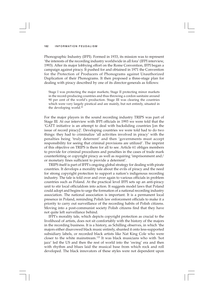Phonographic Industry (IFPI). Formed in 1933, its mission was to represent 'the interests of the recording industry worldwide in all fora' (IFPI interview, 1993). After its major lobbying effort on the Rome Convention, IFPI began a campaign against piracy. It pushed for and obtained in 1971 the Convention for the Protection of Producers of Phonograms against Unauthorized Duplication of their Phonograms. It then proposed a three-stage plan for dealing with piracy described by one of its director-generals as follows:

Stage I was protecting the major markets; Stage II protecting minor markets in the record-producing countries and thus throwing a cordon sanitaire around 90 per cent of the world's production. Stage III was clearing the countries which were very largely piratical and are mainly, but not entirely, situated in the developing world.<sup>22</sup>

For the major players in the sound recording industry TRIPS was part of Stage III. At our interview with IFPI officials in 1993 we were told that the 'GATT initiative is an attempt to deal with backsliding countries [on the issue of record piracy]'. Developing countries we were told had to do two things: they had to criminalize 'all activities involved in piracy' with the penalties being 'truly deterrent' and then 'governments must accept responsibility for seeing that criminal provisions are utilized'. The imprint of this objective on TRIPS is there for all to see. Article 61 obliges members to provide for criminal procedures and penalties in the cases of trade mark counterfeiting or copyright piracy as well as requiring 'imprisonment and/ or monetary fines sufficient to provide a deterrent'.

TRIPS itself is part of IFPI's ongoing global strategy for dealing with pirate countries. It develops a morality tale about the evils of piracy and the need for strong copyright protection to support a nation's indigenous recording industry. The tale is told over and over again to various officials in problem countries such as Poland. At the practical level IFPI sets up an anti-piracy unit to stir local officialdom into action. It suggests model laws that Poland could adopt and begins to urge the formation of a national recording industry association. The national association is important. It is a permanent local presence in Poland, reminding Polish law enforcement officials to make it a priority to carry out surveillance of the recording habits of Polish citizens. Moving into a post-communist society Polish citizens find that they have not quite left surveillance behind.

IFPI's morality tale, which depicts copyright protection as crucial to the livelihood of artists, does not sit comfortably with the history of the majors in the recording business. It is a history, as Schilling observes, in which 'the majors either disavowed black music entirely, shunted it onto less-supported subsidiary labels, or recorded black artists like Nat King Cole who were closer to the white mainstream.' 23 It was black musicians who with 'hot jazz' led the US and then the rest of world into the 'swing' era and then with rhythm and blues laid the musical base from which rock and roll developed. The black innovators of these styles were not dependent upon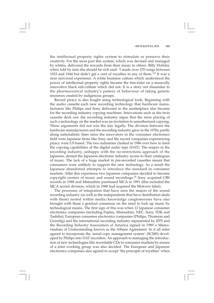#### **I N F O G O P O L I E S 183**

the intellectual property rights system to stimulate or preserve their creativity. For the most part this system, which was devised and managed by whites, delivered the rewards from their music to others. Billy Holiday when told by fans she should be rich said: 'I made over 270 songs between 1933 and 1944 but didn't get a cent of royalties in any of them.<sup>'24</sup> It was a near universal experience. A white business culture which understood the power of intellectual property rights became the free-rider on a musically innovative black sub-culture which did not. It is a story not dissimilar to the pharmaceutical industry's pattern of behaviour of taking genetic resources created by indigenous groups.

Record piracy is also fought using technological tools. Beginning with the audio cassette each new recording technology that hardware manufacturers like Philips and Sony delivered to the marketplace also became for the recording industry copying machines. Innovations such as the twin cassette deck saw the recording industry argue that the mere placing of such a technology on the market was an invitation to unauthorized copying. These arguments did not win the day legally. The division between the hardware manufacturers and the recording industry grew in the 1970s, partly along nationalistic lines since the innovators in the consumer electronics field were Japanese firms like Sony and the record companies experiencing piracy were US based. The two industries clashed in 1986 over how to limit the copying capabilities of the digital audio tape (DAT). The majors in the recording industry, unhappy with the no-restrictions approach of the Japanese, denied the Japanese electronic industry access to their catalogues of music. The lack of a huge market in pre-recorded cassettes meant that consumers were unlikely to support the new technology. As a result the Japanese abandoned attempts to introduce the standard in consumer markets. After this experience two Japanese companies decided to become copyright owners of music and sound recordings.25 Sony acquired CBS records in 1988 and Matsushita purchased MCA in 1991 (this included the MCA record division, which in 1988 had acquired the Motown label).

The processes of integration that have seen the majors of the sound recording industry (as well as the independents that have distribution deals with them) nested within media/knowledge conglomerates have also brought with them a gradual consensus on the need to lock up music by technological means. The first sign of this was when 12 Japanese consumer electronics companies (including Fujitsu, Matsushita, NEC, Sony, TDK and Toshiba), European consumer electronics companies (Philips, Thomson and Grundig) and the international recording industry represented by IFPI and the Recording Industry Association of America signed in 1989 a Memorandum of Understanding known as the Athens Agreement. In it all sides agreed to incorporate the 'serial copy management system' (SCMS) developed by Philips into DAT recorders. An approach to managing the introduction of new technologies like recordable CDs to consumer markets by means of a joint working group was also decided. The European and Japanese electronics companies also agreed to accept 'the principle of royalties' when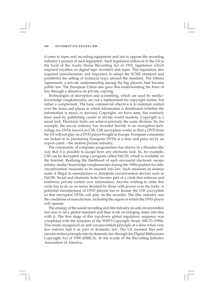it came to tapes and recording equipment and not to oppose the recording industry's pursuit of such legislation. Such legislation followed in the US in the form of the Audio Home Recording Act of 1992, legislation which imposed royalties on digital tape recorders and tapes. This legislation also required manufacturers and importers to adopt the SCMS standard and prohibited the selling of technical ways around the standard. The Athens Agreement, a private understanding among the big players, had become public law. The European Union also gave this understanding the force of law through a directive on private copying.

Technologies of encryption and scrambling, which are used by media/ knowledge conglomerates, are not a replacement for copyright norms, but rather a complement. The basic commercial objective is to maintain control over the times and places in which information is distributed (whether the information is music or movies). Copyright, we have seen, has routinely been used by publishing cartels to divide world markets. Copyright is a social lock. Electronic locks can achieve precisely the same division. So, for example, the movie industry has invested heavily in an encryption technology for DVDs known as CSS. CSS encryption works so that a DVD from the US will not play on a DVD player bought in Europe. European consumers are locked in to purchasing European DVDs at a time and price set by an export cartel – the motion picture industry.

The community of computer programmers has shown in a Houdini-like way that it is possible to escape from any electronic lock. So, for example, CSS can be decrypted using a program called DeCSS, which is available on the Internet. Realizing the likelihood of such successful electronic escape artistry media/knowledge conglomerates during the 1990s pushed for anticircumvention measures to be enacted into law. Such measures in essence make it illegal to manufacture or distribute circumvention devices such as DeCSS. Social and electronic locks become part of a circle that enforces and reinforces private control over information. Anyone wishing to enter this circle has to do so on terms dictated by those with power over the locks. A potential manufacturer of DVD players has to license the CSS encryption so that encrypted DVDs will play on the recorder. The film industry sets the conditions of manufacture, including the region in which the DVD player will operate.

The strategy of the sound recording and film industry on anti-circumvention law was to set a global standard and then work on bringing states into line with it. The first stage of this top-down global regulatory sequence was completed with the adoption of the WIPO Copyright Treaty (WCT) (1996). This treaty recognized an anti-circumvention principle at a time when very few nations had it as part of domestic law. The US inserted this anticircumvention principle into its domestic law through the Digital Millennium Copyright Act of 1998 (DMCA). In the words of the Recording Industry Association of America: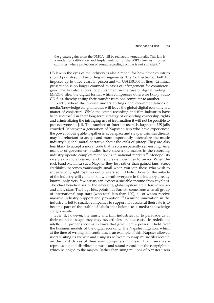#### **I N F O G O P O L I E S 185**

the greatest gains from the DMCA will be realized internationally. This law is a model for ratification and implementation of the WIPO treaties in other countries, where protection of sound recordings online is not sufficient.<sup>26</sup>

US law in the eyes of the industry is also a model for how other countries should punish sound recording infringements. The No Electronic Theft Act imposes up to three years in prison and/or US\$250,000 in fines. Criminal prosecution is no longer confined to cases of infringement for commercial gain. The Act also allows for punishment in the case of digital trading in MPEG-3 files, the digital format which compresses otherwise bulky audio CD files, thereby easing their transfer from one computer to another.

Exactly where the private understandings and recommendations of media/knowledge conglomerates will leave the global digital economy is a matter of conjecture. While the sound recording and film industries have been successful in their long-term strategy of expanding ownership rights and criminalizing the infringing use of information it will not be possible to put everyone in jail. The number of Internet users is large and US jails crowded. Moreover a generation of Napster users who have experienced the power of being able to gather in cyberspace and swap music files directly may be reluctant to accept and more importantly internalize the music industry's global moral narrative about the evils of piracy. They are also less likely to accept a moral code that is so transparently self-serving. As a number of government studies have shown the majors in the recording industry operate complex monopolies in national markets.27 Monopolists rarely earn moral respect and they create incentives to piracy. When the rock band Metallica sued Napster they lost rather than gained fans. Street credibility becomes vanishingly small when you join those who wish to squeeze copyright royalties out of every sound byte. Those on the outside of the industry will come to know a truth everyone in the industry already knows: only very few artists can expect a sizeable income from royalties. The chief beneficiaries of the emerging global system are a few investors and a few stars. The huge hits, points out Burnett, come from a 'small group of international pop stars (who total less than 100), all of whom receive massive industry support and promotion'. 28 Genuine innovation in the industry is left to smaller companies to support. If successful their fate is to become part of the stable of labels that belong to a media/knowledge conglomerate.

Even if, however, the music and film industries fail to persuade us of their moral message they may nevertheless be successful in redefining intellectual property norms in ways that give them a powerful hold over the business models of the digital economy. The Napster litigation, which at the time of writing still continues, is an example of this. Napster allowed users visiting its website and using its software to swap music files located on the hard drives of their own computers. It meant that users were reproducing and distributing music and sound recordings the copyright in which belonged to the majors. Rather than suing millions of Napster users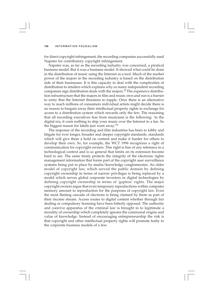for direct copyright infringement, the recording companies successfully sued Napster for contributory copyright infringement.

Napster was, as far as the recording industry was concerned, a piratical business model. But it was a business model. It showed what could be done in the distribution of music using the Internet as a tool. Much of the market power of the majors in the recording industry is based on the distribution side of their businesses. It is this capacity to deal with the complexities of distribution to retailers which explains why so many independent recording companies sign distribution deals with the majors.<sup>29</sup> The expensive distribution infrastructure that the majors in film and music own and run is a barrier to entry that the Internet threatens to topple. Once there is an alternative way to reach millions of consumers individual artists might decide there is no reason to bargain away their intellectual property rights in exchange for access to a distribution system which rewards only the few. The reasoning that all recording executives fear from musicians is the following: 'in the digital era, it costs nothing to ship your music over the Internet to a fan. So the biggest reason for labels just went away.'<sup>30</sup>

The response of the recording and film industries has been to lobby and litigate for ever longer, broader and deeper copyright standards, standards which will give them a hold on content and make it harder for others to develop their own. So, for example, the WCT 1996 recognizes a right of communication for copyright owners. This right is free of any reference to a technological context and is so general that limits on its extension become hard to see. The same treaty protects the integrity of the electronic rights management information that forms part of the copyright user surveillance systems being put in place by media/knowledge conglomerates. An older model of copyright law, which served the public domain by defining copyright ownership in terms of narrow privileges is being replaced by a model which serves global corporate investors in digital technologies by defining copyright ownership in terms of 'gapless' rights. The major copyright owners argue that even temporary reproductions within computer memory amount to reproduction for the purposes of copyright law. Even the most fleeting cascade of electrons is being claimed by them as part of their income stream. Access routes to digital content whether through fair dealing or compulsory licensing have been bitterly opposed. The authority and coercive apparatus of the criminal law is brought in to legitimate a morality of ownership which completely ignores the communal origins and value of knowledge. Instead of encouraging entrepreneurship the risk is that copyright and other intellectual property rights will promote fealty to the corporate business models of a few.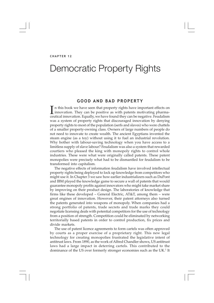### CHAPTER 12

# Democratic Property Rights

## GOOD AND BAD PROPERTY

 $\prod_{\alpha\in\mathbb{N}}$  $\blacksquare$  n this book we have seen that property rights have important effects on innovation. They can be positive as with patents motivating pharmaceutical innovation. Equally, we have found they can be negative. Feudalism was a system of property rights that discouraged innovation by denying property rights to most of the population (serfs and slaves) who were chattels of a smaller property-owning class. Owners of large numbers of people do not need to innovate to create wealth. The ancient Egyptians invented the steam engine (as a toy) without using it to fuel an industrial revolution. Why bother with labour-saving technology when you have access to a limitless supply of slave labour? Feudalism was also a system that rewarded courtiers who pleased the king with monopoly rights to control whole industries. These were what were originally called patents. These patent monopolies were precisely what had to be dismantled for feudalism to be transformed into capitalism.

The negative effects of information feudalism have involved intellectual property rights being deployed to lock up knowledge from competitors who might use it. In Chapter 3 we saw how earlier industrializers such as DuPont and IBM played the knowledge game to secure a wall of patents that would guarantee monopoly profits against innovators who might take market share by improving on their product design. The laboratories of knowledge that firms like these developed – General Electric, AT&T, among them – were great engines of innovation. However, their patent attorneys also turned the patents generated into weapons of monopoly. When companies had a strong portfolio of patents, trade secrets and trade marks they could negotiate licensing deals with potential competitors for the use of technology from a position of strength. Competition could be eliminated by networking territorially based patents in order to control production, fix prices and divide markets.

The use of patent licence agreements to form cartels was often approved by courts as a proper exercise of a proprietary right. This new legal technology for creating monopolies frustrated the legislative intent of antitrust laws. From 1890, as the work of Alfred Chandler shows, US antitrust laws had a large impact in deterring cartels. This contributed to the dominance of the US over formerly stronger economies such as the UK.<sup>1</sup> It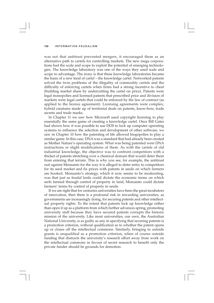was not that antitrust prevented mergers, it encouraged them as an alternative path to cartels for controlling markets. The new mega corporations had the scale and scope to exploit the potential of emerging technologies. The knowledge laboratory was one of the ways they used scale and scope to advantage. The irony is that these knowledge laboratories became the basis of a new kind of cartel – the knowledge cartel. Networked patents solved the twin problems of the illegality of commodity cartels and the difficulty of enforcing cartels when firms had a strong incentive to cheat (building market share by undercutting the cartel on price). Patents were legal monopolies and licensed patents that prescribed price and division of markets were legal cartels that could be enforced by the law of contract (as applied to the licence agreement). Licensing agreements were complex, hybrid creatures made up of territorial deals on patents, know-how, trade secrets and trade marks.

In Chapter 11 we saw how Microsoft used copyright licensing to play essentially the same game of creating a knowledge cartel. Once Bill Gates had shown how it was possible to use DOS to lock up computer operating systems to influence the selection and development of other software, we saw in Chapter 10 how the patenting of life allowed biogopolies to play a similar game. In this case, DNA was a standard that had already been created as Mother Nature's operating system. What was being patented were DNA instructions or slight modifications of them. As with the cartels of old industrial knowledge, the objective was to confront competitors with a thicket of patents stretching over a chemical domain that would deter them from entering that terrain. This is why you see, for example, the antitrust suit against Monsanto for the way it is alleged to deter entry to competitors for its seed market and fix prices with patents in seeds on which farmers are hooked. Monsanto's strategy, which it now seems to be moderating, was that just as feudal lords could dictate the economic terms on which serfs farmed through control of property in land, Monsanto could dictate farmers' terms by control of property in seeds.

If we are right that for centuries universities have been the great incubators of innovation, then there is a profound risk in rewarding universities, as governments are increasingly doing, for securing patents and other intellectual property rights. To the extent that patents lock up knowledge rather than open it up as a platform from which further advances spring, promoting university staff because they have secured patents corrupts the historic mission of the university. Like most universities, our own, the Australian National University, is as guilty as any in specifying that securing patents is a promotion criterion, without qualification as to whether the patent opens up or closes off the intellectual commons. Similarly, bringing in outside grants is unqualified as a promotion criterion, when of course outside funding that distracts the university's research effort away from work on the intellectual commons in favour of secret research to benefit only the private funder should be grounds for demotion.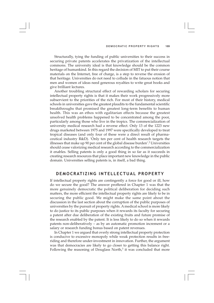#### **DEMOCRATIC PROPERTY RIGHTS 189**

Structurally, tying the funding of public universities to their success in securing private patents accelerates the privatization of the intellectual commons. The university ideal is that knowledge should be the common heritage of humankind. In this regard the decision of MIT to put their course materials on the Internet, free of charge, is a step to reverse the erosion of that heritage. Universities do not need to collude in the fatuous notion that men and women of ideas need generous royalties to write great books and give brilliant lectures.

Another troubling structural effect of rewarding scholars for securing intellectual property rights is that it makes their work progressively more subservient to the priorities of the rich. For most of their history, medical schools in universities gave the greatest plaudits to the fundamental scientific breakthroughs that promised the greatest long-term benefits to human health. This was an ethos with egalitarian effects because the greatest unsolved health problems happened to be concentrated among the poor, particularly among those who live in the tropics. The commercialization of university medical research had a reverse effect. Only 13 of the 1223 new drugs marketed between 1975 and 1997 were specifically developed to treat tropical diseases (and only four of these were a direct result of pharmaceutical industry R&D). 'Only ten per cent of health research targets the illnesses that make up 90 per cent of the global disease burden'. 2 Universities should cease valorizing medical research according to the commercialization it enables. Selling patents is only a good thing in so far as it succeeds in creating research resources that place important new knowledge in the public domain. Universities selling patents is, in itself, a bad thing.

## DEMOCRATIZING INTELLECTUAL PROPERTY

If intellectual property rights are contingently a force for good or ill, how do we secure the good? The answer proffered in Chapter 1 was that the more genuinely democratic the political deliberation for deciding such matters, the more efficient the intellectual property rights are likely to be in securing the public good. We might make the same point about the discussion in the last section about the corruption of the public purposes of universities by the pursuit of property rights. A medical school is more likely to do justice to its public purposes when it rewards its faculty for securing a patent after due deliberation of the existing fruits and future promise of the research enabled by the patent. It is less likely to do so when it rewards patents non-deliberatively – as by an automatic promotion increment or a salary or research funding bonus based on patent revenues.

In Chapter 1 we argued that overly strong intellectual property protection is conducive to excessive monopoly while weak protection results in freeriding and therefore under-investment in innovation. Further, the argument was that democracies are likely to go closer to getting this balance right. Following the reasoning of Douglass North,<sup>3</sup> it was concluded that more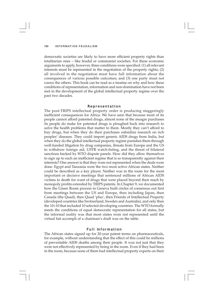democratic societies are likely to have more efficient property rights than totalitarian ones – like feudal or communist societies. For these economic arguments to apply, however, three conditions were specified: (1) all relevant interests must be represented in the negotiation of the property rights; (2) all involved in the negotiation must have full information about the consequences of various possible outcomes; and (3) one party must not coerce the others. This book can be read as a treatise on why and how these conditions of representation, information and non-domination have not been met in the development of the global intellectual property regime over the past two decades.

## Representation

The post-TRIPS intellectual property order is producing staggeringly inefficient consequences for Africa. We have seen that because most of its people cannot afford patented drugs, almost none of the meagre purchases its people do make for patented drugs is ploughed back into research to solve the health problems that matter to them. Mostly they can't afford to buy drugs, but when they do their purchases subsidize research on rich peoples' diseases. They could import generic AIDS drugs from India, but when they do the global intellectual property regime punishes them through well-funded litigation by drug companies, threats from Europe and the US to withdraw foreign aid, USTR watch-listing, and the threat of bilateral sanctions backed by WTO dispute panels. How did they allow themselves to sign up to such an inefficient regime that is so transparently against their interests? One answer is that they were not represented when the deals were done. Egypt and Tanzania were the two most active African states. Neither could be described as a key player. Neither was in the room for the most important or decisive meetings that sentenced millions of African AIDS victims to death for want of drugs that were placed beyond their reach by monopoly profits extended by TRIPS patents. In Chapter 9, we documented how the Green Room process in Geneva built circles of consensus out first from meetings between the US and Europe, then including Japan, then Canada (the Quad), then Quad 'plus', then Friends of Intellectual Property (developed countries like Switzerland, Sweden and Australia), and only then the 10+10 that included 10 selected developing countries. The WTO formally meets the conditions of equal democratic representation for all states, but the informal reality was that most states were not represented until the virtual fait accompli of a chairman's draft was on the table.

### **Full Information**

The African states signed up for 20-year patent terms on pharmaceuticals, for example, without understanding that the effect of this could be millions of preventable AIDS deaths among their people. It was not just that they were not effectively represented by being in the room. Even if they had been in the room, because none of them had intellectual property experts on their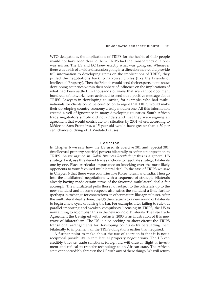#### **DEMOCRATIC PROPERTY RIGHTS 191**

WTO delegations, the implications of TRIPS for the health of their people would not have been clear to them. TRIPS had the transparency of a oneway mirror. The US and EC knew exactly what was going on. Whenever there was a risk of a wider discussion going in a direction that would provide full information to developing states on the implications of TRIPS, they pulled the negotiations back to narrower circles (like the Friends of Intellectual Property). Then the Friends would send their experts out to snow developing countries within their sphere of influence on the implications of what had been settled. In thousands of ways that we cannot document hundreds of networks were activated to send out a positive message about TRIPS. Lawyers in developing countries, for example, who had multinationals for clients could be counted on to argue that TRIPS would make their developing country economy a truly modern one. All this information created a veil of ignorance in many developing countries. South African trade negotiators simply did not understand that they were signing an agreement that would contribute to a situation by 2001 where, according to Médecins Sans Frontières, a 15-year-old would have greater than a 50 per cent chance of dying of HIV-related causes.

### Coercion

In Chapter 6 we saw how the US used its coercive 301 and 'Special 301' (intellectual-property-specific) powers bilaterally to soften up opposition to TRIPS. As we argued in *Global Business Regulation*, 4 this is a general US strategy. First, use threatened trade sanctions to negotiate strategic bilaterals one by one. Place particular importance on knocking over the most likely opponents to your favoured multilateral deal. In the case of TRIPS we saw in Chapter 6 that these were countries like Korea, Brazil and India. Then go into the multilateral negotiations with a sequence of strategic bilaterals already having made certain terms of the favoured multilateral deal a fait accompli. The multilateral pulls those not subject to the bilaterals up to the new standard and in some respects also raises the standard a little further (perhaps in exchange for concessions on other matters like agriculture). After the multilateral deal is done, the US then returns to a new round of bilaterals to begin a new cycle of raising the bar. For example, after failing to rule out parallel importing and weaken compulsory licensing in TRIPS, the US is now aiming to accomplish this in the new round of bilaterals. The Free Trade Agreement the US signed with Jordan in 2000 is an illustration of this new wave of bilateralism. The US is also seeking to short-circuit the TRIPS transitional arrangements for developing countries by persuading them bilaterally to implement all the TRIPS obligations earlier than required.

A further point to make about the use of coercion is that it is not a reciprocal possibility in intellectual property negotiations. The US can credibly threaten trade sanctions, foreign aid withdrawal, flight of investment and refusal to transfer technology to an African state. The African state cannot credibly threaten the US with any of these things. We will return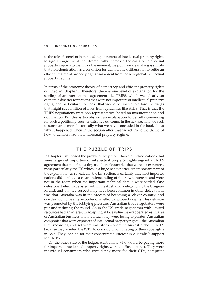to the role of coercion in persuading importers of intellectual property rights to sign an agreement that dramatically increased the costs of intellectual property imports to them. For the moment, the point we are making is simply that non-domination as a condition for democratic deliberation to settle an efficient regime of property rights was absent from the new global intellectual property regime.

In terms of the economic theory of democracy and efficient property rights outlined in Chapter 1, therefore, there is one level of explanation for the settling of an international agreement like TRIPS, which was clearly an economic disaster for nations that were net importers of intellectual property rights, and particularly for those that would be unable to afford the drugs that might save million of lives from epidemics like AIDS. That is that the TRIPS negotiations were non-representative, based on misinformation and domination. But this is too abstract an explanation to be fully convincing for such a politically counter-intuitive outcome. In the next section, we seek to summarize more historically what we have concluded in the book about why it happened. Then in the section after that we return to the theme of how to democratize the intellectual property regime.

## THE PUZZLE OF TRIPS

In Chapter 1 we posed the puzzle of why more than a hundred nations that were large net importers of intellectual property rights signed a TRIPS agreement that benefited a tiny number of countries that were net exporters, most particularly the US which is a huge net exporter. An important part of the explanation, as revealed in the last section, is certainly that most importer nations did not have a clear understanding of their own interests and were not in the room when the important technical details were settled. One delusional belief that existed within the Australian delegation to the Uruguay Round, and that we suspect may have been common in other delegations, was that Australia was in the process of becoming a 'clever country' and one day would be a net exporter of intellectual property rights. This delusion was promoted by the lobbying pressures Australian trade negotiators were put under during the round. As in the US, trade negotiators with limited resources had an interest in accepting at face value the exaggerated estimates of Australian business on how much they were losing to pirates. Australian companies that were exporters of intellectual property rights – the Australian film, recording and software industries – were enthusiastic about TRIPS because they wanted the WTO to crack down on pirating of their copyrights in Asia. They lobbied for their concentrated interest in Australia's support for TRIPS.

On the other side of the ledger, Australians who would be paying more for imported intellectual property rights were a diffuse interest. They were individual consumers who would pay more for their CDs, computer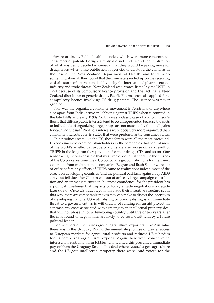#### **DEMOCRATIC PROPERTY RIGHTS** 193

software or drugs. Public health agencies, which were more concentrated consumers of patented drugs, simply did not understand the implication of what was being decided in Geneva, that they would be paying more for drugs. Even when those public health agencies understood the game, as in the case of the New Zealand Department of Health, and tried to do something about it, they found that their ministers ended up on the receiving end of a storm of international lobbying by the international pharmaceutical industry and trade threats. New Zealand was 'watch-listed' by the USTR in 1991 because of its compulsory licence provision and the fact that a New Zealand distributor of generic drugs, Pacific Pharmaceuticals, applied for a compulsory licence involving US drug patents. The licence was never granted.

Nor was the organized consumer movement in Australia, or anywhere else apart from India, active in lobbying against TRIPS when it counted in the late 1980s and early 1990s. So this was a classic case of Mancur Olson's thesis that diffuse public interests tend to be unrepresented because the costs to individuals of organizing large groups are not matched by the small gains for each individual.<sup>5</sup> Producer interests were decisively more organized than consumer interests even in states that were predominantly consumer states.

In a producer state like the US, these forces were all the more profound. US consumers who are not shareholders in the companies that control most of the world's intellectual property rights are also worse off as a result of TRIPS; in the long run they pay more for their drugs, CDs and so on. One reason a regime was possible that was even of doubtful benefit to the citizens of the US concerns time lines. US politicians get contributions for their next campaign from multinational companies. Reagan and Bush Senior were out of office before any effects of TRIPS came to realization; indeed most of the effects on developing countries (and the political backlash against it by AIDS activists) fell due after Clinton was out of office. A large campaign contribution and an immediate surge in 'business confidence' for the president has a political timeliness that impacts of today's trade negotiations a decade later do not. Once US trade negotiators have their incentive structure set in this way, there are comparable moves they can make to distort the incentives of developing nations. US watch-listing or priority-listing is an immediate threat to a government, as is withdrawal of funding for an aid project. In contrast, any costs associated with agreeing to an intellectual property deal that will not phase in for a developing country until five or ten years after the final round of negotiations are likely to be costs dealt with by a future political leader.

For members of the Cairns group (agricultural exporters), like Australia, there was in the Uruguay Round the immediate promise of greater access to European markets for agricultural products and reduced US subsidies for its competing agricultural exports. Again there were concentrated interests in Australian farm lobbies who wanted this presumed immediate pay-off from the Uruguay Round. In a deal where Australia gets agriculture and the US gets intellectual property there were loud voices for the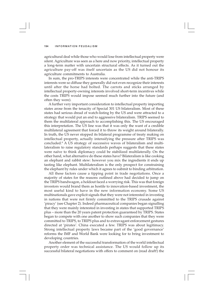agricultural deal while those who would lose from intellectual property were silent. Agriculture was seen as a here and now priority, intellectual property a long-term matter with uncertain structural effects. As it turned out the agriculture pay-off was itself uncertain as the US did not honour its agriculture commitments to Australia.

In sum, the pro-TRIPS interests were concentrated while the anti-TRIPS interests were so diffuse they generally did not even recognize their interests until after the horse had bolted. The carrots and sticks arranged by intellectual property-owning interests involved short-term incentives while the costs TRIPS would impose seemed much further into the future (and often they were).

A further very important consideration to intellectual property importing states arose from the tenacity of Special 301 US bilateralism. Most of these states had serious dread of watch-listing by the US and were attracted to a strategy that would put an end to aggressive bilateralism. TRIPS seemed to them the multilateral approach to accomplishing this. The US encouraged this interpretation. The US line was that it was only the want of a credible multilateral agreement that forced it to throw its weight around bilaterally. In truth, the US never stopped its bilateral programme of treaty making on intellectual property, actually intensifying the pressure after TRIPS was concluded.6 A US strategy of successive waves of bilateralism and multilateralism to raise regulatory standards perhaps suggests that these states were naïve to think diplomacy could be stabilized multilaterally. On the other hand, what alternative do these states have? Bilateralism is like cooking an elephant and rabbit stew: however you mix the ingredients it ends up tasting like elephant. Multilateralism is the only prospect for constraining the elephant by rules under which it agrees to submit to binding arbitration.

All these factors cause a tipping point in trade negotiations. Once a majority of states for the reasons outlined above had decided to jump on the TRIPS bandwagon, a holdout faced a worrying risk. This was that foreign investors would brand them as hostile to innovation-based investment, the most useful kind to have in the new information economy. Some US multinationals gave explicit signals that they were not interested in investing in nations that were not firmly committed to the TRIPS crusade against 'piracy' (see Chapter 2). Indeed pharmaceutical companies began signalling that they were mainly interested in investing in states that supported TRIPS plus – more than the 20 years patent protection guaranteed by TRIPS. States began to compete with one another to show such companies that they were committed to TRIPS, to TRIPS plus and to extravagant enforcement gestures directed at 'pirates'. China executed a few. TRIPS was about legitimacy. Strong intellectual property laws became part of the 'good governance' reforms the IMF and World Bank were looking for to bring investment to developing countries.

Another element of the successful transformation of the world intellectual property order was technical assistance. The US would follow up its successful bilateral negotiations with offers to comment on (read draft!) the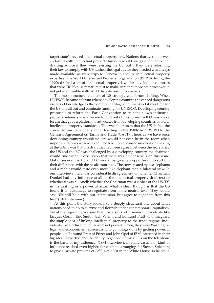#### **DEMOCRATIC PROPERTY RIGHTS 195**

target state's revised intellectual property law. Nations that were not well endowed with intellectual property lawyers would struggle for competent drafting advice if they were resisting the US, but if they were reforming their law to comply with US wishes, the legal advice they needed was always made available, as were trips to Geneva to acquire intellectual property expertise. The World Intellectual Property Organization (WIPO) during the 1990s drafted a lot of intellectual property laws for developing countries that were TRIPS plus in nature just to make sure that those countries would not get into trouble with WTO dispute resolution panels.

The most structural element of US strategy was forum shifting. When UNESCO became a forum where developing countries advanced dangerous visions of knowledge as the common heritage of humankind it was time for the US to pull out and eliminate funding for UNESCO. Developing country proposals to reform the Paris Convention to suit their own industrial property interests was a reason to pull out of this forum. WIPO was also a forum that gave a platform to advocates from developing countries of lower intellectual property standards. This was the reason that the US shifted the crucial forum for global standard-setting in the 1980s from WIPO to the Genearal Agreement on Tariffs and Trade (GATT). There, as we have seen, developing country troublemakers would not even be in the room when important decisions were taken. The tradition of consensus decision-making at the GATT was that if a draft that had been agreed between the secretariat, the US and the EC was challenged by a developing country, the chairman would rule without discussion that there was no consensus on this issue. Out of session the US and EC would be given an opportunity to sort out their differences with the recalcitrant state. The stew created by *two* elephants and a rabbit would taste even more like elephant than a bilateral stew. In our interviews there was considerable disagreement on whether Chairman Dunkel had any influence at all on the intellectual property draft text or whether it was all Anell; whether the Chairman was a cipher of the US/EC in his drafting or a powerful actor. What is clear, though, is that the US found it an advantage to negotiate from 'more neutral text'. They would say: 'We still hold with our submission, but agree to negotiate from this text' (1994 interview).

At this point the story looks like a deeply structural one about what nations need to do to survive and flourish under contemporary capitalism. Yet at the beginning we saw that it is a story of visionary individuals like Jacques Gorlin, Eric Smith, Jack Valenti and Edmund Pratt who imagined the simple idea of linking intellectual property to the trade regime. Individuals like Gorlin and Smith were not powerful men; they were Washington legal and economic entrepreneurs who got things done by getting powerful people like Edmund Pratt of Pfizer and John Opel of IBM interested in their big idea. 'Expertise and the ability to get one of my CEOs on the telephone is the basis of my influence' (1994 interview). In some cases that kind of influence reached even higher, for example arranging for Steven Spielberg to give a private preview of *Schindler's List* in the White House so he could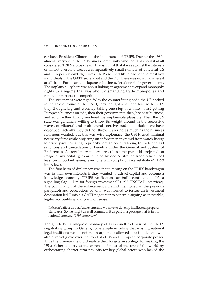ear-bash President Clinton on the importance of TRIPS. During the 1980s almost everyone in the US business community who thought about it at all considered TRIPS a pipe dream. It wasn't just that it was against the interests of almost everyone except a comparatively small number of powerful US and European knowledge firms; TRIPS seemed like a bad idea to most key individuals in the GATT secretariat and the EC. There was no initial interest at all from European and Japanese business, let alone their governments. The implausibility here was about linking an agreement to expand monopoly rights to a regime that was about dismantling trade monopolies and removing barriers to competition.

The visionaries were right. With the counterfeiting code the US backed in the Tokyo Round of the GATT, they thought small and lost; with TRIPS they thought big and won. By taking one step at a time – first getting European business on side, then their governments, then Japanese business, and so on – they finally rendered the implausible plausible. Then the US state was genuinely willing to throw its weight around in the successive waves of bilateral and multilateral coercive trade negotiation we have described. Actually they did not throw it around as much as the business reformers wanted. But this was wise diplomacy; the USTR used minimal necessary force while projecting an enforcement pyramid from watch-listing to priority-watch-listing to priority foreign country listing to trade and aid sanctions and cancellation of benefits under the Generalized System of Preferences. As regulatory theory prescribes, $^7$  the pyramid projected an image of invincibility, as articulated by one Australian trade official: 'At least on important issues, everyone will comply or face retaliation' (1993 interview).

The first basis of diplomacy was that jumping on the TRIPS bandwagon was in their own interests if they wanted to attract capital and become a knowledge economy. 'TRIPS ratification can build confidence… It's a signalling flag – "I'm for foreign investment"' (1993 UNCTAD interview). The combination of the enforcement pyramid mentioned in the previous paragraph and perceptions of what was needed to *become* an investment destination led Tunisia's GATT negotiator to construe signing as inevitable, legitimacy building and common sense:

It doesn't affect us yet. And eventually we have to develop intellectual property standards. So we might as well commit to it as part of a package that is in our national interest. (1997 interview)

The gentle but strategic diplomacy of Lars Anell as Chair of the TRIPS negotiating group in Geneva, for example in ruling that existing national legal traditions would not be an argument allowed into the debate, was also a velvet glove over the iron fist of US and European corporate power. Thus the visionary few did realize their long-term strategy for making the US a richer country at the expense of most of the rest of the world by orchestrating shorter-term pay-offs for key global actors who lacked the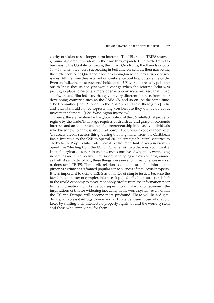#### **DEMOCRATIC PROPERTY RIGHTS 197**

clarity of vision to see longer-term interests. The US axis on TRIPS showed genuine diplomatic wisdom in the way they expanded the circle from US business to the US state to Europe, the Quad, Quad-plus, the Friends Group,  $10 + 10$  when they were succeeding in building consensus, then narrowing the circle back to the Quad and back to Washington when they struck divisive issues. All the time they worked on confidence building outside the circle. Even on India, the most powerful holdout, the US worked tirelessly pointing out to India that its analysis would change when the reforms India was putting in place to become a more open economy were realized, that it had a software and film industry that gave it very different interests from other developing countries such as the ASEANS, and so on. At the same time, 'The Committee [the US] went to the ASEANS and said these guys [India and Brazil] should not be representing you because they don't care about investment climate!' (1994 Washington interview).

Hence, the explanation for the globalization of the US intellectual property regime by the trade/IP linkage requires both a structural grasp of economic interests and an understanding of entrepreneurship in ideas by individuals who knew how to harness structural power. There was, as one of them said, 'a success breeds success thing' during the long march from the Caribbean Basin Initiative to the GSP to Special 301 to strategic bilateral victories to TRIPS to TRIPS-plus bilaterals. Here it is also important to keep in view an op-ed like 'Stealing from the Mind' (Chapter 4). Two decades ago it took a leap of imagination for ordinary citizens to conceive of what they were doing in copying an item of software, music or videotaping a television programme, as theft. As a matter of law, these things were never criminal offences in most nations until TRIPS. The public relations campaign to define information piracy as a crime has reframed popular consciousness of intellectual property. It was important to define TRIPS as a matter of simple justice, because the fact is it is a matter of complex injustice. It pulled off a huge structural shift in the world economy to move monopoly profits from the information poor to the information rich. As we go deeper into an information economy, the implications of this for widening inequality in the world system, even within the US and Europe, will become more profound. There will be a digital divide, an access-to-drugs divide and a divide between those who avoid taxes by shifting their intellectual property rights around the world system and those who simply pay for them.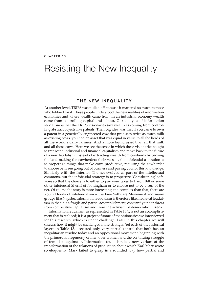#### CHAPTER 13

# Resisting the New Inequality

## THE NEW INEQUALITY

At another level, TRIPS was pulled off because it mattered so much to those who lobbied for it. These people understood the new realities of information economies and where wealth came from. In an industrial economy wealth came from controlling capital and labour. Our analysis of information feudalism is that the TRIPS visionaries saw wealth as coming from controlling abstract objects like patents. Their big idea was that if you came to own a patent in a genetically engineered cow that produces twice as much milk as existing cows, you had an asset that was equal in value to all the herds of all the world's dairy farmers. And a more liquid asset than all that milk and all those cows! Here we see the sense in which these visionaries sought to transcend industrial and financial capitalism and move back to the future of a new feudalism. Instead of extracting wealth from cowherds by owning the land making the cowherders their vassals, the infofeudal aspiration is to propertize things that make cows productive, requiring the cowherder to choose between going out of business and paying you for this knowledge. Similarly with the Internet. The net evolved as part of the intellectual commons, but the infofeudal strategy is to propertize 'Gateskeeping' software so that the choice is to either to pay your taxes to Baron Bill or some other infofeudal Sheriff of Nottingham or to choose not to be a serf of the net. Of course the story is more interesting and complex than that; there are Robin Hoods of infofeudalism – the Free Software Movement and many groups like Napster. Information feudalism is therefore like medieval feudalism in that it is a fragile and partial accomplishment, constantly under threat from competitive capitalism and from the activism of democratic citizens.

Information feudalism, as represented in Table 13.1, is not an accomplishment that is realized; it is a project of some of the visionaries we interviewed for this research, which is under challenge. Later in this chapter we will discuss how it might be challenged more strongly. Yet each of the historical layers in Table 13.1 secured only very partial control that both has an inegalitarian residue today and an oppositional movement, beginning with the primordial hegemony of men over women and the continuing struggle of feminists against it. Information feudalism is a new variant of the transformation of the relations of production about which Karl Marx wrote so eloquently. Marx failed to grasp in a rounded way how partial and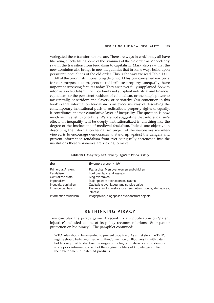#### **RESISTING THE NEW INEQUALITY 199**

variegated these transformations are. There are ways in which they all have liberating effects, lifting some of the tyrannies of the old order, as Marx clearly saw in the transition from feudalism to capitalism. Marx also saw that the new dominion also brings in new inequalities that in some ways build upon persistent inequalities of the old order. This is the way we read Table 13.1.

All of the prior institutional projects of world history, conceived narrowly for our purposes as projects to redistribute property unequally, have important surviving features today. They are never fully supplanted. So with information feudalism. It will certainly not supplant industrial and financial capitalism, or the persistent residues of colonialism, or the king's power to tax centrally, or serfdom and slavery, or patriarchy. Our contention in this book is that information feudalism is an evocative way of describing the contemporary institutional push to redistribute property rights unequally. It contributes another cumulative layer of inequality. The question is how much will we let it contribute. We are not suggesting that infofeudalism's effects on inequality will be deeply institutionalized in anything like the degree of the institutions of medieval feudalism. Indeed one objective in describing the information feudalism project of the visionaries we interviewed is to encourage democracies to stand up against the dangers and prevent information feudalism from ever being fully entrenched into the institutions these visionaries are seeking to make.

|  |  |  |  | Table 13.1 Inequality and Property Rights in World History |
|--|--|--|--|------------------------------------------------------------|
|--|--|--|--|------------------------------------------------------------|

| Era                   | Emergent property right                                                |
|-----------------------|------------------------------------------------------------------------|
| Primordial/Ancient    | Patriarchal. Men over women and children                               |
| Feudalism             | Lord over land and vassals                                             |
| Centralized state     | King over taxes                                                        |
| Imperialism           | Major powers over colonies, slaves                                     |
| Industrial capitalism | Capitalists over labour and surplus value                              |
| Finance capitalism    | Bankers and investors over securities, bonds, derivatives,<br>interest |
| Information feudalism | Infogopolies, biogopolies over abstract objects                        |

## RETHINKING PIRACY

Two can play the piracy game. A recent Oxfam publication on 'patent injustice' included as one of its policy recommendations: 'Stop patent protection on bio-piracy'. 1 The pamphlet continued:

WTO rules should be amended to prevent bio-piracy. As a first step, the TRIPS regime should be harmonized with the Convention on Biodiversity, with patent holders required to disclose the origin of biological materials and to demonstrate prior informed consent of the original holders of knowledge applied in the development of patented products.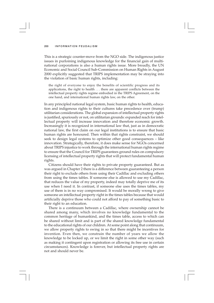This is a strategic counter-move from the NGO side. The indigenous justice issues in purloining indigenous knowledge for the financial gain of multinational corporations is also a human rights issue. More broadly, the UN Economic and Social Council Sub-Commission on Human Rights in August 2000 explicitly suggested that TRIPS implementation may be straying into the violation of basic human rights, including:

the right of everyone to enjoy the benefits of scientific progress and its applications, the right to health . . . there are apparent conflicts between the intellectual property rights regime embodied in the TRIPS Agreement, on the one hand, and international human rights law, on the other.

In any principled national legal system, basic human rights to health, education and indigenous rights to their cultures take precedence over (trump) utilitarian considerations. The global expansion of intellectual property rights is justified, spuriously or not, on utilitarian grounds: expanded reach for intellectual property will increase innovation and therefore economic growth. Increasingly it is recognized in international law that, just as in democratic national law, the first claim on our legal institutions is to ensure that basic human rights are honoured. Then within that rights constraint, we should seek to design legal systems to optimize other good consequences – like innovation. Strategically, therefore, it does make sense for NGOs concerned about TRIPS injustice to work through the international human rights regime to ensure that the Council for TRIPS guarantees ground rules on compulsory licensing of intellectual property rights that will protect fundamental human rights.

Citizens should have their rights to private property guaranteed. But as was argued in Chapter 2 there is a difference between guaranteeing a person their right to exclude others from using their Cadillac and excluding others from using the times tables. If someone else is allowed to use my Cadillac, that reduces the value of my property, indeed may totally deprive me of its use when I need it. In contrast, if someone else uses the times tables, my use of them is in no way compromised. It would be morally wrong to give someone an intellectual property right in the times tables because that would artificially deprive those who could not afford to pay of something basic to their right to an education.

There is a continuum between a Cadillac, where ownership cannot be shared among many, which involves no knowledge fundamental to the common heritage of humankind, and the times table, access to which can be shared without limit and is part of the shared knowledge fundamental to the educational rights of our children. At some point along that continuum, we allow property rights to swing in so that there might be incentives for invention. Even then, we constrain the number of years we allow the knowledge to be locked up, or we limit the right in some other way (such as making it contingent upon registration or allowing its free use in certain circumstances). Knowledge is forever, but intellectual property rights are not and should never be.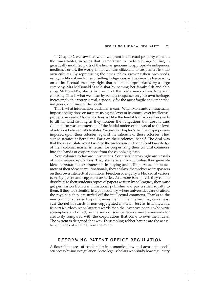#### **RESISTING THE NEW INEQUALITY 201**

In Chapter 2 we saw that when we grant intellectual property rights in the times tables, in seeds that farmers use in traditional agriculture, in genetically modified parts of the human genome, to appropriate indigenous medicines or art, the worry is that we turn citizens into trespassers in their own cultures. By reproducing the times tables, growing their own seeds, using traditional medicines or selling indigenous art they may be trespassing on an intellectual property right that has been appropriated by a large company. Mrs McDonald is told that by naming her family fish and chip shop McDonald's, she is in breach of the trade mark of an American company. This is what we mean by being a trespasser on your own heritage. Increasingly this worry is real, especially for the most fragile and embattled indigenous cultures of the South.

This is what information feudalism means. When Monsanto contractually imposes obligations on farmers using the lever of its control over intellectual property in seeds, Monsanto does act like the feudal lord who allows serfs to till his land so long as they honour the obligations that are his due. Colonialism was an extension of the feudal notion of the vassal to the level of relations between whole states. We saw in Chapter 5 that the major powers imposed upon their colonies, against the interests of those colonies. They signed treaties at Berne and Paris on their colonies' behalf. The deal was that the vassal state would receive the protection and beneficent knowledge of their colonial master in return for propertizing their cultural commons into the hands of corporations from the colonizing state.

New colonies today are universities. Scientists increasingly are vassals of knowledge corporations. They starve scientifically unless they generate ideas corporations are interested in buying and selling. As scientists sell more of their ideas to multinationals, they enslave themselves as trespassers on their own intellectual commons. Freedom of enquiry is blocked at various turns by patent and copyright obstacles. At a more banal level, they cannot distribute to their students copies of papers written by colleagues; they must get permission from a multinational publisher and pay a small royalty to them. If they are scientists in a poor country, where universities cannot afford the royalties, they are turfed off the intellectual commons. Thanks to the new commons created by public investment in the Internet, they can at least surf the net in search of non-copyrighted material. Just as in Hollywood Rupert Murdoch reaps larger rewards than the inventive people who write screenplays and direct, so the serfs of science receive meagre rewards for creativity compared with the corporations that come to own their ideas. The system is designed that way. Dissembling robber barons are the actual beneficiaries of stealing from the mind.

# REFORMING PATENT OFFICE REGULATION

A flourishing area of scholarship in economics, law and across the social sciences is business regulation. Socio-legal scholars who study how regulatory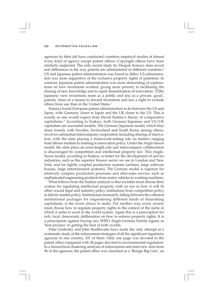agencies do their job have conducted countless empirical studies of almost every kind of agency except patent offices. Copyright offices have been similarly neglected. The only recent study by Deepak Somaya does reveal real differences in the way patents are administered in different countries.<sup>2</sup> US and Japanese patent administration was found to differ; US administration was more supportive of the exclusive property rights of patentees. In contrast, Japanese patent administration was more demanding of explanations on how inventions worked, giving more priority to facilitating the sharing of new knowledge and to rapid dissemination of innovation: '[T]he Japanese view inventions more as a public and less as a private, good', patents 'more as a means to reward inventions and less a right to exclude others from use than in the United States.'

Somaya found European patent administration to lie between the US and Japan, with Germany closer to Japan and the UK closer to the US. This is exactly as one would expect from David Soskice's theory of comparative capitalisms.3 According to Soskice, both German/Japanese and US/UK capitalism are successful models. The German/Japanese model, which they share loosely with Sweden, Switzerland and South Korea among others, involves substantial intercompany cooperation including sharing of innovation, with the state playing a framework-setting role on matters ranging from labour markets to training to innovation policy. Under the Anglo-Saxon model, the state plays an arms-length role and intercompany collaboration is discouraged by competition and intellectual property law. This Anglo-Saxon model, according to Soskice, is better for the development of service industries, such as the superior finance sector we see in London and New York, and for tightly coupled production systems (airlines, large software houses, large entertainment systems). The German model is superior for relatively complex production processes and after-sales service, such as sophisticated engineering products from motor vehicles to washing machines.

What follows from the Soskice analysis is that societies must choose their system for regulating intellectual property with an eye to how it will fit other crucial legal and industry policy institutions from competition policy to labour market policy. Institutional mismatch, falling between the coherent institutional packages for engendering different kinds of flourishing capitalisms, is the worst choice to make. Put another way, every society must choose how to regulate property rights in the context of the niche in which it seeks to excel in the world system. Again this is a prescription for rich, local, democratic deliberation on how to enforce property rights. It is a prescription against buying any WIPO Anglo-German hybrid regime as 'best practice' in getting the best of both worlds.

Peter Grabosky and John Braithwaite have made the only attempt at a systematic study of the enforcement strategies of all the significant regulatory agencies in one country, 101 of them. Only one page was devoted to the patent office compared with 28 pages devoted to environmental regulation. In a hierarchical clustering analysis of enforcement and interview data from 96 of the agencies, the patent office was classified as a 'Benign Big Gun', an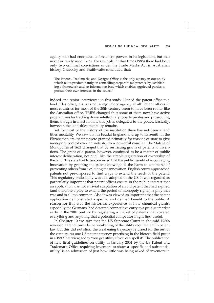#### **RESISTING THE NEW INEQUALITY 203**

agency that had enormous enforcement powers in its legislation, but that never or rarely used them. For example, at that time (1986) there had been only two criminal convictions under the Trade Marks Act in Australian history. Grabosky and Braithwaite concluded that:

The Patents, Trademarks and Designs Office is the only agency in our study which relies predominantly on controlling corporate malpractice by establishing a framework and an information base which enables aggrieved parties to pursue their own interests in the courts.4

Indeed one senior interviewee in this study likened the patent office to a land titles office; his was not a regulatory agency at all. Patent offices in most countries for most of the 20th century seem to have been rather like the Australian office. TRIPS changed this; some of them now have active programmes for tracking down intellectual property pirates and prosecuting them, though in most nations this job is delegated to the police. Basically, however, the land titles mentality remains.

Yet for most of the history of the institution there has not been a land titles mentality. We saw that in Feudal England and up to its zenith in the Elizabethan era, patents were granted primarily for reasons of state to give monopoly control over an industry to a powerful courtier. The Statute of Monopolies of 1624 changed that by restricting grants of patents to inventions. The grant of a patent, however, continued to be a matter of public interest deliberation, not at all like the simple registration of ownership of the land. The state had to be convinced that the public benefit of encouraging innovation by granting the patent outweighed the harm to commerce of preventing others from exploiting the innovation. English courts approached patents not pre-disposed to find ways to extend the reach of the patent. This regulatory philosophy was also adopted in the US. It was regarded as particularly important that patent offices ensure in the public interest that an application was not a trivial adaptation of an old patent that had expired (and therefore a ploy to extend the period of monopoly rights), a ploy that was and is all too common. Also it was viewed as important that the patent application demonstrated a specific and defined benefit to the public. A reason for this was the historical experience of how chemical giants, especially the Germans, had deterred competitive entry to a product market early in the 20th century by registering a thicket of patents that covered everything and anything that a potential competitor might find useful.

In Chapter 10 we saw that the US Supreme Court in the mid-1960s reversed a trend towards the weakening of the utility requirement in patent law, but this did not stick, the weakening trajectory returned for the rest of the century. As one US patent attorney practising in the biotech field put it in a 1999 interview, today 'you get utility if you can spell it'. The publication of new final guidelines on utility in January 2001 by the US Patent and Trademark Office requiring inventors to show a 'specific and substantial utility' is an admission of just how little was being asked of inventors in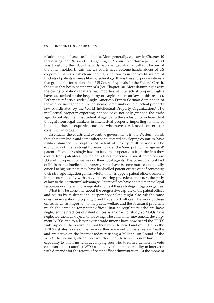relation to gene-based technologies. More generally, we saw in Chapter 10 that during the 1940s and 1950s getting a US court to declare a patent valid was tough; by the 1980s the odds had changed dramatically in favour of the patent holder. In this, the US courts have become handmaidens of US corporate interests, which are the big beneficiaries in the world system of thickets of patents in areas like biotechnology. It was these corporate interests that guided the formation of the US Court of Appeals for the Federal Circuit, the court that hears patent appeals (see Chapter 10). More disturbing is why the courts of nations that are net importers of intellectual property rights have succumbed to the hegemony of Anglo-American law in this respect. Perhaps it reflects a wider Anglo-American-Franco-German domination of the intellectual agenda of the epistemic community of intellectual property law coordinated by the World Intellectual Property Organization.<sup>5</sup> The intellectual property exporting nations have not only grabbed the trade agenda but also the jurisprudential agenda to the exclusion of independent thought from legal thinkers in intellectual property importing nations or indeed jurists in exporting nations who have a balanced concern for consumer interests.

Essentially the courts and executive governments in the Western world, though not in India and some other sophisticated developing countries, have rubber stamped the capture of patent offices by multinationals. The economics of this is straightforward. Under the 'new public management' patent offices increasingly have to fund their operations from the fees they collect from patentees. For patent offices everywhere most patentees are US and European companies or their local agents. The other financial fact of life is that as intellectual property rights have become more economically crucial to big business they have bankrolled patent offices out of contesting their strategic litigation games. Multinationals appeal patent office decisions in the courts mainly with an eye to securing precedents that turn the body of law to their structural advantage. Patent offices have had neither the legal resources nor the will to adequately contest these strategic litigation games.

What is to be done then about the progressive capture of the patent offices and courts by multinational corporations? One might also ask the same question in relation to copyright and trade mark offices. The work of these offices is just as important to the public welfare and the structural problems much the same as for patent offices. Just as regulatory scholars have neglected the practices of patent offices as an object of study, so NGOs have neglected them as objects of lobbying. The consumer movement, development NGOs and to a lesser extent trade unions have now heard the TRIPS wake-up call. The realization that they were deceived and excluded on the TRIPS debates is one of the reasons they were out on the streets in Seattle and are active on the Internet today resisting a Millennium Round of the WTO. The not insignificant political clout that these NGOs now have, their capability to join arms with developing countries to form a democratic veto coalition against another WTO round, give them the capability to intervene with demands for the reform of patent office administration. At the moment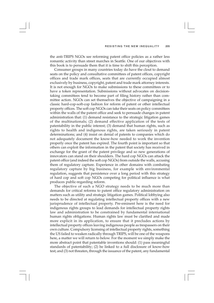#### **RESISTING THE NEW INEQUALITY 205**

the anti-TRIPS NGOs see reforming patent office policies as a rather less romantic activity than street marches in Seattle. One of our objectives with this book is to persuade them that it is time to shift this perception.

Consumer groups in many countries today do have the clout to demand seats on the policy and consultative committees of patent offices, copyright offices and trade mark offices, seats that are currently occupied almost exclusively by business, copyright, patent and trade mark attorney interests. It is not enough for NGOs to make submissions to these committees or to have a token representation. Submissions without advocates on decisiontaking committees tend to become part of filing history rather than committee action. NGOs can set themselves the objective of campaigning in a classic hard-cop-soft-cop fashion for reform of patent or other intellectual property offices. The soft cop NGOs can take their seats on policy committees within the walls of the patent office and seek to persuade changes in patent administration that: (1) demand resistance to the strategic litigation games of the multinationals; (2) demand effective application of the tests of patentability in the public interest; (3) demand that human rights, such as rights to health and indigenous rights, are taken seriously in patent determinations; and (4) insist on denial of patents to companies which do not adequately document the know-how needed to work the invention properly once the patent has expired. The fourth point is important so that others can exploit the information in the patent that society has received in exchange for the grant of the patent privilege and so new generations of innovators can stand on their shoulders. The hard cop NGOs can attack the patent office (and indeed the soft cop NGOs) from outside the walls, accusing them of regulatory capture. Experience in other domains with combating regulatory capture by big business, for example with environmental regulation, suggests that persistence over a long period with this strategy of hard cop and soft cop NGOs competing for political influence is what produces public-regarding reform.

The objective of such a NGO strategy needs to be much more than demands for critical reforms to patent office regulatory administration on matters such as utility and strategic litigation games. Political lobbying also needs to be directed at regulating intellectual property offices with a new jurisprudence of intellectual property. Pre-eminent here is the need for indigenous rights groups to lead demands for intellectual property rights law and administration to be constrained by fundamental international human rights obligations. Human rights law must be clarified and made more explicit in its application, to ensure that it precludes actions by intellectual property offices leaving indigenous people as trespassers on their own culture. Compulsory licensing of intellectual property rights, something the US failed to weaken radically through TRIPS, will be one of the weapons here, a matter we will return to below. For the moment we simply make the more abstract point that patentable inventions should: (1) pass meaningful standards of patentability; (2) be linked to a full disclosure of know-how test; and (3) not threaten, through the issuance of the patent, any fundamental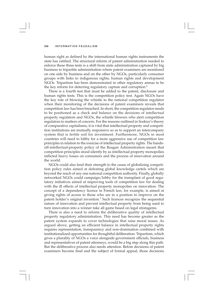human right as defined by the international human rights instruments the state has ratified. The structural reform of patent administration needed to enforce these three tests is a shift from state administration captured by big business to tripartite administration where patent examiners are monitored on one side by business and on the other by NGOs, particularly consumer groups with links to indigenous rights, human rights and development NGOs. Tripartism has been demonstrated in other regulatory arenas to be the key reform for deterring regulatory capture and corruption.<sup>6</sup>

There is a fourth test that must be added to the patent, disclosure and human rights tests. This is the competition policy test. Again NGOs have the key role of blowing the whistle to the national competition regulator when their monitoring of the decisions of patent examiners reveals that competition law has been breached. In short, the competition regulator needs to be positioned as a check and balance on the decisions of intellectual property regulators and NGOs, the whistle blowers who alert competition regulators to matters of concern. For the reasons outlined in Soskice's theory of comparative capitalisms, it is vital that intellectual property and competition institutions are mutually responsive so as to support an intercompany system that is fertile soil for investment. Furthermore, NGOs in most countries will need to lobby for a more aggressive use of competition law principles in relation to the exercise of intellectual property rights. The handsoff-intellectual-property policy of the Reagan Administration meant that competition principles stood silently by as intellectual property monopolies inflicted heavy losses on consumers and the process of innovation around the world.

NGOs could also lend their strength to the cause of globalizing competition policy rules aimed at defeating global knowledge cartels which are beyond the reach of any one national competition authority. Finally, globally networked NGOs could campaign/lobby for the transplant of good regulatory initiatives aimed at improving tools of competition law for dealing with the ill effects of intellectual property monopolies on innovation. The concept of a dependency licence in French law, for example, is aimed at giving rights of access to those who are in a position to improve on the patent holder's original invention.<sup>7</sup> Such licences recognize the sequential nature of innovation and prevent intellectual property from being used to turn innovation into a winner take all game based on legal stratagems.

There is also a need to reform the deliberative quality of intellectual property regulatory administration. This need has become greater as the patent system expands to cover technologies that raise moral issues. As argued above, getting an efficient balance in intellectual property rights requires representation, transparency and non-domination combined with institutionalized opportunities for thoughtful deliberation. Tripartism, which gives a plurality of NGOs a voice alongside government officials, business and representatives of patent attorneys, would be a big step along this path. But the deliberative process also needs attention. Before decisions of patent examiners become final and the subject of formal appeal, those decisions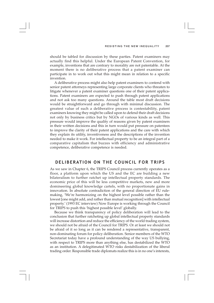#### **RESISTING THE NEW INEQUALITY 207**

should be tabled for discussion by these parties. Patent examiners may actually find this helpful. Under the European Patent Convention, for example, inventions that are contrary to morality are not patentable. At the moment there is no deliberative process that a patent examiner can participate in to work out what this might mean in relation to a specific invention.

A deliberative process might also help patent examiners to contend with senior patent attorneys representing large corporate clients who threaten to litigate whenever a patent examiner questions one of their patent applications. Patent examiners are expected to push through patent applications and not ask too many questions. Around the table most draft decisions would be straightforward and go through with minimal discussion. The greatest value of such a deliberative process is contestability, patent examiners knowing they might be called upon to defend their draft decisions not only by business critics but by NGOs of various kinds as well. This pressure would improve the quality of reasons given by patent examiners in their written decisions and this in turn would put pressure on patentees to improve the clarity of their patent applications and the care with which they explain its utility, inventiveness and the descriptions of the invention needed to make it work. For intellectual property to be an integral part of a comparative capitalism that buzzes with efficiency and administrative competence, deliberative competence is needed.

## DELIBERATION ON THE COUNCIL FOR TRIPS

As we saw in Chapter 6, the TRIPS Council process currently operates as a floor, a platform upon which the US and the EC are building a new bilateralism to further ratchet up intellectual property standards. The economic price of this will be less competitive markets, new and more domineering global knowledge cartels, with no proportionate gains in innovation. In absolute contradiction of the general direction of EU rulemaking, 'We're harmonizing on the highest level possible rather than the lowest [one might add, and rather than mutual recognition] with intellectual property.' (1993 EC interview) Now Europe is working through the Council for TRIPS to push this 'highest possible level' globally.

Because we think transparency of policy deliberation will lead to the conclusion that further ratcheting up global intellectual property standards will increase distortion and reduce the efficiency of the world trading system, we should not be afraid of the Council for TRIPS. Or at least we should not be afraid of it so long as it can be rendered a representative, transparent, non-dominating forum for policy deliberation. Senior members of the WTO Secretariat today have a profound understanding of the way US bullying, with respect to TRIPS more than anything else, has destabilized the WTO as an institution. A delegitimated WTO risks destabilization of the liberal trading order. Responsible trade diplomats realize this is in no one's interests,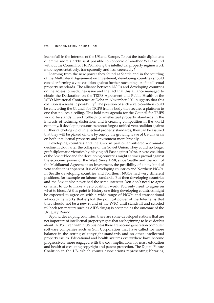least of all in the interests of the US and Europe. To put the trade diplomat's dilemma more starkly, is it possible to conceive of another WTO round without the Council for TRIPS making the intellectual property regime work more representatively, transparently and less coercively?

Learning from the new power they found at Seattle and in the scuttling of the Multilateral Agreement on Investment, developing countries should consider forming a veto coalition against further ratcheting up of intellectual property standards. The alliance between NGOs and developing countries on the access to medicines issue and the fact that this alliance managed to obtain the Declaration on the TRIPS Agreement and Public Health at the WTO Ministerial Conference at Doha in November 2001 suggests that this coalition is a realistic possibility.<sup>8</sup> The position of such a veto coalition could be converting the Council for TRIPS from a body that secures a platform to one that polices a ceiling. This bold new agenda for the Council for TRIPS would be standstill and rollback of intellectual property standards in the interests of reducing distortions and increasing competition in the world economy. If developing countries cannot forge a unified veto coalition against further ratcheting up of intellectual property standards, they can be assured that they will be picked off one by one by the growing wave of US bilaterals on both intellectual property and investment more broadly.

Developing countries and the G-77 in particular suffered a dramatic decline in clout after the collapse of the Soviet Union. They could no longer graft diplomatic victories by playing off East against West. A veto coalition of the Soviet bloc and the developing countries might at times prevail against the economic power of the West. Since 1998, since Seattle and the rout of the Multilateral Agreement on Investment, the possibility of a new kind of veto coalition is apparent. It is of developing countries and Northern NGOs. In Seattle developing countries and Northern NGOs had very different positions, for example on labour standards. But then developing countries and the Soviet bloc never had the same interests. You don't need to agree on what to do to make a veto coalition work. You only need to agree on what to block. At this point in history one thing developing countries might be expected to agree on with a wide range of NGOs and transnational advocacy networks that exploit the political power of the Internet is that there should not be a new round of the WTO until standstill and selected rollback (on matters such as AIDS drugs) is accepted as the outcome of the Uruguay Round.

Beyond developing countries, there are some developed nations that are net importers of intellectual property rights that are beginning to have doubts about TRIPS. Even within US business there are second generation computer software companies such as Sun Corporation that have called for more balance in the setting of copyright standards and on other intellectual property issues. Educational and health systems everywhere have become progressively more engaged with the cost implications for mass education and health of escalating copyright and patent protection. The Digital Future Coalition in the US, which counts associations representing libraries,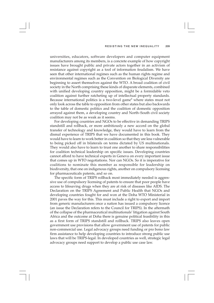#### **RESISTING THE NEW INEQUALITY 209**

universities, educators, software developers and computer equipment manufacturers among its members, is a concrete example of how copyright issues have brought public and private actors together in an activism of resistance against copyright as a tool of information feudalism. We have seen that other international regimes such as the human rights regime and environmental regimes such as the Convention on Biological Diversity are beginning to assert themselves against the WTO. A broad coalition of civil society in the North comprising these kinds of disparate elements, combined with unified developing country opposition, might be a formidable veto coalition against further ratcheting up of intellectual property standards. Because international politics is a two-level game<sup>9</sup> where states must not only look across the table to opposition from other states but also backwards to the table of domestic politics and the coalition of domestic opposition arrayed against them, a developing country and North–South civil society coalition may not be as weak as it seems.

For developing countries and NGOs to be effective in demanding TRIPS standstill and rollback, or more ambitiously a new accord on the global transfer of technology and knowledge, they would have to learn from the dismal experience of TRIPS that we have documented in this book. They would have to learn to work better in coalition so that they are less vulnerable to being picked off in bilaterals on terms dictated by US multinationals. They would also have to learn to trust one another to share responsibilities for coalition technical leadership on specific issues. Developing countries cannot afford to have technical experts in Geneva on every important issue that comes up in WTO negotiations. Nor can NGOs. So it is imperative for coalitions to nominate this member as responsible for leadership on biodiversity, that one on indigenous rights, another on compulsory licensing for pharmaceuticals patents, and so on.

The specific form of TRIPS rollback most immediately needed is aggressive use of compulsory licensing of patents to ensure that poor people have access to lifesaving drugs when they are at risk of diseases like AIDS. The Declaration on the TRIPS Agreement and Public Health that NGOs and developing countries fought for and won at the Doha WTO Ministerial in 2001 paves the way for this. This must include a right to export and import from generic manufacturers once a nation has issued a compulsory licence (an issue the Declaration refers to the Council for TRIPS). In the aftermath of the collapse of the pharmaceutical multinationals' litigation against South Africa and the outcome at Doha there is genuine political feasibility in this as a first form of TRIPS standstill and rollback. TRIPS also leaves open government use provisions that allow government use of patents for public non-commercial use. Legal advocacy groups need funding or pro bono law firm assistance to help developing countries to introduce strong public use laws that will be TRIPS-legal. In developed countries as well, strategic legal advocacy groups need support to develop a public use case law.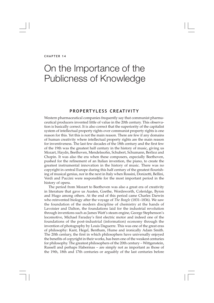#### CHAPTER 14

# On the Importance of the Publicness of Knowledge

# PROPERTYLESS CREATIVITY

Western pharmaceutical companies frequently say that communist pharmaceutical producers invented little of value in the 20th century. This observation is basically correct. It is also correct that the superiority of the capitalist system of intellectual property rights over communist property rights is one reason for this. Yet this is not the main reason. There are few if any domains of human creativity where intellectual property rights are the main reason for inventiveness. The last few decades of the 18th century and the first few of the 19th was the greatest half century in the history of music, giving us Mozart, Haydn, Beethoven, Mendelssohn, Schubert, Schumann, Berlioz and Chopin. It was also the era when these composers, especially Beethoven, pushed for the refinement of an Italian invention, the piano, to create the greatest instrumental innovation in the history of music. There was no copyright in central Europe during this half century of the greatest flourishing of musical genius, nor in the next in Italy when Rossini, Donizetti, Bellini, Verdi and Puccini were responsible for the most important period in the history of opera.

The period from Mozart to Beethoven was also a great era of creativity in literature that gave us Austen, Goethe, Wordsworth, Coleridge, Byron and Hugo among others. At the end of this period came Charles Darwin who reinvented biology after the voyage of *The Beagle* (1831–1836). We saw the foundation of the modern discipline of chemistry at the hands of Lavoisier and Dalton, the foundations laid for the industrial revolution through inventions such as James Watt's steam engine, George Stephenson's locomotive, Michael Faraday's first electric motor and indeed one of the foundations of the post-industrial (information) economy through the invention of photography by Louis Daguerre. This was one of the great eras of philosophy: Kant, Hegel, Bentham, Hume and ironically Adam Smith. The 20th century, the first in which philosophers have universally enjoyed the benefits of copyright in their works, has been one of the weakest centuries for philosophy. The greatest philosophers of the 20th century – Wittgenstein, Russell and perhaps Habermas – are simply not as important as those of the 19th, 18th and 17th centuries or arguably of the last centuries before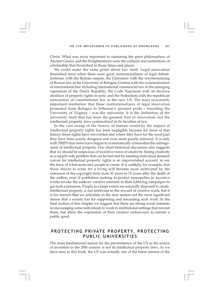#### **ON THE IMPORTANCE OF PUBLICNESS OF KNOWLEDGE 211**

Christ. What was most important to nurturing the great philosophers of Ancient Greece and the Enlightenment were the cultures and institutions of scholarship that flourished in those times and places.

We could make the same point about law itself. Legal innovation flourished most when there were great institutionalizers of legal debate: Justinian with the Roman empire; the Glossaters with the resystematizing of Roman law at the University of Bologna; Grotius with the systematization of international law including international commercial law in the emerging capitalism of the Dutch Republic; the Code Napoleon with its decisive abolition of property rights in serfs; and the Federalists with the republican reinvention of constitutional law in the new US. The most recurrently important institution that these institutionalizers of legal innovation promoted from Bologna to Jefferson's greatest pride – founding the University of Virginia – was the university. It is the institution of the university itself that has been the greatest font of innovation, not the intellectual property laws systematized in its faculties of law.

In the vast sweep of the history of human creativity the impact of intellectual property rights has been negligible because for most of that history those rights have not existed and where they have for the most part they have been poorly designed and even more poorly enforced. It is only with TRIPS that states have begun to systematically criminalize the infringement of intellectual property. Our short historical discussion also suggests that we should be suspicious of incentive views of creativity. Seeing creativity as a supply-side problem that can be best met by meeting individual demand curves for intellectual property rights is an impoverished account, to say the least, of what motivates people to create. It is unlikely, for example, that those driven to write for a living will become more motivated by the extension of the copyright term from 50 years to 70 years after the death of the author, even if publishers seeking to protect monopolies in lucrative works invoke the authors' creative interests in their lobbying campaigns to get such extensions. People to a large extent are naturally disposed to create. Intellectual property is not irrelevant to the reward of creative work, but it is for reasons that we articulate in the next section not the most significant means that a society has for supporting and rewarding such work. In the final section of this chapter we suggest that there are strong social interests in encouraging some individuals to work in institutional settings that reward them, but allow the expression of their creative endeavours to remain a public good.

# PROTECTING PRIVATE PROPERTY, PROTECTING PUBLIC UNIVERSITIES

The most fundamental reason for the pre-eminence of the US as the source of invention in the 20th century is not its intellectual property laws. As we have seen in this book, the US was actually one of the latest starters of the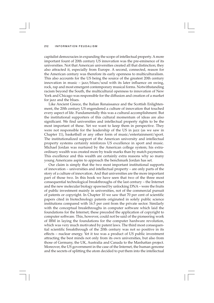capitalist democracies in expanding the scope of intellectual property. A more important fount of 20th century US innovation was the pre-eminence of its universities. Not that American universities created all that distinction; they also attracted it, especially from Europe. A second, connected, reason for the American century was therefore its early openness to multiculturalism. This also accounts for the US being the source of the greatest 20th century innovation in music – jazz/blues/soul with its later influence on swing, rock, rap and most emergent contemporary musical forms. Notwithstanding racism beyond the South, the multicultural openness to innovation of New York and Chicago was responsible for the diffusion and creation of a market for jazz and the blues.

Like Ancient Greece, the Italian Renaissance and the Scottish Enlightenment, the 20th century US engendered a culture of innovation that touched every aspect of life. Fundamentally this was a cultural accomplishment. But the institutional supporters of this cultural momentum of ideas are also significant. We find universities and intellectual property rights to be the most important of these. Yet we want to keep them in perspective. They were not responsible for the leadership of the US in jazz (as we saw in Chapter 11), basketball or any other form of music/entertainment/sport. The institutionalized support of the American university and intellectual property systems certainly reinforces US excellence in sport and music. Michael Jordan was nurtured by the American college system; his extraordinary wealth was created more by trade marks than by match payments. This excellence and this wealth are certainly extra reasons why so many young Americans aspire to approach the benchmark Jordan has set.

Our claim is simply that the two most important institutional supports of innovation – universities and intellectual property – are only parts of the story of a culture of innovation. And that universities are the more important part of those two. In this book we have seen that two of the three most consequential technological breakthroughs of the last century – the Internet and the new molecular biology spawned by unlocking DNA – were the fruits of public investment mainly in universities, not of the commercial pursuit of patents or copyright. In Chapter 10 we saw that 70 per cent of scientific papers cited in biotechnology patents originated in solely public science institutions compared with 16.5 per cent from the private sector. Similarly with the conceptual breakthroughs in computer software which laid the foundations for the Internet; these preceded the application of copyright to computer software. This, however, could not be said of the pioneering work of IBM in laying the foundations for the computer hardware revolution, which was very much motivated by patent laws. The third most consequential scientific breakthrough of the 20th century was not so positive in its effects – nuclear energy. Yet it too was a product of US public investment attracting the best minds not only from its own universities, but also from those of Germany, the UK, Australia and Canada to the Manhattan project. Moreover, the US government in the case of the Internet, the human genome and the secrets of splitting the atom decided to put them into the intellectual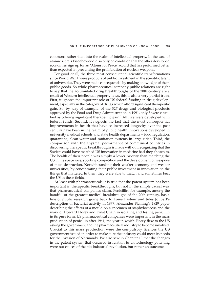#### **ON THE IMPORTANCE OF PUBLICNESS OF KNOWLEDGE 213**

commons rather than into the realm of intellectual property. In the case of atomic secrets Eisenhower did so only on condition that the other developed economies sign up for an 'Atoms for Peace' accord that has performed better than expected in preventing the proliferation of nuclear weapons.

For good or ill, the three most consequential scientific transformations since World War 1 were products of public investment in the scientific talent of universities. They were made consequential by making knowledge of them public goods. So while pharmaceutical company public relations are right to say that the accumulated drug breakthroughs of the 20th century are a result of Western intellectual property laws, this is also a very partial truth. First, it ignores the important role of US federal funding in drug development, especially in the category of drugs which afford significant therapeutic gain. So, by way of example, of the 327 drugs and biological products approved by the Food and Drug Administration in 1991, only 5 were classified as offering significant therapeutic gain.<sup>1</sup> All five were developed with federal funds. Second, it neglects the fact that the most consequential improvements in health that have so increased longevity over the past century have been in the realm of public health innovations developed in university medical schools and state health departments – food regulation, quarantine, clean water and sanitation systems in large cities. Third, the comparison with the abysmal performance of communist countries in discovering therapeutic breakthroughs is made without recognizing that the Soviets could have matched US innovation in medicine had they chosen to. The health of their people was simply a lower priority than matching the US in the space race, sporting competition and the development of weapons of mass destruction. Notwithstanding their weaker economy and weaker universities, by concentrating their public investment in innovation on the things that mattered to them they were able to match and sometimes beat the US in these fields.

At least with pharmaceuticals it is true that the patent system has been important in therapeutic breakthroughs, but not in the simple causal way that pharmaceutical companies claim. Penicillin, for example, among the handful of the greatest medical breakthroughs of the 20th century, has a line of public research going back to Louis Pasteur and Jules Joubert's description of bacterial activity in 1877, Alexander Fleming's 1929 paper describing the effects of a mould on a specimen of staphylococcus and the work of Howard Florey and Ernst Chain in isolating and testing penicillin in its pure form. US pharmaceutical companies were important in the mass production of penicillin after 1941, the year in which Florey flew to the US asking the government and the pharmaceutical industry to become involved. Crucial to this mass production were the compulsory licences the US government issued in order to make sure the industry could meet its needs for the invasion of Normandy. We also saw in Chapter 10 that the changes in the patent system that occurred in relation to biotechnology patenting were not causes of the bio-industrial revolution, but rather an outcome.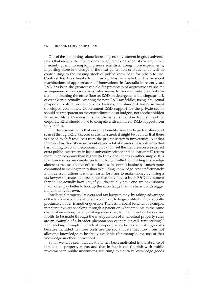One of the good things about increasing our investment in great universities is that most of the money does not go to making scientists richer. Rather it mainly goes into employing more scientists, doing more experiments, imparting more knowledge to the next generation of students as well as contributing to the existing stock of public knowledge for others to use. Contrast R&D tax breaks for industry. Most is wasted on the financial machinations of appropriators of innovations. In Australia in recent years R&D has been the greatest vehicle for promoters of aggressive tax shelter arrangements. Corporate Australia seems to have infinite creativity in defining cleaning the office floor as R&D on detergents and a singular lack of creativity in actually inventing the new. R&D tax fiddles, using intellectual property to shift profits into tax havens, are standard today in most developed economies. Government R&D support for the private sector should be transparent on the expenditure side of budgets, not another hidden tax expenditure. One reason is that the benefits that flow from support for corporate R&D should have to compete with claims for R&D support from universities.

Our deep suspicion is that once the benefits from the huge transfers (and scams) through R&D tax breaks are measured, it might be obvious that there is a need to shift resources from the private sector to universities. Not that there isn't mediocrity in universities and a lot of wonderful scholarship that has nothing to do with economic innovation. Yet the main reason we suspect extra public investment in basic university science and education will return more to an economy than higher R&D tax deductions is rather simple. It is that universities are deeply, profoundly committed to building knowledge almost to the exclusion of other priorities. In contrast business is much more committed to making money than to building knowledge. And unfortunately in modern conditions it is often easier for firms to make money by hiring a tax lawyer to create an appearance that they have a huge R&D investment than it is to actually have one; if you do actually have one, we have shown it will often pay better to lock up the knowledge than to share it with bigger minds than your own.

Intellectual property lawyers and tax lawyers may, by taking advantage of the law's rule complexity, help a company to large profits, but how socially productive this is, is another question. There is no social benefit, for example, in patent lawyers sneaking through a patent on what amounts to the same chemical invention, thereby making society pay for that invention twice over. Profits to be made through the manipulation of intellectual property rules are an example of a broader phenomenon economists call 'rent seeking'. 2 Rent seeking through intellectual property rules brings with it high costs because included in those costs are the social costs that flow from not allowing knowledge to be freely available (for example, the use of that knowledge in other innovation).

So far we have seen that creativity has been motivated in the absence of intellectual property rights and that in fact it can flourish with public investment in public institutions, returning to a society knowledge goods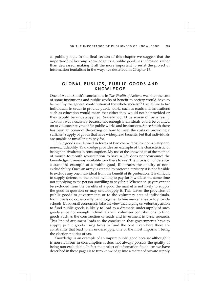#### **ON THE IMPORTANCE OF PUBLICNESS OF KNOWLEDGE 215**

as public goods. In the final section of this chapter we suggest that the importance of keeping knowledge as a public good has increased rather than decreased, making it all the more important to resist the project of information feudalism in the ways we described in Chapter 13.

# GLOBAL PUBLICS, PUBLIC GOODS AND KNOWLEDGE

One of Adam Smith's conclusions in *The Wealth of Nations* was that the cost of some institutions and public works of benefit to society would have to be met 'by the general contribution of the whole society.<sup>13</sup> The failure to tax individuals in order to provide public works such as roads and institutions such as education would mean that either they would not be provided or they would be undersupplied. Society would be worse off as a result. Taxation was necessary because not enough individuals could be counted on to volunteer payment for public works and institutions. Since Smith there has been an ocean of theorizing on how to meet the costs of providing a sufficient supply of goods that have widespread benefits, but that individuals are unable or unwilling to pay for.

Public goods are defined in terms of two characteristics: non-rivalry and non-excludability. Knowledge provides an example of the characteristic of being non-rivalrous in consumption. My use of the knowledge of the method of mouth-to-mouth resuscitation to save a life does not 'consume' the knowledge; it remains available for others to use. The provision of defence, a standard example of a public good, illustrates the quality of nonexcludability. Once an army is created to protect a territory it is not feasible to exclude any one individual from the benefit of its protection. It is difficult to supply defence to the person willing to pay for it while at the same time not supplying to the person unwilling to pay for it. Where non-payers cannot be excluded from the benefits of a good the market is not likely to supply the good in question or may undersupply it. This leaves the provision of public goods to governments or to the voluntary acts of individuals. Individuals do occasionally band together to hire mercenaries or to provide schools. But overall economists take the view that relying on voluntary action to fund public goods is likely to lead to a dramatic undersupply of such goods since not enough individuals will volunteer contributions to fund goods such as the construction of roads and investment in basic research. This line of argument leads to the conclusion that governments have to supply public goods using taxes to fund the cost. Even here there are constraints that lead to an undersupply, one of the most important being the election politics of tax.

Knowledge is an example of an impure public good because although it is non-rivalrous in consumption it does not always possess the quality of being non-excludable. In fact the project of information feudalism we have described in these pages is to turn knowledge into a matter of private supply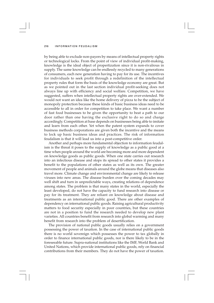by being able to exclude non-payers by means of intellectual property rights or technological locks. From the point of view of individual profit-making, knowledge is the ideal object of propertization since it is non-rivalrous in supply. The same knowledge can be endlessly recycled to many generations of consumers, each new generation having to pay for its use. The incentives for individuals to seek profit through a redefinition of the intellectual property rules that form the basis of the knowledge economy are great. But as we pointed out in the last section individual profit-seeking does not always line up with efficiency and social welfare. Competition, we have suggested, suffers when intellectual property rights are over-extended. We would not want an idea like the home delivery of pizza to be the subject of monopoly protection because these kinds of basic business ideas need to be accessible to all in order for competition to take place. We want a number of fast food businesses to be given the opportunity to beat a path to our door rather than one having the exclusive right to do so and charge accordingly. Competition at base depends on businesses being able to imitate and learn from each other. Yet when the patent system expands to cover business methods corporations are given both the incentive and the means to lock up basic business ideas and practices. The risk of information feudalism is that it will lead us into a post-competitive order.

Another and perhaps more fundamental objection to information feudalism is the threat it poses to the supply of knowledge as a public good at a time when people around the world are becoming more and more dependent on knowledge goods as public goods. When one state carries out research into an infectious disease and stops its spread to other states it provides a benefit to the populations of other states as well as its own. The greater movement of people and animals around the globe means that diseases also travel more. Climate change and environmental change are likely to release viruses into new areas. The disease burden over the coming decades may well shift and turn in unpredictable ways, creating relations of dependence among states. The problem is that many states in the world, especially the least developed, do not have the capacity to fund research into disease or pay for its treatment. They are reliant on knowledge about disease and treatments as an international public good. There are other examples of dependency on international public goods. Raising agricultural productivity matters to food security especially in poor countries, but these countries are not in a position to fund the research needed to develop new plant varieties. All countries benefit from research into global warming and many benefit from research into the problem of desertification.

The provision of national public goods usually relies on a government possessing the power of taxation. In the case of international public goods there is no world sovereign which possesses the power to tax globally in order to finance international public goods, nor is there likely to be in the foreseeable future. Supra-national institutions like the IMF, World Bank and United Nations, which provide international public goods, rely on financial contributions from their members. They do not have the power of taxation.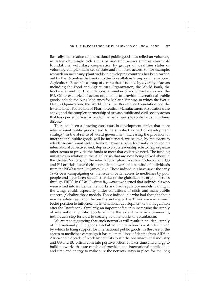#### **ON THE IMPORTANCE OF PUBLICNESS OF KNOWLEDGE 217**

Basically, the creation of international public goods has relied on voluntary initiatives by single rich states or non-state actors such as charitable foundations, voluntary cooperation by groups of wealthier states or voluntary complex alliances of state and non-state actors. So, for example, research on increasing plant yields in developing countries has been carried out by the 16 centres that make up the Consultative Group on International Agricultural Research, a group of centres that is funded by a variety of actors including the Food and Agriculture Organization, the World Bank, the Rockefeller and Ford Foundations, a number of individual states and the EU. Other examples of actors organizing to provide international public goods include the New Medicines for Malaria Venture, in which the World Health Organization, the World Bank, the Rockefeller Foundation and the International Federation of Pharmaceutical Manufacturers Associations are active, and the complex partnership of private, public and civil society actors that has operted in West Africa for the last 25 years to control river blindness disease.

There has been a growing consensus in development circles that more international public goods need to be supplied as part of development strategy.<sup>4</sup> In the absence of world government, increasing the provision of international public goods will be influenced, we believe, by the extent to which inspirational individuals or groups of individuals, who see an international collective need, step in to play a leadership role to help organize other actors to provide the funds to meet that collective need. The funding initiatives in relation to the AIDS crisis that are now being talked about in the United Nations, by the international pharmaceutical industry and US and EU officials, have their genesis in the work of a handful of individuals from the NGO sector like James Love. These individuals have since the early 1990s been campaigning on the issue of better access to medicines by poor people and have been steadfast critics of the globalization of patent rules through TRIPS. In *Global Business Regulation* we argued that individuals who were wired into influential networks and had regulatory models waiting in the wings could, especially under conditions of crisis and mass public concern, globalize those models. Those individuals who had thought about marine safety regulation before the sinking of the *Titanic* were in a much better position to influence the international development of that regulation after the *Titanic* sank. Similarly, an important factor in increasing the supply of international public goods will be the extent to which pioneering individuals step forward to create global networks of voluntarism.

We are not suggesting that such networks will result in an ideal supply of international public goods. Global voluntary action is a slender thread by which to hang support for international public goods. In the case of the access to medicines campaign it has taken millions of deaths from AIDS in Africa and a decade of work by activists to stir the pharmaceutical industry and US and EU officialdom into positive action. It takes time and energy to build networks that are capable of providing an international public good and time and energy to make sure the network stays in place for the long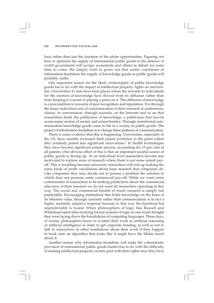haul rather than just the duration of the photo opportunities. Figuring out how to optimize the supply of international public goods in the absence of world government will occupy economists and others in debate for some time to come. We simply wish to point out that under conditions of information feudalism the supply of knowledge goods as public goods will probably suffer.

One important reason for the likely undersupply of public knowledge goods has to do with the impact of intellectual property rights on universities. Universities to date have been places where the rewards to individuals for the creation of knowledge have flowed from its diffusion rather than from keeping it a secret or placing a price on it. The diffusion of knowledge is a precondition to rewards of peer recognition and reputation. It is through the many individual acts of communication of their research at conferences, classes, in conversation, through journals, on the Internet and so on that researchers build the publicness of knowledge, a publicness that travels across many sectors of society and across borders. Through unrestricted communication knowledge goods come to life in a society as public goods. The project of information feudalism is to change these patterns of communication.

There is some evidence that this is happening. Universities, especially in the US, have steadily increased their patent portfolios to the point where they routinely patent less significant innovations.<sup>5</sup> In health technologies they have become significant patent players, accounting for 15 per cent of all patents. One obvious effect of this is that an important societal source of public goods is drying up. At an individual level researchers become less motivated to explore areas of research where there is not some patent payoff. This is troubling because university researchers will end up making the same kinds of profit calculations about basic research that companies do. Like companies they may decide not to pursue a problem the solution to which does not promise some commercial pay-off. While we want some communities of researchers to be making predictions about the commercial relevance of their research we do not want all researchers operating in this way. The social and commercial benefit of much research is simply not predictable. Encouraging institutions that build knowledge on the basis of its inherent value, through curiosity rather than commercialism is in fact a highly societally adaptive response because in that way the beneficial but unpredictable is found. When philosophers of logic like Russell and Whitehead spent time studying formal systems of logic no one much thought they were laying down the foundations of computing languages. These days, of course, philosophers know to re-label their work as artificial reasoning or artificial intelligence in order to get corporate funding, as well as not to talk to researchers in other institutions about their work if they happen to hook onto an algorithm that looks like it might have the Midas touch about it.

Another reason why information feudalism will make the voluntaristic provision of international public goods harder has to do with the difficulty of making intellectual property owners part with their rights once they have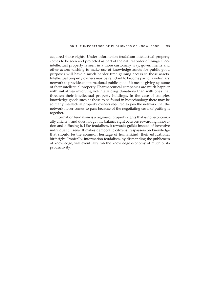#### **ON THE IMPORTANCE OF PUBLICNESS OF KNOWLEDGE 219**

acquired those rights. Under information feudalism intellectual property comes to be seen and protected as part of the natural order of things. Once intellectual property is seen in a more customary way, governments and other actors wishing to make use of knowledge assets for public good purposes will have a much harder time gaining access to those assets. Intellectual property owners may be reluctant to become part of a voluntary network to provide an international public good if it means giving up some of their intellectual property. Pharmaceutical companies are much happier with initiatives involving voluntary drug donations than with ones that threaten their intellectual property holdings. In the case of complex knowledge goods such as those to be found in biotechnology there may be so many intellectual property owners required to join the network that the network never comes to pass because of the negotiating costs of putting it together.

Information feudalism is a regime of property rights that is not economically efficient, and does not get the balance right between rewarding innovation and diffusing it. Like feudalism, it rewards guilds instead of inventive individual citizens. It makes democratic citizens trespassers on knowledge that should be the common heritage of humankind, their educational birthright. Ironically, information feudalism, by dismantling the publicness of knowledge, will eventually rob the knowledge economy of much of its productivity.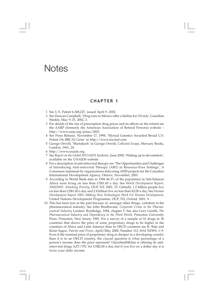# **Notes**

# **CHAPTER 1**

- 1 See U.S. Patent 6,368,227, issued April 9, 2002.
- 2 See Duncan Campbell, 'Drug runs to Mexico offer a lifeline for US sick', Guardian Weekly, May 9–15, 2002, 3.
- 3 For details of the rise of prescription drug prices and its effects on the retired see the AARP (formerly the American Association of Retired Persons) website – http://www.aarp.org/press/2002.
- 4 See Press Release, November 17, 1998, 'Myriad Genetics Awarded Broad U.S. Patent On BRCA2 Gene' at http://www.myriad.com.
- 5 George Orwell, 'Marrakech' in George Orwell, *Collected Essays*, Mercury Books, London, 1961, 24.
- 6 http://www.unaids.org
- 7 See *Report on the Global HIV/AIDS Epidemic*, June 2000, 'Waking up to devastation', available on the UNAIDS website.
- 8 For a description of anti-retroviral therapy see 'The Opportunities and Challenges of Introducing Anti-retroviral Therapy (ART) in Resource-Poor Settings', A Consensus statement by organizations delivering AIDS projects for the Canadian International Development Agency, Ottawa, November, 2001.
- 9 According to World Bank data in 1998 46.3% of the population in Sub-Saharan Africa were living on less than US\$1.00 a day. See *World Development Report, 2000/2001: Attacking Poverty*, OUP, NY, 2001, 23. Globally 1.2 billion people live on less than US\$1.00 a day and 2.8 billion live on less than \$2.00 a day. See *Human Development Report 2001: Making New Technologies Work For Human Development*, United Nations Development Programme, OUP, NY, Oxford, 2001, 9.
- 10 This has been true in the past because of, amongst other things, cartelism in the pharmaceutical industry. See John Braithwaite, *Corporate Crime in the Pharmaceutical Industry* London: Routledge, 1984, chapter 5. See also Gary Gereffi, *The Pharmaceutical Industry and Dependency in the Third World*, Princeton University Press, Princeton, New Jersey, 1983. For a survey of a sample of 16 drugs in 36 countries that shows the price of some proprietary drugs to be higher in the countries of Africa and Latin America than in OECD countries see K. Bala and Kiran Sagoo, *Patents and Prices*, April/May 2000, Number 112, HAI NEWS, 1–9. Even if the nominal price of proprietary drug is cheaper in a developing country than it is in an OECD country, the crucial question is what percentage of a person's income does the price represent? GlaxoSmithKline is offering its antiretroviral drugs AZT/3TC for US\$2.00 a day, but if you live on a dollar day it is twice your daily income.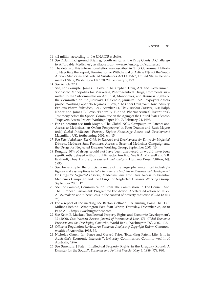- 11 4.2 million according to the UNAIDS website.
- 12 See Oxfam Background Briefing, 'South Africa vs. the Drug Giants: A Challenge to Affordable Medicines', available from www.oxfam.org.uk/cutthecost.
- 13 The details of this international effort are described in 'U. S. Government Efforts To Negotiate the Repeal, Termination or Withdrawal of Article 15(c) of the South African Medicines and Related Substances Act Of 1965', United States Department of State, Washington D.C. 20520, February 5, 1999.
- 14 See Article 27.1.
- 15 See, for example, James P. Love, 'The Orphan Drug Act and Government Sponsored Monopolies for Marketing Pharmaceutical Drugs, Comments submitted to the Subcommittee on Antitrust, Monopolies, and Business Rights of the Committee on the Judiciary, US Senate, January 1992, Taxpayers Assets project, Working Paper No. 6; James P. Love, 'The Other Drug War: How Industry Exploits Pharm Subsidies, 1993, Number 14, *The American Prospect*, 121; Ralph Nader and James P. Love, 'Federally Funded Pharmaceutical Inventions', Testimony before the Special Committee on the Aging of the United States Senate, Taxpayers Assets Project, Working Paper No. 7, February 24, 1993.
- 16 For an account see Ruth Mayne, 'The Global NGO Campaign on Patents and Access to Medicines: an Oxfam Perspective' in Peter Drahos and Ruth Mayne (eds) *Global Intellectual Property Rights: Knowledge Access and Development* Macmillan, UK, forthcoming 2002, ch. 15.
- 17 See *Fatal Imbalance: The Crisis in Research and Development for Drugs for Neglected Diseases*, Médecins Sans Frontières Access to Essential Medicines Campaign and the Drugs for Neglected Diseases Working Group, September 2001, 10.
- 18 Roughly 60% of drugs would not have been discovered or would have been significantly delayed without public sector funding. See R.A. Maxwell and S.B. Eckhardt, *Drug Discovery: a casebook and analysis*, Humana Press, Clifton, NJ, 1990.
- 19 See, for example, the criticisms made of the large pharmaceutical industry's figures and assumptions in *Fatal Imbalance: The Crisis in Research and Development for Drugs for Neglected Diseases*, Médecins Sans Frontières Access to Essential Medicines Campaign and the Drugs for Neglected Diseases Working Group, September 2001, 17.
- 20 See, for example, Communication From The Commission To The Council And The European Parliament: Programme For Action: Accelerated action on HIV/ AIDS, malaria and tuberculosis in the context of poverty reduction (COM (2001) 95).
- 21 For a report of the meeting see Barton Gellman , 'A Turning Point That Left Millions Behind' Washington Post Staff Writer, Thursday, December 28, 2000; Page A01, http://washingtonpost.com.
- 22 See Keith E. Maskus, 'Intellectual Property Rights and Economic Development', 32 (2000), *Case Western Reserve Journal of International Law*, 471; *Global Economic Prospects and the Developing Countries*, World Bank, Washington DC, 2002, 133.
- 23 Office of Regulation Review, *An Economic Analysis of Copyright Reform* Commonwealth of Australia, 1995, 39.
- 24 Nicholas Gruen, Ian Bruce and Gerard Prior, 'Extending Patent Life: Is it in Australia's Economic Interests?', Industry Commission, Commonwealth of Australia, 1996.
- 25 See Surendra J Patel, 'Intellectual Property Rights in the Uruguay Round: A Disaster for the South?', *Economic and Political Weekly*, May 6, 1989, 978, 980.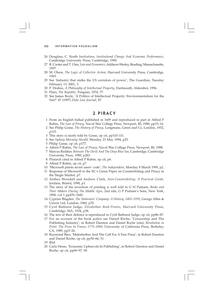- 26 Douglass, C. North *Institutions, Institutional Change And Economic Performance*, Cambridge University Press, Cambridge, 1990.
- 27 R. Cooter and T. Ulen, *Law and Economics*, Addison-Wesley, Reading, Massachusetts, 1997.
- 28 M. Olson, *The Logic of Collective Action*, Harvard University Press, Cambridge, 1965.
- 29 See 'Industry that stalks the US corridors of power', The Guardian, Tuesday February 13, 2001, 3.
- 30 P. Drahos, *A Philosophy of Intellectual Property*, Dartmouth, Aldershot, 1996.
- 31 Plato, *The Republic*, Penguin, 1974, 77.
- 32 See James Boyle, 'A Politics of Intellectual Property: Environmentalism for the Net?' 47 (1997) *Duke Law Journal*, 87.

# 2 PIRACY

- 1 From an English ballad published in 1609 and reproduced in part in Alfred P Rubin, *The Law of Piracy*, Naval War College Press, Newport, RI, 1988, pp15–16.
- 2 See Philip Gosse, *The History of Piracy*, Longmans, Green and Co, London, 1932, p115.
- 3 This story is nicely told by Gosse, op cit, pp110–111.
- 4 See *Sydney Morning Herald*, Monday 23 May 1994, p25.
- 5 Philip Gosse, op cit, p177.
- 6 Alfred P Rubin, *The Law of Piracy*, Naval War College Press, Newport, RI, 1988.
- 7 Marcus Rediker, *Between The Devil And The Deep Blue Sea*, Cambridge, Cambridge University Press, 1989, p283.
- 8 Plutarch cited in Alfred P Rubin, op cit, p6.
- 9 Alfred P Rubin, op cit, p7.
- 10 'Microsoft plants secret users' code', *The Independent*, Monday 8 March 1999, p2.
- 11 Response of Microsoft to the EC's Green Paper on Counterfeiting and Piracy in the Single Market, p7.
- 12 Anthea Worsdall and Andrew Clark, *Anti-Counterfeiting: A Practical Guide,* Jordans, Bristol, 1998, p1.
- 13 The story of the invention of printing is well told in G H Putnam, *Books and Their Makers During The Middle Ages*, 2nd edn, G P Putnam's Sons, New York, 1898, vol 1 pp476–1600.
- 14 Cyprian Blagden, *The Stationers' Company: A History, 1403–1959*, George Allen & Unwin Ltd, London, 1960, p70.
- 15 Cyril Bathurst Judge, *Elizabethan Book-Pirates*, Harvard University Press, Cambridge, MA, 1934, p38.
- 16 The text of their defence is reproduced in Cyril Bathurst Judge, op cit, pp86–87.
- 17 For an account of the book police see Daniel Roche, 'Censorship and The Publishing Industry', in Robert Darnton and Daniel Roche (eds), *Revolution in Print: The Press In France 1775–1800*, University of California Press, Berkeley, CA, 1989, pp3–26.
- 18 Raymond Birn, 'Malesherbes And The Call For A Free Press', in Robert Darnton and Daniel Roche, op cit, pp50–66, 51.

20 Carla Hesse, 'Economic Upheavals In Publishing', in Robert Darnton and Daniel Roche, op cit, pp69–97, 90.

<sup>19</sup> Ibid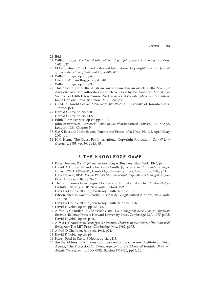- 21 Ibid
- 22 William Briggs, *The Law of International Copyright*, Stevens & Haynes, London, 1906, p37.
- 23 M Kampelman, 'The United States and International Copyright' *American Journal of International Law*, 1947, vol 41, pp406, 415.
- 24 William Briggs, op cit, p40.
- 25 Cited in William Briggs, op cit, p101.
- 26 William Briggs, op cit, p93.
- 27 This description of the Austrian law appeared in an article in the *Scientific American*. Austrian authorities were referred to it by the American Minister in Vienna. See Edith Tilton Penrose, *The Economics Of The International Patent System*, Johns Hopkins Press, Baltimore, MD, 1951, p45.
- 28 Cited in Harold G Fox, *Monopolies and Patents*, University of Toronto Press, Toronto, p71.
- 29 Harold G Fox, op cit, p70.
- 30 Harold G Fox, op cit, p127.
- 31 Edith Tilton Penrose, op cit, pp16–17.
- 32 John Braithwaite, *Corporate Crime in the Pharmaceutical Industry*, Routledge, London, 1984, Chapter 5.
- 33 See K Bala and Kiran Sagoo, 'Patents and Prices', *HAI News*, No 112, April/May 2000, p1.
- 34 H G Henn, 'The Quest For International Copyright Protection', *Cornell Law Quarterly*, 1953, vol 39, pp43, 65.

## 3 THE KNOWLEDGE GAME

- 1 Peter Drucker, *Post-Capitalist Society*, Harper Business, New York, 1993, p8.
- 2 David A Hounshell and John Kenly Smith, Jr, *Science and Corporate Strategy: DuPont R&D, 1902–1980*, Cambridge University Press, Cambridge, 1988, p11.
- 3 David Mercer, *IBM: How the World's Most Successful Corporation is Managed*, Kogan Page, London, 1987, pp24–26.
- 4 The term comes from Ikujiro Nonaka and Hirotaka Takeuchi, *The Knowledge-Creating Company*, OUP, New York, Oxford, 1995.
- 5 David A Hounshell and John Kenly Smith, Jr, op cit, p2.
- 6 Edison, cited in David F Noble, *America by Design*, Alfred A Knopf, New York, 1979, p8.
- 7 David A Hounshell and John Kenly Smith, Jr, op cit, p366.
- 8 David F Noble, op cit, pp112–113.
- 9 Alfred D Chandler, Jr, *The Visible Hand: The Managerial Revolution in American Business*, Belknap Press of Harvard University Press, Cambridge, MA, 1977, p375.
- 10 David F Noble, op cit, p116.
- 11 Alfred D Chandler, Jr, *Strategy and Structure: Chapters in the History of the Industrial Enterprise*, The MIT Press, Cambridge, MA, 1962, p375.
- 12 Alfred D Chandler, Jr, op cit, 1962, p24.
- 13 David F Noble, op cit, p9.
- 14 Henry Ford in David F Noble, op cit, p113.
- 15 See the address by R B Ransford, President of the Chartered Institute of Patent Agents, 'The Profession Of Patent Agency', in *The Chartered Institute Of Patent Agents: Transactions*, vol XXXVIII, Session 1919–20, pp15, 20.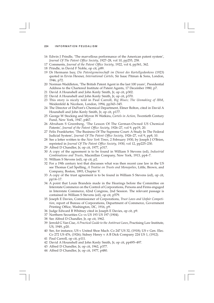- 16 Edwin J Prindle, 'The marvellous performance of the American patent system', *Journal Of The Patent Office Society*, 1927–28, vol 10, pp255, 258.
- 17 Comments, *Journal of the Patent Office Society*, 1922, vol 4, pp361, 362.
- 18 Prindle, in David F Noble, op cit, p89.
- 19 Dr Hermann Isay, *Die Patentgemeinschaft im Dienst des Kartellgedankens* (1923) quoted in Ervin Hexner, *International Cartels,* Sir Isaac Pitman & Sons, London, 1946, p72.
- 20 Norman Waddleton, 'The British Patent Agent in the last 100 years', Presidential Address to the Chartered Institute of Patent Agents, 17 December 1980, p7.
- 21 David A Hounshell and John Kenly Smith, Jr, op cit, p302.
- 22 David A Hounshell and John Kenly Smith, Jr, op cit, p370.
- 23 This story is nicely told in Paul Carroll, *Big Blues; The Unmaking of IBM*, Weidenfeld & Nicolson, London, 1994, pp343–345.
- 24 The Director of DuPont's Chemical Department, Elmer Bolton, cited in David A Hounshell and John Kenly Smith, Jr, op cit, p177.
- 25 George W Stocking and Myron W Watkins, *Cartels in Action*, Twentieth Century Fund, New York, 1947, p467.
- 26 Abraham S Greenberg, 'The Lesson Of The German-Owned US Chemical Patents', *Journal of the Patent Office Society*, 1926–27, vol 9, pp19, 20.
- 27 Felix Frankfurter, 'The Business Of The Supreme Court: A Study In The Federal Judicial System', *Journal Of The Patent Office Society*, 1926–27, vol 9, pp8, 10.
- 28 See a letter written to the *New York Times*, 2 February 1930, by Joseph J O'Brien, reprinted in *Journal Of The Patent Office Society*, 1930, vol 12, pp225–230.
- 29 Alfred D Chandler, Jr, op cit, 1977, p317.
- 30 A copy of the agreement is to be found in William S Stevens (ed), *Industrial Combinations and Trusts*, Macmillan Company, New York, 1913, pp4–7.
- 31 William S Stevens (ed), op cit, p2.
- 32 For a 19th century text that discusses what was then recent case law in the US see Thomas Carl Spelling, *A Treatise on Trusts and Monopolies*, Little, Brown, and Company, Boston, 1893, Chapter V.
- 33 A copy of the trust agreement is to be found in William S Stevens (ed), op cit, pp14–17.
- 34 A point that Louis Brandeis made in the Hearings before the Committee on Interstate Commerce on the Control of Corporations, Persons and Firms engaged in Interstate Commerce, 62nd Congress, 2nd Session. The relevant passage is contained in William S Stevens (ed), op cit, p579.
- 35 Joseph E Davies, Commissioner of Corporations, *Trust Laws and Unfair Competition*, report of Bureau of Corporations, Department of Commerce, Government Printing Office, Washington, DC, 1916, p9.
- 36 Judge Edward B Whitney cited in Joseph E Davies, op cit, p9.
- 37 Northern Securities Co vs US 193 US 197 (1904).
- 38 See Alfred D Chandler, Jr, op cit, 1962.
- 39 Jerrold G Van Cise, *A Practical Guide to the Antitrust Laws*, Practising Law Institute, US, 1949, p20.
- 40 See, for instance, US v United Shoe Mach. Co 247 US 32, (1918); US v Gen. Elec. Co 272 US 476, (1926); Sidney Henry v A B Dick Company 224 US 1, (1912).
- 41 Paul Carroll, op cit, p111.
- 42 David A Hounshell and John Kenly Smith, Jr, op cit, pp495–497.
- 43 Alfred D Chandler, Jr, op cit, 1962, p377.
- 44 Alfred D Chandler, Jr, op cit, 1977, p480.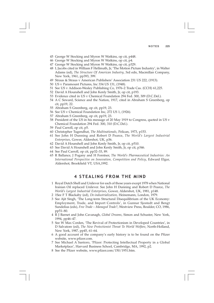**N O T E S 225**

- 45 George W Stocking and Myron W Watkins, op cit, p448.
- 46 George W Stocking and Myron W Watkins, op cit, p4.
- 47 George W Stocking and Myron W Watkins, op cit, p329.
- 48 L Jacobs cited in William F Hellmuth, Jr, 'The Motion Picture Industry', in Walter Adams (ed), *The Structure Of American Industry*, 3rd edn, Macmillan Company, New York, 1961, pp393, 399.
- 49 Straus & Straus v American Publishers' Association 231 US 222, (1913).
- 50 US v Paramount Pictures, Inc 334 US 131, (1948).
- 51 See US v Addison-Wesley Publishing Co, 1976–2 Trade Cas. (CCH) 61,225.
- 52 David A Hounshell and John Kenly Smith, Jr, op cit, p193.
- 53 Evidence cited in US v Chemical Foundation 294 Fed. 300, 309 (D.C.Del.).
- 54 A C Seward, Science and the Nation, 1917, cited in Abraham S Greenberg, op cit, pp19, 22.
- 55 Abraham S Greenberg, op cit, pp19, 23.
- 56 See US v Chemical Foundation Inc, 272 US 1, (1926).
- 57 Abraham S Greenberg, op cit, pp19, 23.
- 58 President of the US in his message of 20 May 1919 to Congress, quoted in US v Chemical Foundation 294 Fed. 300, 310 (D.C.Del.).
- 59 Paul Carroll, op cit, p5.
- 60 Christopher Tugendhat, *The Multinationals*, Pelican, 1973, p153.
- 61 See John H Dunning and Robert D Pearce, *The World's Largest Industrial Enterprises*, Gower, Aldershot, UK, p36.
- 62 David A Hounshell and John Kenly Smith, Jr, op cit, p510.
- 63 See David A Hounshell and John Kenly Smith, Jr, op cit, p346.
- 64 See Paul Carroll, op cit, pp32–33, 89.
- 65 R Ballance, J Pogany and H Forstner, *The World's Pharmaceutical Industries: An International Perspective on Innovation, Competition and Policy*, Edward Elgar, Aldershot; Brookfield VT, USA,1992.

## 4 STEALING FROM THE MIND

- 1 Royal Dutch Shell and Unilever for each of those years except 1978 when National Iranian Oil replaced Unilever. See John H Dunning and Robert D Pearce, *The World's Largest Industrial Enterprises*, Gower, Aldershot, UK, 1981, p148.
- 2 1See F T Blackaby (ed), *De-industrialization*, Heinemann, London, 1979.
- 3 See Ajit Singh, 'The Long-term Structural Disequilibrium of the UK Economy: Employment, Trade, and Import Controls', in Gunnar Sjostedt and Bengt Sundelius (eds), *Free Trade – Managed Trade?*, Westview Press, Boulder, CO, 1986, pp51–80.
- 4 R J Barnet and John Cavanagh, *Global Dreams*, Simon and Schuster, New York, 1994, pp46–47.
- 5 See W Max Corden, 'The Revival of Protectionism in Developed Countries', in D Salvatore (ed), *The New Protectionist Threat To World Welfare*, North-Holland, New York, 1987, pp45, 61–64.
- 6 A good account of the company's early history is to be found on the Pfizer website, www.pfizer.com.
- 7 See Michael A Santoro, 'Pfizer: Protecting Intellectual Property in a Global Marketplace', Harvard Business School, Cambridge, MA, 1992, p2.
- 8 See the Pfizer website, www.pfizer.com/150/1951.htm.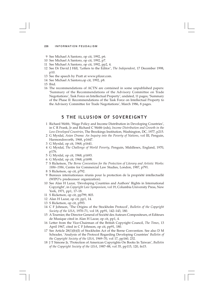- 9 See Michael A Santoro, op cit, 1992, p6.
- 10 See Michael A Santoro, op cit, 1992, p7.
- 11 See Michael A Santoro, op cit, 1992, pp2, 4.
- 12 See Dr David J Hill, 'Letters to the Editor', *The Independent*, 17 December 1998, p10.
- 13 See the speech by Pratt at www.pfizer.com.
- 14 See Michael A Santoro,op cit, 1992, p8.
- 15 Ibid.
- 16 The recommendations of ACTN are contained in some unpublished papers: 'Summary of the Recommendations of the Advisory Committee on Trade Negotiations', Task Force on Intellectual Property', undated, 11 pages; 'Summary of the Phase II: Recommendations of the Task Force on Intellectual Property to the Advisory Committee for Trade Negotiations', March 1986, 8 pages.

# 5 THE ILLUSION OF SOVEREIGNTY

- 1 Richard Webb, 'Wage Policy and Income Distribution in Developing Countries', in C R Frank, Jr and Richard C Webb (eds), *Income Distribution and Growth in the Less-Developed Countries*, The Brookings Institution, Washington, DC, 1977, p215.
- 2 G Myrdal, *Asian Drama: An Inquiry into the Poverty of Nations*, vol III, Penguin, Harmondsworth, 1968, p1647.
- 3 G Myrdal, op cit, 1968, p1641.
- 4 G Myrdal, *The Challenge of World Poverty*, Penguin, Middlesex, England, 1970, p176.
- 5 G Myrdal, op cit, 1968, p1693.
- 6 G Myrdal, op cit, 1968, p1698.
- 7 S Ricketson, *The Berne Convention for the Protection of Literary and Artistic Works: 1886–1986*, Centre for Commercial Law Studies, London, 1987, p791.
- 8 S Ricketson, op cit, p792.
- 9 Bureaux internationaux réunis pour la protection de la propriété intellectuellé (WIPO's predecessor organization).
- 10 See Alan H Lazar, 'Developing Countries and Authors' Rights in International Copyright', in *Copyright Law Symposium*, vol 19, Columbia University Press, New York, 1971, pp1, 17–18.
- 11 S Ricketson, op cit, pp799, 803.
- 12 Alan H Lazar, op cit, pp1, 14.
- 13 S Ricketson, op cit, p593.
- 14 C F Johnson, 'The Origins of the Stockholm Protocol', *Bulletin of the Copyright Society of the USA*, 1970–71, vol 18, pp91, 142–143, 180.
- 15 A Tournier, the Director General of Société des Auteurs Compositeurs, et Editeurs de Musique cited in Alan H Lazar, op cit, pp1, 4.
- 16 Letter from the Vice-Chairman of the British Copyright Council, *The Times*, 13 April 1967, cited in C F Johnson, op cit, pp91, 180.
- 17 See Article 28(1)(b)(I) of Stockholm Act of the Berne Convention. See also D M Schrader, 'Analysis of the Protocol Regarding Developing Countries' *Bulletin of the Copyright Society of the USA*, 1969–70, vol 17, pp160*,* 232.
- 18 J T Simone Jr, 'Protection of American Copyrights On Books In Taiwan', *Bulletin of the Copyright Society of the USA*, 1987–88, vol 35, pp115, 120, fn15.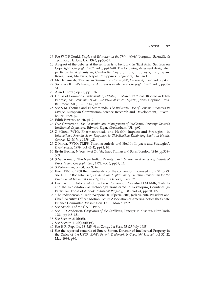#### **N O T E S 227**

- 19 See W T S Gould, *People and Education in the Third World*, Longman Scientific & Technical, Harlow, UK, 1993, pp50–59.
- 20 A report of the debates at the seminar is to be found in 'East Asian Seminar on Copyright', *Copyright*, 1967, vol 3, pp42–48. The following states sent designated participants: Afghanistan, Cambodia, Ceylon, India, Indonesia, Iran, Japan, Korea, Laos, Malaysia, Nepal, Philippines, Singapore, Thailand.
- 21 Mr Dadameah, 'East Asian Seminar on Copyright', *Copyright*, 1967, vol 3, p43.
- 22 Secretary Kirpal's Inaugural Address is available at *Copyright*, 1967, vol 3, pp50–
- 51.
- 23 Alan H Lazar, op cit, pp1, 26.
- 24 House of Commons, *Parliamentary Debates*, 19 March 1907, col 684 cited in Edith Penrose, *The Economics of the International Patent System,* Johns Hopkins Press, Baltimore, MD, 1951, p140, fn.9.
- 25 See S M Thomas and N Simmonds, *The Industrial Use of Genome Resources in Europe*, European Commission, Science Research and Development, Luxembourg, 1999, p7.
- 26 Edith Penrose, op cit, p112.
- 27 Ove Granstrand, *The Economics and Management of Intellectual Property: Towards Intellectual Capitalism*, Edward Elgar, Cheltenham, UK, p92.
- 28 Z Mirza, 'WTO, Pharmaceuticals and Health: Impacts and Strategies', in *International Roundtable on Responses to Globalization: Rethinking Equity in Health, Geneva, 12–14 July 1999*, p21.
- 29 Z Mirza, 'WTO/TRIPS, Pharmaceuticals and Health: Impacts and Strategies', *Development*, 1999, vol 42(4), pp92, 93.
- 30 Ervin Hexner, *International Cartels*, Isaac Pitman and Sons, London, 1946, pp308– 339.
- 31 S Vedaraman, 'The New Indian Patents Law', *International Review of Industrial Property and Copyright Law*, 1972, vol 3, pp39, 43.
- 32 S Vedaraman, op cit, pp39, 46.
- 33 From 1963 to 1968 the membership of the convention increased from 51 to 79. See G H C Bodenhausen, *Guide to the Application of the Paris Convention for the Protection of Industrial Property*, BIRPI, Geneva, 1968, p7.
- 34 Dealt with in Article 5A of the Paris Convention. See also D M Mills, 'Patents and the Exploitation of Technology Transferred to Developing Countries (in Particular, Those of Africa)', *Industrial Property*, 1985, vol 24, pp120, 122.
- 35 'The Indispensable Trade Weapon: 301/Special 301', Jack Valenti, President and Chief Executive Officer, Motion Picture Association of America, before the Senate Finance Committee, Washington, DC, 6 March 1992.
- 36 See Article 4 of the GATT 1947.
- 37 See T D Andersen, *Geopolitics of the Caribbean*, Praeger Publishers, New York, 1984, pp148–151.
- 38 See Section 212(b)(5).
- 39 See Section 212(b)(2)(B)(ii).
- 40 See H.R. Rep. No. 98–325, 98th Cong., 1st Sess. 55 (27 July 1983).
- 41 See the reported remarks of Emery Simon, Director of Intellectual Property in the Office of the USTR, *BNA's Patent, Trademark & Copyright Journal*, vol 32, 22 May 1986, p80.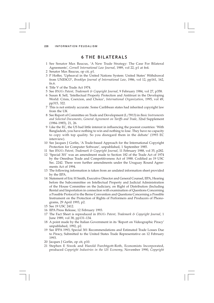# 6 THE BILATERALS

- 1 See Senator Max Baucus, 'A New Trade Strategy: The Case For Bilateral Agreements', *Cornell International Law Journal*, 1989, vol 22, p1 at fn4.
- 2 Senator Max Baucus, op cit, p1.
- 3 P Hoffer, 'Upheaval in the United Nations System: United States' Withdrawal from UNESCO', *Brooklyn Journal of International Law*, 1986, vol 12, pp161, 162, fn.6.
- 4 Title V of the Trade Act 1974.
- 5 See *BNA's Patent, Trademark & Copyright Journal*, 9 February 1984, vol 27, p358.
- 6 Susan K Sell, 'Intellectual Property Protection and Antitrust in the Developing World: Crisis, Coercion, and Choice', *International Organization*, 1995, vol 49, pp315, 322.
- 7 This is not entirely accurate. Some Caribbean states had inherited copyright law from the UK
- 8 See Report of Committee on Trade and Development (L/5913) in *Basic Instruments and Selected Documents, General Agreement on Tariffs and Trade*, 32nd Supplement (1984–1985), 21, 26.
- Like the EC, the US had little interest in influencing the poorest countries: 'With Bangladesh, you have nothing to win and nothing to lose. They have no capacity to copy with top quality. So you disregard them in the debate' (1993 EC interview).
- 10 See Jacques J Gorlin, 'A Trade-based Approach for the International Copyright Protection for Computer Software', unpublished, 1 September 1985.
- 11 See *BNA's Patent, Trademark & Copyright Journal*, 11 February 1988, vol 35, p282.
- 12 'Special 301' was an amendment made to Section 182 of the Trade Act of 1974 by the Omnibus Trade and Competitiveness Act of 1988. Codified as 19 USC Sec. 2242. There were further amendments under the Uruguay Round Agreements Act of 1994.
- 13 The following information is taken from an undated information sheet provided by the IIPA.
- 14 Statement of Eric H Smith, Executive Director and General Counsel, IIPA, Hearing before the Subcommittee on Intellectual Property and Judicial Administration of the House Committee on the Judiciary, on Right of Distribution (Including Rental and Importation in connection with examination of Questions Concerning a Possible Protocol to the Berne Convention and Questions Concerning a Possible Instrument on the Protection of Rights of Performers and Producers of Phonograms, 29 April 1993, p2.
- 15 See 19 USC 2412.
- 16 IIPA Press Release, 12 February 1993.
- 17 The Fact Sheet is reproduced in *BNA's Patent, Trademark & Copyright Journal*, 1 June 1989, vol 38, pp131–134.
- 18 A point made by the Italian Government in its 'Report on Videographic Piracy' unpublished, 1992, p2.
- 19 See IPPA 1993, Special 301 Recommendations and Estimated Trade Losses Due to Piracy, Submitted to the United States Trade Representative on 12 February 1993.
- 20 Jacques J Gorlin, op cit, p10.
- 21 Stephen E Siwek and Harold Furchtgott-Roth, Economists Incorporated, produced *Copyright Industries in the US Economy*, November 1990, *Copyright*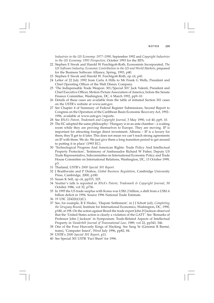*Industries in the US Economy: 1977–1990*, September 1992 and *Copyright Industries in the US Economy: 1993 Perspective*, October 1993 for the IIPA.

- 22 Stephen E Siwek and Harold W Furchtgott-Roth, Economists Incorporated, *The US Software Industry: Economic Contribution in the US and World Markets*, prepared for the Business Software Alliance, Spring, 1993, p40.
- 23 Stephen E Siwek and Harold W. Furchtgott-Roth, op cit, p41.
- 24 Letter of 22 July 1992 from Carla A Hills to Mr Frank G Wells, President and Chief Operating Officer of the Walt Disney Company.
- 25 'The Indispensable Trade Weapon: 301/Special 301' Jack Valenti, President and Chief Executive Officer, Motion Picture Association of America, before the Senate Finance Committee, Washington, DC, 6 March 1992, pp9–10.
- 26 Details of these cases are available from the table of initiated Section 301 cases on the USTR's website at www.ustr.gov.
- 27 See Chapter 4 of Summary of Federal Register Submissions, Second Report to Congress on the Operation of the Caribbean Basin Economic Recovery Act, 1992– 1996, available at www.ustr.gov/reports.
- 28 See *BNA's Patent, Trademark and Copyright Journal*, 3 May 1990, vol 40, pp9, 10.
- 29 The EC adopted the same philosophy: 'Hungary is in an ante chamber a waiting room while they are proving themselves to Europe. They are moving. IP is important for attracting foreign direct investment. Albania – IP is a luxury for them; they'll get to it later. This does not mean we can't reach strong agreements on IP with them. We do. We just give them a long transition period to get around to putting it in place' (1993 EC).
- 30 'Technological Progress And American Rights: Trade Policy And Intellectual Property Protection', Testimony of Ambassador Richard W Fisher, Deputy US Trade Representative, Subcommittee on International Economic Policy and Trade House Committee on International Relations, Washington, DC, 13 October 1999, p3.
- 31 Thailand, USTR's *2000 Special 301 Report*.
- 32 J Braithwaite and P Drahos, *Global Business Regulation*, Cambridge University Press, Cambridge, 2000, p180.
- 33 Susan K Sell, op cit, pp315, 325.
- 34 Yeutter's talk is reported in *BNA's Patent, Trademark & Copyright Journal*, 30 October 1986, vol 32, p736.
- 35 In 1995 the US trade surplus with Korea was US\$1.2 billion, a shift from a US\$1.6 billion deficit in 1994. Source 1996 National Trade Estimate.
- 36 19 USC 2242(b)(1)(C).
- 37 See, for example, R E Hudec, 'Dispute Settlement', in J J Schott (ed), *Completing the Uruguay Round*, Institute for International Economics, Washington, DC, 1990, p180, at 198. On the action against Brazil the trade expert John H Jackson observed that the 'United States action is clearly a violation of the GATT'. See 'Remarks of Professor John J Jackson' in Symposium: Trade-Related Aspects of Intellectual Property in *Vanderbilt Journal of Transnational Law*, 1989, vol 22, pp343, 346.
- 38 One of the Four Heavenly Kings of Hacking. See Sang Ye (Geremie R Barmé, trans), 'Computer Insect', *Wired* July 1996, pp82, 84.
- 39 USTR's *2000 Special 301 Report*, p11.
- 40 See Special 301 USTR 'Fact Sheet' for 1996.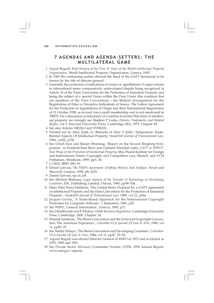# 7 AGENDAS AND AGENDA-SETTERS: THE MULTILATERAL GAME

- 1 Arpad Bogsch, *Brief History of the First 25 Years of the World Intellectual Property Organization*, World Intellectual Property Organization, Geneva, 1992.
- 2 In 1965 the contracting parties allowed the head of the GATT Secretariat to be known by the title of director-general.
- 3 Generally the protection of indications of source or appellations of origin remain in international terms comparatively undeveloped despite being recognized in Article 10 of the Paris Convention for the Protection of Industrial Property and being the subject of a special Union within the Paris Union (the countries that are members of the Paris Convention) – the Madrid Arrangement for the Registration of False or Deceptive Indications of Source. The Lisbon Agreement for the Protection of Appellations of Origin and their International Registration of 31 October 1958, as revised, has a small membership and is not mentioned in TRIPS. For a discussion of reluctance of countries to protect this form of intellectual property too strongly see Stephen P Ladas, *Patents, Trademarks, and Related Rights*, vol 3, Harvard University Press, Cambridge, MA, 1975, Chapter 43.
- 4 See also Articles XII(3)(c) and XVIII(10).
- 5 Pointed out by Alice Zalik, in 'Remarks of Alice T Zalik', Symposium: Trade-Related Aspects Of Intellectual Property, *Vanderbilt Journal of Transnational Law*, 1989, vol22, p330.
- 6 See Ulrich Joos and Rainer Moufang, 'Report on the Second Ringberg-Symposium', in Friedrich-Karl Beier and Gerhard Schricker (eds), *GATT or WIPO?: New Ways in the Protection of Intellectual Property*, Max Planck Institute for Foreign and International Patent, Copyright, and Competition Law, Munich, and VCH Publishers, Weinheim, 1989, pp3, 30.
- 7 L/5424: BISD 29S/19.
- 8 Daniel Gervais, *The TRIPS Agreement: Drafting History And Analysis*, Sweet and Maxwell, London, 1998, p8, fn25.
- 9 Daniel Gervais, op cit, p8.
- 10 See Michael Blakeney, *Legal Aspects of the Transfer of Technology to Developing Countries*, ESC Publishing Limited, Oxford, 1989, pp98–104.
- 11 Hans Peter Kunz-Hallstein, 'The United States Proposal for a GATT Agreement on Intellectual Property and the Paris Convention for the Protection of Industrial Property', *Vanderbilt Journal of Transnational Law*, 1989, vol 22, p266.
- 12 Jacques Gorlin, 'A Trade-Based Approach for the International Copyright Protection for Computer Software', 1 September 1985, p22.
- 13 See WIPO, 'General Information', Geneva, 1990, p71.
- 14 See J Braithwaite and P Drahos, *Global Business Regulation*, Cambridge University Press, Cambridge, 2000, Chapter 24.
- 15 Hamish Sandison, 'The Berne Convention and the Universal Copyright Convention: The American Experience', *Columbia-VLA Journal Of Law & Arts*, 1986, vol 11, pp89, 97.
- 16 See Ndéné Ndiaye, 'The Berne Convention and Developing Countries', *Columbia-VLA Journal Of Law & Arts*, 1986, vol 11, pp47, 53–54.
- 17 Arpard Bogsch was elected Director General of WIPO in 1973 and re-elected in 1979, 1985 and 1991.
- 18 See Private Sector Advisory Committee System, USTR, 1994 Annual Report, www.ustr.gov/reports.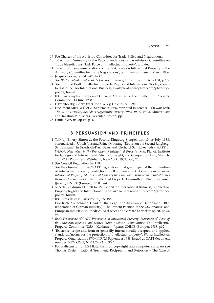- 19 See Charter of the Advisory Committee for Trade Policy and Negotiations.
- 20 Taken from 'Summary of the Recommendations of the Advisory Committee on Trade Negotiations' Task Force on Intellectual Property', undated.
- 21 Taken from 'Recommendations of the Task Force on Intellectual Property to the Advisory Committee for Trade Negotiations', Summary of Phase II, March 1986.
- 22 Jacques Gorlin, op cit, p47, fn 47.
- 23 See *BNA's Patent, Trademark & Copyright Journal*, 13 February 1986, vol 31, p285.
- 24 See Edmund Pratt, 'Intellectual Property Rights and International Trade', speech to US Council for International Business, available at www.pfizer.com/pfizerinc/ policy/forum.
- 25 IPC, 'Accomplishments and Current Activities of the Intellectual Property Committee', 14 June 1988.
- 26 F Warshofsky, *Patent Wars*, John Wiley, Chichester, 1994.
- 27 Document MIN.DEC of 20 September 1986, reprinted in Terence P Stewart (ed), *The GATT Uruguay Round: A Negotiating History (1986–1992)*, vol 3, Kluwer Law and Taxation Publishers, Deventer, Boston, pp1–10.
- 28 Daniel Gervais, op cit, p11.

## 8 PERSUASION AND PRINCIPLES

- 1 Talk by Emery Simon at the Second Ringberg Symposium, 13–16 July 1988, summarized in Ulrich Joos and Rainer Moufang, 'Report on the Second Ringberg-Symposium', in Friedrich-Karl Beier and Gerhard Schricker (eds), *GATT or WIPO?: New Ways in the Protection of Intellectual Property*, Max Planck Institute for Foreign and International Patent, Copyright, and Competition Law, Munich, and VCH Publishers, Weinheim, New York, 1989, pp3, 25.
- 2 See Council Regulation 2641/84.
- 3 See the observation that 'GATT negotiators must guard against the diminution of intellectual property protection', in *Basic Framework of GATT Provisions on Intellectual Property: Statement of Views of the European, Japanese and United States Business Communities*, The Intellectual Property Committee (USA), Keidanren (Japan), UNICE (Europe), 1988, p24.
- 4 Speech by Edmund T Pratt to US Council for International Business, 'Intellectual Property Rights and International Trade', available at www.pfizer.com/pfizerinc/ policy/forum.
- 5 IPC Press Release, Tuesday 14 June 1988.
- 6 Friedrich Kretschmer, Head of the Legal and Insurance Department, BDI (Federation of German Industry), 'The Present Position of the US, Japanese and European Industry', in Friedrich-Karl Beier and Gerhard Schricker, op cit, pp95, 96.
- 7 *Basic Framework of GATT Provisions on Intellectual Property: Statement of Views of the European, Japanese and United States Business Communities*, The Intellectual Property Committee (USA), Keidanren (Japan), UNICE (Europe), 1988, p32.
- 8 'Existence, scope and form of generally internationally accepted and applied standards/norms for the protection of intellectual property', World Intellectual Property Organization, WO/INF/29 September 1988, issued as GATT document number MTN.GNG/NG11/W/24/REv.1.
- 9 For a discussion of US bilateralism on copyright and computer software see Thomas Dreier, 'National Treatment, Reciprocity and Retorsion – The Case of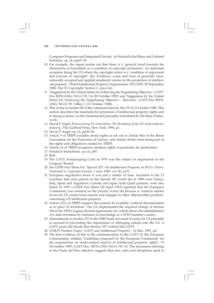Computer Programs and Integrated Circuits', in Friedrich-Karl Beier and Gerhard Schricker, op cit, pp65–74.

- 10 For example, the report points out that there is a 'general trend towards the elimination of formalities as a condition of copyright protection', an important exception being the US where the copyright notice is a 'condition of enjoyment and exercise of copyright'. See 'Existence, scope and form of generally internationally accepted and applied standards/norms for the protection of intellectual property', World Intellectual Property Organization, WO/INF/29 September 1988, Part II: Copyright, Section 2, para (iii).
- 11 'Suggestion by the United States for Achieving the Negotiating Objective', GATT-Doc.MTN.GNG/NG11/W/14 (20 October 1987) and 'Suggestion by the United States for Achieving the Negotiating Objective – Revision', GATT-Doc.MTN. GNG/NG11/W/14Rev.1 (17 October 1988).
- 12 This is true in Section III of the communication by the US of 13 October 1988. This section describes the standards for protection of intellectual property rights and in doing so draws on the fundamental principles articulated by the Basic Framework.
- 13 David P Angel, *Restructuring For Innovation: The Remaking of the US Semiconductor Industry*, The Guilford Press, New York, 1994, p1.
- 14 David P Angel, op cit, pp39–40.
- 15 Article 9 of TRIPS excludes moral rights as set out in Article 6bis of the Berne Convention for the Protection of Literary and Artistic Works from being part of the rights and obligations created by TRIPS.
- 16 Article 14 of TRIPS recognizes minimal rights of protection for performers.
- 17 Friedrich Kretschmer, op cit, p95.
- 18 Ibid.
- 19 The GATT Antidumping Code of 1979 was the subject of negotiation in the Uruguay Round.
- 20 See USTR Fact Sheet For 'Special 301' On Intellectual Property in *BNA's Patent, Trademark & Copyright Journal*, 1 June 1989, vol 38, p131.
- 21 European negotiators knew it was just a matter of time. Included in the 17 countries that were placed on the Special 301 watch list in 1989 were Greece, Italy, Spain and Yugoslavia. Canada and Japan, both Quad partners, were also listed. In 1993 a USTR Fact Sheet (30 April 1993) reported that the European Community was retained on the priority watch list because it 'restricts market access for US audiovisual exports and engages in other objectionable practices' concerning US intellectual property.
- 22 Article 27(1) of TRIPS requires that patents be available 'without discrimination as to place of invention'. The US implemented the required change to Section 104 in the 1994 Uruguay Round Agreements Act, which allows the establishment of a date invention by reference to knowledge in a WTO member country.
- 23 Amendments to Section 337 in the 1988 Trade Act made it easier for US plaintiffs to succeed in preventing the importation of infringing articles into the US. A GATT panel did decide that Section 337 violated the GATT.
- 24 UNICE Position Paper, 'GATT and Intellectual Property', 12 May 1987, p2.
- 25 The best evidence of this is the communication to the GATT by the European Communities, entitled 'Guidelines proposed by the European Community for the negotiations on trade-related aspects of intellectual property rights', 19 November 1987, GATT-Doc. MTN.GNG/NG11/W/16. The document referring to the Punta del Este objective suggests that new rules and disciplines need to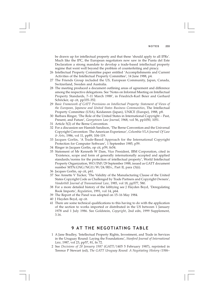be drawn up for intellectual property and that these 'should apply to all IPRs'. Much like the IPC, the European negotiators now saw in the Punta del Este Declaration a strong mandate to develop a trade-based intellectual property regime that went well beyond the problem of counterfeiting and piracy.

- 26 Intellectual Property Committee paper entitled 'Accomplishments and Current Activities of the Intellectual Property Committee', 14 June 1988, p4.
- 27 The Friends Group included the US, European Community, Japan, Canada, Switzerland, Sweden and Australia.
- 28 The meeting produced a document outlining areas of agreement and difference among the respective delegations. See 'Notes on Informal Meeting on Intellectual Property Standards, 7–11 March 1988', in Friedrich-Karl Beier and Gerhard Schricker, op cit, pp335–352.
- 29 *Basic Framework of GATT Provisions on Intellectual Property: Statement of Views of the European, Japanese and United States Business Communities*, The Intellectual Property Committee (USA), Keidanren (Japan), UNICE (Europe), 1988, p8.
- 30 Barbara Ringer, 'The Role of the United States in International Copyright Past, Present, and Future', *Georgetown Law Journal*, 1968, vol 56, pp1050, 1051.
- 31 Article 5(2) of the Berne Convention.
- 32 For a discussion see Hamish Sandison, 'The Berne Convention and the Universal Copyright Convention: The American Experience', *Columbia-VLA Journal Of Law & Arts*, 1986, vol 11, pp89, 104–119.
- 33 Jacques Gorlin, 'A Trade-Based Approach for the International Copyright Protection for Computer Software', 1 September 1985, p59.
- 34 Ringer in Jacques Gorlin, op cit, p59, fn54.
- 35 Statement of Mr Kenneth W Dam, Vice President, IBM Corporation, cited in 'Existence, scope and form of generally internationally accepted and applied standards/norms for the protection of intellectual property', World Intellectual Property Organization, WO/INF/29 September 1988, issued as GATT document number MTN.GNG/NG11/W/24/REv., Part II, para (3)(i).
- 36 Jacques Gorlin, op cit, p61.
- 37 See Annette V Tucker, 'The Validity of the Manufacturing Clause of the United States Copyright Code as Challenged by Trade Partners and Copyright Owners', *Vanderbilt Journal of Transnational Law*, 1985, vol 18, pp577, 580.
- 38 For a more detailed history of the lobbying see J Hayden Boyd, 'Deregulating Book Imports', *Regulation*, 1991, vol 14, p64.
- 39 The Report of the Panel was adopted on 15–16 May 1984.
- 40 J Hayden Boyd, op cit.
- 41 There are some technical qualifications to this having to do with the application of the section to works imported or distributed in the US between 1 January 1978 and 1 July 1986. See Goldstein, *Copyright*, 2nd edn, 1999 Supplement, 3.16.

## 9 AT THE NEGOTIATING TABLE

- 1 A Jane Bradley, 'Intellectual Property Rights, Investment, and Trade in Services in the Uruguay Round: Laying the Foundations', *Stanford Journal of International Law*, 1987, vol 23, pp57, 81, fn 72.
- 2 See *Decisions of 28 January 1987* (GATT/1405 5 February 1987), reprinted in Terence P Stewart (ed), *The GATT Uruguay Round: A Negotiating History (1986–*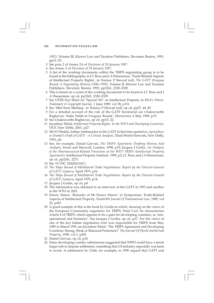*1992)*, Volume III, Kluwer Law and Taxation Publishers, Deventer, Boston, 1993, pp11–25.

- 3 See para 2 of Annex 2A of *Decisions of 28 January 1987*.
- 4 See Annex 2 of *Decisions of 28 January 1987*.
- 5 A list of the working documents within the TRIPS negotiating group is to be found in the bibliography in J C Ross and J A Wasserman, 'Trade-Related Aspects of Intellectual Property Rights', in Terence P Stewart (ed), *The GATT Uruguay Round: A Negotiating History (1986–1992)*, Volume II, Kluwer Law and Taxation Publishers, Deventer, Boston, 1993, pp2241, 2320–2329.
- 6 This is based on a count of the working documents to be found in J C Ross and J A Wasserman, op cit, pp2241, 2320–2329.
- 7 See USTR Fact Sheet for 'Special 301' on Intellectual Property, in *BNA's Patent, Trademark & Copyright Journal*, 1 June 1989, vol 38, p131.
- 8 See 'Mid-Term Meeting', in Terence P Stewart (ed), op cit, pp27, 44–45.
- 9 For a detailed account of the role of the GATT Secretariat see Chakravarthi Raghavan, 'India Yields in Uruguay Round', *Mainstream*, 6 May 1989, p15.
- 10 See Chakravarthi Raghavan, op cit, pp15, 22.
- 11 Jayashree Watal, *Intellectual Property Rights: In the WTO and Developing Countries*, OUP, New Delhi, 2001, p27.
- 12 Mr S P Shukla, Indian Ambassador to the GATT at that time quoted in, *Agriculture in Dunkel's Draft of GATT – A Critical Analysis*, Third World Network, New Delhi, 1993, p6.
- 13 See, for example, Daniel Gervais, *The TRIPS Agreement: Drafting History And Analysis*, Sweet and Maxwell, London, 1998, p15; Jacques J Gorlin, *An Analysis of the Pharmaceutical-Related Provisions of the WTO TRIPS (Intellectual Property Agreement),* Intellectual Property Institute, 1999, p2; J C Ross and J A Wasserman, op cit, pp2241, 2273.
- 14 See 19 USC 2242(b)(1)(C)
- 15 *The Tokyo Round of Multilateral Trade Negotiations: Report by the Director-General of GATT*, Geneva, April 1979, p16.
- 16 *The Tokyo Round of Multilateral Trade Negotiations: Report by the Director-General of GATT*, Geneva, April 1979, p14.
- 17 Jacques J Gorlin, op cit, p4.
- 18 The information was obtained in an interview at the GATT in 1993 and another in the WTO in 2001.
- 19 Emory Simon, 'Remarks of Mr Emory Simon', in Symposium: Trade-Related Aspects of Intellectual Property, *Vanderbilt Journal of Transnational Law*, 1989, vol 22, p367.
- 20 A good example of this is the book by Gorlin in which, drawing on the views of the European Community negotiator for TRIPS, Peter Carl, he characterizes Article 8 of TRIPS, which appears to be a gain for developing countries, as 'nonoperational and hortatory'. See Jacques J Gorlin, op cit, p17. For the views of one of the key Indian negotiators who was responsible for TRIPS from May 1989 to March 1991 see Jayashree Watal, 'The TRIPS Agreement and Developing Countries: Strong, Weak or Balanced Protection?' *The Journal Of World Intellectual Property*, 1998, vol 1, p281.
- 21 Daniel Gervais, op cit, p18.
- 22 Some developing country submissions suggested that WIPO could have a much larger role in dispute settlement, something that US industry especially was keen to avoid. A submission by Chile, for example, in 1990 argued that GATT and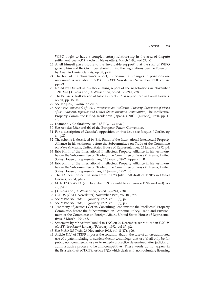WIPO ought to have a complementary relationship in the area of dispute settlement. See *FOCUS* (GATT Newsletter), March 1990, vol 69, p5.

- 23 Anell himself pays tribute to the 'invaluable support' that the staff of WIPO gave to him and the GATT Secretariat during the negotiations. See the Foreword by Anell in Daniel Gervais, op cit, pvii.
- 24 The text of the chairman's report, 'Fundamental changes in positions are necessary', is available in *FOCUS* (GATT Newsletter) November 1990, vol 76, pp2–3.
- 25 Noted by Dunkel in his stock-taking report of the negotiations in November 1991. See J C Ross and J A Wasserman, op cit, pp2241, 2280.
- 26 The Brussels Draft version of Article 27 of TRIPS is reproduced in Daniel Gervais, op cit, pp145–146.
- 27 See Jacques J Gorlin, op cit, p6.
- 28 See *Basic Framework of GATT Provisions on Intellectual Property: Statement of Views of the European, Japanese and United States Business Communities*, The Intellectual Property Committee (USA), Keidanren (Japan), UNICE (Europe), 1988, pp34– 40.
- 29 Diamond v Chakrabarty 206 U.S.P.Q. 193 (1980).
- 30 See Articles 53(a) and (b) of the European Patent Convention.
- 31 For a description of Canada's opposition on this issue see Jacques J Gorlin, op cit, p25.
- 32 The scheme is described by Eric Smith of the International Intellectual Property Alliance in his testimony before the Subcommittee on Trade of the Committee on Ways & Means, United States House of Representatives, 23 January 1992, p4.
- 33 Eric Smith of the International Intellectual Property Alliance in his testimony before the Subcommittee on Trade of the Committee on Ways & Means, United States House of Representatives, 23 January 1992, Appendix B.
- 34 Eric Smith of the International Intellectual Property Alliance in his testimony before the Subcommittee on Trade of the Committee on Ways & Means, United States House of Representatives, 23 January 1992, p6.
- 35 The US position can be seen from the 23 July 1990 draft of TRIPS in Daniel Gervais, op cit, p163.
- 36 MTN.TNC/W/FA (20 December 1991) available in Terence P Stewart (ed), op cit, p457.
- 37 J C Ross and J A Wasserman, op cit, pp2241, 2284.
- 38 *FOCUS* (GATT Newsletter) November 1993, vol 103, p7.
- 39 See *Inside US Trade*, 10 January 1992, vol 10(2), p2.
- 40 See *Inside US Trade*, 10 January 1992, vol 10(2), p3.
- 41 Testimony of Jacques J Gorlin, Consulting Economist to the Intellectual Property Committee, before the Subcommittee on Economic Policy, Trade and Environment of the Committee on Foreign Affairs, United States House of Representatives, 8 March 1994, p3.
- 42 Statement by Mr Arthur Dunkel to TNC on 20 December, reproduced in *FOCUS (GATT Newsletter)* January/February 1992, vol 87, p2.
- 43 See *Inside US Trade*, 26 November 1993, vol 11(47), p20.
- 44 Article 31(c) of TRIPS imposes the condition that in the case of a non-authorized use of a patent relating to semiconductor technology that use 'shall only be for public non-commercial use or to remedy a practice determined after judicial or administrative process to be anti-competitive.' These words do not appear in the Brussels draft of TRIPS. Article 37(2) which deals with non-voluntary licensing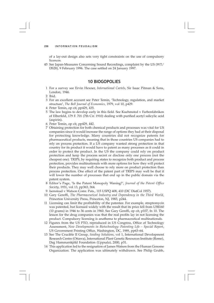### **236 INFORMATION FEUDALISM**

of a lay-out design also sets very tight constraints on the use of compulsory licences.

45 See Japan-Measures Concerning Sound Recordings, complaint by the US (WT/ DS28), 9 February 1996. The case settled on 24 January 1997.

## 10 BIOGOPOLIES

- 1 For a survey see Ervin Hexner, *International Cartels*, Sir Isaac Pitman & Sons, London, 1946.
- 2 Ibid.
- 3 For an excellent account see Peter Temin, 'Technology, regulation, and market structure', *The Bell Journal of Economics*, 1979, vol 10, p429.
- 4 Peter Temin, op cit, pp429, 435.
- 5 The law begins to develop early in this field. See Kuehmsted v Farbenfabriken of Elberfeld, 179 F. 701 (7th Cir. 1910) dealing with purified acetyl salicylic acid (aspirin).
- 6 Peter Temin, op cit, pp429, 442.
- 7 Obtaining protection for both chemical products and processes was vital for US companies since it would increase the range of options they had at their disposal for protecting knowledge. Many countries did not recognize patents for pharmaceutical products, meaning that in those countries US companies had to rely on process protection. If a US company wanted strong protection in that country for its product it would have to patent as many processes as it could in order to protect the product. In the US the company could rely on product protection and keep the process secret or disclose only one process (not the cheapest one). TRIPS, by requiring states to recognize both product and process protection, provides multinationals with more options for how they will protect their products. They may well choose to rely more on product protection than process protection. One effect of the patent part of TRIPS may well be that it will lower the number of processes that end up in the public domain via the patent system.
- 8 Editor's Page, 'Is the Patent Monopoly Waning?', *Journal of the Patent Office Society*, 1931, vol 13, pp363, 364.
- 9 Isenstead v Watson Comr. Pats., 115 USPQ 408, 410 (DC DistCol 1957).
- 10 Gary Gereffi, *The Pharmaceutical Industry and Dependency in the Third World*, Princeton University Press, Princeton, NJ, 1983, p244.
- 11 Licensing can limit the profitability of the patentee. For example, streptomycin was patented, but licensed widely with the result that its price fell from US\$160 (10 grams) in 1946 to 36 cents in 1960. See Gary Gereffi, op cit, p107, fn 10. The lesson for the drug companies was that the real profits lay in not licensing the product. Compulsory licensing is anathema to pharmaceutical multinationals.
- 12 Figures from the US PTO, reproduced in US Congress, Office of Technology Assessment, *New Developments in Biotechnology: Patenting Life – Special Report*, US Government Printing Office, Washington, DC, 1989, pp63–64.
- 13 See The Crucible II Group, *Seeding Solutions*, vol 1, International Development Research Centre (Ottawa), International Plant Genetic Resources Institute (Rome), Dag Hammarskjöld Foundation (Uppsala), 2000, p31.
- 14 This application led to the resignation of James Watson from the Human Genome Organization. The application was ultimately withdrawn. See Philip Grubb,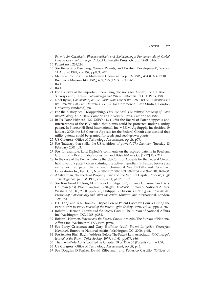*Patents for Chemicals, Pharmaceuticals and Biotechnology: Fundamentals of Global Law, Practice and Strategy*, Oxford University Press, Oxford, 1999, p249.

- 15 Patent no 4,237,224.
- 16 See Rebecca S Eisenberg, 'Genes, Patents, and Product Development', *Science*, 14 August 1992, vol 257, pp903, 907.
- 17 Merck & Co Inc v Olin Mathieson Chemical Corp 116 USPQ 484 (CA 4 1958).
- 18 Brenner v Manson 148 USPQ 689, 695 (US SupCt 1966).
- 19 Ibid.
- 20 Ibid.
- 21 For a survey of the important liberalizing decisions see Annex C of F K Beier, R S Crespi and J Straus, *Biotechnology and Patent Protection*, OECD, Paris, 1985.
- 22 Noel Byrne, *Commentary on the Substantive Law of the 1991 UPOV Convention for the Protection of Plant Varieties*, Centre for Commercial Law Studies, London University (undated), p8.
- 23 For the history see J Kloppenburg, *First the Seed: The Political Economy of Plant Biotechnology 1492–2000*, Cambridge University Press, Cambridge, 1988.
- 24 In Ex Parte Hibberd, 227 USPQ 443 (1985) the Board of Patent Appeals and Interferences of the PTO ruled that plants could be protected under a utility patent. In Pioneer Hi-Bred International, Inc, v J.E.M. Ag Supply, Inc decided 19 January 2000, the US Court of Appeals for the Federal Circuit also decided that utility patents could be granted for seeds and seed-grown plants.
- 25 US Congress, Office of Technology Assessment, op cit, p79.
- 26 See 'Industry that stalks the US corridors of power', *The Guardian*, Tuesday 13 February 2001, p3.
- 27 See, for example, Lord Diplock's comments on the expired patents in Beecham Group Ltd v Bristol Laboratories Ltd and Bristol-Myers Co [1977] FSR 217.
- 28 In the case of the Prozac patents the US Court of Appeals for the Federal Circuit held invalid a patent claim claiming the active ingredient in Prozac because an earlier expired patent had already claimed it. See Eli Lilly and Co v Barr Laboratories Inc, Fed. Cir., Nos. 99–1262, 99–1263, 99–1264 and 99–1301, 8–9–00.
- 29 A Silverman, 'Intellectual Property Law and the Venture Capital Process', *High Technology Law Journal*, 1990, vol 5, no 1, p157, fn 62.
- 29 See Tom Arnold, 'Using ADR Instead of Litigation', in Barry Grossman and Gary Hoffman (eds), *Patent Litigation Strategies Handbook*, Bureau of National Affairs, Washington DC, 2000, pp25, 26; Philippe G Ducour, *Patenting the Recombinant Products of Biotechnology and Other Molecules*, Kluwer Law International, London, 1998, p3.
- 30 E H Lang and B K Thomas, 'Disposition of Patent Cases by Courts During the Period 1939 to 1949', *Journal of the Patent Office Society*, 1950, vol 32, pp803–807.
- 31 Robert L Harmon, *Patents and the Federal Circuit*, The Bureau of National Affairs Inc, Washington, DC, 1988, p382.
- 32 Robert L Harmon, *Patents and the Federal Circuit*, 4th edn, The Bureau of National Affairs Inc, Washington, DC, 1998, p980.
- 33 See Barry Grossman and Gary Hoffman (eds), *Patent Litigation Strategies Handbook*, Bureau of National Affairs, Washington DC, 2000, pxiii.
- 34 See Senator Birch Bayh, 'Address Before The Patent Law Association Of Chicago', *Journal of the Patent Office Society*, 1979, vol 61, pp679, 686.
- 35 The Bayh-Dole Act is codified as Chapter 38 of Title 35 (Patents) of the USC.
- 36 US Congress, Office of Technology Assessment, op cit, p43.
- 37 See Douglas D Parker, David Zilberman and Federico Castillo, 'Offices of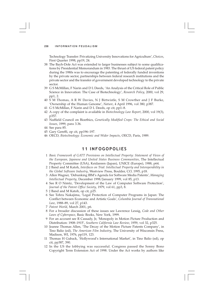### **238 INFORMATION FEUDALISM**

Technology Transfer: Privatizing University Innovations for Agriculture', *Choices*, First Quarter 1998, pp19, 24.

- 38 The Bayh-Dole Act was extended to larger businesses subject to some qualifications by Presidential Memorandum in 1983. The thrust of US federal patent policy during the 1980s was to encourage the patenting of federally funded inventions by the private sector, partnerships between federal research institutions and the private sector and the transfer of government developed technology to the private sector.
- 39 G S McMillan, F Narin and D L Deeds, 'An Analysis of the Critical Role of Public Science in Innovation: The Case of Biotechnology', *Research Policy*, 2000, vol 29, pp1, 2.
- 40 S M Thomas, A R W Davies, N J Birtwistle, S M Crowther and J F Burke, 'Ownership of the Human Genome', *Nature*, 4 April 1996, vol 380, p387.
- 41 G S McMillan, F Narin and D L Deeds, op cit, pp1–8.
- 42 A copy of the complaint is available in *Biotechnology Law Report*, 2000, vol 19(3), p357.
- 43 Nuffield Council on Bioethics, *Genetically Modified Crops: The Ethical and Social Issues*, 1999, para 3.36.
- 44 See para 85.
- 45 Gary Gereffi, op cit, pp196–197.
- 46 OECD, *Biotechnology: Economic and Wider Impacts*, OECD, Paris, 1989.

## **11 INFOGOPOLIES**

- 1 *Basic Framework of GATT Provisions on Intellectual Property: Statement of Views of the European, Japanese and United States Business Communities*, The Intellectual Property Committee (USA), Keidanren (Japan), UNICE (Europe), 1988, p64.
- 2 J Band and M Katoh, *Interfaces on Trial: Intellectual Property and Interoperability in the Global Software Industry*, Westview Press, Boulder, CO, 1995, p18.
- 3 Allen Wagner, 'Debunking IBM's Agenda for Software Media Patents', *Managing Intellectual Property*, December 1998/January 1999, vol 85, p13.
- 4 See R O Nimtz, 'Development of the Law of Computer Software Protection', *Journal of the Patent Office Society*, 1979, vol 61, pp3, 8.
- 5 J Band and M Katoh, op cit, p25.
- 6 See Tohru Nakajima, 'Legal Protection of Computer Programs in Japan: The Conflict between Economic and Artistic Goals', *Columbia Journal of Transnational Law*, 1988–89, vol 27, p143.
- 7 *Patent World*, March 2001, p6.
- 8 For a broader discussion of these issues see Lawrence Lessig, *Code and Other Laws of Cyberspace*, Basic Books, New York, 1999.
- 9 For an account see R Cassady, Jr, 'Monopoly in Motion Picture Production and Distribution: 1908–1915', *Southern California Law Review*, 1959, vol 32, p325.
- 10 Jeanne Thomas Allen, 'The Decay of the Motion Picture Patents Company', in Tino Balio (ed), *The American Film Industry*, The University of Wisconsin Press, Madison, WI, 1976, pp119, 123.
- 11 Thomas H Guback, 'Hollywood's International Market', in Tino Balio (ed), op cit, pp387, 390.
- 12 In the US the lobbying was successful. Congress passed the Sonny Bono Copyright Term Extension Act of 1998. Under the Act works by authors like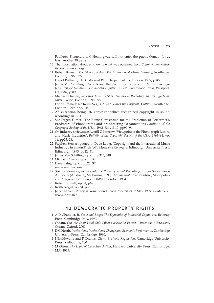Faulkner, Fitzgerald and Hemingway will not enter the public domain for at least another 20 years.

- 13 The information about who owns what was obtained from *Columbia Journalism Review*, www.cjr.org.
- 14 Robert Burnett, *The Global Jukebox: The International Music Industry*, Routledge, London, 1996, p25.
- 15 David Puttnam, *The Undeclared War*, Harper Collins, London, 1997, p345.
- 16 James Von Schilling, 'Records and the Recording Industry', in M Thomas Inge (ed), *Concise Histories Of American Popular Culture*, Greenwood Press, Westport, CT, 1982, p313.
- 17 Michael Chanan, *Repeated Takes: A Short History of Recording and its Effects on Music,* Verso, London, 1995, p8*7*.
- 18 For a summary see Keith Negus, *Music Genres and Corporate Cultures*, Routledge, London, 1999, pp37–45.
- 19 An exception being UK copyright which recognized copyright in sound recordings in 1911.
- 20 See Eugen Ulmer, 'The Rome Convention for the Protection of Performers, Producers of Phonograms and Broadcasting Organizations', *Bulletin of the Copyright Society of the USA*, 1962–63, vol 10, pp90, 94.
- 21 On industry's views see Averill C Pararow, 'Viewpoint of the Phonograph Record and Music Industries', *Bulletin of the Copyright Society of the USA*, 1963–64, vol 11, pp25, 26.
- 22 Stephen Stewart quoted in Dave Laing, 'Copyright and the International Music Industry', in Simon Firth (ed), *Music and Copyright,* Edinburgh University Press, Edinburgh, 1993, pp22, 31.
- 23 James Von Schilling, op cit, pp313, 318.
- 24 Michael Chanan, op cit, p84.
- 25 Dave Laing, op cit, pp22, 37.
- 26 see www.riaa.com
- 27 See, for example, *Inquiry into the Prices of Sound Recordings*, Prices Surveillance Authority (Australia), Melbourne, 1990; *The Supply of Recorded Music*, Monopolies and Mergers Commission, HMSO, London, 1994.
- 28 Robert Burnett, op cit, p62.
- 29 Keith Negus, op cit, p58.
- 30 Jaron Lanier, 'Piracy is Your Friend', *New York Times*, 9 May 1999, available at www.maui.net.

## 12 DEMOCRATIC PROPERTY RIGHTS

- 1 A D Chandler, Jr, *Scale and Scope: The Dynamics of Industrial Capitalism*, Belknap Press, Cambridge, MA, 1990.
- 2 Oxfam, *Cut the Cost: Fatal Side Effects: Medicine Patents Under the Microscope*, Oxfam, Oxford, 2000.
- 3 D C North, *Institutions, Institutional Change and Economic Performance*, Cambridge University Press, Cambridge, 1990.
- 4 J Braithwaite and P Drahos, *Global Business Regulation*, Cambridge University Press, Melbourne, 200.
- 5 M Olson, *The Logic of Collective Action*, Harvard University Press, Cambridge, MA, 1965.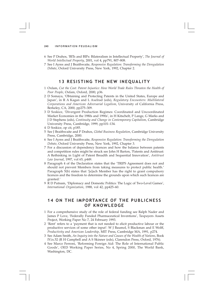### **240 INFORMATION FEUDALISM**

- 6 See P Drahos, 'BITs and BIPs: Bilateralism in Intellectual Property', *The Journal of World Intellectual Property*, 2001, vol 4, pp791, 807–808.
- 7 See I Ayres and J Braithwaite, *Responsive Regulation: Transforming the Deregulation Debate*, Oxford University Press, New York, 1992, Chapter 2.

## **13 RESISTING THE NEW INEQUALITY**

- 1 Oxfam, *Cut the Cost: Patent Injustice: How World Trade Rules Threaten the Health of Poor People*, Oxfam, Oxford, 2000, p36.
- 2 D Somaya, 'Obtaining and Protecting Patents in the United States, Europe and Japan', in R A Kagan and L Axelrad (eds), *Regulatory Encounters: Multilateral Corporations and American Adversarial Legalism*, University of California Press, Berkeley, CA, 2000, pp275–309.
- 3 D Soskice, 'Divergent Production Regimes: Coordinated and Uncoordinated Market Economies in the 1980s and 1990s', in H Kitschelt, P Lange, G Marks and J D Stephens (eds), *Continuity and Change in Contemporary Capitalism*, Cambridge University Press, Cambridge, 1999, pp101–134.
- 4 D Soskice, op cit, p185.
- 5 See J Braithwaite and P Drahos, *Global Business Regulation*, Cambridge University Press, Cambridge, 2000.
- 6 See I Ayres and J Braithwaite, *Responsive Regulation: Transforming the Deregulation Debate*, Oxford University Press, New York, 1992, Chapter 3.
- 7 For a discussion of dependency licences and how the balance between patents and competition rules might be struck see John H Barton, 'Patents and Antitrust: A Rethinking in Light of Patent Breadth and Sequential Innovation', *Antitrust Law Journal*, 1997, vol 65, p449.
- 8 Paragraph 4 of the Declaration states that the 'TRIPS Agreement does not and should not prevent Members from taking measures to protect public health.' Paragraph 5(b) states that '[e]ach Member has the right to grant compulsory licences and the freedom to determine the grounds upon which such licences are granted.'
- 9 R D Putnam, 'Diplomacy and Domestic Politics: The Logic of Two-Level Games', *International Organization*, 1988, vol 42, pp425–60.

# 14 ON THE IMPORTANCE OF THE PUBLICNESS **OF KNOWLEDGE**

- 1 For a comprehensive study of the role of federal funding see Ralph Nader and James P Love, 'Federally Funded Pharmaceutical Inventions', Taxpayers Assets Project, Working Paper No 7, 24 February 1993.
- 2 'Rent' refers to a 'payment that is not needed to elicit productive labour or the productive services of some other input': W J Baumol, S Blackman and E Wolff, *Productivity and American Leadership*, MIT Press, Cambridge MA, 1991, p274.
- 3 See Adam Smith, *An Inquiry into the Nature and Causes of the Wealth of Nations*, Book IV.ix.52 (R H Campbell and A S Skinner (eds), Clarendon Press, Oxford, 1976).
- 4 See Marco Ferroni, 'Reforming Foreign Aid: The Role of International Public Goods', OED Working Paper Series, No 4, Spring 2000, The World Bank, Washington, DC.